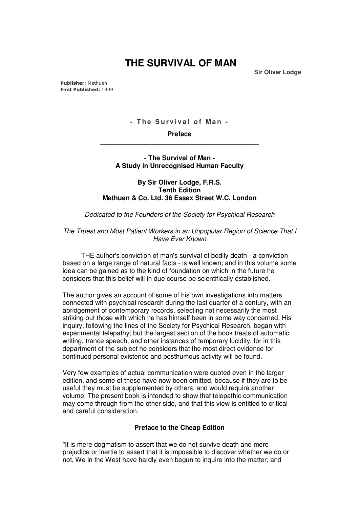# **THE SURVIVAL OF MAN**

**Sir Oliver Lodge**

Publisher: Methuen First Published: 1909

**- T h e S u r v i v a l o f M a n -**

## **Preface \_\_\_\_\_\_\_\_\_\_\_\_\_\_\_\_\_\_\_\_\_\_\_\_\_\_\_\_\_\_\_\_\_\_\_\_\_\_\_\_\_\_\_**

**- The Survival of Man - A Study in Unrecognised Human Faculty**

#### **By Sir Oliver Lodge, F.R.S. Tenth Edition Methuen & Co. Ltd. 36 Essex Street W.C. London**

*Dedicated to the Founders of the Society for Psychical Research*

*The Truest and Most Patient Workers in an Unpopular Region of Science That I Have Ever Known*

THE author's conviction of man's survival of bodily death - a conviction based on a large range of natural facts - is well known; and in this volume some idea can be gained as to the kind of foundation on which in the future he considers that this belief will in due course be scientifically established.

The author gives an account of some of his own investigations into matters connected with psychical research during the last quarter of a century, with an abridgement of contemporary records, selecting not necessarily the most striking but those with which he has himself been in some way concerned. His inquiry, following the lines of the Society for Psychical Research, began with experimental telepathy; but the largest section of the book treats of automatic writing, trance speech, and other instances of temporary lucidity, for in this department of the subject he considers that the most direct evidence for continued personal existence and posthumous activity will be found.

Very few examples of actual communication were quoted even in the larger edition, and some of these have now been omitted, because if they are to be useful they must be supplemented by others, and would require another volume. The present book is intended to show that telepathic communication may come through from the other side, and that this view is entitled to critical and careful consideration.

## **Preface to the Cheap Edition**

"It is mere dogmatism to assert that we do not survive death and mere prejudice or inertia to assert that it is impossible to discover whether we do or not. We in the West have hardly even begun to inquire into the matter; and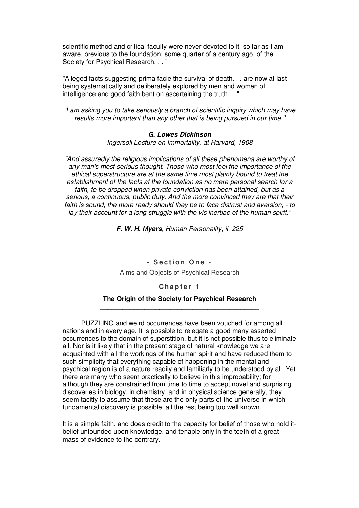scientific method and critical faculty were never devoted to it, so far as I am aware, previous to the foundation, some quarter of a century ago, of the Society for Psychical Research. . . "

"Alleged facts suggesting prima facie the survival of death. . . are now at last being systematically and deliberately explored by men and women of intelligence and good faith bent on ascertaining the truth. . ."

*"I am asking you to take seriously a branch of scientific inquiry which may have results more important than any other that is being pursued in our time."*

## *G. Lowes Dickinson*

*Ingersoll Lecture on Immortality, at Harvard, 1908*

*"And assuredly the religious implications of all these phenomena are worthy of any man's most serious thought. Those who most feel the importance of the ethical superstructure are at the same time most plainly bound to treat the establishment of the facts at the foundation as no mere personal search for a faith, to be dropped when private conviction has been attained, but as a serious, a continuous, public duty. And the more convinced they are that their faith is sound, the more ready should they be to face distrust and aversion, - to lay their account for a long struggle with the vis inertiae of the human spirit."*

*F. W. H. Myers, Human Personality, ii. 225*

**- S e c t i o n O n e -**

Aims and Objects of Psychical Research

**C h a p t e r 1**

#### **The Origin of the Society for Psychical Research \_\_\_\_\_\_\_\_\_\_\_\_\_\_\_\_\_\_\_\_\_\_\_\_\_\_\_\_\_\_\_\_\_\_\_\_\_\_\_\_\_\_\_**

PUZZLING and weird occurrences have been vouched for among all nations and in every age. It is possible to relegate a good many asserted occurrences to the domain of superstition, but it is not possible thus to eliminate all. Nor is it likely that in the present stage of natural knowledge we are acquainted with all the workings of the human spirit and have reduced them to such simplicity that everything capable of happening in the mental and psychical region is of a nature readily and familiarly to be understood by all. Yet there are many who seem practically to believe in this improbability; for although they are constrained from time to time to accept novel and surprising discoveries in biology, in chemistry, and in physical science generally, they seem tacitly to assume that these are the only parts of the universe in which fundamental discovery is possible, all the rest being too well known.

It is a simple faith, and does credit to the capacity for belief of those who hold itbelief unfounded upon knowledge, and tenable only in the teeth of a great mass of evidence to the contrary.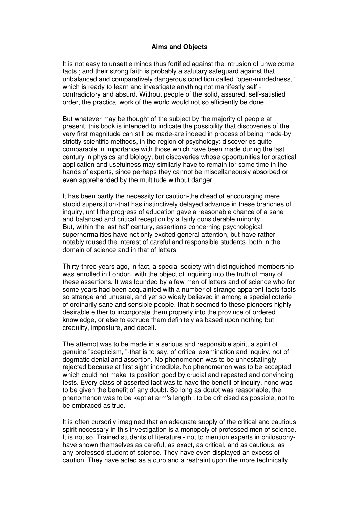#### **Aims and Objects**

It is not easy to unsettle minds thus fortified against the intrusion of unwelcome facts ; and their strong faith is probably a salutary safeguard against that unbalanced and comparatively dangerous condition called "open-mindedness," which is ready to learn and investigate anything not manifestly self contradictory and absurd. Without people of the solid, assured, self-satisfied order, the practical work of the world would not so efficiently be done.

But whatever may be thought of the subject by the majority of people at present, this book is intended to indicate the possibility that discoveries of the very first magnitude can still be made-are indeed in process of being made-by strictly scientific methods, in the region of psychology: discoveries quite comparable in importance with those which have been made during the last century in physics and biology, but discoveries whose opportunities for practical application and usefulness may similarly have to remain for some time in the hands of experts, since perhaps they cannot be miscellaneously absorbed or even apprehended by the multitude without danger.

It has been partly the necessity for caution-the dread of encouraging mere stupid superstition-that has instinctively delayed advance in these branches of inquiry, until the progress of education gave a reasonable chance of a sane and balanced and critical reception by a fairly considerable minority. But, within the last half century, assertions concerning psychological supernormalities have not only excited general attention, but have rather notably roused the interest of careful and responsible students, both in the domain of science and in that of letters.

Thirty-three years ago, in fact, a special society with distinguished membership was enrolled in London, with the object of inquiring into the truth of many of these assertions. It was founded by a few men of letters and of science who for some years had been acquainted with a number of strange apparent facts-facts so strange and unusual, and yet so widely believed in among a special coterie of ordinarily sane and sensible people, that it seemed to these pioneers highly desirable either to incorporate them properly into the province of ordered knowledge, or else to extrude them definitely as based upon nothing but credulity, imposture, and deceit.

The attempt was to be made in a serious and responsible spirit, a spirit of genuine "scepticism, "-that is to say, of critical examination and inquiry, not of dogmatic denial and assertion. No phenomenon was to be unhesitatingly rejected because at first sight incredible. No phenomenon was to be accepted which could not make its position good by crucial and repeated and convincing tests. Every class of asserted fact was to have the benefit of inquiry, none was to be given the benefit of any doubt. So long as doubt was reasonable, the phenomenon was to be kept at arm's length : to be criticised as possible, not to be embraced as true.

It is often cursorily imagined that an adequate supply of the critical and cautious spirit necessary in this investigation is a monopoly of professed men of science. It is not so. Trained students of literature - not to mention experts in philosophyhave shown themselves as careful, as exact, as critical, and as cautious, as any professed student of science. They have even displayed an excess of caution. They have acted as a curb and a restraint upon the more technically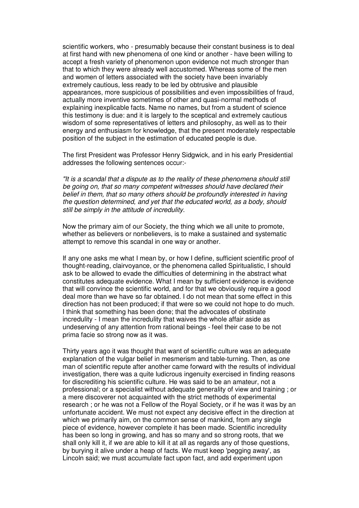scientific workers, who - presumably because their constant business is to deal at first hand with new phenomena of one kind or another - have been willing to accept a fresh variety of phenomenon upon evidence not much stronger than that to which they were already well accustomed. Whereas some of the men and women of letters associated with the society have been invariably extremely cautious, less ready to be led by obtrusive and plausible appearances, more suspicious of possibilities and even impossibilities of fraud, actually more inventive sometimes of other and quasi-normal methods of explaining inexplicable facts. Name no names, but from a student of science this testimony is due: and it is largely to the sceptical and extremely cautious wisdom of some representatives of letters and philosophy, as well as to their energy and enthusiasm for knowledge, that the present moderately respectable position of the subject in the estimation of educated people is due.

The first President was Professor Henry Sidgwick, and in his early Presidential addresses the following sentences occur:-

*"It is a scandal that a dispute as to the reality of these phenomena should still be going on, that so many competent witnesses should have declared their belief in them, that so many others should be profoundly interested in having the question determined, and yet that the educated world, as a body, should still be simply in the attitude of incredulity.*

Now the primary aim of our Society, the thing which we all unite to promote, whether as believers or nonbelievers, is to make a sustained and systematic attempt to remove this scandal in one way or another.

If any one asks me what I mean by, or how I define, sufficient scientific proof of thought-reading, clairvoyance, or the phenomena called Spiritualistic, I should ask to be allowed to evade the difficulties of determining in the abstract what constitutes adequate evidence. What I mean by sufficient evidence is evidence that will convince the scientific world, and for that we obviously require a good deal more than we have so far obtained. I do not mean that some effect in this direction has not been produced; if that were so we could not hope to do much. I think that something has been done; that the advocates of obstinate incredulity - I mean the incredulity that waives the whole affair aside as undeserving of any attention from rational beings - feel their case to be not prima facie so strong now as it was.

Thirty years ago it was thought that want of scientific culture was an adequate explanation of the vulgar belief in mesmerism and table-turning. Then, as one man of scientific repute after another came forward with the results of individual investigation, there was a quite ludicrous ingenuity exercised in finding reasons for discrediting his scientific culture. He was said to be an amateur, not a professional; or a specialist without adequate generality of view and training ; or a mere discoverer not acquainted with the strict methods of experimental research ; or he was not a Fellow of the Royal Society, or if he was it was by an unfortunate accident. We must not expect any decisive effect in the direction at which we primarily aim, on the common sense of mankind, from any single piece of evidence, however complete it has been made. Scientific incredulity has been so long in growing, and has so many and so strong roots, that we shall only kill it, if we are able to kill it at all as regards any of those questions, by burying it alive under a heap of facts. We must keep 'pegging away', as Lincoln said; we must accumulate fact upon fact, and add experiment upon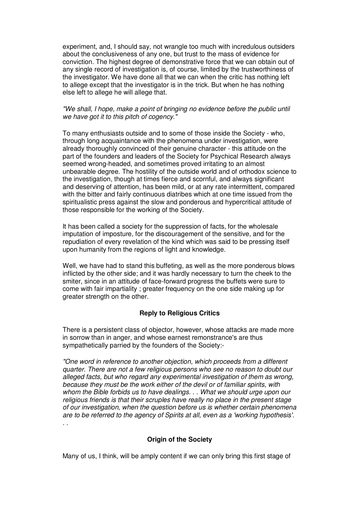experiment, and, I should say, not wrangle too much with incredulous outsiders about the conclusiveness of any one, but trust to the mass of evidence for conviction. The highest degree of demonstrative force that we can obtain out of any single record of investigation is, of course, limited by the trustworthiness of the investigator. We have done all that we can when the critic has nothing left to allege except that the investigator is in the trick. But when he has nothing else left to allege he will allege that.

#### *"We shall, I hope, make a point of bringing no evidence before the public until we have got it to this pitch of cogency."*

To many enthusiasts outside and to some of those inside the Society - who, through long acquaintance with the phenomena under investigation, were already thoroughly convinced of their genuine character - this attitude on the part of the founders and leaders of the Society for Psychical Research always seemed wrong-headed, and sometimes proved irritating to an almost unbearable degree. The hostility of the outside world and of orthodox science to the investigation, though at times fierce and scornful, and always significant and deserving of attention, has been mild, or at any rate intermittent, compared with the bitter and fairly continuous diatribes which at one time issued from the spiritualistic press against the slow and ponderous and hypercritical attitude of those responsible for the working of the Society.

It has been called a society for the suppression of facts, for the wholesale imputation of imposture, for the discouragement of the sensitive, and for the repudiation of every revelation of the kind which was said to be pressing itself upon humanity from the regions of light and knowledge.

Well, we have had to stand this buffeting, as well as the more ponderous blows inflicted by the other side; and it was hardly necessary to turn the cheek to the smiter, since in an attitude of face-forward progress the buffets were sure to come with fair impartiality ; greater frequency on the one side making up for greater strength on the other.

#### **Reply to Religious Critics**

There is a persistent class of objector, however, whose attacks are made more in sorrow than in anger, and whose earnest remonstrance's are thus sympathetically parried by the founders of the Society:-

*"One word in reference to another objection, which proceeds from a different quarter. There are not a few religious persons who see no reason to doubt our alleged facts, but who regard any experimental investigation of them as wrong, because they must be the work either of the devil or of familiar spirits, with whom the Bible forbids us to have dealings. . . What we should urge upon our religious friends is that their scruples have really no place in the present stage of our investigation, when the question before us is whether certain phenomena are to be referred to the agency of Spirits at all, even as a 'working hypothesis'. . .*

**Origin of the Society**

Many of us, I think, will be amply content if we can only bring this first stage of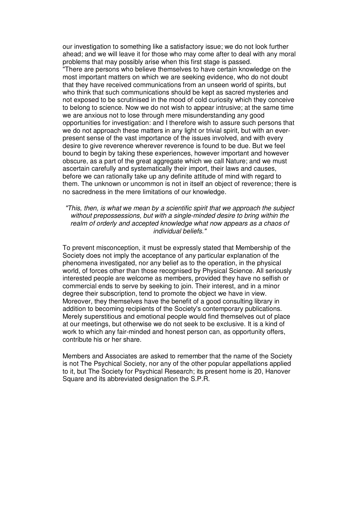our investigation to something like a satisfactory issue; we do not look further ahead; and we will leave it for those who may come after to deal with any moral problems that may possibly arise when this first stage is passed. "There are persons who believe themselves to have certain knowledge on the most important matters on which we are seeking evidence, who do not doubt that they have received communications from an unseen world of spirits, but who think that such communications should be kept as sacred mysteries and not exposed to be scrutinised in the mood of cold curiosity which they conceive to belong to science. Now we do not wish to appear intrusive; at the same time we are anxious not to lose through mere misunderstanding any good opportunities for investigation: and I therefore wish to assure such persons that we do not approach these matters in any light or trivial spirit, but with an everpresent sense of the vast importance of the issues involved, and with every desire to give reverence wherever reverence is found to be due. But we feel bound to begin by taking these experiences, however important and however obscure, as a part of the great aggregate which we call Nature; and we must ascertain carefully and systematically their import, their laws and causes, before we can rationally take up any definite attitude of mind with regard to them. The unknown or uncommon is not in itself an object of reverence; there is no sacredness in the mere limitations of our knowledge.

#### *"This, then, is what we mean by a scientific spirit that we approach the subject without prepossessions, but with a single-minded desire to bring within the realm of orderly and accepted knowledge what now appears as a chaos of individual beliefs."*

To prevent misconception, it must be expressly stated that Membership of the Society does not imply the acceptance of any particular explanation of the phenomena investigated, nor any belief as to the operation, in the physical world, of forces other than those recognised by Physical Science. All seriously interested people are welcome as members, provided they have no selfish or commercial ends to serve by seeking to join. Their interest, and in a minor degree their subscription, tend to promote the object we have in view. Moreover, they themselves have the benefit of a good consulting library in addition to becoming recipients of the Society's contemporary publications. Merely superstitious and emotional people would find themselves out of place at our meetings, but otherwise we do not seek to be exclusive. It is a kind of work to which any fair-minded and honest person can, as opportunity offers, contribute his or her share.

Members and Associates are asked to remember that the name of the Society is not The Psychical Society, nor any of the other popular appellations applied to it, but The Society for Psychical Research; its present home is 20, Hanover Square and its abbreviated designation the S.P.R.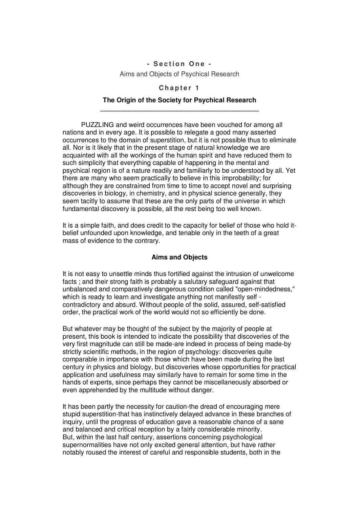## **- S e c t i o n O n e -**

Aims and Objects of Psychical Research

## **C h a p t e r 1**

### **The Origin of the Society for Psychical Research \_\_\_\_\_\_\_\_\_\_\_\_\_\_\_\_\_\_\_\_\_\_\_\_\_\_\_\_\_\_\_\_\_\_\_\_\_\_\_\_\_\_\_**

PUZZLING and weird occurrences have been vouched for among all nations and in every age. It is possible to relegate a good many asserted occurrences to the domain of superstition, but it is not possible thus to eliminate all. Nor is it likely that in the present stage of natural knowledge we are acquainted with all the workings of the human spirit and have reduced them to such simplicity that everything capable of happening in the mental and psychical region is of a nature readily and familiarly to be understood by all. Yet there are many who seem practically to believe in this improbability; for although they are constrained from time to time to accept novel and surprising discoveries in biology, in chemistry, and in physical science generally, they seem tacitly to assume that these are the only parts of the universe in which fundamental discovery is possible, all the rest being too well known.

It is a simple faith, and does credit to the capacity for belief of those who hold itbelief unfounded upon knowledge, and tenable only in the teeth of a great mass of evidence to the contrary.

## **Aims and Objects**

It is not easy to unsettle minds thus fortified against the intrusion of unwelcome facts ; and their strong faith is probably a salutary safeguard against that unbalanced and comparatively dangerous condition called "open-mindedness," which is ready to learn and investigate anything not manifestly self contradictory and absurd. Without people of the solid, assured, self-satisfied order, the practical work of the world would not so efficiently be done.

But whatever may be thought of the subject by the majority of people at present, this book is intended to indicate the possibility that discoveries of the very first magnitude can still be made-are indeed in process of being made-by strictly scientific methods, in the region of psychology: discoveries quite comparable in importance with those which have been made during the last century in physics and biology, but discoveries whose opportunities for practical application and usefulness may similarly have to remain for some time in the hands of experts, since perhaps they cannot be miscellaneously absorbed or even apprehended by the multitude without danger.

It has been partly the necessity for caution-the dread of encouraging mere stupid superstition-that has instinctively delayed advance in these branches of inquiry, until the progress of education gave a reasonable chance of a sane and balanced and critical reception by a fairly considerable minority. But, within the last half century, assertions concerning psychological supernormalities have not only excited general attention, but have rather notably roused the interest of careful and responsible students, both in the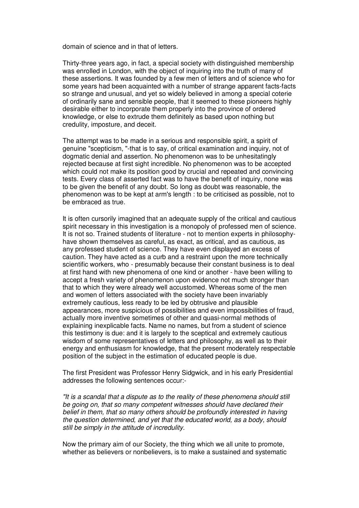domain of science and in that of letters.

Thirty-three years ago, in fact, a special society with distinguished membership was enrolled in London, with the object of inquiring into the truth of many of these assertions. It was founded by a few men of letters and of science who for some years had been acquainted with a number of strange apparent facts-facts so strange and unusual, and yet so widely believed in among a special coterie of ordinarily sane and sensible people, that it seemed to these pioneers highly desirable either to incorporate them properly into the province of ordered knowledge, or else to extrude them definitely as based upon nothing but credulity, imposture, and deceit.

The attempt was to be made in a serious and responsible spirit, a spirit of genuine "scepticism, "-that is to say, of critical examination and inquiry, not of dogmatic denial and assertion. No phenomenon was to be unhesitatingly rejected because at first sight incredible. No phenomenon was to be accepted which could not make its position good by crucial and repeated and convincing tests. Every class of asserted fact was to have the benefit of inquiry, none was to be given the benefit of any doubt. So long as doubt was reasonable, the phenomenon was to be kept at arm's length : to be criticised as possible, not to be embraced as true.

It is often cursorily imagined that an adequate supply of the critical and cautious spirit necessary in this investigation is a monopoly of professed men of science. It is not so. Trained students of literature - not to mention experts in philosophyhave shown themselves as careful, as exact, as critical, and as cautious, as any professed student of science. They have even displayed an excess of caution. They have acted as a curb and a restraint upon the more technically scientific workers, who - presumably because their constant business is to deal at first hand with new phenomena of one kind or another - have been willing to accept a fresh variety of phenomenon upon evidence not much stronger than that to which they were already well accustomed. Whereas some of the men and women of letters associated with the society have been invariably extremely cautious, less ready to be led by obtrusive and plausible appearances, more suspicious of possibilities and even impossibilities of fraud, actually more inventive sometimes of other and quasi-normal methods of explaining inexplicable facts. Name no names, but from a student of science this testimony is due: and it is largely to the sceptical and extremely cautious wisdom of some representatives of letters and philosophy, as well as to their energy and enthusiasm for knowledge, that the present moderately respectable position of the subject in the estimation of educated people is due.

The first President was Professor Henry Sidgwick, and in his early Presidential addresses the following sentences occur:-

*"It is a scandal that a dispute as to the reality of these phenomena should still be going on, that so many competent witnesses should have declared their belief in them, that so many others should be profoundly interested in having the question determined, and yet that the educated world, as a body, should still be simply in the attitude of incredulity.*

Now the primary aim of our Society, the thing which we all unite to promote, whether as believers or nonbelievers, is to make a sustained and systematic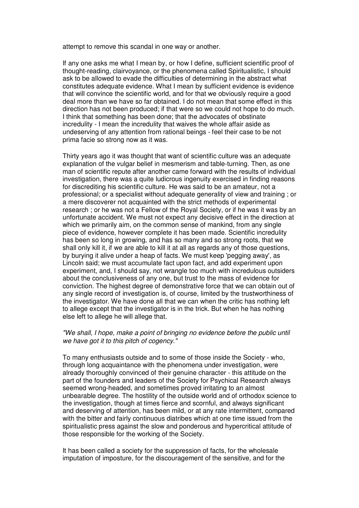attempt to remove this scandal in one way or another.

If any one asks me what I mean by, or how I define, sufficient scientific proof of thought-reading, clairvoyance, or the phenomena called Spiritualistic, I should ask to be allowed to evade the difficulties of determining in the abstract what constitutes adequate evidence. What I mean by sufficient evidence is evidence that will convince the scientific world, and for that we obviously require a good deal more than we have so far obtained. I do not mean that some effect in this direction has not been produced; if that were so we could not hope to do much. I think that something has been done; that the advocates of obstinate incredulity - I mean the incredulity that waives the whole affair aside as undeserving of any attention from rational beings - feel their case to be not prima facie so strong now as it was.

Thirty years ago it was thought that want of scientific culture was an adequate explanation of the vulgar belief in mesmerism and table-turning. Then, as one man of scientific repute after another came forward with the results of individual investigation, there was a quite ludicrous ingenuity exercised in finding reasons for discrediting his scientific culture. He was said to be an amateur, not a professional; or a specialist without adequate generality of view and training ; or a mere discoverer not acquainted with the strict methods of experimental research ; or he was not a Fellow of the Royal Society, or if he was it was by an unfortunate accident. We must not expect any decisive effect in the direction at which we primarily aim, on the common sense of mankind, from any single piece of evidence, however complete it has been made. Scientific incredulity has been so long in growing, and has so many and so strong roots, that we shall only kill it, if we are able to kill it at all as regards any of those questions, by burying it alive under a heap of facts. We must keep 'pegging away', as Lincoln said; we must accumulate fact upon fact, and add experiment upon experiment, and, I should say, not wrangle too much with incredulous outsiders about the conclusiveness of any one, but trust to the mass of evidence for conviction. The highest degree of demonstrative force that we can obtain out of any single record of investigation is, of course, limited by the trustworthiness of the investigator. We have done all that we can when the critic has nothing left to allege except that the investigator is in the trick. But when he has nothing else left to allege he will allege that.

#### *"We shall, I hope, make a point of bringing no evidence before the public until we have got it to this pitch of cogency."*

To many enthusiasts outside and to some of those inside the Society - who, through long acquaintance with the phenomena under investigation, were already thoroughly convinced of their genuine character - this attitude on the part of the founders and leaders of the Society for Psychical Research always seemed wrong-headed, and sometimes proved irritating to an almost unbearable degree. The hostility of the outside world and of orthodox science to the investigation, though at times fierce and scornful, and always significant and deserving of attention, has been mild, or at any rate intermittent, compared with the bitter and fairly continuous diatribes which at one time issued from the spiritualistic press against the slow and ponderous and hypercritical attitude of those responsible for the working of the Society.

It has been called a society for the suppression of facts, for the wholesale imputation of imposture, for the discouragement of the sensitive, and for the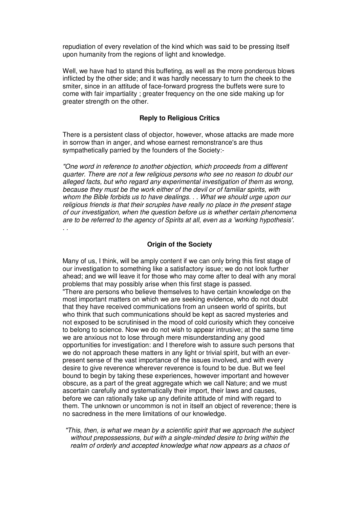repudiation of every revelation of the kind which was said to be pressing itself upon humanity from the regions of light and knowledge.

Well, we have had to stand this buffeting, as well as the more ponderous blows inflicted by the other side; and it was hardly necessary to turn the cheek to the smiter, since in an attitude of face-forward progress the buffets were sure to come with fair impartiality ; greater frequency on the one side making up for greater strength on the other.

#### **Reply to Religious Critics**

There is a persistent class of objector, however, whose attacks are made more in sorrow than in anger, and whose earnest remonstrance's are thus sympathetically parried by the founders of the Society:-

*"One word in reference to another objection, which proceeds from a different quarter. There are not a few religious persons who see no reason to doubt our alleged facts, but who regard any experimental investigation of them as wrong, because they must be the work either of the devil or of familiar spirits, with whom the Bible forbids us to have dealings. . . What we should urge upon our religious friends is that their scruples have really no place in the present stage of our investigation, when the question before us is whether certain phenomena are to be referred to the agency of Spirits at all, even as a 'working hypothesis'. . .*

#### **Origin of the Society**

Many of us, I think, will be amply content if we can only bring this first stage of our investigation to something like a satisfactory issue; we do not look further ahead; and we will leave it for those who may come after to deal with any moral problems that may possibly arise when this first stage is passed.

"There are persons who believe themselves to have certain knowledge on the most important matters on which we are seeking evidence, who do not doubt that they have received communications from an unseen world of spirits, but who think that such communications should be kept as sacred mysteries and not exposed to be scrutinised in the mood of cold curiosity which they conceive to belong to science. Now we do not wish to appear intrusive; at the same time we are anxious not to lose through mere misunderstanding any good opportunities for investigation: and I therefore wish to assure such persons that we do not approach these matters in any light or trivial spirit, but with an everpresent sense of the vast importance of the issues involved, and with every desire to give reverence wherever reverence is found to be due. But we feel bound to begin by taking these experiences, however important and however obscure, as a part of the great aggregate which we call Nature; and we must ascertain carefully and systematically their import, their laws and causes, before we can rationally take up any definite attitude of mind with regard to them. The unknown or uncommon is not in itself an object of reverence; there is no sacredness in the mere limitations of our knowledge.

*"This, then, is what we mean by a scientific spirit that we approach the subject without prepossessions, but with a single-minded desire to bring within the realm of orderly and accepted knowledge what now appears as a chaos of*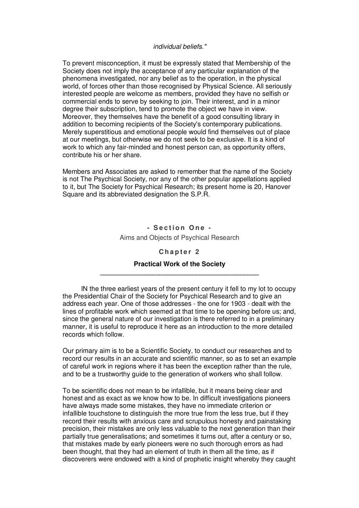#### *individual beliefs."*

To prevent misconception, it must be expressly stated that Membership of the Society does not imply the acceptance of any particular explanation of the phenomena investigated, nor any belief as to the operation, in the physical world, of forces other than those recognised by Physical Science. All seriously interested people are welcome as members, provided they have no selfish or commercial ends to serve by seeking to join. Their interest, and in a minor degree their subscription, tend to promote the object we have in view. Moreover, they themselves have the benefit of a good consulting library in addition to becoming recipients of the Society's contemporary publications. Merely superstitious and emotional people would find themselves out of place at our meetings, but otherwise we do not seek to be exclusive. It is a kind of work to which any fair-minded and honest person can, as opportunity offers, contribute his or her share.

Members and Associates are asked to remember that the name of the Society is not The Psychical Society, nor any of the other popular appellations applied to it, but The Society for Psychical Research; its present home is 20, Hanover Square and its abbreviated designation the S.P.R.

> **- S e c t i o n O n e -** Aims and Objects of Psychical Research

> > **C h a p t e r 2**

#### **Practical Work of the Society \_\_\_\_\_\_\_\_\_\_\_\_\_\_\_\_\_\_\_\_\_\_\_\_\_\_\_\_\_\_\_\_\_\_\_\_\_\_\_\_\_\_\_**

IN the three earliest years of the present century it fell to my lot to occupy the Presidential Chair of the Society for Psychical Research and to give an address each year. One of those addresses - the one for 1903 - dealt with the lines of profitable work which seemed at that time to be opening before us; and, since the general nature of our investigation is there referred to in a preliminary manner, it is useful to reproduce it here as an introduction to the more detailed records which follow.

Our primary aim is to be a Scientific Society, to conduct our researches and to record our results in an accurate and scientific manner, so as to set an example of careful work in regions where it has been the exception rather than the rule, and to be a trustworthy guide to the generation of workers who shall follow.

To be scientific does not mean to be infallible, but it means being clear and honest and as exact as we know how to be. In difficult investigations pioneers have always made some mistakes, they have no immediate criterion or infallible touchstone to distinguish the more true from the less true, but if they record their results with anxious care and scrupulous honesty and painstaking precision, their mistakes are only less valuable to the next generation than their partially true generalisations; and sometimes it turns out, after a century or so, that mistakes made by early pioneers were no such thorough errors as had been thought, that they had an element of truth in them all the time, as if discoverers were endowed with a kind of prophetic insight whereby they caught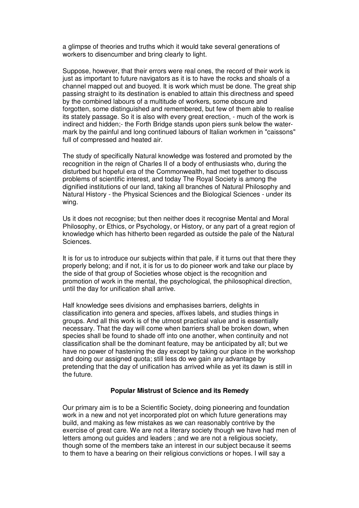a glimpse of theories and truths which it would take several generations of workers to disencumber and bring clearly to light.

Suppose, however, that their errors were real ones, the record of their work is just as important to future navigators as it is to have the rocks and shoals of a channel mapped out and buoyed. It is work which must be done. The great ship passing straight to its destination is enabled to attain this directness and speed by the combined labours of a multitude of workers, some obscure and forgotten, some distinguished and remembered, but few of them able to realise its stately passage. So it is also with every great erection, - much of the work is indirect and hidden;- the Forth Bridge stands upon piers sunk below the watermark by the painful and long continued labours of Italian workmen in "caissons" full of compressed and heated air.

The study of specifically Natural knowledge was fostered and promoted by the recognition in the reign of Charles II of a body of enthusiasts who, during the disturbed but hopeful era of the Commonwealth, had met together to discuss problems of scientific interest, and today The Royal Society is among the dignified institutions of our land, taking all branches of Natural Philosophy and Natural History - the Physical Sciences and the Biological Sciences - under its wing.

Us it does not recognise; but then neither does it recognise Mental and Moral Philosophy, or Ethics, or Psychology, or History, or any part of a great region of knowledge which has hitherto been regarded as outside the pale of the Natural Sciences.

It is for us to introduce our subjects within that pale, if it turns out that there they properly belong; and if not, it is for us to do pioneer work and take our place by the side of that group of Societies whose object is the recognition and promotion of work in the mental, the psychological, the philosophical direction, until the day for unification shall arrive.

Half knowledge sees divisions and emphasises barriers, delights in classification into genera and species, affixes labels, and studies things in groups. And all this work is of the utmost practical value and is essentially necessary. That the day will come when barriers shall be broken down, when species shall be found to shade off into one another, when continuity and not classification shall be the dominant feature, may be anticipated by all; but we have no power of hastening the day except by taking our place in the workshop and doing our assigned quota; still less do we gain any advantage by pretending that the day of unification has arrived while as yet its dawn is still in the future.

#### **Popular Mistrust of Science and its Remedy**

Our primary aim is to be a Scientific Society, doing pioneering and foundation work in a new and not yet incorporated plot on which future generations may build, and making as few mistakes as we can reasonably contrive by the exercise of great care. We are not a literary society though we have had men of letters among out guides and leaders ; and we are not a religious society, though some of the members take an interest in our subject because it seems to them to have a bearing on their religious convictions or hopes. I will say a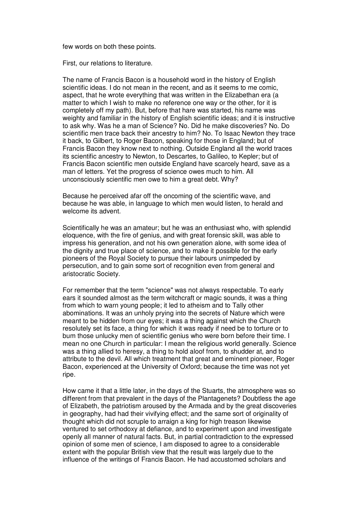few words on both these points.

First, our relations to literature.

The name of Francis Bacon is a household word in the history of English scientific ideas. I do not mean in the recent, and as it seems to me comic, aspect, that he wrote everything that was written in the Elizabethan era (a matter to which I wish to make no reference one way or the other, for it is completely off my path). But, before that hare was started, his name was weighty and familiar in the history of English scientific ideas; and it is instructive to ask why. Was he a man of Science? No. Did he make discoveries? No. Do scientific men trace back their ancestry to him? No. To Isaac Newton they trace it back, to Gilbert, to Roger Bacon, speaking for those in England; but of Francis Bacon they know next to nothing. Outside England all the world traces its scientific ancestry to Newton, to Descartes, to Galileo, to Kepler; but of Francis Bacon scientific men outside England have scarcely heard, save as a man of letters. Yet the progress of science owes much to him. All unconsciously scientific men owe to him a great debt. Why?

Because he perceived afar off the oncoming of the scientific wave, and because he was able, in language to which men would listen, to herald and welcome its advent.

Scientifically he was an amateur; but he was an enthusiast who, with splendid eloquence, with the fire of genius, and with great forensic skill, was able to impress his generation, and not his own generation alone, with some idea of the dignity and true place of science, and to make it possible for the early pioneers of the Royal Society to pursue their labours unimpeded by persecution, and to gain some sort of recognition even from general and aristocratic Society.

For remember that the term "science" was not always respectable. To early ears it sounded almost as the term witchcraft or magic sounds, it was a thing from which to warn young people; it led to atheism and to Tally other abominations. It was an unholy prying into the secrets of Nature which were meant to be hidden from our eyes; it was a thing against which the Church resolutely set its face, a thing for which it was ready if need be to torture or to bum those unlucky men of scientific genius who were born before their time. I mean no one Church in particular: I mean the religious world generally. Science was a thing allied to heresy, a thing to hold aloof from, to shudder at, and to attribute to the devil. All which treatment that great and eminent pioneer, Roger Bacon, experienced at the University of Oxford; because the time was not yet ripe.

How came it that a little later, in the days of the Stuarts, the atmosphere was so different from that prevalent in the days of the Plantagenets? Doubtless the age of Elizabeth, the patriotism aroused by the Armada and by the great discoveries in geography, had had their vivifying effect; and the same sort of originality of thought which did not scruple to arraign a king for high treason likewise ventured to set orthodoxy at defiance, and to experiment upon and investigate openly all manner of natural facts. But, in partial contradiction to the expressed opinion of some men of science, I am disposed to agree to a considerable extent with the popular British view that the result was largely due to the influence of the writings of Francis Bacon. He had accustomed scholars and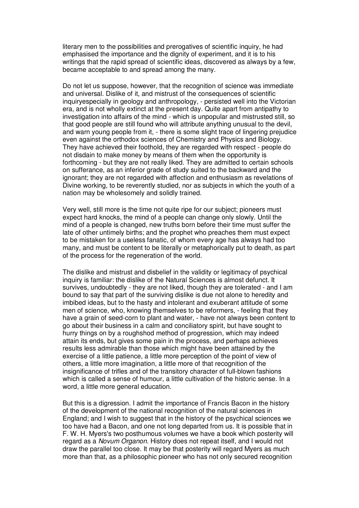literary men to the possibilities and prerogatives of scientific inquiry, he had emphasised the importance and the dignity of experiment, and it is to his writings that the rapid spread of scientific ideas, discovered as always by a few, became acceptable to and spread among the many.

Do not let us suppose, however, that the recognition of science was immediate and universal. Dislike of it, and mistrust of the consequences of scientific inquiryespecially in geology and anthropology, - persisted well into the Victorian era, and is not wholly extinct at the present day. Quite apart from antipathy to investigation into affairs of the mind - which is unpopular and mistrusted still, so that good people are still found who will attribute anything unusual to the devil, and warn young people from it, - there is some slight trace of lingering prejudice even against the orthodox sciences of Chemistry and Physics and Biology. They have achieved their foothold, they are regarded with respect - people do not disdain to make money by means of them when the opportunity is forthcoming - but they are not really liked. They are admitted to certain schools on sufferance, as an inferior grade of study suited to the backward and the ignorant; they are not regarded with affection and enthusiasm as revelations of Divine working, to be reverently studied, nor as subjects in which the youth of a nation may be wholesomely and solidly trained.

Very well, still more is the time not quite ripe for our subject; pioneers must expect hard knocks, the mind of a people can change only slowly. Until the mind of a people is changed, new truths born before their time must suffer the late of other untimely births; and the prophet who preaches them must expect to be mistaken for a useless fanatic, of whom every age has always had too many, and must be content to be literally or metaphorically put to death, as part of the process for the regeneration of the world.

The dislike and mistrust and disbelief in the validity or legitimacy of psychical inquiry is familiar: the dislike of the Natural Sciences is almost defunct. It survives, undoubtedly - they are not liked, though they are tolerated - and I am bound to say that part of the surviving dislike is due not alone to heredity and imbibed ideas, but to the hasty and intolerant and exuberant attitude of some men of science, who, knowing themselves to be reformers, - feeling that they have a grain of seed-corn to plant and water, - have not always been content to go about their business in a calm and conciliatory spirit, but have sought to hurry things on by a roughshod method of progression, which may indeed attain its ends, but gives some pain in the process, and perhaps achieves results less admirable than those which might have been attained by the exercise of a little patience, a little more perception of the point of view of others, a little more imagination, a little more of that recognition of the insignificance of trifles and of the transitory character of full-blown fashions which is called a sense of humour, a little cultivation of the historic sense. In a word, a little more general education.

But this is a digression. I admit the importance of Francis Bacon in the history of the development of the national recognition of the natural sciences in England; and I wish to suggest that in the history of the psychical sciences we too have had a Bacon, and one not long departed from us. It is possible that in F. W. H. Myers's two posthumous volumes we have a book which posterity will regard as a *Novum Organon*. History does not repeat itself, and I would not draw the parallel too close. It may be that posterity will regard Myers as much more than that, as a philosophic pioneer who has not only secured recognition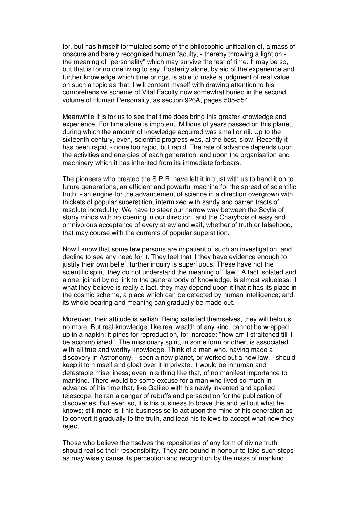for, but has himself formulated some of the philosophic unification of, a mass of obscure and barely recognised human faculty, - thereby throwing a light on the meaning of "personality" which may survive the test of time. It may be so, but that is for no one living to say. Posterity alone, by aid of the experience and further knowledge which time brings, is able to make a judgment of real value on such a topic as that. I will content myself with drawing attention to his comprehensive scheme of Vital Faculty now somewhat buried in the second volume of Human Personality, as section 926A, pages 505-554.

Meanwhile it is for us to see that time does bring this greater knowledge and experience. For time alone is impotent. Millions of years passed on this planet, during which the amount of knowledge acquired was small or nil. Up to the sixteenth century, even, scientific progress was, at the best, slow. Recently it has been rapid, - none too rapid, but rapid. The rate of advance depends upon the activities and energies of each generation, and upon the organisation and machinery which it has inherited from its immediate forbears.

The pioneers who created the S.P.R. have left it in trust with us to hand it on to future generations, an efficient and powerful machine for the spread of scientific truth, - an engine for the advancement of science in a direction overgrown with thickets of popular superstition, intermixed with sandy and barren tracts of resolute incredulity. We have to steer our narrow way between the Scylla of stony minds with no opening in our direction, and the Charybdis of easy and omnivorous acceptance of every straw and waif, whether of truth or falsehood, that may course with the currents of popular superstition.

Now I know that some few persons are impatient of such an investigation, and decline to see any need for it. They feel that if they have evidence enough to justify their own belief, further inquiry is superfluous. These have not the scientific spirit, they do not understand the meaning of "law." A fact isolated and alone, joined by no link to the general body of knowledge, is almost valueless. If what they believe is really a fact, they may depend upon it that it has its place in the cosmic scheme, a place which can be detected by human intelligence; and its whole bearing and meaning can gradually be made out.

Moreover, their attitude is selfish. Being satisfied themselves, they will help us no more. But real knowledge, like real wealth of any kind, cannot be wrapped up in a napkin; it pines for reproduction, for increase: "how am I straitened till it be accomplished". The missionary spirit, in some form or other, is associated with all true and worthy knowledge. Think of a man who, having made a discovery in Astronomy, - seen a new planet, or worked out a new law, - should keep it to himself and gloat over it in private. It would be inhuman and detestable miserliness; even in a thing like that, of no manifest importance to mankind. There would be some excuse for a man who lived so much in advance of his time that, like Galileo with his newly invented and applied telescope, he ran a danger of rebuffs and persecution for the publication of discoveries. But even so, it is his business to brave this and tell out what he knows; still more is it his business so to act upon the mind of his generation as to convert it gradually to the truth, and lead his fellows to accept what now they reject.

Those who believe themselves the repositories of any form of divine truth should realise their responsibility. They are bound in honour to take such steps as may wisely cause its perception and recognition by the mass of mankind.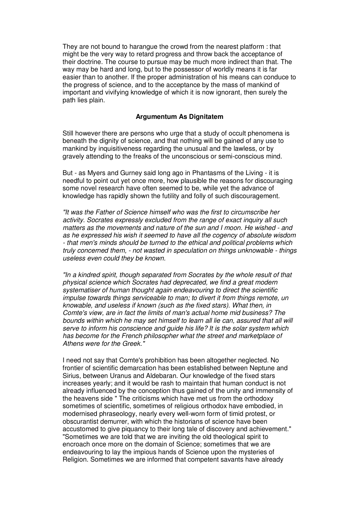They are not bound to harangue the crowd from the nearest platform : that might be the very way to retard progress and throw back the acceptance of their doctrine. The course to pursue may be much more indirect than that. The way may be hard and long, but to the possessor of worldly means it is far easier than to another. If the proper administration of his means can conduce to the progress of science, and to the acceptance by the mass of mankind of important and vivifying knowledge of which it is now ignorant, then surely the path lies plain.

#### **Argumentum As Dignitatem**

Still however there are persons who urge that a study of occult phenomena is beneath the dignity of science, and that nothing will be gained of any use to mankind by inquisitiveness regarding the unusual and the lawless, or by gravely attending to the freaks of the unconscious or semi-conscious mind.

But - as Myers and Gurney said long ago in Phantasms of the Living - it is needful to point out yet once more, how plausible the reasons for discouraging some novel research have often seemed to be, while yet the advance of knowledge has rapidly shown the futility and folly of such discouragement.

*"It was the Father of Science himself who was the first to circumscribe her activity. Socrates expressly excluded from the range of exact inquiry all such matters as the movements and nature of the sun and I moon. He wished - and as he expressed his wish it seemed to have all the cogency of absolute wisdom - that men's minds should be turned to the ethical and political problems which truly concerned them, - not wasted in speculation on things unknowable - things useless even could they be known.*

*"In a kindred spirit, though separated from Socrates by the whole result of that physical science which Socrates had deprecated, we find a great modern systematiser of human thought again endeavouring to direct the scientific impulse towards things serviceable to man; to divert it from things remote, un knowable, and useless if known (such as the fixed stars). What then, in Comte's view, are in fact the limits of man's actual home mid business? The bounds within which he may set himself to learn all lie can, assured that all will serve to inform his conscience and guide his life? It is the solar system which has become for the French philosopher what the street and marketplace of Athens were for the Greek."*

I need not say that Comte's prohibition has been altogether neglected. No frontier of scientific demarcation has been established between Neptune and Sirius, between Uranus and Aldebaran. Our knowledge of the fixed stars increases yearly; and it would be rash to maintain that human conduct is not already influenced by the conception thus gained of the unity and immensity of the heavens side " The criticisms which have met us from the orthodoxy sometimes of scientific, sometimes of religious orthodox have embodied, in modernised phraseology, nearly every well-worn form of timid protest, or obscurantist demurrer, with which the historians of science have been accustomed to give piquancy to their long tale of discovery and achievement." "Sometimes we are told that we are inviting the old theological spirit to encroach once more on the domain of Science; sometimes that we are endeavouring to lay the impious hands of Science upon the mysteries of Religion. Sometimes we are informed that competent savants have already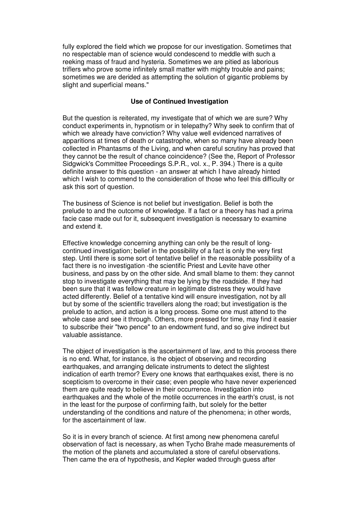fully explored the field which we propose for our investigation. Sometimes that no respectable man of science would condescend to meddle with such a reeking mass of fraud and hysteria. Sometimes we are pitied as laborious triflers who prove some infinitely small matter with mighty trouble and pains; sometimes we are derided as attempting the solution of gigantic problems by slight and superficial means."

## **Use of Continued Investigation**

But the question is reiterated, my investigate that of which we are sure? Why conduct experiments in, hypnotism or in telepathy? Why seek to confirm that of which we already have conviction? Why value well evidenced narratives of apparitions at times of death or catastrophe, when so many have already been collected in Phantasms of the Living, and when careful scrutiny has proved that they cannot be the result of chance coincidence? (See the, Report of Professor Sidgwick's Committee Proceedings S.P.R., vol. x., P. 394.) There is a quite definite answer to this question - an answer at which I have already hinted which I wish to commend to the consideration of those who feel this difficulty or ask this sort of question.

The business of Science is not belief but investigation. Belief is both the prelude to and the outcome of knowledge. If a fact or a theory has had a prima facie case made out for it, subsequent investigation is necessary to examine and extend it.

Effective knowledge concerning anything can only be the result of longcontinued investigation; belief in the possibility of a fact is only the very first step. Until there is some sort of tentative belief in the reasonable possibility of a fact there is no investigation -the scientific Priest and Levite have other business, and pass by on the other side. And small blame to them: they cannot stop to investigate everything that may be lying by the roadside. If they had been sure that it was fellow creature in legitimate distress they would have acted differently. Belief of a tentative kind will ensure investigation, not by all but by some of the scientific travellers along the road; but investigation is the prelude to action, and action is a long process. Some one must attend to the whole case and see it through. Others, more pressed for time, may find it easier to subscribe their "two pence" to an endowment fund, and so give indirect but valuable assistance.

The object of investigation is the ascertainment of law, and to this process there is no end. What, for instance, is the object of observing and recording earthquakes, and arranging delicate instruments to detect the slightest indication of earth tremor? Every one knows that earthquakes exist, there is no scepticism to overcome in their case; even people who have never experienced them are quite ready to believe in their occurrence. Investigation into earthquakes and the whole of the motile occurrences in the earth's crust, is not in the least for the purpose of confirming faith, but solely for the better understanding of the conditions and nature of the phenomena; in other words, for the ascertainment of law.

So it is in every branch of science. At first among new phenomena careful observation of fact is necessary, as when Tycho Brahe made measurements of the motion of the planets and accumulated a store of careful observations. Then came the era of hypothesis, and Kepler waded through guess after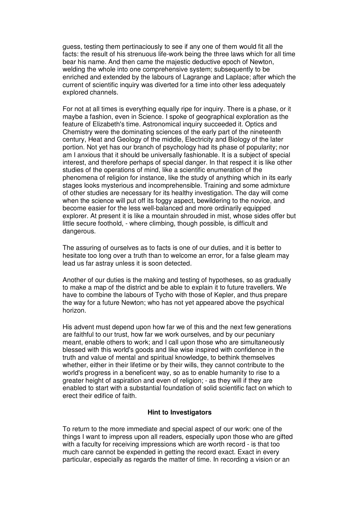guess, testing them pertinaciously to see if any one of them would fit all the facts: the result of his strenuous life-work being the three laws which for all time bear his name. And then came the majestic deductive epoch of Newton, welding the whole into one comprehensive system; subsequently to be enriched and extended by the labours of Lagrange and Laplace; after which the current of scientific inquiry was diverted for a time into other less adequately explored channels.

For not at all times is everything equally ripe for inquiry. There is a phase, or it maybe a fashion, even in Science. I spoke of geographical exploration as the feature of Elizabeth's time. Astronomical inquiry succeeded it. Optics and Chemistry were the dominating sciences of the early part of the nineteenth century, Heat and Geology of the middle, Electricity and Biology of the later portion. Not yet has our branch of psychology had its phase of popularity; nor am I anxious that it should be universally fashionable. It is a subject of special interest, and therefore perhaps of special danger. In that respect it is like other studies of the operations of mind, like a scientific enumeration of the phenomena of religion for instance, like the study of anything which in its early stages looks mysterious and incomprehensible. Training and some admixture of other studies are necessary for its healthy investigation. The day will come when the science will put off its foggy aspect, bewildering to the novice, and become easier for the less well-balanced and more ordinarily equipped explorer. At present it is like a mountain shrouded in mist, whose sides offer but little secure foothold, - where climbing, though possible, is difficult and dangerous.

The assuring of ourselves as to facts is one of our duties, and it is better to hesitate too long over a truth than to welcome an error, for a false gleam may lead us far astray unless it is soon detected.

Another of our duties is the making and testing of hypotheses, so as gradually to make a map of the district and be able to explain it to future travellers. We have to combine the labours of Tycho with those of Kepler, and thus prepare the way for a future Newton; who has not yet appeared above the psychical horizon.

His advent must depend upon how far we of this and the next few generations are faithful to our trust, how far we work ourselves, and by our pecuniary meant, enable others to work; and I call upon those who are simultaneously blessed with this world's goods and like wise inspired with confidence in the truth and value of mental and spiritual knowledge, to bethink themselves whether, either in their lifetime or by their wills, they cannot contribute to the world's progress in a beneficent way, so as to enable humanity to rise to a greater height of aspiration and even of religion; - as they will if they are enabled to start with a substantial foundation of solid scientific fact on which to erect their edifice of faith.

## **Hint to Investigators**

To return to the more immediate and special aspect of our work: one of the things I want to impress upon all readers, especially upon those who are gifted with a faculty for receiving impressions which are worth record - is that too much care cannot be expended in getting the record exact. Exact in every particular, especially as regards the matter of time. In recording a vision or an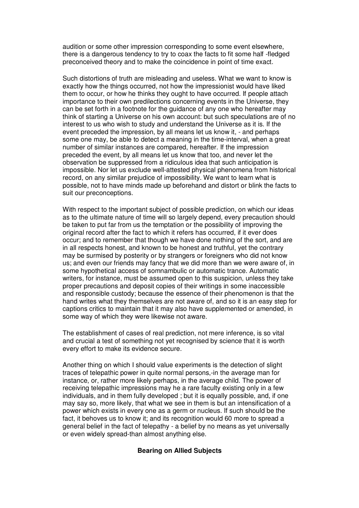audition or some other impression corresponding to some event elsewhere, there is a dangerous tendency to try to coax the facts to fit some half -fledged preconceived theory and to make the coincidence in point of time exact.

Such distortions of truth are misleading and useless. What we want to know is exactly how the things occurred, not how the impressionist would have liked them to occur, or how he thinks they ought to have occurred. If people attach importance to their own predilections concerning events in the Universe, they can be set forth in a footnote for the guidance of any one who hereafter may think of starting a Universe on his own account: but such speculations are of no interest to us who wish to study and understand the Universe as it is. If the event preceded the impression, by all means let us know it, - and perhaps some one may, be able to detect a meaning in the time-interval, when a great number of similar instances are compared, hereafter. If the impression preceded the event, by all means let us know that too, and never let the observation be suppressed from a ridiculous idea that such anticipation is impossible. Nor let us exclude well-attested physical phenomena from historical record, on any similar prejudice of impossibility. We want to learn what is possible, not to have minds made up beforehand and distort or blink the facts to suit our preconceptions.

With respect to the important subject of possible prediction, on which our ideas as to the ultimate nature of time will so largely depend, every precaution should be taken to put far from us the temptation or the possibility of improving the original record after the fact to which it refers has occurred, if it ever does occur; and to remember that though we have done nothing of the sort, and are in all respects honest, and known to be honest and truthful, yet the contrary may be surmised by posterity or by strangers or foreigners who did not know us; and even our friends may fancy that we did more than we were aware of, in some hypothetical access of somnambulic or automatic trance. Automatic writers, for instance, must be assumed open to this suspicion, unless they take proper precautions and deposit copies of their writings in some inaccessible and responsible custody; because the essence of their phenomenon is that the hand writes what they themselves are not aware of, and so it is an easy step for captions critics to maintain that it may also have supplemented or amended, in some way of which they were likewise not aware.

The establishment of cases of real prediction, not mere inference, is so vital and crucial a test of something not yet recognised by science that it is worth every effort to make its evidence secure.

Another thing on which I should value experiments is the detection of slight traces of telepathic power in quite normal persons,-in the average man for instance, or, rather more likely perhaps, in the average child. The power of receiving telepathic impressions may he a rare faculty existing only in a few individuals, and in them fully developed ; but it is equally possible, and, if one may say so, more likely, that what we see in them is but an intensification of a power which exists in every one as a germ or nucleus. If such should be the fact, it behoves us to know it; and its recognition would 60 more to spread a general belief in the fact of telepathy - a belief by no means as yet universally or even widely spread-than almost anything else.

## **Bearing on Allied Subjects**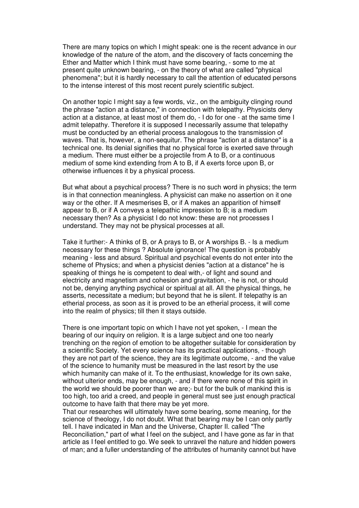There are many topics on which I might speak: one is the recent advance in our knowledge of the nature of the atom, and the discovery of facts concerning the Ether and Matter which I think must have some bearing, - some to me at present quite unknown bearing, - on the theory of what are called "physical phenomena"; but it is hardly necessary to call the attention of educated persons to the intense interest of this most recent purely scientific subject.

On another topic I might say a few words, viz., on the ambiguity clinging round the phrase "action at a distance," in connection with telepathy. Physicists deny action at a distance, at least most of them do, - I do for one - at the same time I admit telepathy. Therefore it is supposed I necessarily assume that telepathy must be conducted by an etherial process analogous to the transmission of waves. That is, however, a non-sequitur. The phrase "action at a distance" is a technical one. Its denial signifies that no physical force is exerted save through a medium. There must either be a projectile from A to B, or a continuous medium of some kind extending from A to B, if A exerts force upon B, or otherwise influences it by a physical process.

But what about a psychical process? There is no such word in physics; the term is in that connection meaningless. A physicist can make no assertion on it one way or the other. If A mesmerises B, or if A makes an apparition of himself appear to B, or if A conveys a telepathic impression to B; is a medium necessary then? As a physicist I do not know: these are not processes I understand. They may not be physical processes at all.

Take it further:- A thinks of B, or A prays to B, or A worships B. - Is a medium necessary for these things ? Absolute ignorance! The question is probably meaning - less and absurd. Spiritual and psychical events do not enter into the scheme of Physics; and when a physicist denies "action at a distance" he is speaking of things he is competent to deal with,- of light and sound and electricity and magnetism and cohesion and gravitation, - he is not, or should not be, denying anything psychical or spiritual at all. All the physical things, he asserts, necessitate a medium; but beyond that he is silent. If telepathy is an etherial process, as soon as it is proved to be an etherial process, it will come into the realm of physics; till then it stays outside.

There is one important topic on which I have not yet spoken, - I mean the bearing of our inquiry on religion. It is a large subject and one too nearly trenching on the region of emotion to be altogether suitable for consideration by a scientific Society. Yet every science has its practical applications, - though they are not part of the science, they are its legitimate outcome, - and the value of the science to humanity must be measured in the last resort by the use which humanity can make of it. To the enthusiast, knowledge for its own sake, without ulterior ends, may be enough, - and if there were none of this spirit in the world we should be poorer than we are;- but for the bulk of mankind this is too high, too arid a creed, and people in general must see just enough practical outcome to have faith that there may be yet more.

That our researches will ultimately have some bearing, some meaning, for the science of theology, I do not doubt. What that bearing may be I can only partly tell. I have indicated in Man and the Universe, Chapter II. called "The Reconciliation," part of what I feel on the subject, and I have gone as far in that article as I feel entitled to go. We seek to unravel the nature and hidden powers of man; and a fuller understanding of the attributes of humanity cannot but have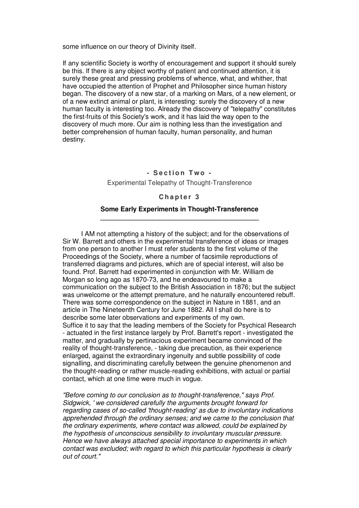some influence on our theory of Divinity itself.

If any scientific Society is worthy of encouragement and support it should surely be this. If there is any object worthy of patient and continued attention, it is surely these great and pressing problems of whence, what, and whither, that have occupied the attention of Prophet and Philosopher since human history began. The discovery of a new star, of a marking on Mars, of a new element, or of a new extinct animal or plant, is interesting: surely the discovery of a new human faculty is interesting too. Already the discovery of "telepathy" constitutes the first-fruits of this Society's work, and it has laid the way open to the discovery of much more. Our aim is nothing less than the investigation and better comprehension of human faculty, human personality, and human destiny.

## **- S e c t i o n T w o -** Experimental Telepathy of Thought-Transference

## **C h a p t e r 3**

## **Some Early Experiments in Thought-Transference \_\_\_\_\_\_\_\_\_\_\_\_\_\_\_\_\_\_\_\_\_\_\_\_\_\_\_\_\_\_\_\_\_\_\_\_\_\_\_\_\_\_\_**

I AM not attempting a history of the subject; and for the observations of Sir W. Barrett and others in the experimental transference of ideas or images from one person to another I must refer students to the first volume of the Proceedings of the Society, where a number of facsimile reproductions of transferred diagrams and pictures, which are of special interest, will also be found. Prof. Barrett had experimented in conjunction with Mr. William de Morgan so long ago as 1870-73, and he endeavoured to make a communication on the subject to the British Association in 1876; but the subject was unwelcome or the attempt premature, and he naturally encountered rebuff. There was some correspondence on the subject in Nature in 1881, and an article in The Nineteenth Century for June 1882. All I shall do here is to describe some later observations and experiments of my own. Suffice it to say that the leading members of the Society for Psychical Research - actuated in the first instance largely by Prof. Barrett's report - investigated the matter, and gradually by pertinacious experiment became convinced of the reality of thought-transference, - taking due precaution, as their experience enlarged, against the extraordinary ingenuity and subtle possibility of code signalling, and discriminating carefully between the genuine phenomenon and the thought-reading or rather muscle-reading exhibitions, with actual or partial contact, which at one time were much in vogue.

*"Before coming to our conclusion as to thought-transference," says Prof. Sidgwick, ' we considered carefully the arguments brought forward for regarding cases of so-called 'thought-reading' as due to involuntary indications apprehended through the ordinary senses; and we came to the conclusion that the ordinary experiments, where contact was allowed, could be explained by the hypothesis of unconscious sensibility to involuntary muscular pressure. Hence we have always attached special importance to experiments in which contact was excluded; with regard to which this particular hypothesis is clearly out of court."*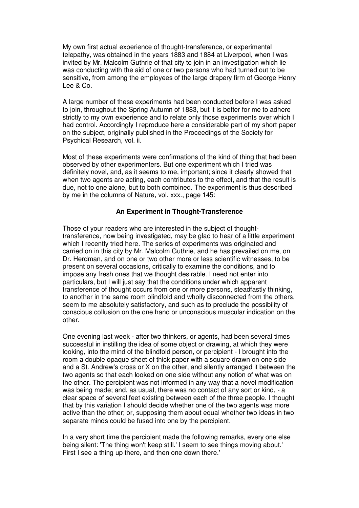My own first actual experience of thought-transference, or experimental telepathy, was obtained in the years 1883 and 1884 at Liverpool, when I was invited by Mr. Malcolm Guthrie of that city to join in an investigation which lie was conducting with the aid of one or two persons who had turned out to be sensitive, from among the employees of the large drapery firm of George Henry Lee & Co.

A large number of these experiments had been conducted before I was asked to join, throughout the Spring Autumn of 1883, but it is better for me to adhere strictly to my own experience and to relate only those experiments over which I had control. Accordingly I reproduce here a considerable part of my short paper on the subject, originally published in the Proceedings of the Society for Psychical Research, vol. ii.

Most of these experiments were confirmations of the kind of thing that had been observed by other experimenters. But one experiment which I tried was definitely novel, and, as it seems to me, important; since it clearly showed that when two agents are acting, each contributes to the effect, and that the result is due, not to one alone, but to both combined. The experiment is thus described by me in the columns of Nature, vol. xxx., page 145:

## **An Experiment in Thought-Transference**

Those of your readers who are interested in the subject of thoughttransference, now being investigated, may be glad to hear of a little experiment which I recently tried here. The series of experiments was originated and carried on in this city by Mr. Malcolm Guthrie, and he has prevailed on me, on Dr. Herdman, and on one or two other more or less scientific witnesses, to be present on several occasions, critically to examine the conditions, and to impose any fresh ones that we thought desirable. I need not enter into particulars, but I will just say that the conditions under which apparent transference of thought occurs from one or more persons, steadfastly thinking, to another in the same room blindfold and wholly disconnected from the others, seem to me absolutely satisfactory, and such as to preclude the possibility of conscious collusion on the one hand or unconscious muscular indication on the other.

One evening last week - after two thinkers, or agents, had been several times successful in instilling the idea of some object or drawing, at which they were looking, into the mind of the blindfold person, or percipient - I brought into the room a double opaque sheet of thick paper with a square drawn on one side and a St. Andrew's cross or X on the other, and silently arranged it between the two agents so that each looked on one side without any notion of what was on the other. The percipient was not informed in any way that a novel modification was being made; and, as usual, there was no contact of any sort or kind, - a clear space of several feet existing between each of the three people. I thought that by this variation I should decide whether one of the two agents was more active than the other; or, supposing them about equal whether two ideas in two separate minds could be fused into one by the percipient.

In a very short time the percipient made the following remarks, every one else being silent: 'The thing won't keep still.' I seem to see things moving about.' First I see a thing up there, and then one down there.'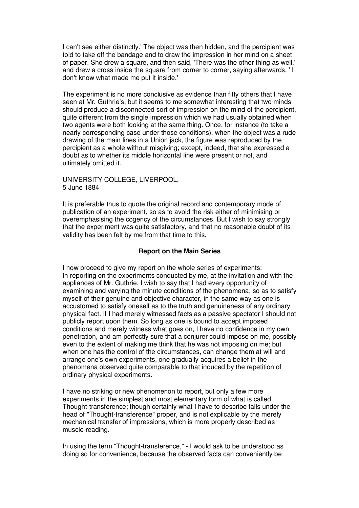I can't see either distinctly.' The object was then hidden, and the percipient was told to take off the bandage and to draw the impression in her mind on a sheet of paper. She drew a square, and then said, 'There was the other thing as well,' and drew a cross inside the square from corner to corner, saying afterwards, ' I don't know what made me put it inside.'

The experiment is no more conclusive as evidence than fifty others that I have seen at Mr. Guthrie's, but it seems to me somewhat interesting that two minds should produce a disconnected sort of impression on the mind of the percipient, quite different from the single impression which we had usually obtained when two agents were both looking at the same thing. Once, for instance (to take a nearly corresponding case under those conditions), when the object was a rude drawing of the main lines in a Union jack, the figure was reproduced by the percipient as a whole without misgiving; except, indeed, that she expressed a doubt as to whether its middle horizontal line were present or not, and ultimately omitted it.

UNIVERSITY COLLEGE, LIVERPOOL, 5 June 1884

It is preferable thus to quote the original record and contemporary mode of publication of an experiment, so as to avoid the risk either of minimising or overemphasising the cogency of the circumstances. But I wish to say strongly that the experiment was quite satisfactory, and that no reasonable doubt of its validity has been felt by me from that time to this.

#### **Report on the Main Series**

I now proceed to give my report on the whole series of experiments: In reporting on the experiments conducted by me, at the invitation and with the appliances of Mr. Guthrie, I wish to say that I had every opportunity of examining and varying the minute conditions of the phenomena, so as to satisfy myself of their genuine and objective character, in the same way as one is accustomed to satisfy oneself as to the truth and genuineness of any ordinary physical fact. If I had merely witnessed facts as a passive spectator I should not publicly report upon them. So long as one is bound to accept imposed conditions and merely witness what goes on, I have no confidence in my own penetration, and am perfectly sure that a conjurer could impose on me, possibly even to the extent of making me think that he was not imposing on me; but when one has the control of the circumstances, can change them at will and arrange one's own experiments, one gradually acquires a belief in the phenomena observed quite comparable to that induced by the repetition of ordinary physical experiments.

I have no striking or new phenomenon to report, but only a few more experiments in the simplest and most elementary form of what is called Thought-transference; though certainly what I have to describe falls under the head of "Thought-transference" proper, and is not explicable by the merely mechanical transfer of impressions, which is more properly described as muscle reading.

In using the term "Thought-transference," - I would ask to be understood as doing so for convenience, because the observed facts can conveniently be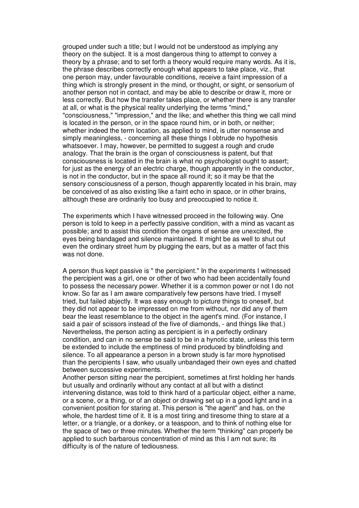grouped under such a title; but I would not be understood as implying any theory on the subject. It is a most dangerous thing to attempt to convey a theory by a phrase; and to set forth a theory would require many words. As it is, the phrase describes correctly enough what appears to take place, viz., that one person may, under favourable conditions, receive a faint impression of a thing which is strongly present in the mind, or thought, or sight, or sensorium of another person not in contact, and may be able to describe or draw it, more or less correctly. But how the transfer takes place, or whether there is any transfer at all, or what is the physical reality underlying the terms "mind," "consciousness," "impression," and the like; and whether this thing we call mind is located in the person, or in the space round him, or in both, or neither; whether indeed the term location, as applied to mind, is utter nonsense and simply meaningless, - concerning all these things I obtrude no hypothesis whatsoever. I may, however, be permitted to suggest a rough and crude analogy. That the brain is the organ of consciousness is patent, but that consciousness is located in the brain is what no psychologist ought to assert; for just as the energy of an electric charge, though apparently in the conductor, is not in the conductor, but in the space all round it; so it may be that the sensory consciousness of a person, though apparently located in his brain, may be conceived of as also existing like a faint echo in space, or in other brains, although these are ordinarily too busy and preoccupied to notice it.

The experiments which I have witnessed proceed in the following way. One person is told to keep in a perfectly passive condition, with a mind as vacant as possible; and to assist this condition the organs of sense are unexcited, the eyes being bandaged and silence maintained. It might be as well to shut out even the ordinary street hum by plugging the ears, but as a matter of fact this was not done.

A person thus kept passive is " the percipient." In the experiments I witnessed the percipient was a girl, one or other of two who had been accidentally found to possess the necessary power. Whether it is a common power or not I do not know. So far as I am aware comparatively few persons have tried. I myself tried, but failed abjectly. It was easy enough to picture things to oneself, but they did not appear to be impressed on me from without, nor did any of them bear the least resemblance to the object in the agent's mind. (For instance, I said a pair of scissors instead of the five of diamonds, - and things like that.) Nevertheless, the person acting as percipient is in a perfectly ordinary condition, and can in no sense be said to be in a hynotic state, unless this term be extended to include the emptiness of mind produced by blindfolding and silence. To all appearance a person in a brown study is far more hypnotised than the percipients I saw, who usually unbandaged their own eyes and chatted between successive experiments.

Another person sitting near the percipient, sometimes at first holding her hands but usually and ordinarily without any contact at all but with a distinct intervening distance, was told to think hard of a particular object, either a name, or a scene, or a thing, or of an object or drawing set up in a good light and in a convenient position for staring at. This person is "the agent" and has, on the whole, the hardest time of it. It is a most tiring and tiresome thing to stare at a letter, or a triangle, or a donkey, or a teaspoon, and to think of nothing else for the space of two or three minutes. Whether the term "thinking" can properly be applied to such barbarous concentration of mind as this I am not sure; its difficulty is of the nature of tediousness.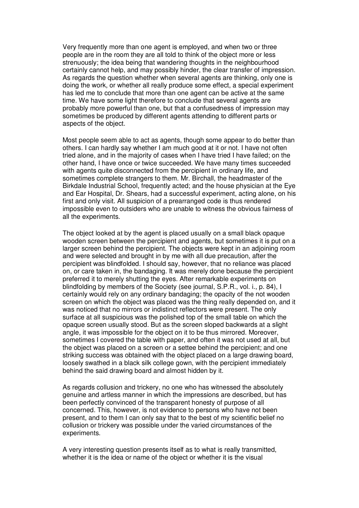Very frequently more than one agent is employed, and when two or three people are in the room they are all told to think of the object more or less strenuously; the idea being that wandering thoughts in the neighbourhood certainly cannot help, and may possibly hinder, the clear transfer of impression. As regards the question whether when several agents are thinking, only one is doing the work, or whether all really produce some effect, a special experiment has led me to conclude that more than one agent can be active at the same time. We have some light therefore to conclude that several agents are probably more powerful than one, but that a confusedness of impression may sometimes be produced by different agents attending to different parts or aspects of the object.

Most people seem able to act as agents, though some appear to do better than others. I can hardly say whether I am much good at it or not. I have not often tried alone, and in the majority of cases when I have tried I have failed; on the other hand, I have once or twice succeeded. We have many times succeeded with agents quite disconnected from the percipient in ordinary life, and sometimes complete strangers to them. Mr. Birchall, the headmaster of the Birkdale Industrial School, frequently acted; and the house physician at the Eye and Ear Hospital, Dr. Shears, had a successful experiment, acting alone, on his first and only visit. All suspicion of a prearranged code is thus rendered impossible even to outsiders who are unable to witness the obvious fairness of all the experiments.

The object looked at by the agent is placed usually on a small black opaque wooden screen between the percipient and agents, but sometimes it is put on a larger screen behind the percipient. The objects were kept in an adjoining room and were selected and brought in by me with all due precaution, after the percipient was blindfolded. I should say, however, that no reliance was placed on, or care taken in, the bandaging. It was merely done because the percipient preferred it to merely shutting the eyes. After remarkable experiments on blindfolding by members of the Society (see journal, S.P.R., vol. i., p. 84), I certainly would rely on any ordinary bandaging; the opacity of the not wooden screen on which the object was placed was the thing really depended on, and it was noticed that no mirrors or indistinct reflectors were present. The only surface at all suspicious was the polished top of the small table on which the opaque screen usually stood. But as the screen sloped backwards at a slight angle, it was impossible for the object on it to be thus mirrored. Moreover, sometimes I covered the table with paper, and often it was not used at all, but the object was placed on a screen or a settee behind the percipient; and one striking success was obtained with the object placed on a large drawing board, loosely swathed in a black silk college gown, with the percipient immediately behind the said drawing board and almost hidden by it.

As regards collusion and trickery, no one who has witnessed the absolutely genuine and artless manner in which the impressions are described, but has been perfectly convinced of the transparent honesty of purpose of all concerned. This, however, is not evidence to persons who have not been present, and to them I can only say that to the best of my scientific belief no collusion or trickery was possible under the varied circumstances of the experiments.

A very interesting question presents itself as to what is really transmitted, whether it is the idea or name of the object or whether it is the visual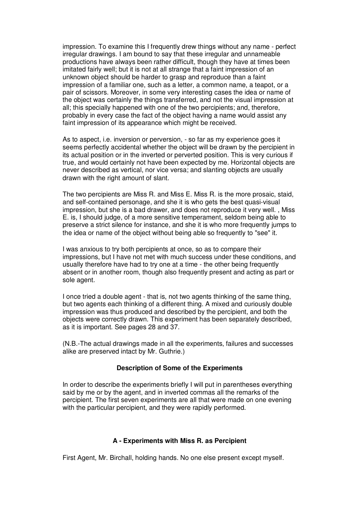impression. To examine this I frequently drew things without any name - perfect irregular drawings. I am bound to say that these irregular and unnameable productions have always been rather difficult, though they have at times been imitated fairly well; but it is not at all strange that a faint impression of an unknown object should be harder to grasp and reproduce than a faint impression of a familiar one, such as a letter, a common name, a teapot, or a pair of scissors. Moreover, in some very interesting cases the idea or name of the object was certainly the things transferred, and not the visual impression at all; this specially happened with one of the two percipients; and, therefore, probably in every case the fact of the object having a name would assist any faint impression of its appearance which might be received.

As to aspect, i.e. inversion or perversion, - so far as my experience goes it seems perfectly accidental whether the object will be drawn by the percipient in its actual position or in the inverted or perverted position. This is very curious if true, and would certainly not have been expected by me. Horizontal objects are never described as vertical, nor vice versa; and slanting objects are usually drawn with the right amount of slant.

The two percipients are Miss R. and Miss E. Miss R. is the more prosaic, staid, and self-contained personage, and she it is who gets the best quasi-visual impression, but she is a bad drawer, and does not reproduce it very well. , Miss E. is, I should judge, of a more sensitive temperament, seldom being able to preserve a strict silence for instance, and she it is who more frequently jumps to the idea or name of the object without being able so frequently to "see" it.

I was anxious to try both percipients at once, so as to compare their impressions, but I have not met with much success under these conditions, and usually therefore have had to try one at a time - the other being frequently absent or in another room, though also frequently present and acting as part or sole agent.

I once tried a double agent - that is, not two agents thinking of the same thing, but two agents each thinking of a different thing. A mixed and curiously double impression was thus produced and described by the percipient, and both the objects were correctly drawn. This experiment has been separately described, as it is important. See pages 28 and 37.

(N.B.-The actual drawings made in all the experiments, failures and successes alike are preserved intact by Mr. Guthrie.)

#### **Description of Some of the Experiments**

In order to describe the experiments briefly I will put in parentheses everything said by me or by the agent, and in inverted commas all the remarks of the percipient. The first seven experiments are all that were made on one evening with the particular percipient, and they were rapidly performed.

## **A - Experiments with Miss R. as Percipient**

First Agent, Mr. Birchall, holding hands. No one else present except myself.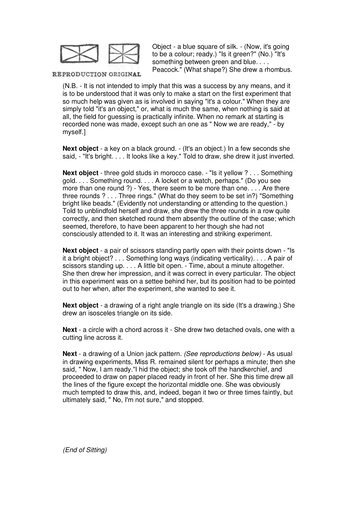

Object - a blue square of silk. - (Now, it's going to be a colour; ready.) "Is it green?" (No.) "It's something between green and blue. . . . Peacock." (What shape?) She drew a rhombus.

REPRODUCTION ORIGINAL

(N.B. - It is not intended to imply that this was a success by any means, and it is to be understood that it was only to make a start on the first experiment that so much help was given as is involved in saying "it's a colour." When they are simply told "it's an object," or, what is much the same, when nothing is said at all, the field for guessing is practically infinite. When no remark at starting is recorded none was made, except such an one as " Now we are ready," - by myself.]

**Next object** - a key on a black ground. - (It's an object.) In a few seconds she said, - "It's bright. . . . It looks like a key." Told to draw, she drew it just inverted.

**Next object** - three gold studs in morocco case. - "Is it yellow ? . . . Something gold. . . . Something round. . . . A locket or a watch, perhaps." (Do you see more than one round ?) - Yes, there seem to be more than one. . . . Are there three rounds ? . . . Three rings." (What do they seem to be set in?) "Something bright like beads." (Evidently not understanding or attending to the question.) Told to unblindfold herself and draw, she drew the three rounds in a row quite correctly, and then sketched round them absently the outline of the case; which seemed, therefore, to have been apparent to her though she had not consciously attended to it. It was an interesting and striking experiment.

**Next object** - a pair of scissors standing partly open with their points down - "Is it a bright object? . . . Something long ways (indicating verticality). . . . A pair of scissors standing up. . . . A little bit open. - Time, about a minute altogether. She then drew her impression, and it was correct in every particular. The object in this experiment was on a settee behind her, but its position had to be pointed out to her when, after the experiment, she wanted to see it.

**Next object** - a drawing of a right angle triangle on its side (It's a drawing.) She drew an isosceles triangle on its side.

**Next** - a circle with a chord across it - She drew two detached ovals, one with a cutting line across it.

**Next** - a drawing of a Union jack pattern. *(See reproductions below)* - As usual in drawing experiments, Miss R. remained silent for perhaps a minute; then she said, " Now, I am ready."I hid the object; she took off the handkerchief, and proceeded to draw on paper placed ready in front of her. She this time drew all the lines of the figure except the horizontal middle one. She was obviously much tempted to draw this, and, indeed, began it two or three times faintly, but ultimately said, " No, I'm not sure," and stopped.

*(End of Sitting)*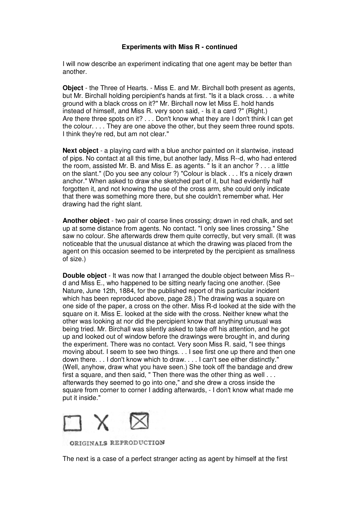## **Experiments with Miss R - continued**

I will now describe an experiment indicating that one agent may be better than another.

**Object** - the Three of Hearts. - Miss E. and Mr. Birchall both present as agents, but Mr. Birchall holding percipient's hands at first. "Is it a black cross. . . a white ground with a black cross on it?" Mr. Birchall now let Miss E. hold hands instead of himself, and Miss R. very soon said, - Is it a card ?" (Right.) Are there three spots on it? . . . Don't know what they are I don't think I can get the colour. . . . They are one above the other, but they seem three round spots. I think they're red, but am not clear."

**Next object** - a playing card with a blue anchor painted on it slantwise, instead of pips. No contact at all this time, but another lady, Miss R--d, who had entered the room, assisted Mr. B. and Miss E. as agents. " Is it an anchor ? . . . a little on the slant." (Do you see any colour ?) "Colour is black . . . It's a nicely drawn anchor." When asked to draw she sketched part of it, but had evidently half forgotten it, and not knowing the use of the cross arm, she could only indicate that there was something more there, but she couldn't remember what. Her drawing had the right slant.

**Another object** - two pair of coarse lines crossing; drawn in red chalk, and set up at some distance from agents. No contact. "I only see lines crossing." She saw no colour. She afterwards drew them quite correctly, but very small. (It was noticeable that the unusual distance at which the drawing was placed from the agent on this occasion seemed to be interpreted by the percipient as smallness of size.)

**Double object** - It was now that I arranged the double object between Miss R- d and Miss E., who happened to be sitting nearly facing one another. (See Nature, June 12th, 1884, for the published report of this particular incident which has been reproduced above, page 28.) The drawing was a square on one side of the paper, a cross on the other. Miss R-d looked at the side with the square on it. Miss E. looked at the side with the cross. Neither knew what the other was looking at nor did the percipient know that anything unusual was being tried. Mr. Birchall was silently asked to take off his attention, and he got up and looked out of window before the drawings were brought in, and during the experiment. There was no contact. Very soon Miss R. said, "I see things moving about. I seem to see two things. . . I see first one up there and then one down there. . . I don't know which to draw. . . . I can't see either distinctly." (Well, anyhow, draw what you have seen.) She took off the bandage and drew first a square, and then said, " Then there was the other thing as well . . . afterwards they seemed to go into one," and she drew a cross inside the square from corner to corner I adding afterwards, - I don't know what made me put it inside."



The next is a case of a perfect stranger acting as agent by himself at the first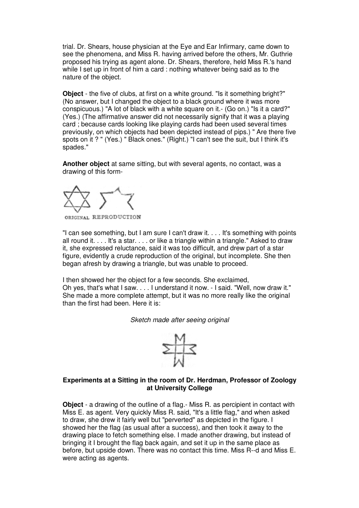trial. Dr. Shears, house physician at the Eye and Ear Infirmary, came down to see the phenomena, and Miss R. having arrived before the others, Mr. Guthrie proposed his trying as agent alone. Dr. Shears, therefore, held Miss R.'s hand while I set up in front of him a card : nothing whatever being said as to the nature of the object.

**Object** - the five of clubs, at first on a white ground. "Is it something bright?" (No answer, but I changed the object to a black ground where it was more conspicuous.) "A lot of black with a white square on it.- (Go on.) "Is it a card?" (Yes.) (The affirmative answer did not necessarily signify that it was a playing card ; because cards looking like playing cards had been used several times previously, on which objects had been depicted instead of pips.) " Are there five spots on it ? " (Yes.) " Black ones." (Right.) "I can't see the suit, but I think it's spades."

**Another object** at same sitting, but with several agents, no contact, was a drawing of this form-

ORIGINAL REPRODUCTION

"I can see something, but I am sure I can't draw it. . . . It's something with points all round it. . . . It's a star. . . . or like a triangle within a triangle." Asked to draw it, she expressed reluctance, said it was too difficult, and drew part of a star figure, evidently a crude reproduction of the original, but incomplete. She then began afresh by drawing a triangle, but was unable to proceed.

I then showed her the object for a few seconds. She exclaimed, Oh yes, that's what I saw. . . . I understand it now. - I said. "Well, now draw it." She made a more complete attempt, but it was no more really like the original than the first had been. Here it is:

*Sketch made after seeing original*



## **Experiments at a Sitting in the room of Dr. Herdman, Professor of Zoology at University College**

**Object** - a drawing of the outline of a flag.- Miss R. as percipient in contact with Miss E. as agent. Very quickly Miss R. said, "It's a little flag," and when asked to draw, she drew it fairly well but "perverted" as depicted in the figure. I showed her the flag (as usual after a success), and then took it away to the drawing place to fetch something else. I made another drawing, but instead of bringing it I brought the flag back again, and set it up in the same place as before, but upside down. There was no contact this time. Miss R--d and Miss E. were acting as agents.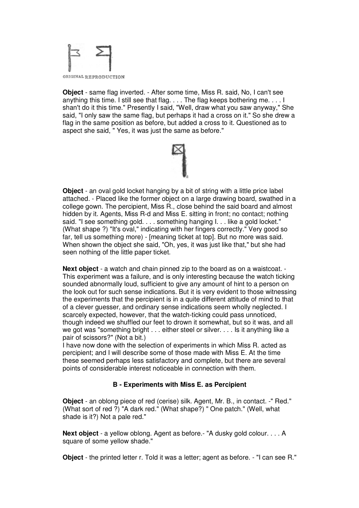

**Object** - same flag inverted. - After some time, Miss R. said, No, I can't see anything this time. I still see that flag. . . . The flag keeps bothering me. . . . I shan't do it this time." Presently I said, "Well, draw what you saw anyway," She said, "I only saw the same flag, but perhaps it had a cross on it." So she drew a flag in the same position as before, but added a cross to it. Questioned as to aspect she said, " Yes, it was just the same as before."



**Object** - an oval gold locket hanging by a bit of string with a little price label attached. - Placed like the former object on a large drawing board, swathed in a college gown. The percipient, Miss R., close behind the said board and almost hidden by it. Agents, Miss R-d and Miss E. sitting in front; no contact; nothing said. "I see something gold. . . . something hanging I. . . like a gold locket." (What shape ?) "It's oval," indicating with her fingers correctly." Very good so far, tell us something more) - [meaning ticket at top]. But no more was said. When shown the object she said, "Oh, yes, it was just like that," but she had seen nothing of the little paper ticket.

**Next object** - a watch and chain pinned zip to the board as on a waistcoat. - This experiment was a failure, and is only interesting because the watch ticking sounded abnormally loud, sufficient to give any amount of hint to a person on the look out for such sense indications. But it is very evident to those witnessing the experiments that the percipient is in a quite different attitude of mind to that of a clever guesser, and ordinary sense indications seem wholly neglected. I scarcely expected, however, that the watch-ticking could pass unnoticed, though indeed we shuffled our feet to drown it somewhat, but so it was, and all we got was "something bright . . . either steel or silver. . . . Is it anything like a pair of scissors?" (Not a bit.)

I have now done with the selection of experiments in which Miss R. acted as percipient; and I will describe some of those made with Miss E. At the time these seemed perhaps less satisfactory and complete, but there are several points of considerable interest noticeable in connection with them.

## **B - Experiments with Miss E. as Percipient**

**Object** - an oblong piece of red (cerise) silk. Agent, Mr. B., in contact. -" Red." (What sort of red ?) "A dark red." (What shape?) " One patch." (Well, what shade is it?) Not a pale red."

**Next object** - a yellow oblong. Agent as before.- "A dusky gold colour. . . . A square of some yellow shade."

**Object** - the printed letter r. Told it was a letter; agent as before. - "I can see R."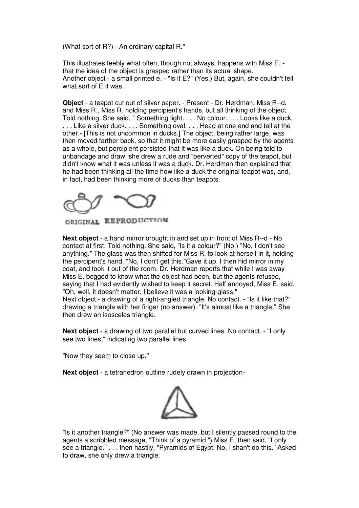(What sort of R?) - An ordinary capital R."

This illustrates feebly what often, though not always, happens with Miss E. that the idea of the object is grasped rather than its actual shape. Another object - a small printed e. - "Is it E?" (Yes.) But, again, she couldn't tell what sort of E it was.

**Object** - a teapot cut out of silver paper. - Present - Dr. Herdman, Miss R--d, and Miss R., Miss R. holding percipient's hands, but all thinking of the object. Told nothing. She said, " Something light. . . . No colour. . . . Looks like a duck. . . . Like a silver duck. . . . Something oval. . . . Head at one end and tall at the other.- [This is not uncommon in ducks.] The object, being rather large, was then moved farther back, so that it might be more easily grasped by the agents as a whole, but percipient persisted that it was like a duck. On being told to unbandage and draw, she drew a rude and "perverted" copy of the teapot, but didn't know what it was unless it was a duck. Dr. Herdman then explained that he had been thinking all the time how like a duck the original teapot was, and, in fact, had been thinking more of ducks than teapots.



ORIGINAL REPRODUCTION

**Next object** - a hand mirror brought in and set up in front of Miss R--d - No contact at first. Told nothing. She said, "Is it a colour?" (No.) "No, I don't see anything." The glass was then shifted for Miss R. to look at herself in it, holding the percipent's hand. "No, I don't get this."Gave it up. I then hid mirror in my coat, and took it out of the room. Dr. Herdman reports that while I was away Miss E. begged to know what the object had been, but the agents refused, saying that I had evidently wished to keep it secret. Half annoyed, Miss E. said, "Oh, well, it doesn't matter. I believe it was a looking-glass." Next object - a drawing of a right-angled triangle. No contact. - "Is it like that?" drawing a triangle with her finger (no answer). "It's almost like a triangle." She then drew an isosceles triangle.

**Next object** - a drawing of two parallel but curved lines. No contact. - "I only see two lines," indicating two parallel lines.

"Now they seem to close up."

**Next object** - a tetrahedron outline rudely drawn in projection-



"Is it another triangle?" (No answer was made, but I silently passed round to the agents a scribbled message, "Think of a pyramid.") Miss E. then said, "I only see a triangle." . . . then hastily, "Pyramids of Egypt. No, I shan't do this." Asked to draw, she only drew a triangle.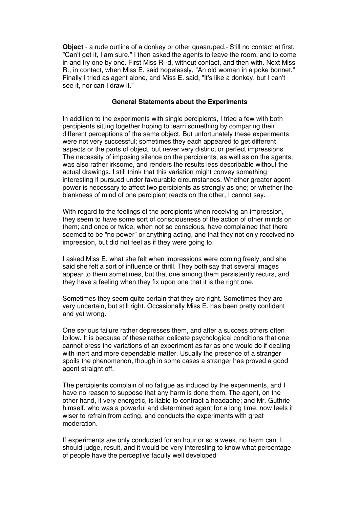**Object** - a rude outline of a donkey or other quaaruped.- Still no contact at first. "Can't get it, I am sure." I then asked the agents to leave the room, and to come in and try one by one. First Miss R--d, without contact, and then with. Next Miss R., in contact, when Miss E. said hopelessly, "An old woman in a poke bonnet." Finally I tried as agent alone, and Miss E. said, "It's like a donkey, but I can't see it, nor can I draw it."

## **General Statements about the Experiments**

In addition to the experiments with single percipients, I tried a few with both percipients sitting together hoping to learn something by comparing their different perceptions of the same object. But unfortunately these experiments were not very successful; sometimes they each appeared to get different aspects or the parts of object, but never very distinct or perfect impressions. The necessity of imposing silence on the percipients, as well as on the agents, was also rather irksome, and renders the results less describable without the actual drawings. I still think that this variation might convey something interesting if pursued under favourable circumstances. Whether greater agentpower is necessary to affect two percipients as strongly as one; or whether the blankness of mind of one percipient reacts on the other, I cannot say.

With regard to the feelings of the percipients when receiving an impression, they seem to have some sort of consciousness of the action of other minds on them; and once or twice, when not so conscious, have complained that there seemed to be "no power" or anything acting, and that they not only received no impression, but did not feel as if they were going to.

I asked Miss E. what she felt when impressions were coming freely, and she said she felt a sort of influence or thrill. They both say that several images appear to them sometimes, but that one among them persistently recurs, and they have a feeling when they fix upon one that it is the right one.

Sometimes they seem quite certain that they are right. Sometimes they are very uncertain, but still right. Occasionally Miss E. has been pretty confident and yet wrong.

One serious failure rather depresses them, and after a success others often follow. It is because of these rather delicate psychological conditions that one cannot press the variations of an experiment as far as one would do if dealing with inert and more dependable matter. Usually the presence of a stranger spoils the phenomenon, though in some cases a stranger has proved a good agent straight off.

The percipients complain of no fatigue as induced by the experiments, and I have no reason to suppose that any harm is done them. The agent, on the other hand, if very energetic, is liable to contract a headache; and Mr. Guthrie himself, who was a powerful and determined agent for a long time, now feels it wiser to refrain from acting, and conducts the experiments with great moderation.

If experiments are only conducted for an hour or so a week, no harm can, I should judge, result, and it would be very interesting to know what percentage of people have the perceptive faculty well developed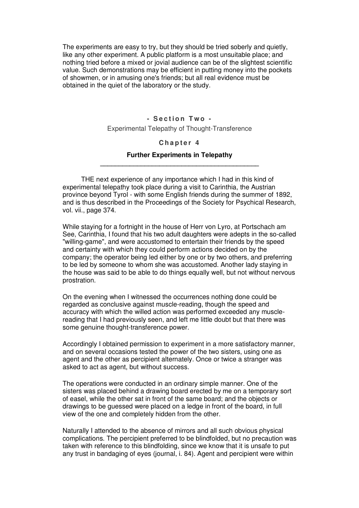The experiments are easy to try, but they should be tried soberly and quietly, like any other experiment. A public platform is a most unsuitable place; and nothing tried before a mixed or jovial audience can be of the slightest scientific value. Such demonstrations may be efficient in putting money into the pockets of showmen, or in amusing one's friends; but all real evidence must be obtained in the quiet of the laboratory or the study.

## **- S e c t i o n T w o -**

Experimental Telepathy of Thought-Transference

#### **C h a p t e r 4**

#### **Further Experiments in Telepathy \_\_\_\_\_\_\_\_\_\_\_\_\_\_\_\_\_\_\_\_\_\_\_\_\_\_\_\_\_\_\_\_\_\_\_\_\_\_\_\_\_\_\_**

THE next experience of any importance which I had in this kind of experimental telepathy took place during a visit to Carinthia, the Austrian province beyond Tyrol - with some English friends during the summer of 1892, and is thus described in the Proceedings of the Society for Psychical Research, vol. vii., page 374.

While staying for a fortnight in the house of Herr von Lyro, at Portschach am See, Carinthia, I found that his two adult daughters were adepts in the so-called "willing-game", and were accustomed to entertain their friends by the speed and certainty with which they could perform actions decided on by the company; the operator being led either by one or by two others, and preferring to be led by someone to whom she was accustomed. Another lady staying in the house was said to be able to do things equally well, but not without nervous prostration.

On the evening when I witnessed the occurrences nothing done could be regarded as conclusive against muscle-reading, though the speed and accuracy with which the willed action was performed exceeded any musclereading that I had previously seen, and left me little doubt but that there was some genuine thought-transference power.

Accordingly I obtained permission to experiment in a more satisfactory manner, and on several occasions tested the power of the two sisters, using one as agent and the other as percipient alternately. Once or twice a stranger was asked to act as agent, but without success.

The operations were conducted in an ordinary simple manner. One of the sisters was placed behind a drawing board erected by me on a temporary sort of easel, while the other sat in front of the same board; and the objects or drawings to be guessed were placed on a ledge in front of the board, in full view of the one and completely hidden from the other.

Naturally I attended to the absence of mirrors and all such obvious physical complications. The percipient preferred to be blindfolded, but no precaution was taken with reference to this blindfolding, since we know that it is unsafe to put any trust in bandaging of eyes (journal, i. 84). Agent and percipient were within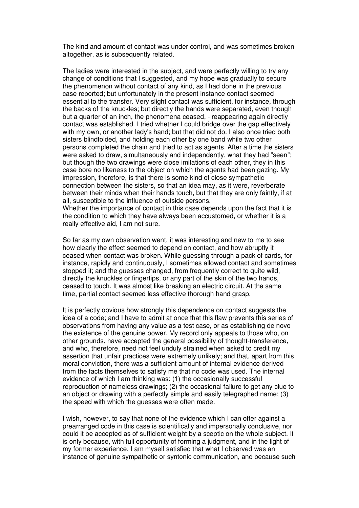The kind and amount of contact was under control, and was sometimes broken altogether, as is subsequently related.

The ladies were interested in the subject, and were perfectly willing to try any change of conditions that I suggested, and my hope was gradually to secure the phenomenon without contact of any kind, as I had done in the previous case reported; but unfortunately in the present instance contact seemed essential to the transfer. Very slight contact was sufficient, for instance, through the backs of the knuckles; but directly the hands were separated, even though but a quarter of an inch, the phenomena ceased, - reappearing again directly contact was established. I tried whether I could bridge over the gap effectively with my own, or another lady's hand; but that did not do. I also once tried both sisters blindfolded, and holding each other by one band while two other persons completed the chain and tried to act as agents. After a time the sisters were asked to draw, simultaneously and independently, what they had "seen"; but though the two drawings were close imitations of each other, they in this case bore no likeness to the object on which the agents had been gazing. My impression, therefore, is that there is some kind of close sympathetic connection between the sisters, so that an idea may, as it were, reverberate between their minds when their hands touch, but that they are only faintly, if at all, susceptible to the influence of outside persons.

Whether the importance of contact in this case depends upon the fact that it is the condition to which they have always been accustomed, or whether it is a really effective aid, I am not sure.

So far as my own observation went, it was interesting and new to me to see how clearly the effect seemed to depend on contact, and how abruptly it ceased when contact was broken. While guessing through a pack of cards, for instance, rapidly and continuously, I sometimes allowed contact and sometimes stopped it; and the quesses changed, from frequently correct to quite wild. directly the knuckles or fingertips, or any part of the skin of the two hands, ceased to touch. It was almost like breaking an electric circuit. At the same time, partial contact seemed less effective thorough hand grasp.

It is perfectly obvious how strongly this dependence on contact suggests the idea of a code; and I have to admit at once that this flaw prevents this series of observations from having any value as a test case, or as establishing de novo the existence of the genuine power. My record only appeals to those who, on other grounds, have accepted the general possibility of thought-transference, and who, therefore, need not feel unduly strained when asked to credit my assertion that unfair practices were extremely unlikely; and that, apart from this moral conviction, there was a sufficient amount of internal evidence derived from the facts themselves to satisfy me that no code was used. The internal evidence of which I am thinking was: (1) the occasionally successful reproduction of nameless drawings; (2) the occasional failure to get any clue to an object or drawing with a perfectly simple and easily telegraphed name; (3) the speed with which the guesses were often made.

I wish, however, to say that none of the evidence which I can offer against a prearranged code in this case is scientifically and impersonally conclusive, nor could it be accepted as of sufficient weight by a sceptic on the whole subject. It is only because, with full opportunity of forming a judgment, and in the light of my former experience, I am myself satisfied that what I observed was an instance of genuine sympathetic or syntonic communication, and because such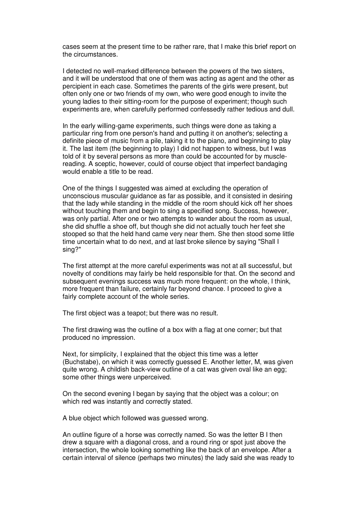cases seem at the present time to be rather rare, that I make this brief report on the circumstances.

I detected no well-marked difference between the powers of the two sisters, and it will be understood that one of them was acting as agent and the other as percipient in each case. Sometimes the parents of the girls were present, but often only one or two friends of my own, who were good enough to invite the young ladies to their sitting-room for the purpose of experiment; though such experiments are, when carefully performed confessedly rather tedious and dull.

In the early willing-game experiments, such things were done as taking a particular ring from one person's hand and putting it on another's; selecting a definite piece of music from a pile, taking it to the piano, and beginning to play it. The last item (the beginning to play) I did not happen to witness, but I was told of it by several persons as more than could be accounted for by musclereading. A sceptic, however, could of course object that imperfect bandaging would enable a title to be read.

One of the things I suggested was aimed at excluding the operation of unconscious muscular guidance as far as possible, and it consisted in desiring that the lady while standing in the middle of the room should kick off her shoes without touching them and begin to sing a specified song. Success, however, was only partial. After one or two attempts to wander about the room as usual, she did shuffle a shoe off, but though she did not actually touch her feet she stooped so that the held hand came very near them. She then stood some little time uncertain what to do next, and at last broke silence by saying "Shall I sing?"

The first attempt at the more careful experiments was not at all successful, but novelty of conditions may fairly be held responsible for that. On the second and subsequent evenings success was much more frequent: on the whole, I think, more frequent than failure, certainly far beyond chance. I proceed to give a fairly complete account of the whole series.

The first object was a teapot; but there was no result.

The first drawing was the outline of a box with a flag at one corner; but that produced no impression.

Next, for simplicity, I explained that the object this time was a letter (Buchstabe), on which it was correctly guessed E. Another letter, M, was given quite wrong. A childish back-view outline of a cat was given oval like an egg; some other things were unperceived.

On the second evening I began by saying that the object was a colour; on which red was instantly and correctly stated.

A blue object which followed was guessed wrong.

An outline figure of a horse was correctly named. So was the letter B I then drew a square with a diagonal cross, and a round ring or spot just above the intersection, the whole looking something like the back of an envelope. After a certain interval of silence (perhaps two minutes) the lady said she was ready to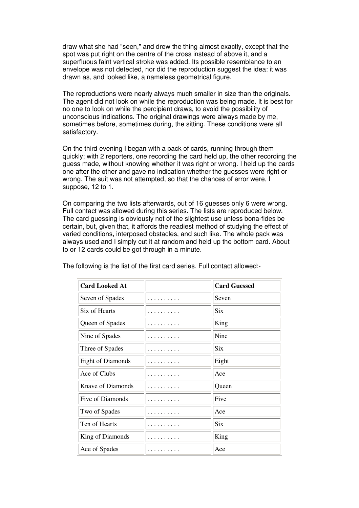draw what she had "seen," and drew the thing almost exactly, except that the spot was put right on the centre of the cross instead of above it, and a superfluous faint vertical stroke was added. Its possible resemblance to an envelope was not detected, nor did the reproduction suggest the idea: it was drawn as, and looked like, a nameless geometrical figure.

The reproductions were nearly always much smaller in size than the originals. The agent did not look on while the reproduction was being made. It is best for no one to look on while the percipient draws, to avoid the possibility of unconscious indications. The original drawings were always made by me, sometimes before, sometimes during, the sitting. These conditions were all satisfactory.

On the third evening I began with a pack of cards, running through them quickly; with 2 reporters, one recording the card held up, the other recording the guess made, without knowing whether it was right or wrong. I held up the cards one after the other and gave no indication whether the guesses were right or wrong. The suit was not attempted, so that the chances of error were, I suppose, 12 to 1.

On comparing the two lists afterwards, out of 16 guesses only 6 were wrong. Full contact was allowed during this series. The lists are reproduced below. The card guessing is obviously not of the slightest use unless bona-fides be certain, but, given that, it affords the readiest method of studying the effect of varied conditions, interposed obstacles, and such like. The whole pack was always used and I simply cut it at random and held up the bottom card. About to or 12 cards could be got through in a minute.

| <b>Card Looked At</b>    | <b>Card Guessed</b> |
|--------------------------|---------------------|
| Seven of Spades          | Seven               |
| Six of Hearts            | <b>Six</b>          |
| Queen of Spades          | King                |
| Nine of Spades           | Nine                |
| Three of Spades          | <b>Six</b>          |
| <b>Eight of Diamonds</b> | Eight               |
| Ace of Clubs             | Ace                 |
| Knave of Diamonds        | Queen               |
| Five of Diamonds         | Five                |
| Two of Spades            | Ace                 |
| Ten of Hearts            | <b>Six</b>          |
| King of Diamonds         | King                |
| Ace of Spades            | Ace                 |

The following is the list of the first card series. Full contact allowed:-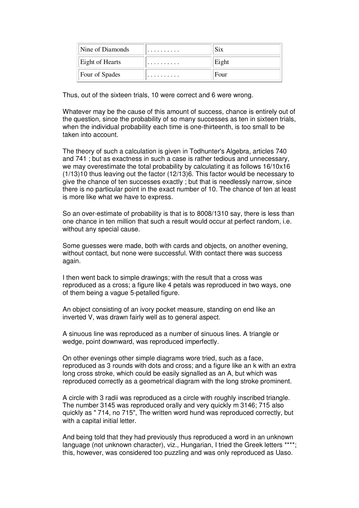| $\parallel$ Nine of Diamonds |   | Six   |
|------------------------------|---|-------|
| Eight of Hearts              |   | Eight |
| Four of Spades               | . | Four  |

Thus, out of the sixteen trials, 10 were correct and 6 were wrong.

Whatever may be the cause of this amount of success, chance is entirely out of the question, since the probability of so many successes as ten in sixteen trials, when the individual probability each time is one-thirteenth, is too small to be taken into account.

The theory of such a calculation is given in Todhunter's Algebra, articles 740 and 741 ; but as exactness in such a case is rather tedious and unnecessary, we may overestimate the total probability by calculating it as follows 16/10x16 (1/13)10 thus leaving out the factor (12/13)6. This factor would be necessary to give the chance of ten successes exactly ; but that is needlessly narrow, since there is no particular point in the exact number of 10. The chance of ten at least is more like what we have to express.

So an over-estimate of probability is that is to 8008/1310 say, there is less than one chance in ten million that such a result would occur at perfect random, i.e. without any special cause.

Some guesses were made, both with cards and objects, on another evening, without contact, but none were successful. With contact there was success again.

I then went back to simple drawings; with the result that a cross was reproduced as a cross; a figure like 4 petals was reproduced in two ways, one of them being a vague 5-petalled figure.

An object consisting of an ivory pocket measure, standing on end like an inverted V, was drawn fairly well as to general aspect.

A sinuous line was reproduced as a number of sinuous lines. A triangle or wedge, point downward, was reproduced imperfectly.

On other evenings other simple diagrams wore tried, such as a face, reproduced as 3 rounds with dots and cross; and a figure like an k with an extra long cross stroke, which could be easily signalled as an A, but which was reproduced correctly as a geometrical diagram with the long stroke prominent.

A circle with 3 radii was reproduced as a circle with roughly inscribed triangle. The number 3145 was reproduced orally and very quickly m 3146; 715 also quickly as " 714, no 715", The written word hund was reproduced correctly, but with a capital initial letter.

And being told that they had previously thus reproduced a word in an unknown language (not unknown character), viz., Hungarian, I tried the Greek letters \*\*\*\*; this, however, was considered too puzzling and was only reproduced as Uaso.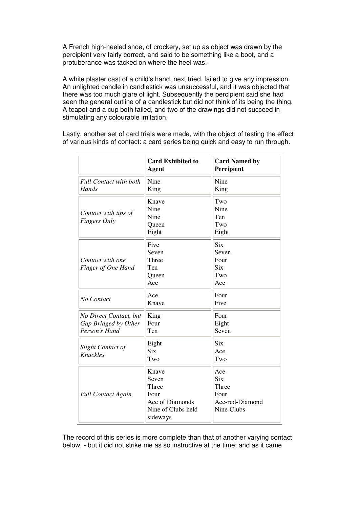A French high-heeled shoe, of crockery, set up as object was drawn by the percipient very fairly correct, and said to be something like a boot, and a protuberance was tacked on where the heel was.

A white plaster cast of a child's hand, next tried, failed to give any impression. An unlighted candle in candlestick was unsuccessful, and it was objected that there was too much glare of light. Subsequently the percipient said she had seen the general outline of a candlestick but did not think of its being the thing. A teapot and a cup both failed, and two of the drawings did not succeed in stimulating any colourable imitation.

Lastly, another set of card trials were made, with the object of testing the effect of various kinds of contact: a card series being quick and easy to run through.

|                                                                 | <b>Card Exhibited to</b><br>Agent                                                    | <b>Card Named by</b><br>Percipient                                  |
|-----------------------------------------------------------------|--------------------------------------------------------------------------------------|---------------------------------------------------------------------|
| <b>Full Contact with both</b><br>Hands                          | Nine<br>King                                                                         | Nine<br>King                                                        |
| Contact with tips of<br><b>Fingers Only</b>                     | Knave<br>Nine<br>Nine<br>Queen<br>Eight                                              | Two<br>Nine<br>Ten<br>Two<br>Eight                                  |
| Contact with one<br>Finger of One Hand                          | Five<br>Seven<br>Three<br>Ten<br>Queen<br>Ace                                        | Six<br>Seven<br>Four<br><b>Six</b><br>Two<br>Ace                    |
| No Contact                                                      | Ace<br>Knave                                                                         | Four<br>Five                                                        |
| No Direct Contact, but<br>Gap Bridged by Other<br>Person's Hand | King<br>Four<br>Ten                                                                  | Four<br>Eight<br>Seven                                              |
| Slight Contact of<br><b>Knuckles</b>                            | Eight<br>Six<br>Two                                                                  | <b>Six</b><br>Ace<br>Two                                            |
| <b>Full Contact Again</b>                                       | Knave<br>Seven<br>Three<br>Four<br>Ace of Diamonds<br>Nine of Clubs held<br>sideways | Ace<br><b>Six</b><br>Three<br>Four<br>Ace-red-Diamond<br>Nine-Clubs |

The record of this series is more complete than that of another varying contact below, - but it did not strike me as so instructive at the time; and as it came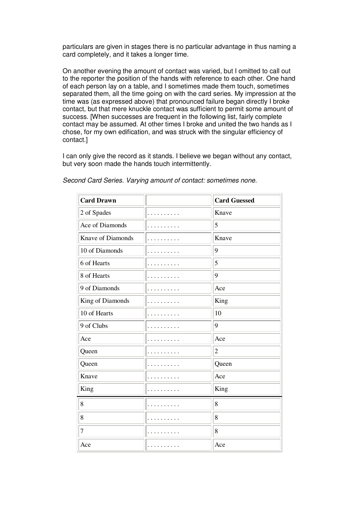particulars are given in stages there is no particular advantage in thus naming a card completely, and it takes a longer time.

On another evening the amount of contact was varied, but I omitted to call out to the reporter the position of the hands with reference to each other. One hand of each person lay on a table, and I sometimes made them touch, sometimes separated them, all the time going on with the card series. My impression at the time was (as expressed above) that pronounced failure began directly I broke contact, but that mere knuckle contact was sufficient to permit some amount of success. [When successes are frequent in the following list, fairly complete contact may be assumed. At other times I broke and united the two hands as I chose, for my own edification, and was struck with the singular efficiency of contact.]

I can only give the record as it stands. I believe we began without any contact, but very soon made the hands touch intermittently.

| <b>Card Drawn</b> | <b>Card Guessed</b> |
|-------------------|---------------------|
| 2 of Spades       | Knave               |
| Ace of Diamonds   | 5                   |
| Knave of Diamonds | Knave               |
| 10 of Diamonds    | 9                   |
| 6 of Hearts       | 5                   |
| 8 of Hearts       | 9                   |
| 9 of Diamonds     | Ace                 |
| King of Diamonds  | King                |
| 10 of Hearts      | 10                  |
| 9 of Clubs        | 9                   |
| Ace               | Ace                 |
| Queen             | $\overline{c}$      |
| Queen             | Queen               |
| Knave             | Ace                 |
| King              | King                |
| 8                 | 8                   |
| 8                 | 8                   |
| 7                 | 8                   |
| Ace               | Ace                 |

*Second Card Series. Varying amount of contact: sometimes none.*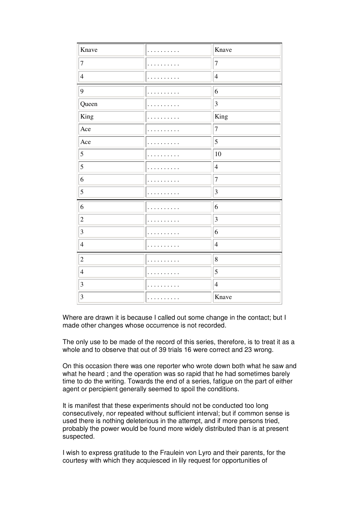| Knave                       | $\overline{\phantom{a}}$<br>$\cdots$          | Knave            |
|-----------------------------|-----------------------------------------------|------------------|
| $\boldsymbol{7}$            | $\cdots$                                      | $\boldsymbol{7}$ |
| $\overline{4}$              |                                               | $\overline{4}$   |
| $\mathbf{9}$                | $\cdots\cdots\cdots$                          | 6                |
| Queen                       |                                               | 3                |
| King                        |                                               | King             |
| Ace                         |                                               | $\overline{7}$   |
| Ace                         | $\ddot{\phantom{0}}$                          | 5                |
| 5                           | $\cdots$                                      | $10\,$           |
| 5                           |                                               | $\overline{4}$   |
| $\sqrt{6}$                  |                                               | $\overline{7}$   |
| 5                           |                                               | $\overline{3}$   |
| $\sqrt{6}$                  | $\ddot{\phantom{1}}$                          | 6                |
| $\overline{c}$              |                                               | 3                |
| $\ensuremath{\mathfrak{Z}}$ | $\cdot$ .<br>$\ddotsc$                        | 6                |
| $\overline{4}$              |                                               | $\overline{4}$   |
| $\overline{c}$              | $\ddot{\phantom{0}}$<br>$\cdots$<br>$\bullet$ | $\,8\,$          |
| $\overline{4}$              |                                               | 5                |
| 3                           | $\ddot{\phantom{0}}$                          | $\overline{4}$   |
| $\overline{\mathbf{3}}$     | .                                             | Knave            |

Where are drawn it is because I called out some change in the contact; but I made other changes whose occurrence is not recorded.

The only use to be made of the record of this series, therefore, is to treat it as a whole and to observe that out of 39 trials 16 were correct and 23 wrong.

On this occasion there was one reporter who wrote down both what he saw and what he heard ; and the operation was so rapid that he had sometimes barely time to do the writing. Towards the end of a series, fatigue on the part of either agent or percipient generally seemed to spoil the conditions.

It is manifest that these experiments should not be conducted too long consecutively, nor repeated without sufficient interval; but if common sense is used there is nothing deleterious in the attempt, and if more persons tried, probably the power would be found more widely distributed than is at present suspected.

I wish to express gratitude to the Fraulein von Lyro and their parents, for the courtesy with which they acquiesced in lily request for opportunities of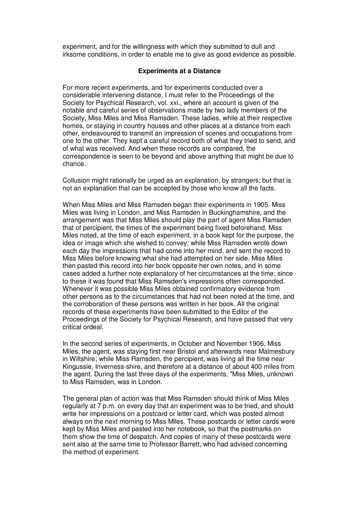experiment, and for the willingness with which they submitted to dull and irksome conditions, in order to enable me to give as good evidence as possible.

### **Experiments at a Distance**

For more recent experiments, and for experiments conducted over a considerable intervening distance, I must refer to the Proceedings of the Society for Psychical Research, vol. xxi., where an account is given of the notable and careful series of observations made by two lady members of the Society, Miss Miles and Miss Ramsden. These ladies, while at their respective homes, or staying in country houses and other places at a distance from each other, endeavoured to transmit an impression of scenes and occupations from one to the other. They kept a careful record both of what they tried to send, and of what was received. And when these records are compared, the correspondence is seen to be beyond and above anything that might be due to chance.

Collusion might rationally be urged as an explanation, by strangers; but that is not an explanation that can be accepted by those who know all the facts.

When Miss Miles and Miss Ramsden began their experiments in 1905. Miss Miles was living in London, and Miss Ramsden in Buckinghamshire, and the arrangement was that Miss Miles should play the part of agent Miss Ramsden that of percipient, the times of the experiment being fixed beforehand. Miss Miles noted, at the time of each experiment, in a book kept for the purpose, the idea or image which she wished to convey; while Miss Ramsden wrote down each day the impressions that had come into her mind, and sent the record to Miss Miles before knowing what she had attempted on her side. Miss Miles then pasted this record into her book opposite her own notes, and in some cases added a further note explanatory of her circumstances at the time; since to these it was found that Miss Ramsden's impressions often corresponded. Whenever it was possible Miss Miles obtained confirmatory evidence from other persons as to the circumstances that had not been noted at the time, and the corroboration of these persons was written in her book. All the original records of these experiments have been submitted to the Editor of the Proceedings of the Society for Psychical Research, and have passed that very critical ordeal.

In the second series of experiments, in October and November 1906, Miss Miles, the agent, was staying first near Bristol and afterwards near Malmesbury in Wiltshire; while Miss Ramsden, the percipient, was living all the time near Kingussie, Inverness-shire, and therefore at a distance of about 400 miles from the agent. During the last three days of the experiments, "Miss Miles, unknown to Miss Ramsden, was in London.

The general plan of action was that Miss Ramsden should think of Miss Miles regularly at 7 p.m. on every day that an experiment was to be tried, and should write her impressions on a postcard or letter card, which was posted almost always on the next morning to Miss Miles. These postcards or letter cards were kept by Miss Miles and pasted into her notebook, so that the postmarks on them show the time of despatch. And copies of many of these postcards were sent also at the same time to Professor Barrett, who had advised concerning the method of experiment.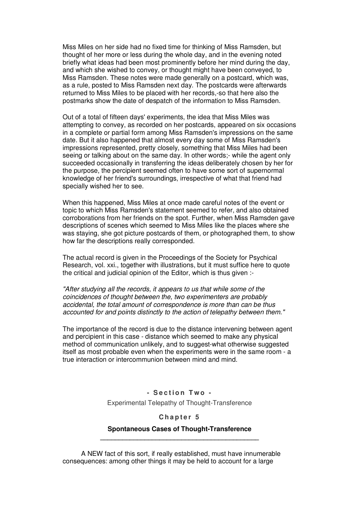Miss Miles on her side had no fixed time for thinking of Miss Ramsden, but thought of her more or less during the whole day, and in the evening noted briefly what ideas had been most prominently before her mind during the day, and which she wished to convey, or thought might have been conveyed, to Miss Ramsden. These notes were made generally on a postcard, which was, as a rule, posted to Miss Ramsden next day. The postcards were afterwards returned to Miss Miles to be placed with her records,-so that here also the postmarks show the date of despatch of the information to Miss Ramsden.

Out of a total of fifteen days' experiments, the idea that Miss Miles was attempting to convey, as recorded on her postcards, appeared on six occasions in a complete or partial form among Miss Ramsden's impressions on the same date. But it also happened that almost every day some of Miss Ramsden's impressions represented, pretty closely, something that Miss Miles had been seeing or talking about on the same day. In other words;- while the agent only succeeded occasionally in transferring the ideas deliberately chosen by her for the purpose, the percipient seemed often to have some sort of supernormal knowledge of her friend's surroundings, irrespective of what that friend had specially wished her to see.

When this happened, Miss Miles at once made careful notes of the event or topic to which Miss Ramsden's statement seemed to refer, and also obtained corroborations from her friends on the spot. Further, when Miss Ramsden gave descriptions of scenes which seemed to Miss Miles like the places where she was staying, she got picture postcards of them, or photographed them, to show how far the descriptions really corresponded.

The actual record is given in the Proceedings of the Society for Psychical Research, vol. xxi., together with illustrations, but it must suffice here to quote the critical and judicial opinion of the Editor, which is thus given :-

*"After studying all the records, it appears to us that while some of the coincidences of thought between the, two experimenters are probably accidental, the total amount of correspondence is more than can be thus accounted for and points distinctly to the action of telepathy between them."*

The importance of the record is due to the distance intervening between agent and percipient in this case - distance which seemed to make any physical method of communication unlikely, and to suggest-what otherwise suggested itself as most probable even when the experiments were in the same room - a true interaction or intercommunion between mind and mind.

> **- S e c t i o n T w o -** Experimental Telepathy of Thought-Transference

# **C h a p t e r 5**

### **Spontaneous Cases of Thought-Transference \_\_\_\_\_\_\_\_\_\_\_\_\_\_\_\_\_\_\_\_\_\_\_\_\_\_\_\_\_\_\_\_\_\_\_\_\_\_\_\_\_\_\_**

A NEW fact of this sort, if really established, must have innumerable consequences: among other things it may be held to account for a large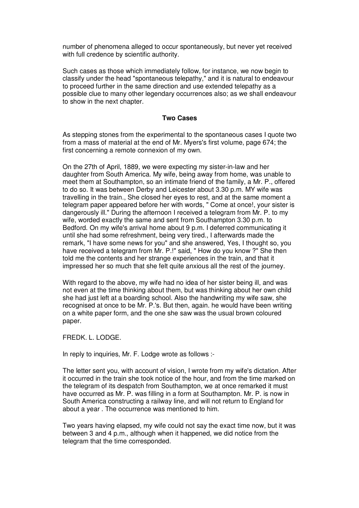number of phenomena alleged to occur spontaneously, but never yet received with full credence by scientific authority.

Such cases as those which immediately follow, for instance, we now begin to classify under the head "spontaneous telepathy," and it is natural to endeavour to proceed further in the same direction and use extended telepathy as a possible clue to many other legendary occurrences also; as we shall endeavour to show in the next chapter.

### **Two Cases**

As stepping stones from the experimental to the spontaneous cases I quote two from a mass of material at the end of Mr. Myers's first volume, page 674; the first concerning a remote connexion of my own.

On the 27th of April, 1889, we were expecting my sister-in-law and her daughter from South America. My wife, being away from home, was unable to meet them at Southampton, so an intimate friend of the family, a Mr. P., offered to do so. It was between Derby and Leicester about 3.30 p.m. MY wife was travelling in the train., She closed her eyes to rest, and at the same moment a telegram paper appeared before her with words, " Come at once!, your sister is dangerously ill." During the afternoon I received a telegram from Mr. P. to my wife, worded exactly the same and sent from Southampton 3.30 p.m. to Bedford. On my wife's arrival home about 9 p.m. I deferred communicating it until she had some refreshment, being very tired., I afterwards made the remark, "I have some news for you" and she answered, Yes, I thought so, you have received a telegram from Mr. P.!" said, " How do you know ?" She then told me the contents and her strange experiences in the train, and that it impressed her so much that she felt quite anxious all the rest of the journey.

With regard to the above, my wife had no idea of her sister being ill, and was not even at the time thinking about them, but was thinking about her own child she had just left at a boarding school. Also the handwriting my wife saw, she recognised at once to be Mr. P.'s. But then, again. he would have been writing on a white paper form, and the one she saw was the usual brown coloured paper.

FREDK. L. LODGE.

In reply to inquiries, Mr. F. Lodge wrote as follows :-

The letter sent you, with account of vision, I wrote from my wife's dictation. After it occurred in the train she took notice of the hour, and from the time marked on the telegram of its despatch from Southampton, we at once remarked it must have occurred as Mr. P. was filling in a form at Southampton. Mr. P. is now in South America constructing a railway line, and will not return to England for about a year . The occurrence was mentioned to him.

Two years having elapsed, my wife could not say the exact time now, but it was between 3 and 4 p.m., although when it happened, we did notice from the telegram that the time corresponded.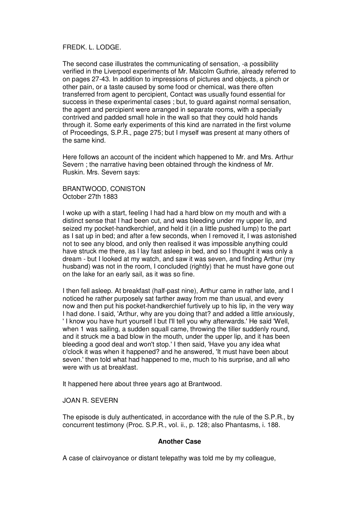### FREDK. L. LODGE.

The second case illustrates the communicating of sensation, -a possibility verified in the Liverpool experiments of Mr. Malcolm Guthrie, already referred to on pages 27-43. In addition to impressions of pictures and objects, a pinch or other pain, or a taste caused by some food or chemical, was there often transferred from agent to percipient, Contact was usually found essential for success in these experimental cases ; but, to guard against normal sensation, the agent and percipient were arranged in separate rooms, with a specially contrived and padded small hole in the wall so that they could hold hands through it. Some early experiments of this kind are narrated in the first volume of Proceedings, S.P.R., page 275; but I myself was present at many others of the same kind.

Here follows an account of the incident which happened to Mr. and Mrs. Arthur Severn ; the narrative having been obtained through the kindness of Mr. Ruskin. Mrs. Severn says:

BRANTWOOD, CONISTON October 27th 1883

I woke up with a start, feeling I had had a hard blow on my mouth and with a distinct sense that I had been cut, and was bleeding under my upper lip, and seized my pocket-handkerchief, and held it (in a little pushed lump) to the part as I sat up in bed; and after a few seconds, when I removed it, I was astonished not to see any blood, and only then realised it was impossible anything could have struck me there, as I lay fast asleep in bed, and so I thought it was only a dream - but I looked at my watch, and saw it was seven, and finding Arthur (my husband) was not in the room, I concluded (rightly) that he must have gone out on the lake for an early sail, as it was so fine.

I then fell asleep. At breakfast (half-past nine), Arthur came in rather late, and I noticed he rather purposely sat farther away from me than usual, and every now and then put his pocket-handkerchief furtively up to his lip, in the very way I had done. I said, 'Arthur, why are you doing that? and added a little anxiously, ' I know you have hurt yourself I but I'll tell you why afterwards.' He said 'Well, when 1 was sailing, a sudden squall came, throwing the tiller suddenly round, and it struck me a bad blow in the mouth, under the upper lip, and it has been bleeding a good deal and won't stop.' I then said, 'Have you any idea what o'clock it was when it happened? and he answered, 'It must have been about seven.' then told what had happened to me, much to his surprise, and all who were with us at breakfast.

It happened here about three years ago at Brantwood.

## JOAN R. SEVERN

The episode is duly authenticated, in accordance with the rule of the S.P.R., by concurrent testimony (Proc. S.P.R., vol. ii., p. 128; also Phantasms, i. 188.

### **Another Case**

A case of clairvoyance or distant telepathy was told me by my colleague,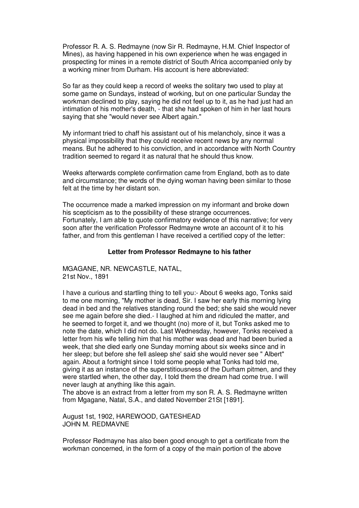Professor R. A. S. Redmayne (now Sir R. Redmayne, H.M. Chief Inspector of Mines), as having happened in his own experience when he was engaged in prospecting for mines in a remote district of South Africa accompanied only by a working miner from Durham. His account is here abbreviated:

So far as they could keep a record of weeks the solitary two used to play at some game on Sundays, instead of working, but on one particular Sunday the workman declined to play, saying he did not feel up to it, as he had just had an intimation of his mother's death, - that she had spoken of him in her last hours saying that she "would never see Albert again."

My informant tried to chaff his assistant out of his melancholy, since it was a physical impossibility that they could receive recent news by any normal means. But he adhered to his conviction, and in accordance with North Country tradition seemed to regard it as natural that he should thus know.

Weeks afterwards complete confirmation came from England, both as to date and circumstance; the words of the dying woman having been similar to those felt at the time by her distant son.

The occurrence made a marked impression on my informant and broke down his scepticism as to the possibility of these strange occurrences. Fortunately, I am able to quote confirmatory evidence of this narrative; for very soon after the verification Professor Redmayne wrote an account of it to his father, and from this gentleman I have received a certified copy of the letter:

#### **Letter from Professor Redmayne to his father**

MGAGANE, NR. NEWCASTLE, NATAL, 21st Nov., 1891

I have a curious and startling thing to tell you:- About 6 weeks ago, Tonks said to me one morning, "My mother is dead, Sir. I saw her early this morning lying dead in bed and the relatives standing round the bed; she said she would never see me again before she died.- I laughed at him and ridiculed the matter, and he seemed to forget it, and we thought (no) more of it, but Tonks asked me to note the date, which I did not do. Last Wednesday, however, Tonks received a letter from his wife telling him that his mother was dead and had been buried a week, that she died early one Sunday morning about six weeks since and in her sleep; but before she fell asleep she' said she would never see " Albert" again. About a fortnight since I told some people what Tonks had told me, giving it as an instance of the superstitiousness of the Durham pitmen, and they were startled when, the other day, I told them the dream had come true. I will never laugh at anything like this again.

The above is an extract from a letter from my son R. A. S. Redmayne written from Mgagane, Natal, S.A., and dated November 21St [1891].

August 1st, 1902, HAREWOOD, GATESHEAD JOHN M. REDMAVNE

Professor Redmayne has also been good enough to get a certificate from the workman concerned, in the form of a copy of the main portion of the above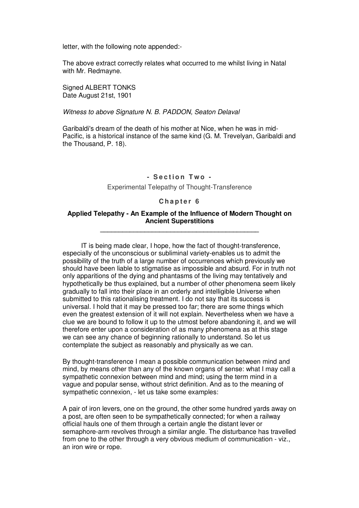letter, with the following note appended:-

The above extract correctly relates what occurred to me whilst living in Natal with Mr. Redmayne.

Signed ALBERT TONKS Date August 21st, 1901

*Witness to above Signature N. B. PADDON, Seaton Delaval*

Garibaldi's dream of the death of his mother at Nice, when he was in mid-Pacific, is a historical instance of the same kind (G. M. Trevelyan, Garibaldi and the Thousand, P. 18).

# **- S e c t i o n T w o -**

Experimental Telepathy of Thought-Transference

### **C h a p t e r 6**

### **Applied Telepathy - An Example of the Influence of Modern Thought on Ancient Superstitions \_\_\_\_\_\_\_\_\_\_\_\_\_\_\_\_\_\_\_\_\_\_\_\_\_\_\_\_\_\_\_\_\_\_\_\_\_\_\_\_\_\_\_**

IT is being made clear, I hope, how the fact of thought-transference, especially of the unconscious or subliminal variety-enables us to admit the possibility of the truth of a large number of occurrences which previously we should have been liable to stigmatise as impossible and absurd. For in truth not only apparitions of the dying and phantasms of the living may tentatively and hypothetically be thus explained, but a number of other phenomena seem likely gradually to fall into their place in an orderly and intelligible Universe when submitted to this rationalising treatment. I do not say that its success is universal. I hold that it may be pressed too far; there are some things which even the greatest extension of it will not explain. Nevertheless when we have a clue we are bound to follow it up to the utmost before abandoning it, and we will therefore enter upon a consideration of as many phenomena as at this stage we can see any chance of beginning rationally to understand. So let us contemplate the subject as reasonably and physically as we can.

By thought-transference I mean a possible communication between mind and mind, by means other than any of the known organs of sense: what I may call a sympathetic connexion between mind and mind; using the term mind in a vague and popular sense, without strict definition. And as to the meaning of sympathetic connexion, - let us take some examples:

A pair of iron levers, one on the ground, the other some hundred yards away on a post, are often seen to be sympathetically connected; for when a railway official hauls one of them through a certain angle the distant lever or semaphore-arm revolves through a similar angle. The disturbance has travelled from one to the other through a very obvious medium of communication - viz., an iron wire or rope.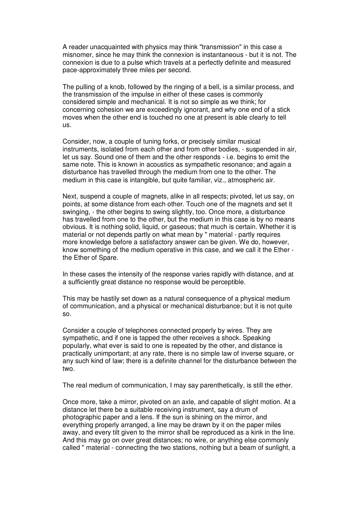A reader unacquainted with physics may think "transmission" in this case a misnomer, since he may think the connexion is instantaneous - but it is not. The connexion is due to a pulse which travels at a perfectly definite and measured pace-approximately three miles per second.

The pulling of a knob, followed by the ringing of a bell, is a similar process, and the transmission of the impulse in either of these cases is commonly considered simple and mechanical. It is not so simple as we think; for concerning cohesion we are exceedingly ignorant, and why one end of a stick moves when the other end is touched no one at present is able clearly to tell us.

Consider, now, a couple of tuning forks, or precisely similar musical instruments, isolated from each other and from other bodies, - suspended in air, let us say. Sound one of them and the other responds - i.e. begins to emit the same note. This is known in acoustics as sympathetic resonance; and again a disturbance has travelled through the medium from one to the other. The medium in this case is intangible, but quite familiar, viz., atmospheric air.

Next, suspend a couple of magnets, alike in all respects; pivoted, let us say, on points, at some distance from each other. Touch one of the magnets and set it swinging, - the other begins to swing slightly, too. Once more, a disturbance has travelled from one to the other, but the medium in this case is by no means obvious. It is nothing solid, liquid, or gaseous; that much is certain. Whether it is material or not depends partly on what mean by " material - partly requires more knowledge before a satisfactory answer can be given. We do, however, know something of the medium operative in this case, and we call it the Ether the Ether of Spare.

In these cases the intensity of the response varies rapidly with distance, and at a sufficiently great distance no response would be perceptible.

This may be hastily set down as a natural consequence of a physical medium of communication, and a physical or mechanical disturbance; but it is not quite so.

Consider a couple of telephones connected properly by wires. They are sympathetic, and if one is tapped the other receives a shock. Speaking popularly, what ever is said to one is repeated by the other, and distance is practically unimportant; at any rate, there is no simple law of inverse square, or any such kind of law; there is a definite channel for the disturbance between the two.

The real medium of communication, I may say parenthetically, is still the ether.

Once more, take a mirror, pivoted on an axle, and capable of slight motion. At a distance let there be a suitable receiving instrument, say a drum of photographic paper and a lens. If the sun is shining on the mirror, and everything properly arranged, a line may be drawn by it on the paper miles away, and every tilt given to the mirror shall be reproduced as a kink in the line. And this may go on over great distances; no wire, or anything else commonly called " material - connecting the two stations, nothing but a beam of sunlight, a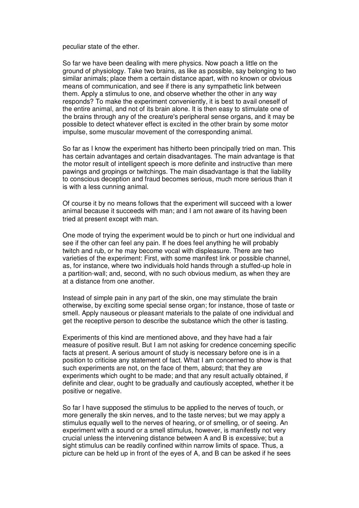peculiar state of the ether.

So far we have been dealing with mere physics. Now poach a little on the ground of physiology. Take two brains, as like as possible, say belonging to two similar animals; place them a certain distance apart, with no known or obvious means of communication, and see if there is any sympathetic link between them. Apply a stimulus to one, and observe whether the other in any way responds? To make the experiment conveniently, it is best to avail oneself of the entire animal, and not of its brain alone. It is then easy to stimulate one of the brains through any of the creature's peripheral sense organs, and it may be possible to detect whatever effect is excited in the other brain by some motor impulse, some muscular movement of the corresponding animal.

So far as I know the experiment has hitherto been principally tried on man. This has certain advantages and certain disadvantages. The main advantage is that the motor result of intelligent speech is more definite and instructive than mere pawings and gropings or twitchings. The main disadvantage is that the liability to conscious deception and fraud becomes serious, much more serious than it is with a less cunning animal.

Of course it by no means follows that the experiment will succeed with a lower animal because it succeeds with man; and I am not aware of its having been tried at present except with man.

One mode of trying the experiment would be to pinch or hurt one individual and see if the other can feel any pain. If he does feel anything he will probably twitch and rub, or he may become vocal with displeasure. There are two varieties of the experiment: First, with some manifest link or possible channel, as, for instance, where two individuals hold hands through a stuffed-up hole in a partition-wall; and, second, with no such obvious medium, as when they are at a distance from one another.

Instead of simple pain in any part of the skin, one may stimulate the brain otherwise, by exciting some special sense organ; for instance, those of taste or smell. Apply nauseous or pleasant materials to the palate of one individual and get the receptive person to describe the substance which the other is tasting.

Experiments of this kind are mentioned above, and they have had a fair measure of positive result. But I am not asking for credence concerning specific facts at present. A serious amount of study is necessary before one is in a position to criticise any statement of fact. What I am concerned to show is that such experiments are not, on the face of them, absurd; that they are experiments which ought to be made; and that any result actually obtained, if definite and clear, ought to be gradually and cautiously accepted, whether it be positive or negative.

So far I have supposed the stimulus to be applied to the nerves of touch, or more generally the skin nerves, and to the taste nerves; but we may apply a stimulus equally well to the nerves of hearing, or of smelling, or of seeing. An experiment with a sound or a smell stimulus, however, is manifestly not very crucial unless the intervening distance between A and B is excessive; but a sight stimulus can be readily confined within narrow limits of space. Thus, a picture can be held up in front of the eyes of A, and B can be asked if he sees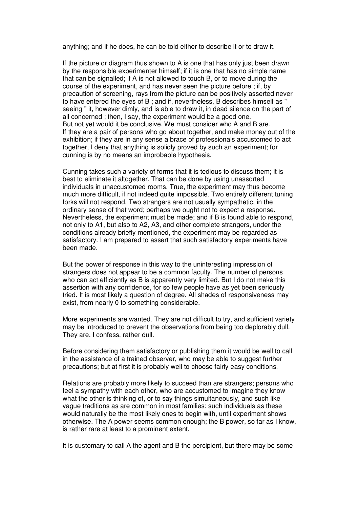anything; and if he does, he can be told either to describe it or to draw it.

If the picture or diagram thus shown to A is one that has only just been drawn by the responsible experimenter himself; if it is one that has no simple name that can be signalled; if A is not allowed to touch B, or to move during the course of the experiment, and has never seen the picture before ; if, by precaution of screening, rays from the picture can be positively asserted never to have entered the eyes of B ; and if, nevertheless, B describes himself as " seeing " it, however dimly, and is able to draw it, in dead silence on the part of all concerned ; then, I say, the experiment would be a good one. But not yet would it be conclusive. We must consider who A and B are. If they are a pair of persons who go about together, and make money out of the exhibition; if they are in any sense a brace of professionals accustomed to act together, I deny that anything is solidly proved by such an experiment; for cunning is by no means an improbable hypothesis.

Cunning takes such a variety of forms that it is tedious to discuss them; it is best to eliminate it altogether. That can be done by using unassorted individuals in unaccustomed rooms. True, the experiment may thus become much more difficult, if not indeed quite impossible. Two entirely different tuning forks will not respond. Two strangers are not usually sympathetic, in the ordinary sense of that word; perhaps we ought not to expect a response. Nevertheless, the experiment must be made; and if B is found able to respond, not only to A1, but also to A2, A3, and other complete strangers, under the conditions already briefly mentioned, the experiment may be regarded as satisfactory. I am prepared to assert that such satisfactory experiments have been made.

But the power of response in this way to the uninteresting impression of strangers does not appear to be a common faculty. The number of persons who can act efficiently as B is apparently very limited. But I do not make this assertion with any confidence, for so few people have as yet been seriously tried. It is most likely a question of degree. All shades of responsiveness may exist, from nearly 0 to something considerable.

More experiments are wanted. They are not difficult to try, and sufficient variety may be introduced to prevent the observations from being too deplorably dull. They are, I confess, rather dull.

Before considering them satisfactory or publishing them it would be well to call in the assistance of a trained observer, who may be able to suggest further precautions; but at first it is probably well to choose fairly easy conditions.

Relations are probably more likely to succeed than are strangers; persons who feel a sympathy with each other, who are accustomed to imagine they know what the other is thinking of, or to say things simultaneously, and such like vague traditions as are common in most families: such individuals as these would naturally be the most likely ones to begin with, until experiment shows otherwise. The A power seems common enough; the B power, so far as I know, is rather rare at least to a prominent extent.

It is customary to call A the agent and B the percipient, but there may be some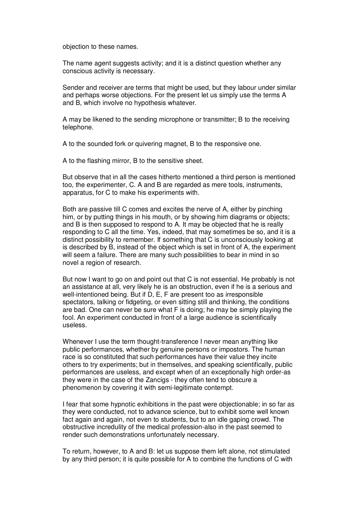objection to these names.

The name agent suggests activity; and it is a distinct question whether any conscious activity is necessary.

Sender and receiver are terms that might be used, but they labour under similar and perhaps worse objections. For the present let us simply use the terms A and B, which involve no hypothesis whatever.

A may be likened to the sending microphone or transmitter; B to the receiving telephone.

A to the sounded fork or quivering magnet, B to the responsive one.

A to the flashing mirror, B to the sensitive sheet.

But observe that in all the cases hitherto mentioned a third person is mentioned too, the experimenter, C. A and B are regarded as mere tools, instruments, apparatus, for C to make his experiments with.

Both are passive till C comes and excites the nerve of A, either by pinching him, or by putting things in his mouth, or by showing him diagrams or objects; and B is then supposed to respond to A. It may be objected that he is really responding to C all the time. Yes, indeed, that may sometimes be so, and it is a distinct possibility to remember. If something that C is unconsciously looking at is described by B, instead of the object which is set in front of A, the experiment will seem a failure. There are many such possibilities to bear in mind in so novel a region of research.

But now I want to go on and point out that C is not essential. He probably is not an assistance at all, very likely he is an obstruction, even if he is a serious and well-intentioned being. But if D, E, F are present too as irresponsible spectators, talking or fidgeting, or even sitting still and thinking, the conditions are bad. One can never be sure what F is doing; he may be simply playing the fool. An experiment conducted in front of a large audience is scientifically useless.

Whenever I use the term thought-transference I never mean anything like public performances, whether by genuine persons or impostors. The human race is so constituted that such performances have their value they incite others to try experiments; but in themselves, and speaking scientifically, public performances are useless, and except when of an exceptionally high order-as they were in the case of the Zancigs - they often tend to obscure a phenomenon by covering it with semi-legitimate contempt.

I fear that some hypnotic exhibitions in the past were objectionable; in so far as they were conducted, not to advance science, but to exhibit some well known fact again and again, not even to students, but to an idle gaping crowd. The obstructive incredulity of the medical profession-also in the past seemed to render such demonstrations unfortunately necessary.

To return, however, to A and B: let us suppose them left alone, not stimulated by any third person; it is quite possible for A to combine the functions of C with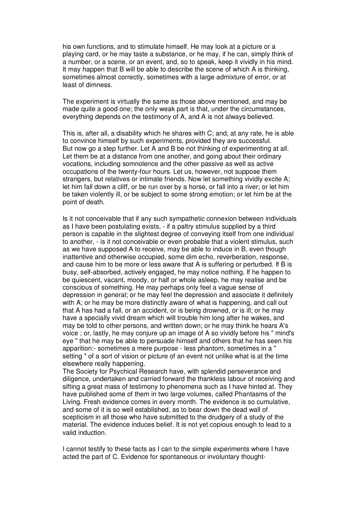his own functions, and to stimulate himself. He may look at a picture or a playing card, or he may taste a substance, or he may, if he can, simply think of a number, or a scene, or an event, and, so to speak, keep it vividly in his mind. It may happen that B will be able to describe the scene of which A is thinking, sometimes almost correctly, sometimes with a large admixture of error, or at least of dimness.

The experiment is virtually the same as those above mentioned, and may be made quite a good one; the only weak part is that, under the circumstances, everything depends on the testimony of A, and A is not always believed.

This is, after all, a disability which he shares with C; and, at any rate, he is able to convince himself by such experiments, provided they are successful. But now go a step further. Let A and B be not thinking of experimenting at all. Let them be at a distance from one another, and going about their ordinary vocations, including somnolence and the other passive as well as active occupations of the twenty-four hours. Let us, however, not suppose them strangers, but relatives or intimate friends. Now let something vividly excite A; let him fall down a cliff, or be run over by a horse, or fall into a river; or let him be taken violently ill, or be subject to some strong emotion; or let him be at the point of death.

Is it not conceivable that if any such sympathetic connexion between individuals as I have been postulating exists, - if a paltry stimulus supplied by a third person is capable in the slightest degree of conveying itself from one individual to another, - is it not conceivable or even probable that a violent stimulus, such as we have supposed A to receive, may be able to induce in B, even though inattentive and otherwise occupied, some dim echo, reverberation, response, and cause him to be more or less aware that A is suffering or perturbed. If B is busy, self-absorbed, actively engaged, he may notice nothing. If he happen to be quiescent, vacant, moody, or half or whole asleep, he may realise and be conscious of something. He may perhaps only feel a vague sense of depression in general; or he may feel the depression and associate it definitely with A; or he may be more distinctly aware of what is happening, and call out that A has had a fall, or an accident, or is being drowned, or is ill; or he may have a specially vivid dream which will trouble him long after he wakes, and may be told to other persons, and written down; or he may think he hears A's voice ; or, lastly, he may conjure up an image of A so vividly before his " mind's eye " that he may be able to persuade himself and others that he has seen his apparition:- sometimes a mere purpose - less phantom, sometimes in a " setting " of a sort of vision or picture of an event not unlike what is at the time elsewhere really happening.

The Society for Psychical Research have, with splendid perseverance and diligence, undertaken and carried forward the thankless labour of receiving and sifting a great mass of testimony to phenomena such as I have hinted at. They have published some of them in two large volumes, called Phantasms of the Living. Fresh evidence comes in every month. The evidence is so cumulative, and some of it is so well established, as to bear down the dead wall of scepticism in all those who have submitted to the drudgery of a study of the material. The evidence induces belief. It is not yet copious enough to lead to a valid induction.

I cannot testify to these facts as I can to the simple experiments where I have acted the part of C. Evidence for spontaneous or involuntary thought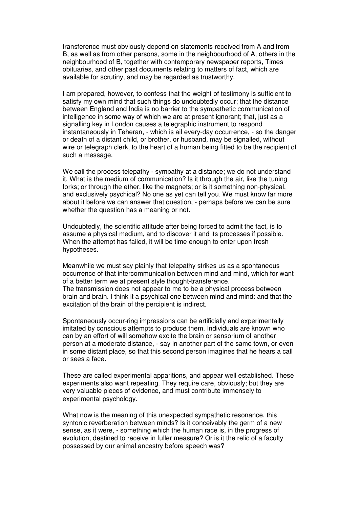transference must obviously depend on statements received from A and from B, as well as from other persons, some in the neighbourhood of A, others in the neighbourhood of B, together with contemporary newspaper reports, Times obituaries, and other past documents relating to matters of fact, which are available for scrutiny, and may be regarded as trustworthy.

I am prepared, however, to confess that the weight of testimony is sufficient to satisfy my own mind that such things do undoubtedly occur; that the distance between England and India is no barrier to the sympathetic communication of intelligence in some way of which we are at present ignorant; that, just as a signalling key in London causes a telegraphic instrument to respond instantaneously in Teheran, - which is ail every-day occurrence, - so the danger or death of a distant child, or brother, or husband, may be signalled, without wire or telegraph clerk, to the heart of a human being fitted to be the recipient of such a message.

We call the process telepathy - sympathy at a distance; we do not understand it. What is the medium of communication? Is it through the air, like the tuning forks; or through the ether, like the magnets; or is it something non-physical, and exclusively psychical? No one as yet can tell you. We must know far more about it before we can answer that question, - perhaps before we can be sure whether the question has a meaning or not.

Undoubtedly, the scientific attitude after being forced to admit the fact, is to assume a physical medium, and to discover it and its processes if possible. When the attempt has failed, it will be time enough to enter upon fresh hypotheses.

Meanwhile we must say plainly that telepathy strikes us as a spontaneous occurrence of that intercommunication between mind and mind, which for want of a better term we at present style thought-transference. The transmission does not appear to me to be a physical process between brain and brain. I think it a psychical one between mind and mind: and that the excitation of the brain of the percipient is indirect.

Spontaneously occur-ring impressions can be artificially and experimentally imitated by conscious attempts to produce them. Individuals are known who can by an effort of will somehow excite the brain or sensorium of another person at a moderate distance, - say in another part of the same town, or even in some distant place, so that this second person imagines that he hears a call or sees a face.

These are called experimental apparitions, and appear well established. These experiments also want repeating. They require care, obviously; but they are very valuable pieces of evidence, and must contribute immensely to experimental psychology.

What now is the meaning of this unexpected sympathetic resonance, this syntonic reverberation between minds? Is it conceivably the germ of a new sense, as it were, - something which the human race is, in the progress of evolution, destined to receive in fuller measure? Or is it the relic of a faculty possessed by our animal ancestry before speech was?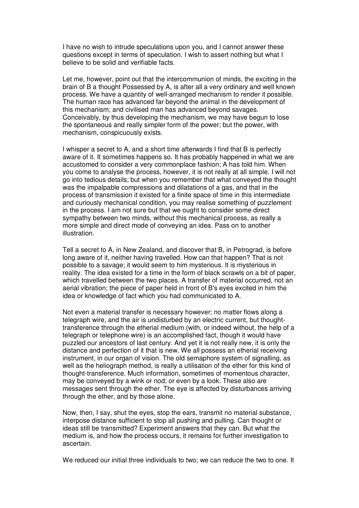I have no wish to intrude speculations upon you, and I cannot answer these questions except in terms of speculation. I wish to assert nothing but what I believe to be solid and verifiable facts.

Let me, however, point out that the intercommunion of minds, the exciting in the brain of B a thought Possessed by A, is after all a very ordinary and well known process. We have a quantity of well-arranged mechanism to render it possible. The human race has advanced far beyond the animal in the development of this mechanism; and civilised man has advanced beyond savages. Conceivably, by thus developing the mechanism, we may have begun to lose the spontaneous and really simpler form of the power; but the power, with mechanism, conspicuously exists.

I whisper a secret to A, and a short time afterwards I find that B is perfectly aware of it. It sometimes happens so. It has probably happened in what we are accustomed to consider a very commonplace fashion; A has told him. When you come to analyse the process, however, it is not really at all simple. I will not go into tedious details; but when you remember that what conveyed the thought was the impalpable compressions and dilatations of a gas, and that in the process of transmission it existed for a finite space of time in this intermediate and curiously mechanical condition, you may realise something of puzzlement in the process. I am not sure but that we ought to consider some direct sympathy between two minds, without this mechanical process, as really a more simple and direct mode of conveying an idea. Pass on to another illustration.

Tell a secret to A, in New Zealand, and discover that B, in Petrograd, is before long aware of it, neither having travelled. How can that happen? That is not possible to a savage; it would seem to him mysterious. It is mysterious in reality. The idea existed for a time in the form of black scrawls on a bit of paper, which travelled between the two places. A transfer of material occurred, not an aerial vibration; the piece of paper held in front of B's eyes excited in him the idea or knowledge of fact which you had communicated to A.

Not even a material transfer is necessary however; no matter flows along a telegraph wire, and the air is undisturbed by an electric current, but thoughttransference through the etherial medium (with, or indeed without, the help of a telegraph or telephone wire) is an accomplished fact, though it would have puzzled our ancestors of last century. And yet it is not really new, it is only the distance and perfection of it that is new. We all possess an etherial receiving instrument, in our organ of vision. The old semaphore system of signalling, as well as the heliograph method, is really a utilisation of the ether for this kind of thought-transference. Much information, sometimes of momentous character, may be conveyed by a wink or nod; or even by a look. These also are messages sent through the ether. The eye is affected by disturbances arriving through the ether, and by those alone.

Now, then, I say, shut the eyes, stop the ears, transmit no material substance, interpose distance sufficient to stop all pushing and pulling. Can thought or ideas still be transmitted? Experiment answers that they can. But what the medium is, and how the process occurs, it remains for further investigation to ascertain.

We reduced our initial three individuals to two; we can reduce the two to one. It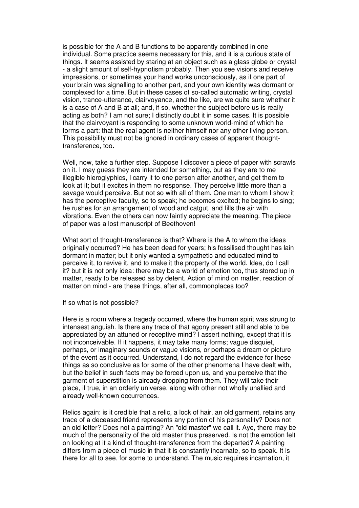is possible for the A and B functions to be apparently combined in one individual. Some practice seems necessary for this, and it is a curious state of things. It seems assisted by staring at an object such as a glass globe or crystal - a slight amount of self-hypnotism probably. Then you see visions and receive impressions, or sometimes your hand works unconsciously, as if one part of your brain was signalling to another part, and your own identity was dormant or complexed for a time. But in these cases of so-called automatic writing, crystal vision, trance-utterance, clairvoyance, and the like, are we quite sure whether it is a case of A and B at all; and, if so, whether the subject before us is really acting as both? I am not sure; I distinctly doubt it in some cases. It is possible that the clairvoyant is responding to some unknown world-mind of which he forms a part: that the real agent is neither himself nor any other living person. This possibility must not be ignored in ordinary cases of apparent thoughttransference, too.

Well, now, take a further step. Suppose I discover a piece of paper with scrawls on it. I may guess they are intended for something, but as they are to me illegible hieroglyphics, I carry it to one person after another, and get them to look at it; but it excites in them no response. They perceive little more than a savage would perceive. But not so with all of them. One man to whom I show it has the perceptive faculty, so to speak; he becomes excited; he begins to sing; he rushes for an arrangement of wood and catgut, and fills the air with vibrations. Even the others can now faintly appreciate the meaning. The piece of paper was a lost manuscript of Beethoven!

What sort of thought-transference is that? Where is the A to whom the ideas originally occurred? He has been dead for years; his fossilised thought has lain dormant in matter; but it only wanted a sympathetic and educated mind to perceive it, to revive it, and to make it the property of the world. Idea, do I call it? but it is not only idea: there may be a world of emotion too, thus stored up in matter, ready to be released as by detent. Action of mind on matter, reaction of matter on mind - are these things, after all, commonplaces too?

If so what is not possible?

Here is a room where a tragedy occurred, where the human spirit was strung to intensest anguish. Is there any trace of that agony present still and able to be appreciated by an attuned or receptive mind? I assert nothing, except that it is not inconceivable. If it happens, it may take many forms; vague disquiet, perhaps, or imaginary sounds or vague visions, or perhaps a dream or picture of the event as it occurred. Understand, I do not regard the evidence for these things as so conclusive as for some of the other phenomena I have dealt with, but the belief in such facts may be forced upon us, and you perceive that the garment of superstition is already dropping from them. They will take their place, if true, in an orderly universe, along with other not wholly unallied and already well-known occurrences.

Relics again: is it credible that a relic, a lock of hair, an old garment, retains any trace of a deceased friend represents any portion of his personality? Does not an old letter? Does not a painting? An "old master" we call it. Aye, there may be much of the personality of the old master thus preserved. Is not the emotion felt on looking at it a kind of thought-transference from the departed? A painting differs from a piece of music in that it is constantly incarnate, so to speak. It is there for all to see, for some to understand. The music requires incarnation, it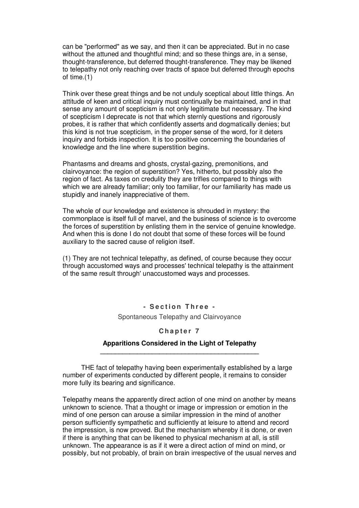can be "performed" as we say, and then it can be appreciated. But in no case without the attuned and thoughtful mind; and so these things are, in a sense, thought-transference, but deferred thought-transference. They may be likened to telepathy not only reaching over tracts of space but deferred through epochs of time.(1)

Think over these great things and be not unduly sceptical about little things. An attitude of keen and critical inquiry must continually be maintained, and in that sense any amount of scepticism is not only legitimate but necessary. The kind of scepticism I deprecate is not that which sternly questions and rigorously probes, it is rather that which confidently asserts and dogmatically denies; but this kind is not true scepticism, in the proper sense of the word, for it deters inquiry and forbids inspection. It is too positive concerning the boundaries of knowledge and the line where superstition begins.

Phantasms and dreams and ghosts, crystal-gazing, premonitions, and clairvoyance: the region of superstition? Yes, hitherto, but possibly also the region of fact. As taxes on credulity they are trifles compared to things with which we are already familiar; only too familiar, for our familiarity has made us stupidly and inanely inappreciative of them.

The whole of our knowledge and existence is shrouded in mystery: the commonplace is itself full of marvel, and the business of science is to overcome the forces of superstition by enlisting them in the service of genuine knowledge. And when this is done I do not doubt that some of these forces will be found auxiliary to the sacred cause of religion itself.

(1) They are not technical telepathy, as defined, of course because they occur through accustomed ways and processes' technical telepathy is the attainment of the same result through' unaccustomed ways and processes.

# **- S e c t i o n T h r e e -**

Spontaneous Telepathy and Clairvoyance

# **C h a p t e r 7**

### **Apparitions Considered in the Light of Telepathy \_\_\_\_\_\_\_\_\_\_\_\_\_\_\_\_\_\_\_\_\_\_\_\_\_\_\_\_\_\_\_\_\_\_\_\_\_\_\_\_\_\_\_**

THE fact of telepathy having been experimentally established by a large number of experiments conducted by different people, it remains to consider more fully its bearing and significance.

Telepathy means the apparently direct action of one mind on another by means unknown to science. That a thought or image or impression or emotion in the mind of one person can arouse a similar impression in the mind of another person sufficiently sympathetic and sufficiently at leisure to attend and record the impression, is now proved. But the mechanism whereby it is done, or even if there is anything that can be likened to physical mechanism at all, is still unknown. The appearance is as if it were a direct action of mind on mind, or possibly, but not probably, of brain on brain irrespective of the usual nerves and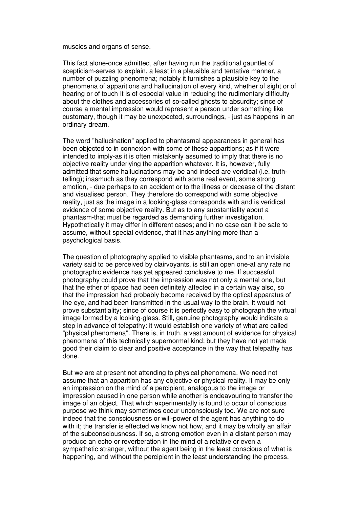muscles and organs of sense.

This fact alone-once admitted, after having run the traditional gauntlet of scepticism-serves to explain, a least in a plausible and tentative manner, a number of puzzling phenomena; notably it furnishes a plausible key to the phenomena of apparitions and hallucination of every kind, whether of sight or of hearing or of touch It is of especial value in reducing the rudimentary difficulty about the clothes and accessories of so-called ghosts to absurdity; since of course a mental impression would represent a person under something like customary, though it may be unexpected, surroundings, - just as happens in an ordinary dream.

The word "hallucination" applied to phantasmal appearances in general has been objected to in connexion with some of these apparitions; as if it were intended to imply-as it is often mistakenly assumed to imply that there is no objective reality underlying the apparition whatever. It is, however, fully admitted that some hallucinations may be and indeed are veridical (i.e. truthtelling); inasmuch as they correspond with some real event, some strong emotion, - due perhaps to an accident or to the illness or decease of the distant and visualised person. They therefore do correspond with some objective reality, just as the image in a looking-glass corresponds with and is veridical evidence of some objective reality. But as to any substantiality about a phantasm-that must be regarded as demanding further investigation. Hypothetically it may differ in different cases; and in no case can it be safe to assume, without special evidence, that it has anything more than a psychological basis.

The question of photography applied to visible phantasms, and to an invisible variety said to be perceived by clairvoyants, is still an open one-at any rate no photographic evidence has yet appeared conclusive to me. If successful, photography could prove that the impression was not only a mental one, but that the ether of space had been definitely affected in a certain way also, so that the impression had probably become received by the optical apparatus of the eye, and had been transmitted in the usual way to the brain. It would not prove substantiality; since of course it is perfectly easy to photograph the virtual image formed by a looking-glass. Still, genuine photography would indicate a step in advance of telepathy: it would establish one variety of what are called "physical phenomena". There is, in truth, a vast amount of evidence for physical phenomena of this technically supernormal kind; but they have not yet made good their claim to clear and positive acceptance in the way that telepathy has done.

But we are at present not attending to physical phenomena. We need not assume that an apparition has any objective or physical reality. It may be only an impression on the mind of a percipient, analogous to the image or impression caused in one person while another is endeavouring to transfer the image of an object. That which experimentally is found to occur of conscious purpose we think may sometimes occur unconsciously too. We are not sure indeed that the consciousness or will-power of the agent has anything to do with it; the transfer is effected we know not how, and it may be wholly an affair of the subconsciousness. If so, a strong emotion even in a distant person may produce an echo or reverberation in the mind of a relative or even a sympathetic stranger, without the agent being in the least conscious of what is happening, and without the percipient in the least understanding the process.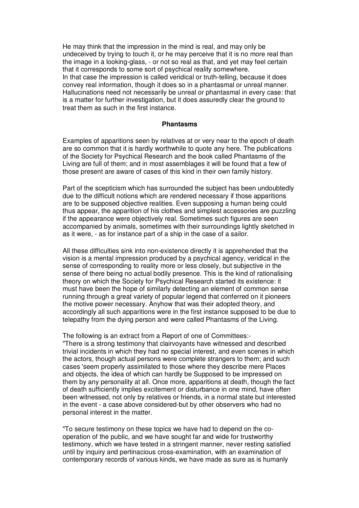He may think that the impression in the mind is real, and may only be undeceived by trying to touch it, or he may perceive that it is no more real than the image in a looking-glass, - or not so real as that, and yet may feel certain that it corresponds to some sort of psychical reality somewhere. In that case the impression is called veridical or truth-telling, because it does convey real information, though it does so in a phantasmal or unreal manner. Hallucinations need not necessarily be unreal or phantasmal in every case: that is a matter for further investigation, but it does assuredly clear the ground to treat them as such in the first instance.

#### **Phantasms**

Examples of apparitions seen by relatives at or very near to the epoch of death are so common that it is hardly worthwhile to quote any here. The publications of the Society for Psychical Research and the book called Phantasms of the Living are full of them; and in most assemblages it will be found that a few of those present are aware of cases of this kind in their own family history.

Part of the scepticism which has surrounded the subject has been undoubtedly due to the difficult notions which are rendered necessary if those apparitions are to be supposed objective realities. Even supposing a human being could thus appear, the apparition of his clothes and simplest accessories are puzzling if the appearance were objectively real. Sometimes such figures are seen accompanied by animals, sometimes with their surroundings lightly sketched in as it were, - as for instance part of a ship in the case of a sailor.

All these difficulties sink into non-existence directly it is apprehended that the vision is a mental impression produced by a psychical agency, veridical in the sense of corresponding to reality more or less closely, but subjective in the sense of there being no actual bodily presence. This is the kind of rationalising theory on which the Society for Psychical Research started its existence: it must have been the hope of similarly detecting an element of common sense running through a great variety of popular legend that conferred on it pioneers the motive power necessary. Anyhow that was their adopted theory, and accordingly all such apparitions were in the first instance supposed to be due to telepathy from the dying person and were called Phantasms of the Living.

The following is an extract from a Report of one of Committees:- "There is a strong testimony that clairvoyants have witnessed and described trivial incidents in which they had no special interest, and even scenes in which the actors, though actual persons were complete strangers to them; and such cases 'seem properly assimilated to those where they describe mere Places and objects, the idea of which can hardly be Supposed to be impressed on them by any personality at all. Once more, apparitions at death, though the fact of death sufficiently implies excitement or disturbance in one mind, have often been witnessed, not only by relatives or friends, in a normal state but interested in the event - a case above considered-but by other observers who had no personal interest in the matter.

"To secure testimony on these topics we have had to depend on the cooperation of the public, and we have sought far and wide for trustworthy testimony, which we have tested in a stringent manner, never resting satisfied until by inquiry and pertinacious cross-examination, with an examination of contemporary records of various kinds, we have made as sure as is humanly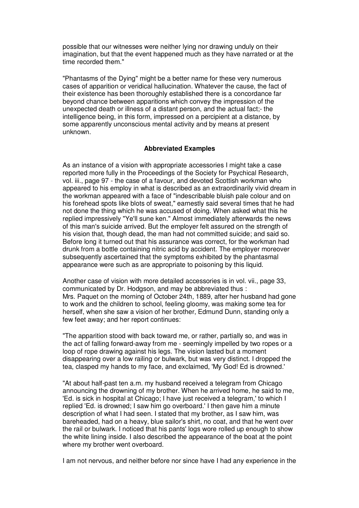possible that our witnesses were neither lying nor drawing unduly on their imagination, but that the event happened much as they have narrated or at the time recorded them."

"Phantasms of the Dying" might be a better name for these very numerous cases of apparition or veridical hallucination. Whatever the cause, the fact of their existence has been thoroughly established there is a concordance far beyond chance between apparitions which convey the impression of the unexpected death or illness of a distant person, and the actual fact;- the intelligence being, in this form, impressed on a percipient at a distance, by some apparently unconscious mental activity and by means at present unknown.

### **Abbreviated Examples**

As an instance of a vision with appropriate accessories I might take a case reported more fully in the Proceedings of the Society for Psychical Research, vol. iii., page 97 - the case of a favour, and devoted Scottish workman who appeared to his employ in what is described as an extraordinarily vivid dream in the workman appeared with a face of "indescribable bluish pale colour and on his forehead spots like blots of sweat," earnestly said several times that he had not done the thing which he was accused of doing. When asked what this he replied impressively "Ye'll sune ken." Almost immediately afterwards the news of this man's suicide arrived. But the employer felt assured on the strength of his vision that, though dead, the man had not committed suicide; and said so. Before long it turned out that his assurance was correct, for the workman had drunk from a bottle containing nitric acid by accident. The employer moreover subsequently ascertained that the symptoms exhibited by the phantasmal appearance were such as are appropriate to poisoning by this liquid.

Another case of vision with more detailed accessories is in vol. vii., page 33, communicated by Dr. Hodgson, and may be abbreviated thus : Mrs. Paquet on the morning of October 24th, 1889, after her husband had gone to work and the children to school, feeling gloomy, was making some tea for herself, when she saw a vision of her brother, Edmund Dunn, standing only a few feet away; and her report continues:

"The apparition stood with back toward me, or rather, partially so, and was in the act of falling forward-away from me - seemingly impelled by two ropes or a loop of rope drawing against his legs. The vision lasted but a moment disappearing over a low railing or bulwark, but was very distinct. I dropped the tea, clasped my hands to my face, and exclaimed, 'My God! Ed is drowned.'

"At about half-past ten a.m. my husband received a telegram from Chicago announcing the drowning of my brother. When he arrived home, he said to me, 'Ed. is sick in hospital at Chicago; I have just received a telegram,' to which I replied 'Ed. is drowned; I saw him go overboard.' I then gave him a minute description of what I had seen. I stated that my brother, as I saw him, was bareheaded, had on a heavy, blue sailor's shirt, no coat, and that he went over the rail or bulwark. I noticed that his pants' logs wore rolled up enough to show the white lining inside. I also described the appearance of the boat at the point where my brother went overboard.

I am not nervous, and neither before nor since have I had any experience in the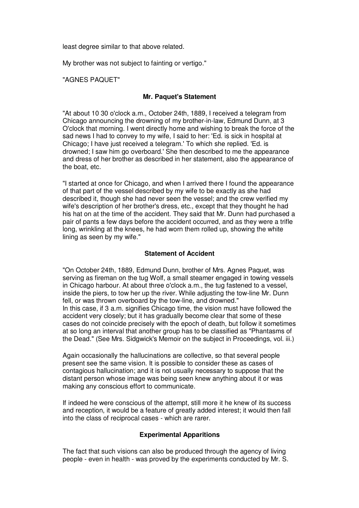least degree similar to that above related.

My brother was not subject to fainting or vertigo."

"AGNES PAQUET"

## **Mr. Paquet's Statement**

"At about 10 30 o'clock a.m., October 24th, 1889, I received a telegram from Chicago announcing the drowning of my brother-in-law, Edmund Dunn, at 3 O'clock that morning. I went directly home and wishing to break the force of the sad news I had to convey to my wife, I said to her: 'Ed. is sick in hospital at Chicago; I have just received a telegram.' To which she replied. 'Ed. is drowned; I saw him go overboard.' She then described to me the appearance and dress of her brother as described in her statement, also the appearance of the boat, etc.

"I started at once for Chicago, and when I arrived there I found the appearance of that part of the vessel described by my wife to be exactly as she had described it, though she had never seen the vessel; and the crew verified my wife's description of her brother's dress, etc., except that they thought he had his hat on at the time of the accident. They said that Mr. Dunn had purchased a pair of pants a few days before the accident occurred, and as they were a trifle long, wrinkling at the knees, he had worn them rolled up, showing the white lining as seen by my wife."

## **Statement of Accident**

"On October 24th, 1889, Edmund Dunn, brother of Mrs. Agnes Paquet, was serving as fireman on the tug Wolf, a small steamer engaged in towing vessels in Chicago harbour. At about three o'clock a.m., the tug fastened to a vessel, inside the piers, to tow her up the river. While adjusting the tow-line Mr. Dunn fell, or was thrown overboard by the tow-line, and drowned." In this case, if 3 a.m. signifies Chicago time, the vision must have followed the accident very closely; but it has gradually become clear that some of these cases do not coincide precisely with the epoch of death, but follow it sometimes at so long an interval that another group has to be classified as "Phantasms of the Dead." (See Mrs. Sidgwick's Memoir on the subject in Proceedings, vol. iii.)

Again occasionally the hallucinations are collective, so that several people present see the same vision. It is possible to consider these as cases of contagious hallucination; and it is not usually necessary to suppose that the distant person whose image was being seen knew anything about it or was making any conscious effort to communicate.

If indeed he were conscious of the attempt, still more it he knew of its success and reception, it would be a feature of greatly added interest; it would then fall into the class of reciprocal cases - which are rarer.

### **Experimental Apparitions**

The fact that such visions can also be produced through the agency of living people - even in health - was proved by the experiments conducted by Mr. S.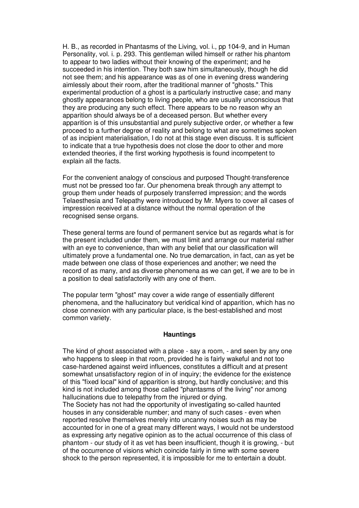H. B., as recorded in Phantasms of the Living, vol. i., pp 104-9, and in Human Personality, vol. i. p. 293. This gentleman willed himself or rather his phantom to appear to two ladies without their knowing of the experiment; and he succeeded in his intention. They both saw him simultaneously, though he did not see them; and his appearance was as of one in evening dress wandering aimlessly about their room, after the traditional manner of "ghosts." This experimental production of a ghost is a particularly instructive case; and many ghostly appearances belong to living people, who are usually unconscious that they are producing any such effect. There appears to be no reason why an apparition should always be of a deceased person. But whether every apparition is of this unsubstantial and purely subjective order, or whether a few proceed to a further degree of reality and belong to what are sometimes spoken of as incipient materialisation, I do not at this stage even discuss. It is sufficient to indicate that a true hypothesis does not close the door to other and more extended theories, if the first working hypothesis is found incompetent to explain all the facts.

For the convenient analogy of conscious and purposed Thought-transference must not be pressed too far. Our phenomena break through any attempt to group them under heads of purposely transferred impression; and the words Telaesthesia and Telepathy were introduced by Mr. Myers to cover all cases of impression received at a distance without the normal operation of the recognised sense organs.

These general terms are found of permanent service but as regards what is for the present included under them, we must limit and arrange our material rather with an eye to convenience, than with any belief that our classification will ultimately prove a fundamental one. No true demarcation, in fact, can as yet be made between one class of those experiences and another; we need the record of as many, and as diverse phenomena as we can get, if we are to be in a position to deal satisfactorily with any one of them.

The popular term "ghost" may cover a wide range of essentially different phenomena, and the hallucinatory but veridical kind of apparition, which has no close connexion with any particular place, is the best-established and most common variety.

### **Hauntings**

The kind of ghost associated with a place - say a room, - and seen by any one who happens to sleep in that room, provided he is fairly wakeful and not too case-hardened against weird influences, constitutes a difficult and at present somewhat unsatisfactory region of in of inquiry; the evidence for the existence of this "fixed local" kind of apparition is strong, but hardly conclusive; and this kind is not included among those called "phantasms of the living" nor among hallucinations due to telepathy from the injured or dying.

The Society has not had the opportunity of investigating so-called haunted houses in any considerable number; and many of such cases - even when reported resolve themselves merely into uncanny noises such as may be accounted for in one of a great many different ways, I would not be understood as expressing arty negative opinion as to the actual occurrence of this class of phantom - our study of it as vet has been insufficient, though it is growing, - but of the occurrence of visions which coincide fairly in time with some severe shock to the person represented, it is impossible for me to entertain a doubt.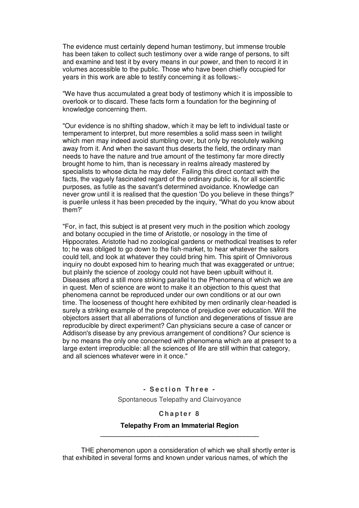The evidence must certainly depend human testimony, but immense trouble has been taken to collect such testimony over a wide range of persons, to sift and examine and test it by every means in our power, and then to record it in volumes accessible to the public. Those who have been chiefly occupied for years in this work are able to testify concerning it as follows:-

"We have thus accumulated a great body of testimony which it is impossible to overlook or to discard. These facts form a foundation for the beginning of knowledge concerning them.

"Our evidence is no shifting shadow, which it may be left to individual taste or temperament to interpret, but more resembles a solid mass seen in twilight which men may indeed avoid stumbling over, but only by resolutely walking away from it. And when the savant thus deserts the field, the ordinary man needs to have the nature and true amount of the testimony far more directly brought home to him, than is necessary in realms already mastered by specialists to whose dicta he may defer. Failing this direct contact with the facts, the vaguely fascinated regard of the ordinary public is, for all scientific purposes, as futile as the savant's determined avoidance. Knowledge can never grow until it is realised that the question 'Do you believe in these things?' is puerile unless it has been preceded by the inquiry, "What do you know about them?'

"For, in fact, this subject is at present very much in the position which zoology and botany occupied in the time of Aristotle, or nosology in the time of Hippocrates. Aristotle had no zoological gardens or methodical treatises to refer to; he was obliged to go down to the fish-market, to hear whatever the sailors could tell, and look at whatever they could bring him. This spirit of Omnivorous inquiry no doubt exposed him to hearing much that was exaggerated or untrue; but plainly the science of zoology could not have been upbuilt without it. Diseases afford a still more striking parallel to the Phenomena of which we are in quest. Men of science are wont to make it an objection to this quest that phenomena cannot be reproduced under our own conditions or at our own time. The looseness of thought here exhibited by men ordinarily clear-headed is surely a striking example of the prepotence of prejudice over education. Will the objectors assert that all aberrations of function and degenerations of tissue are reproducible by direct experiment? Can physicians secure a case of cancer or Addison's disease by any previous arrangement of conditions? Our science is by no means the only one concerned with phenomena which are at present to a large extent irreproducible: all the sciences of life are still within that category, and all sciences whatever were in it once."

# **- S e c t i o n T h r e e -** Spontaneous Telepathy and Clairvoyance

# **C h a p t e r 8**

### **Telepathy From an Immaterial Region \_\_\_\_\_\_\_\_\_\_\_\_\_\_\_\_\_\_\_\_\_\_\_\_\_\_\_\_\_\_\_\_\_\_\_\_\_\_\_\_\_\_\_**

THE phenomenon upon a consideration of which we shall shortly enter is that exhibited in several forms and known under various names, of which the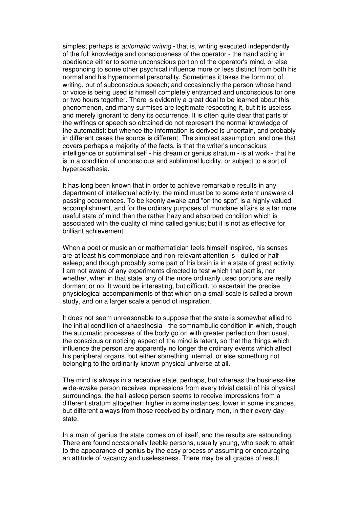simplest perhaps is *automatic writing* - that is, writing executed independently of the full knowledge and consciousness of the operator - the hand acting in obedience either to some unconscious portion of the operator's mind, or else responding to some other psychical influence more or less distinct from both his normal and his hypernormal personality. Sometimes it takes the form not of writing, but of subconscious speech; and occasionally the person whose hand or voice is being used is himself completely entranced and unconscious for one or two hours together. There is evidently a great deal to be learned about this phenomenon, and many surmises are legitimate respecting it, but it is useless and merely ignorant to deny its occurrence. It is often quite clear that parts of the writings or speech so obtained do not represent the normal knowledge of the automatist: but whence the information is derived is uncertain, and probably in different cases the source is different. The simplest assumption, and one that covers perhaps a majority of the facts, is that the writer's unconscious intelligence or subliminal self - his dream or genius stratum - is at work - that he is in a condition of unconscious and subliminal lucidity, or subject to a sort of hyperaesthesia.

It has long been known that in order to achieve remarkable results in any department of intellectual activity, the mind must be to some extent unaware of passing occurrences. To be keenly awake and "on the spot" is a highly valued accomplishment, and for the ordinary purposes of mundane affairs is a far more useful state of mind than the rather hazy and absorbed condition which is associated with the quality of mind called genius; but it is not as effective for brilliant achievement.

When a poet or musician or mathematician feels himself inspired, his senses are-at least his commonplace and non-relevant attention is - dulled or half asleep; and though probably some part of his brain is in a state of great activity, I am not aware of any experiments directed to test which that part is, nor whether, when in that state, any of the more ordinarily used portions are really dormant or no. It would be interesting, but difficult, to ascertain the precise physiological accompaniments of that which on a small scale is called a brown study, and on a larger scale a period of inspiration.

It does not seem unreasonable to suppose that the state is somewhat allied to the initial condition of anaesthesia - the somnambulic condition in which, though the automatic processes of the body go on with greater perfection than usual, the conscious or noticing aspect of the mind is latent, so that the things which influence the person are apparently no longer the ordinary events which affect his peripheral organs, but either something internal, or else something not belonging to the ordinarily known physical universe at all.

The mind is always in a receptive state, perhaps, but whereas the business-like wide-awake person receives impressions from every trivial detail of his physical surroundings, the half-asleep person seems to receive impressions from a different stratum altogether; higher in some instances, lower in some instances, but different always from those received by ordinary men, in their every-day state.

In a man of genius the state comes on of itself, and the results are astounding. There are found occasionally feeble persons, usually young, who seek to attain to the appearance of genius by the easy process of assuming or encouraging an attitude of vacancy and uselessness. There may be all grades of result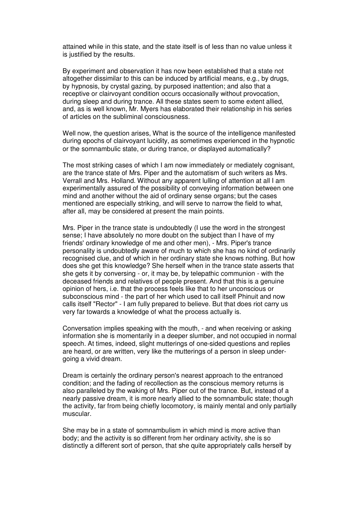attained while in this state, and the state itself is of less than no value unless it is justified by the results.

By experiment and observation it has now been established that a state not altogether dissimilar to this can be induced by artificial means, e.g., by drugs, by hypnosis, by crystal gazing, by purposed inattention; and also that a receptive or clairvoyant condition occurs occasionally without provocation, during sleep and during trance. All these states seem to some extent allied, and, as is well known, Mr. Myers has elaborated their relationship in his series of articles on the subliminal consciousness.

Well now, the question arises, What is the source of the intelligence manifested during epochs of clairvoyant lucidity, as sometimes experienced in the hypnotic or the somnambulic state, or during trance, or displayed automatically?

The most striking cases of which I am now immediately or mediately cognisant, are the trance state of Mrs. Piper and the automatism of such writers as Mrs. Verrall and Mrs. Holland. Without any apparent lulling of attention at all I am experimentally assured of the possibility of conveying information between one mind and another without the aid of ordinary sense organs; but the cases mentioned are especially striking, and will serve to narrow the field to what, after all, may be considered at present the main points.

Mrs. Piper in the trance state is undoubtedly (I use the word in the strongest sense; I have absolutely no more doubt on the subject than I have of my friends' ordinary knowledge of me and other men), - Mrs. Piper's trance personality is undoubtedly aware of much to which she has no kind of ordinarily recognised clue, and of which in her ordinary state she knows nothing. But how does she get this knowledge? She herself when in the trance state asserts that she gets it by conversing - or, it may be, by telepathic communion - with the deceased friends and relatives of people present. And that this is a genuine opinion of hers, i.e. that the process feels like that to her unconscious or subconscious mind - the part of her which used to call itself Phinuit and now calls itself "Rector" - I am fully prepared to believe. But that does riot carry us very far towards a knowledge of what the process actually is.

Conversation implies speaking with the mouth, - and when receiving or asking information she is momentarily in a deeper slumber, and not occupied in normal speech. At times, indeed, slight mutterings of one-sided questions and replies are heard, or are written, very like the mutterings of a person in sleep undergoing a vivid dream.

Dream is certainly the ordinary person's nearest approach to the entranced condition; and the fading of recollection as the conscious memory returns is also paralleled by the waking of Mrs. Piper out of the trance. But, instead of a nearly passive dream, it is more nearly allied to the somnambulic state; though the activity, far from being chiefly locomotory, is mainly mental and only partially muscular.

She may be in a state of somnambulism in which mind is more active than body; and the activity is so different from her ordinary activity, she is so distinctly a different sort of person, that she quite appropriately calls herself by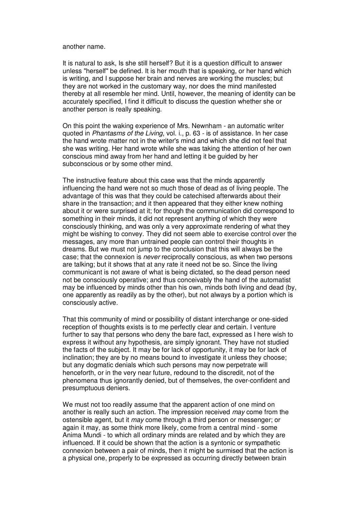another name.

It is natural to ask, Is she still herself? But it is a question difficult to answer unless "herself" be defined. It is her mouth that is speaking, or her hand which is writing, and I suppose her brain and nerves are working the muscles; but they are not worked in the customary way, nor does the mind manifested thereby at all resemble her mind. Until, however, the meaning of identity can be accurately specified, I find it difficult to discuss the question whether she or another person is really speaking.

On this point the waking experience of Mrs. Newnham - an automatic writer quoted in *Phantasms of the Living*, vol. i., p. 63 - is of assistance. In her case the hand wrote matter not in the writer's mind and which she did not feel that she was writing. Her hand wrote while she was taking the attention of her own conscious mind away from her hand and letting it be guided by her subconscious or by some other mind.

The instructive feature about this case was that the minds apparently influencing the hand were not so much those of dead as of living people. The advantage of this was that they could be catechised afterwards about their share in the transaction; and it then appeared that they either knew nothing about it or were surprised at it; for though the communication did correspond to something in their minds, it did not represent anything of which they were consciously thinking, and was only a very approximate rendering of what they might be wishing to convey. They did not seem able to exercise control over the messages, any more than untrained people can control their thoughts in dreams. But we must not jump to the conclusion that this will always be the case; that the connexion is *never* reciprocally conscious, as when two persons are talking; but it shows that at any rate it need not be so. Since the living communicant is not aware of what is being dictated, so the dead person need not be consciously operative; and thus conceivably the hand of the automatist may be influenced by minds other than his own, minds both living and dead (by, one apparently as readily as by the other), but not always by a portion which is consciously active.

That this community of mind or possibility of distant interchange or one-sided reception of thoughts exists is to me perfectly clear and certain. I venture further to say that persons who deny the bare fact, expressed as I here wish to express it without any hypothesis, are simply ignorant. They have not studied the facts of the subject. It may be for lack of opportunity, it may be for lack of inclination; they are by no means bound to investigate it unless they choose; but any dogmatic denials which such persons may now perpetrate will henceforth, or in the very near future, redound to the discredit, not of the phenomena thus ignorantly denied, but of themselves, the over-confident and presumptuous deniers.

We must not too readily assume that the apparent action of one mind on another is really such an action. The impression received *may* come from the ostensible agent, but it *may* come through a third person or messenger; or again it may, as some think more likely, come from a central mind - some Anima Mundi - to which all ordinary minds are related and by which they are influenced. If it could be shown that the action is a syntonic or sympathetic connexion between a pair of minds, then it might be surmised that the action is a physical one, properly to be expressed as occurring directly between brain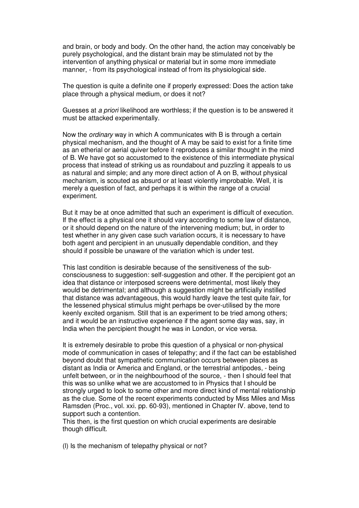and brain, or body and body. On the other hand, the action may conceivably be purely psychological, and the distant brain may be stimulated not by the intervention of anything physical or material but in some more immediate manner, - from its psychological instead of from its physiological side.

The question is quite a definite one if properly expressed: Does the action take place through a physical medium, or does it not?

Guesses at *a priori* likelihood are worthless; if the question is to be answered it must be attacked experimentally.

Now the *ordinary* way in which A communicates with B is through a certain physical mechanism, and the thought of A may be said to exist for a finite time as an etherial or aerial quiver before it reproduces a similar thought in the mind of B. We have got so accustomed to the existence of this intermediate physical process that instead of striking us as roundabout and puzzling it appeals to us as natural and simple; and any more direct action of A on B, without physical mechanism, is scouted as absurd or at least violently improbable. Well, it is merely a question of fact, and perhaps it is within the range of a crucial experiment.

But it may be at once admitted that such an experiment is difficult of execution. If the effect is a physical one it should vary according to some law of distance, or it should depend on the nature of the intervening medium; but, in order to test whether in any given case such variation occurs, it is necessary to have both agent and percipient in an unusually dependable condition, and they should if possible be unaware of the variation which is under test.

This last condition is desirable because of the sensitiveness of the subconsciousness to suggestion: self-suggestion and other. If the percipient got an idea that distance or interposed screens were detrimental, most likely they would be detrimental; and although a suggestion might be artificially instilled that distance was advantageous, this would hardly leave the test quite fair, for the lessened physical stimulus might perhaps be over-utilised by the more keenly excited organism. Still that is an experiment to be tried among others; and it would be an instructive experience if the agent some day was, say, in India when the percipient thought he was in London, or vice versa.

It is extremely desirable to probe this question of a physical or non-physical mode of communication in cases of telepathy; and if the fact can be established beyond doubt that sympathetic communication occurs between places as distant as India or America and England, or the terrestrial antipodes, - being unfelt between, or in the neighbourhood of the source, - then I should feel that this was so unlike what we are accustomed to in Physics that I should be strongly urged to look to some other and more direct kind of mental relationship as the clue. Some of the recent experiments conducted by Miss Miles and Miss Ramsden (Proc., vol. xxi. pp. 60-93), mentioned in Chapter IV. above, tend to support such a contention.

This then, is the first question on which crucial experiments are desirable though difficult.

(l) Is the mechanism of telepathy physical or not?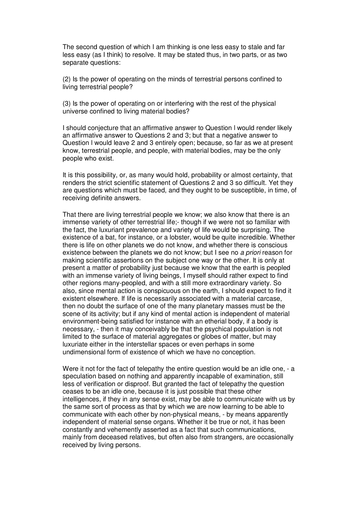The second question of which I am thinking is one less easy to stale and far less easy (as I think) to resolve. It may be stated thus, in two parts, or as two separate questions:

(2) Is the power of operating on the minds of terrestrial persons confined to living terrestrial people?

(3) Is the power of operating on or interfering with the rest of the physical universe confined to living material bodies?

I should conjecture that an affirmative answer to Question l would render likely an affirmative answer to Questions 2 and 3; but that a negative answer to Question l would leave 2 and 3 entirely open; because, so far as we at present know, terrestrial people, and people, with material bodies, may be the only people who exist.

It is this possibility, or, as many would hold, probability or almost certainty, that renders the strict scientific statement of Questions 2 and 3 so difficult. Yet they are questions which must be faced, and they ought to be susceptible, in time, of receiving definite answers.

That there are living terrestrial people we know; we also know that there is an immense variety of other terrestrial life;- though if we were not so familiar with the fact, the luxuriant prevalence and variety of life would be surprising. The existence of a bat, for instance, or a lobster, would be quite incredible. Whether there is life on other planets we do not know, and whether there is conscious existence between the planets we do not know; but I see no *a priori* reason for making scientific assertions on the subject one way or the other. It is only at present a matter of probability just because we know that the earth is peopled with an immense variety of living beings, I myself should rather expect to find other regions many-peopled, and with a still more extraordinary variety. So also, since mental action is conspicuous on the earth, I should expect to find it existent elsewhere. If life is necessarily associated with a material carcase, then no doubt the surface of one of the many planetary masses must be the scene of its activity; but if any kind of mental action is independent of material environment-being satisfied for instance with an etherial body, if a body is necessary, - then it may conceivably be that the psychical population is not limited to the surface of material aggregates or globes of matter, but may luxuriate either in the interstellar spaces or even perhaps in some undimensional form of existence of which we have no conception.

Were it not for the fact of telepathy the entire question would be an idle one, - a speculation based on nothing and apparently incapable of examination, still less of verification or disproof. But granted the fact of telepathy the question ceases to be an idle one, because it is just possible that these other intelligences, if they in any sense exist, may be able to communicate with us by the same sort of process as that by which we are now learning to be able to communicate with each other by non-physical means, - by means apparently independent of material sense organs. Whether it be true or not, it has been constantly and vehemently asserted as a fact that such communications, mainly from deceased relatives, but often also from strangers, are occasionally received by living persons.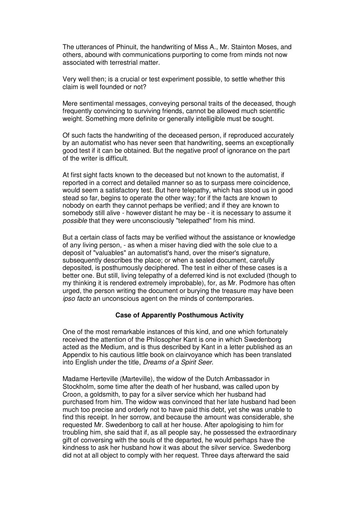The utterances of Phinuit, the handwriting of Miss A., Mr. Stainton Moses, and others, abound with communications purporting to come from minds not now associated with terrestrial matter.

Very well then; is a crucial or test experiment possible, to settle whether this claim is well founded or not?

Mere sentimental messages, conveying personal traits of the deceased, though frequently convincing to surviving friends, cannot be allowed much scientific weight. Something more definite or generally intelligible must be sought.

Of such facts the handwriting of the deceased person, if reproduced accurately by an automatist who has never seen that handwriting, seems an exceptionally good test if it can be obtained. But the negative proof of ignorance on the part of the writer is difficult.

At first sight facts known to the deceased but not known to the automatist, if reported in a correct and detailed manner so as to surpass mere coincidence, would seem a satisfactory test. But here telepathy, which has stood us in good stead so far, begins to operate the other way; for if the facts are known to nobody on earth they cannot perhaps be verified; and if they are known to somebody still alive - however distant he may be - it is necessary to assume it *possible* that they were unconsciously "telepathed" from his mind.

But a certain class of facts may be verified without the assistance or knowledge of any living person, - as when a miser having died with the sole clue to a deposit of "valuables" an automatist's hand, over the miser's signature, subsequently describes the place; or when a sealed document, carefully deposited, is posthumously deciphered. The test in either of these cases is a better one. But still, living telepathy of a deferred kind is not excluded (though to my thinking it is rendered extremely improbable), for, as Mr. Podmore has often urged, the person writing the document or burying the treasure may have been *ipso facto* an unconscious agent on the minds of contemporaries.

### **Case of Apparently Posthumous Activity**

One of the most remarkable instances of this kind, and one which fortunately received the attention of the Philosopher Kant is one in which Swedenborg acted as the Medium, and is thus described by Kant in a letter published as an Appendix to his cautious little book on clairvoyance which has been translated into English under the title, *Dreams of a Spirit Seer*.

Madame Herteville (Marteville), the widow of the Dutch Ambassador in Stockholm, some time after the death of her husband, was called upon by Croon, a goldsmith, to pay for a silver service which her husband had purchased from him. The widow was convinced that her late husband had been much too precise and orderly not to have paid this debt, yet she was unable to find this receipt. In her sorrow, and because the amount was considerable, she requested Mr. Swedenborg to call at her house. After apologising to him for troubling him, she said that if, as all people say, he possessed the extraordinary gift of conversing with the souls of the departed, he would perhaps have the kindness to ask her husband how it was about the silver service. Swedenborg did not at all object to comply with her request. Three days afterward the said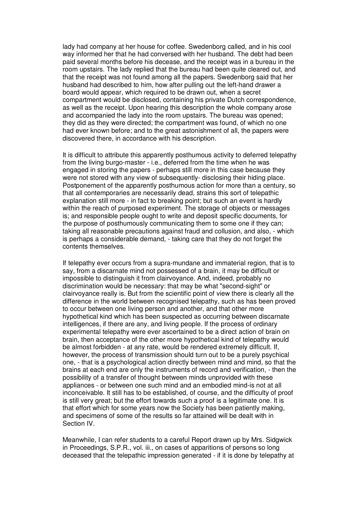lady had company at her house for coffee. Swedenborg called, and in his cool way informed her that he had conversed with her husband. The debt had been paid several months before his decease, and the receipt was in a bureau in the room upstairs. The lady replied that the bureau had been quite cleared out, and that the receipt was not found among all the papers. Swedenborg said that her husband had described to him, how after pulling out the left-hand drawer a board would appear, which required to be drawn out, when a secret compartment would be disclosed, containing his private Dutch correspondence, as well as the receipt. Upon hearing this description the whole company arose and accompanied the lady into the room upstairs. The bureau was opened; they did as they were directed; the compartment was found, of which no one had ever known before; and to the great astonishment of all, the papers were discovered there, in accordance with his description.

It is difficult to attribute this apparently posthumous activity to deferred telepathy from the living burgo-master - i.e., deferred from the time when he was engaged in storing the papers - perhaps still more in this case because they were not stored with any view of subsequently- disclosing their hiding place. Postponement of the apparently posthumous action for more than a century, so that all contemporaries are necessarily dead, strains this sort of telepathic explanation still more - in fact to breaking point; but such an event is hardly within the reach of purposed experiment. The storage of objects or messages is; and responsible people ought to write and deposit specific documents, for the purpose of posthumously communicating them to some one if they can; taking all reasonable precautions against fraud and collusion, and also, - which is perhaps a considerable demand, - taking care that they do not forget the contents themselves.

If telepathy ever occurs from a supra-mundane and immaterial region, that is to say, from a discarnate mind not possessed of a brain, it may be difficult or impossible to distinguish it from clairvoyance. And, indeed, probably no discrimination would be necessary: that may be what "second-sight" or clairvoyance really is. But from the scientific point of view there is clearly all the difference in the world between recognised telepathy, such as has been proved to occur between one living person and another, and that other more hypothetical kind which has been suspected as occurring between discarnate intelligences, if there are any, and living people. If the process of ordinary experimental telepathy were ever ascertained to be a direct action of brain on brain, then acceptance of the other more hypothetical kind of telepathy would be almost forbidden - at any rate, would be rendered extremely difficult. If, however, the process of transmission should turn out to be a purely psychical one, - that is a psychological action directly between mind and mind, so that the brains at each end are only the instruments of record and verification, - then the possibility of a transfer of thought between minds unprovided with these appliances - or between one such mind and an embodied mind-is not at all inconceivable. It still has to be established, of course, and the difficulty of proof is still very great; but the effort towards such a proof is a legitimate one. It is that effort which for some years now the Society has been patiently making, and specimens of some of the results so far attained will be dealt with in Section IV.

Meanwhile, I can refer students to a careful Report drawn up by Mrs. Sidgwick in Proceedings, S.P.R., vol. iii., on cases of apparitions of persons so long deceased that the telepathic impression generated - if it is done by telepathy at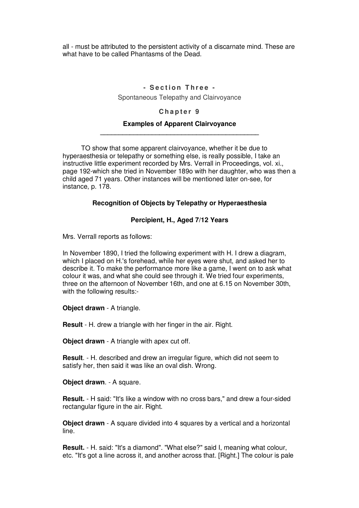all - must be attributed to the persistent activity of a discarnate mind. These are what have to be called Phantasms of the Dead.

# **- S e c t i o n T h r e e -**

#### Spontaneous Telepathy and Clairvoyance

### **C h a p t e r 9**

### **Examples of Apparent Clairvoyance \_\_\_\_\_\_\_\_\_\_\_\_\_\_\_\_\_\_\_\_\_\_\_\_\_\_\_\_\_\_\_\_\_\_\_\_\_\_\_\_\_\_\_**

TO show that some apparent clairvoyance, whether it be due to hyperaesthesia or telepathy or something else, is really possible, I take an instructive little experiment recorded by Mrs. Verrall in Proceedings, vol. xi., page 192-which she tried in November 189o with her daughter, who was then a child aged 71 years. Other instances will be mentioned later on-see, for instance, p. 178.

# **Recognition of Objects by Telepathy or Hyperaesthesia**

### **Percipient, H., Aged 7/12 Years**

Mrs. Verrall reports as follows:

In November 1890, I tried the following experiment with H. I drew a diagram, which I placed on H.'s forehead, while her eyes were shut, and asked her to describe it. To make the performance more like a game, I went on to ask what colour it was, and what she could see through it. We tried four experiments, three on the afternoon of November 16th, and one at 6.15 on November 30th, with the following results:-

**Object drawn** - A triangle.

**Result** - H. drew a triangle with her finger in the air. Right.

**Object drawn** - A triangle with apex cut off.

**Result**. - H. described and drew an irregular figure, which did not seem to satisfy her, then said it was like an oval dish. Wrong.

**Object drawn**. - A square.

**Result.** - H said: "It's like a window with no cross bars," and drew a four-sided rectangular figure in the air. Right.

**Object drawn** - A square divided into 4 squares by a vertical and a horizontal line.

**Result.** - H. said: "It's a diamond". "What else?" said I, meaning what colour, etc. "It's got a line across it, and another across that. [Right.] The colour is pale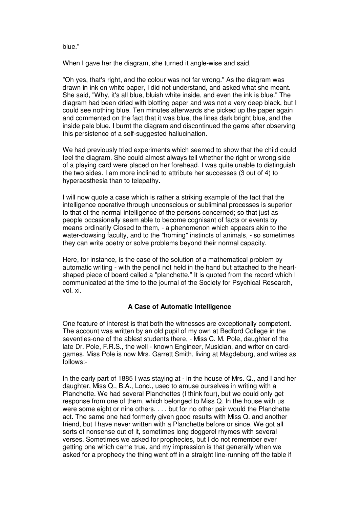blue."

When I gave her the diagram, she turned it angle-wise and said,

"Oh yes, that's right, and the colour was not far wrong." As the diagram was drawn in ink on white paper, I did not understand, and asked what she meant. She said, "Why, it's all blue, bluish white inside, and even the ink is blue." The diagram had been dried with blotting paper and was not a very deep black, but I could see nothing blue. Ten minutes afterwards she picked up the paper again and commented on the fact that it was blue, the lines dark bright blue, and the inside pale blue. I burnt the diagram and discontinued the game after observing this persistence of a self-suggested hallucination.

We had previously tried experiments which seemed to show that the child could feel the diagram. She could almost always tell whether the right or wrong side of a playing card were placed on her forehead. I was quite unable to distinguish the two sides. I am more inclined to attribute her successes (3 out of 4) to hyperaesthesia than to telepathy.

I will now quote a case which is rather a striking example of the fact that the intelligence operative through unconscious or subliminal processes is superior to that of the normal intelligence of the persons concerned; so that just as people occasionally seem able to become cognisant of facts or events by means ordinarily Closed to them, - a phenomenon which appears akin to the water-dowsing faculty, and to the "homing" instincts of animals, - so sometimes they can write poetry or solve problems beyond their normal capacity.

Here, for instance, is the case of the solution of a mathematical problem by automatic writing - with the pencil not held in the hand but attached to the heartshaped piece of board called a "planchette." It is quoted from the record which I communicated at the time to the journal of the Society for Psychical Research, vol. xi.

# **A Case of Automatic Intelligence**

One feature of interest is that both the witnesses are exceptionally competent. The account was written by an old pupil of my own at Bedford College in the seventies-one of the ablest students there, - Miss C. M. Pole, daughter of the late Dr. Pole, F.R.S., the well - known Engineer, Musician, and writer on cardgames. Miss Pole is now Mrs. Garrett Smith, living at Magdeburg, and writes as follows:-

In the early part of 1885 I was staying at - in the house of Mrs. Q., and I and her daughter, Miss Q., B.A., Lond., used to amuse ourselves in writing with a Planchette. We had several Planchettes (I think four), but we could only get response from one of them, which belonged to Miss Q. In the house with us were some eight or nine others. . . . but for no other pair would the Planchette act. The same one had formerly given good results with Miss Q. and another friend, but I have never written with a Planchette before or since. We got all sorts of nonsense out of it, sometimes long doggerel rhymes with several verses. Sometimes we asked for prophecies, but I do not remember ever getting one which came true, and my impression is that generally when we asked for a prophecy the thing went off in a straight line-running off the table if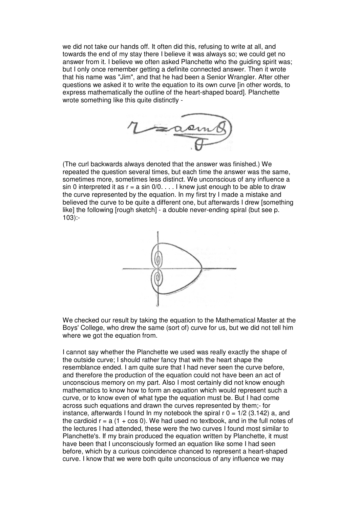we did not take our hands off. It often did this, refusing to write at all, and towards the end of my stay there I believe it was always so; we could get no answer from it. I believe we often asked Planchette who the guiding spirit was; but I only once remember getting a definite connected answer. Then it wrote that his name was "Jim", and that he had been a Senior Wrangler. After other questions we asked it to write the equation to its own curve [in other words, to express mathematically the outline of the heart-shaped board]. Planchette wrote something like this quite distinctly -



(The curl backwards always denoted that the answer was finished.) We repeated the question several times, but each time the answer was the same, sometimes more, sometimes less distinct. We unconscious of any influence a sin 0 interpreted it as  $r = a \sin 0/0$ .... I knew just enough to be able to draw the curve represented by the equation. In my first try I made a mistake and believed the curve to be quite a different one, but afterwards I drew [something like] the following [rough sketch] - a double never-ending spiral (but see p.  $103$ :-



We checked our result by taking the equation to the Mathematical Master at the Boys' College, who drew the same (sort of) curve for us, but we did not tell him where we got the equation from.

I cannot say whether the Planchette we used was really exactly the shape of the outside curve; I should rather fancy that with the heart shape the resemblance ended. I am quite sure that I had never seen the curve before, and therefore the production of the equation could not have been an act of unconscious memory on my part. Also I most certainly did not know enough mathematics to know how to form an equation which would represent such a curve, or to know even of what type the equation must be. But I had come across such equations and drawn the curves represented by them;- for instance, afterwards I found In my notebook the spiral  $r = 1/2$  (3.142) a, and the cardioid  $r = a(1 + \cos 0)$ . We had used no textbook, and in the full notes of the lectures I had attended, these were the two curves I found most similar to Planchette's. If my brain produced the equation written by Planchette, it must have been that I unconsciously formed an equation like some I had seen before, which by a curious coincidence chanced to represent a heart-shaped curve. I know that we were both quite unconscious of any influence we may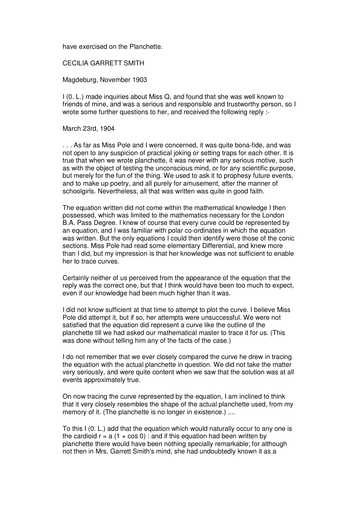have exercised on the Planchette.

CECILIA GARRETT SMITH

Magdeburg, November 1903

I (0. L.) made inquiries about Miss Q, and found that she was well known to friends of mine, and was a serious and responsible and trustworthy person, so I wrote some further questions to her, and received the following reply :-

March 23rd, 1904

. . . As far as Miss Pole and I were concerned, it was quite bona-fide, and was not open to any suspicion of practical joking or setting traps for each other. It is true that when we wrote planchette, it was never with any serious motive, such as with the object of testing the unconscious mind, or for any scientific purpose, but merely for the fun of the thing. We used to ask it to prophesy future events, and to make up poetry, and all purely for amusement, after the manner of schoolgirls. Nevertheless, all that was written was quite in good faith.

The equation written did not come within the mathematical knowledge I then possessed, which was limited to the mathematics necessary for the London B.A. Pass Degree. I knew of course that every curve could be represented by an equation, and I was familiar with polar co-ordinates in which the equation was written. But the only equations I could then identify were those of the conic sections. Miss Pole had read some elementary Differential, and knew more than I did, but my impression is that her knowledge was not sufficient to enable her to trace curves.

Certainly neither of us perceived from the appearance of the equation that the reply was the correct one, but that I think would have been too much to expect, even if our knowledge had been much higher than it was.

I did not know sufficient at that time to attempt to plot the curve. I believe Miss Pole did attempt it, but if so, her attempts were unsuccessful. We were not satisfied that the equation did represent a curve like the outline of the planchette till we had asked our mathematical master to trace it for us. (This was done without telling him any of the facts of the case.)

I do not remember that we ever closely compared the curve he drew in tracing the equation with the actual planchette in question. We did not take the matter very seriously, and were quite content when we saw that the solution was at all events approximately true.

On now tracing the curve represented by the equation, I am inclined to think that it very closely resembles the shape of the actual planchette used, from my memory of it. (The planchette is no longer in existence.) ....

To this I (0. L.) add that the equation which would naturally occur to any one is the cardioid  $r = a(1 + \cos 0)$ : and if this equation had been written by planchette there would have been nothing specially remarkable; for although not then in Mrs. Garrett Smith's mind, she had undoubtedly known it as a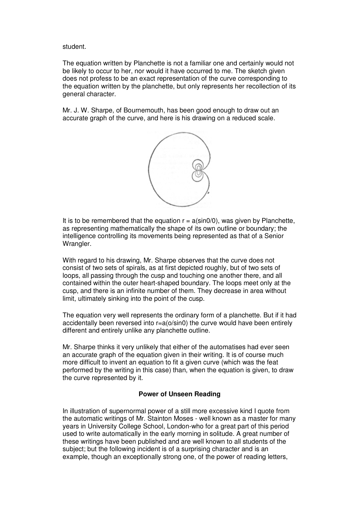student.

The equation written by Planchette is not a familiar one and certainly would not be likely to occur to her, nor would it have occurred to me. The sketch given does not profess to be an exact representation of the curve corresponding to the equation written by the planchette, but only represents her recollection of its general character.

Mr. J. W. Sharpe, of Bournemouth, has been good enough to draw out an accurate graph of the curve, and here is his drawing on a reduced scale.



It is to be remembered that the equation  $r = a(\sin 0/0)$ , was given by Planchette, as representing mathematically the shape of its own outline or boundary; the intelligence controlling its movements being represented as that of a Senior Wrangler.

With regard to his drawing, Mr. Sharpe observes that the curve does not consist of two sets of spirals, as at first depicted roughly, but of two sets of loops, all passing through the cusp and touching one another there, and all contained within the outer heart-shaped boundary. The loops meet only at the cusp, and there is an infinite number of them. They decrease in area without limit, ultimately sinking into the point of the cusp.

The equation very well represents the ordinary form of a planchette. But if it had accidentally been reversed into r=a(o/sin0) the curve would have been entirely different and entirely unlike any planchette outline.

Mr. Sharpe thinks it very unlikely that either of the automatises had ever seen an accurate graph of the equation given in their writing. It is of course much more difficult to invent an equation to fit a given curve (which was the feat performed by the writing in this case) than, when the equation is given, to draw the curve represented by it.

## **Power of Unseen Reading**

In illustration of supernormal power of a still more excessive kind I quote from the automatic writings of Mr. Stainton Moses - well known as a master for many years in University College School, London-who for a great part of this period used to write automatically in the early morning in solitude. A great number of these writings have been published and are well known to all students of the subject; but the following incident is of a surprising character and is an example, though an exceptionally strong one, of the power of reading letters,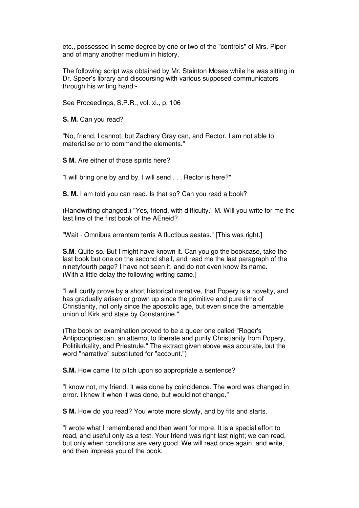etc., possessed in some degree by one or two of the "controls" of Mrs. Piper and of many another medium in history.

The following script was obtained by Mr. Stainton Moses while he was sitting in Dr. Speer's library and discoursing with various supposed communicators through his writing hand:-

See Proceedings, S.P.R., vol. xi., p. 106

**S. M.** Can you read?

"No, friend, I cannot, but Zachary Gray can, and Rector. I am not able to materialise or to command the elements."

**S M.** Are either of those spirits here?

"I will bring one by and by. I will send . . . Rector is here?"

**S. M.** I am told you can read. Is that so? Can you read a book?

(Handwriting changed.) "Yes, friend, with difficulty." M. Will you write for me the last line of the first book of the AEneid?

"Wait - Omnibus errantem terris A fluctibus aestas." [This was right.]

**S.M**. Quite so. But I might have known it. Can you go the bookcase, take the last book but one on the second shelf, and read me the last paragraph of the ninetyfourth page? I have not seen it, and do not even know its name. (With a little delay the following writing came.]

"I will curtly prove by a short historical narrative, that Popery is a novelty, and has gradually arisen or grown up since the primitive and pure time of Christianity, not only since the apostolic age, but even since the lamentable union of Kirk and state by Constantine."

(The book on examination proved to be a queer one called "Roger's Antipopopriestian, an attempt to liberate and purify Christianity from Popery, Politikirkality, and Priestrule." The extract given above was accurate, but the word "narrative" substituted for "account.")

**S.M.** How came I to pitch upon so appropriate a sentence?

"I know not, my friend. It was done by coincidence. The word was changed in error. I knew it when it was done, but would not change."

**S M.** How do you read? You wrote more slowly, and by fits and starts.

"I wrote what I remembered and then went for more. It is a special effort to read, and useful only as a test. Your friend was right last night; we can read, but only when conditions are very good. We will read once again, and write, and then impress you of the book: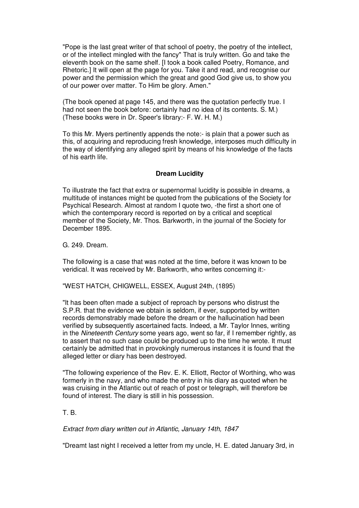"Pope is the last great writer of that school of poetry, the poetry of the intellect, or of the intellect mingled with the fancy" That is truly written. Go and take the eleventh book on the same shelf. [I took a book called Poetry, Romance, and Rhetoric.] It will open at the page for you. Take it and read, and recognise our power and the permission which the great and good God give us, to show you of our power over matter. To Him be glory. Amen."

(The book opened at page 145, and there was the quotation perfectly true. I had not seen the book before: certainly had no idea of its contents. S. M.) (These books were in Dr. Speer's library:- F. W. H. M.)

To this Mr. Myers pertinently appends the note:- is plain that a power such as this, of acquiring and reproducing fresh knowledge, interposes much difficulty in the way of identifying any alleged spirit by means of his knowledge of the facts of his earth life.

# **Dream Lucidity**

To illustrate the fact that extra or supernormal lucidity is possible in dreams, a multitude of instances might be quoted from the publications of the Society for Psychical Research. Almost at random I quote two, -the first a short one of which the contemporary record is reported on by a critical and sceptical member of the Society, Mr. Thos. Barkworth, in the journal of the Society for December 1895.

G. 249. Dream.

The following is a case that was noted at the time, before it was known to be veridical. It was received by Mr. Barkworth, who writes concerning it:-

"WEST HATCH, CHIGWELL, ESSEX, August 24th, (1895)

"It has been often made a subject of reproach by persons who distrust the S.P.R. that the evidence we obtain is seldom, if ever, supported by written records demonstrably made before the dream or the hallucination had been verified by subsequently ascertained facts. Indeed, a Mr. Taylor Innes, writing in the *Nineteenth Century* some years ago, went so far, if I remember rightly, as to assert that no such case could be produced up to the time he wrote. It must certainly be admitted that in provokingly numerous instances it is found that the alleged letter or diary has been destroyed.

"The following experience of the Rev. E. K. Elliott, Rector of Worthing, who was formerly in the navy, and who made the entry in his diary as quoted when he was cruising in the Atlantic out of reach of post or telegraph, will therefore be found of interest. The diary is still in his possession.

T. B.

*Extract from diary written out in Atlantic, January 14th, 1847*

"Dreamt last night I received a letter from my uncle, H. E. dated January 3rd, in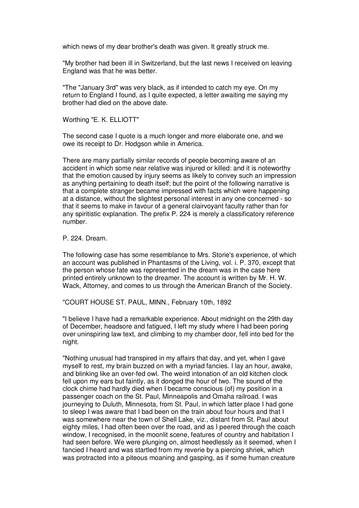which news of my dear brother's death was given. It greatly struck me.

"My brother had been ill in Switzerland, but the last news I received on leaving England was that he was better.

"The "January 3rd" was very black, as if intended to catch my eye. On my return to England I found, as I quite expected, a letter awaiting me saying my brother had died on the above date.

Worthing "E. K. ELLIOTT"

The second case I quote is a much longer and more elaborate one, and we owe its receipt to Dr. Hodgson while in America.

There are many partially similar records of people becoming aware of an accident in which some near relative was injured or killed: and it is noteworthy that the emotion caused by injury seems as likely to convey such an impression as anything pertaining to death itself; but the point of the following narrative is that a complete stranger became impressed with facts which were happening at a distance, without the slightest personal interest in any one concerned - so that it seems to make in favour of a general clairvoyant faculty rather than for any spiritistic explanation. The prefix P. 224 is merely a classificatory reference number.

#### P. 224. Dream.

The following case has some resemblance to Mrs. Storie's experience, of which an account was published in Phantasms of the Living, vol. i. P. 370, except that the person whose fate was represented in the dream was in the case here printed entirely unknown to the dreamer. The account is written by Mr. H. W. Wack, Attorney, and comes to us through the American Branch of the Society.

"COURT HOUSE ST. PAUL, MINN., February 10th, 1892

"I believe I have had a remarkable experience. About midnight on the 29th day of December, headsore and fatigued, I left my study where I had been poring over uninspiring law text, and climbing to my chamber door, fell into bed for the night.

"Nothing unusual had transpired in my affairs that day, and yet, when I gave myself to rest, my brain buzzed on with a myriad fancies. I lay an hour, awake, and blinking like an over-fed owl. The weird intonation of an old kitchen clock fell upon my ears but faintly, as it donged the hour of two. The sound of the clock chime had hardly died when I became conscious (of) my position in a passenger coach on the St. Paul, Minneapolis and Omaha railroad. I was journeying to Duluth, Minnesota, from St. Paul, in which latter place I had gone to sleep I was aware that I bad been on the train about four hours and that I was somewhere near the town of Shell Lake, viz., distant from St. Paul about eighty miles, I had often been over the road, and as I peered through the coach window, I recognised, in the moonlit scene, features of country and habitation I had seen before. We were plunging on, almost heedlessly as it seemed, when I fancied I heard and was startled from my reverie by a piercing shriek, which was protracted into a piteous moaning and gasping, as if some human creature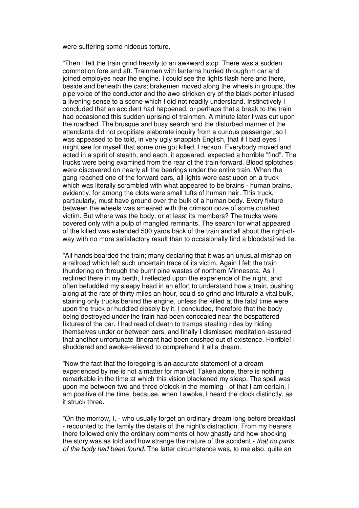were suffering some hideous torture.

"Then I felt the train grind heavily to an awkward stop. There was a sudden commotion fore and aft. Trainmen with lanterns hurried through m car and joined employes near the engine. I could see the lights flash here and there, beside and beneath the cars; brakemen moved along the wheels in groups, the pipe voice of the conductor and the awe-stricken cry of the black porter infused a livening sense to a scene which I did not readily understand. Instinctively I concluded that an accident had happened, or perhaps that a break to the train had occasioned this sudden uprising of trainmen. A minute later I was out upon the roadbed. The brusque and busy search and the disturbed manner of the attendants did not propitiate elaborate inquiry from a curious passenger, so I was appeased to be told, in very ugly snappish English, that if I bad eyes I might see for myself that some one got killed, I reckon. Everybody moved and acted in a spirit of stealth, and each, it appeared, expected a horrible "find". The trucks were being examined from the rear of the train forward. Blood splotches were discovered on nearly all the bearings under the entire train. When the gang reached one of the forward cars, all lights were cast upon on a truck which was literally scrambled with what appeared to be brains - human brains, evidently, for among the clots were small tufts of human hair. This truck, particularly, must have ground over the bulk of a human body. Every fixture between the wheels was smeared with the crimson ooze of some crushed victim. But where was the body, or at least its members? The trucks were covered only with a pulp of mangled remnants. The search for what appeared of the killed was extended 500 yards back of the train and all about the right-ofway with no more satisfactory result than to occasionally find a bloodstained tie.

"All hands boarded the train; many declaring that it was an unusual mishap on a railroad which left such uncertain trace of its victim. Again I felt the train thundering on through the burnt pine wastes of northern Minnesota. As I reclined there in my berth, I reflected upon the experience of the night, and often befuddled my sleepy head in an effort to understand how a train, pushing along at the rate of thirty miles an hour, could so grind and triturate a vital bulk, staining only trucks behind the engine, unless the killed at the fatal time were upon the truck or huddled closely by it. I concluded, therefore that the body being destroyed under the train had been concealed near the bespattered fixtures of the car. I had read of death to tramps stealing rides by hiding themselves under or between cars, and finally I dismissed meditation-assured that another unfortunate itinerant had been crushed out of existence. Horrible! I shuddered and awoke-relieved to comprehend it all a dream.

"Now the fact that the foregoing is an accurate statement of a dream experienced by me is not a matter for marvel. Taken alone, there is nothing remarkable in the time at which this vision blackened my sleep. The spell was upon me between two and three o'clock in the morning - of that I am certain. I am positive of the time, because, when I awoke, I heard the clock distinctly, as it struck three.

"On the morrow, I, - who usually forget an ordinary dream long before breakfast - recounted to the family the details of the night's distraction. From my hearers there followed only the ordinary comments of how ghastly and how shocking the story was as told and how strange the nature of the accident - *that no parts of the body had been found.* The latter circumstance was, to me also, quite an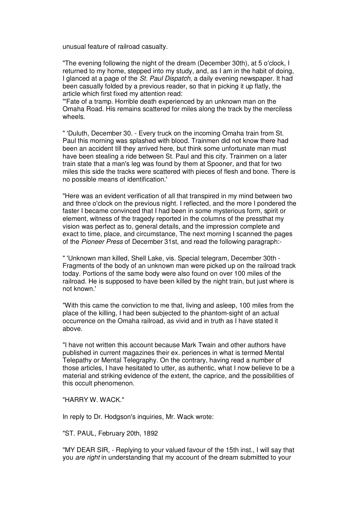unusual feature of railroad casualty.

"The evening following the night of the dream (December 30th), at 5 o'clock, I returned to my home, stepped into my study, and, as I am in the habit of doing, I glanced at a page of the *St. Paul Dispatch*, a daily evening newspaper. It had been casually folded by a previous reader, so that in picking it up flatly, the article which first fixed my attention read:

"'Fate of a tramp. Horrible death experienced by an unknown man on the Omaha Road. His remains scattered for miles along the track by the merciless wheels.

" 'Duluth, December 30. - Every truck on the incoming Omaha train from St. Paul this morning was splashed with blood. Trainmen did not know there had been an accident till they arrived here, but think some unfortunate man must have been stealing a ride between St. Paul and this city. Trainmen on a later train state that a man's leg was found by them at Spooner, and that for two miles this side the tracks were scattered with pieces of flesh and bone. There is no possible means of identification.'

"Here was an evident verification of all that transpired in my mind between two and three o'clock on the previous night. I reflected, and the more I pondered the faster I became convinced that I had been in some mysterious form, spirit or element, witness of the tragedy reported in the columns of the pressthat my vision was perfect as to, general details, and the impression complete and exact to time, place, and circumstance, The next morning I scanned the pages of the *Pioneer Press* of December 31st, and read the following paragraph:-

" 'Unknown man killed, Shell Lake, vis. Special telegram, December 30th - Fragments of the body of an unknown man were picked up on the railroad track today. Portions of the same body were also found on over 100 miles of the railroad. He is supposed to have been killed by the night train, but just where is not known.'

"With this came the conviction to me that, living and asleep, 100 miles from the place of the killing, I had been subjected to the phantom-sight of an actual occurrence on the Omaha railroad, as vivid and in truth as I have stated it above.

"I have not written this account because Mark Twain and other authors have published in current magazines their ex. periences in what is termed Mental Telepathy or Mental Telegraphy. On the contrary, having read a number of those articles, I have hesitated to utter, as authentic, what I now believe to be a material and striking evidence of the extent, the caprice, and the possibilities of this occult phenomenon.

#### "HARRY W. WACK."

In reply to Dr. Hodgson's inquiries, Mr. Wack wrote:

"ST. PAUL, February 20th, 1892

"MY DEAR SIR, - Replying to your valued favour of the 15th inst., I will say that you *are right* in understanding that my account of the dream submitted to your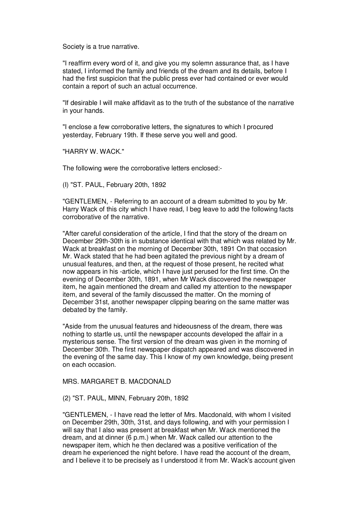Society is a true narrative.

"I reaffirm every word of it, and give you my solemn assurance that, as I have stated, I informed the family and friends of the dream and its details, before I had the first suspicion that the public press ever had contained or ever would contain a report of such an actual occurrence.

"If desirable I will make affidavit as to the truth of the substance of the narrative in your hands.

"I enclose a few corroborative letters, the signatures to which I procured yesterday, February 19th. If these serve you well and good.

"HARRY W. WACK."

The following were the corroborative letters enclosed:-

(I) "ST. PAUL, February 20th, 1892

"GENTLEMEN, - Referring to an account of a dream submitted to you by Mr. Harry Wack of this city which I have read, I beg leave to add the following facts corroborative of the narrative.

"After careful consideration of the article, I find that the story of the dream on December 29th-30th is in substance identical with that which was related by Mr. Wack at breakfast on the morning of December 30th, 1891 On that occasion Mr. Wack stated that he had been agitated the previous night by a dream of unusual features, and then, at the request of those present, he recited what now appears in his -article, which I have just perused for the first time. On the evening of December 30th, 1891, when Mr Wack discovered the newspaper item, he again mentioned the dream and called my attention to the newspaper item, and several of the family discussed the matter. On the morning of December 31st, another newspaper clipping bearing on the same matter was debated by the family.

"Aside from the unusual features and hideousness of the dream, there was nothing to startle us, until the newspaper accounts developed the affair in a mysterious sense. The first version of the dream was given in the morning of December 30th. The first newspaper dispatch appeared and was discovered in the evening of the same day. This I know of my own knowledge, being present on each occasion.

MRS. MARGARET B. MACDONALD

(2) "ST. PAUL, MINN, February 20th, 1892

"GENTLEMEN, - I have read the letter of Mrs. Macdonald, with whom I visited on December 29th, 30th, 31st, and days following, and with your permission I will say that I also was present at breakfast when Mr. Wack mentioned the dream, and at dinner (6 p.m.) when Mr. Wack called our attention to the newspaper item, which he then declared was a positive verification of the dream he experienced the night before. I have read the account of the dream, and I believe it to be precisely as I understood it from Mr. Wack's account given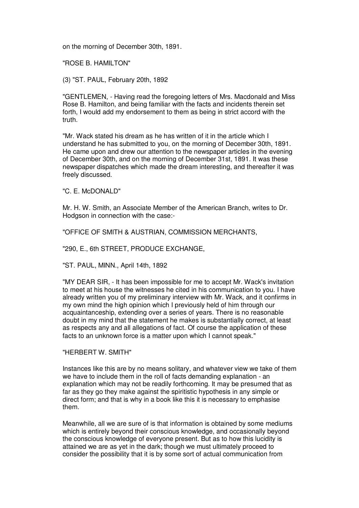on the morning of December 30th, 1891.

"ROSE B. HAMILTON"

(3) "ST. PAUL, February 20th, 1892

"GENTLEMEN, - Having read the foregoing letters of Mrs. Macdonald and Miss Rose B. Hamilton, and being familiar with the facts and incidents therein set forth, I would add my endorsement to them as being in strict accord with the truth.

"Mr. Wack stated his dream as he has written of it in the article which I understand he has submitted to you, on the morning of December 30th, 1891. He came upon and drew our attention to the newspaper articles in the evening of December 30th, and on the morning of December 31st, 1891. It was these newspaper dispatches which made the dream interesting, and thereafter it was freely discussed.

"C. E. McDONALD"

Mr. H. W. Smith, an Associate Member of the American Branch, writes to Dr. Hodgson in connection with the case:-

"OFFICE OF SMITH & AUSTRIAN, COMMISSION MERCHANTS,

"290, E., 6th STREET, PRODUCE EXCHANGE,

"ST. PAUL, MINN., April 14th, 1892

"MY DEAR SIR, - It has been impossible for me to accept Mr. Wack's invitation to meet at his house the witnesses he cited in his communication to you. I have already written you of my preliminary interview with Mr. Wack, and it confirms in my own mind the high opinion which I previously held of him through our acquaintanceship, extending over a series of years. There is no reasonable doubt in my mind that the statement he makes is substantially correct, at least as respects any and all allegations of fact. Of course the application of these facts to an unknown force is a matter upon which I cannot speak."

"HERBERT W. SMITH"

Instances like this are by no means solitary, and whatever view we take of them we have to include them in the roll of facts demanding explanation - an explanation which may not be readily forthcoming. It may be presumed that as far as they go they make against the spiritistic hypothesis in any simple or direct form; and that is why in a book like this it is necessary to emphasise them.

Meanwhile, all we are sure of is that information is obtained by some mediums which is entirely beyond their conscious knowledge, and occasionally beyond the conscious knowledge of everyone present. But as to how this lucidity is attained we are as yet in the dark; though we must ultimately proceed to consider the possibility that it is by some sort of actual communication from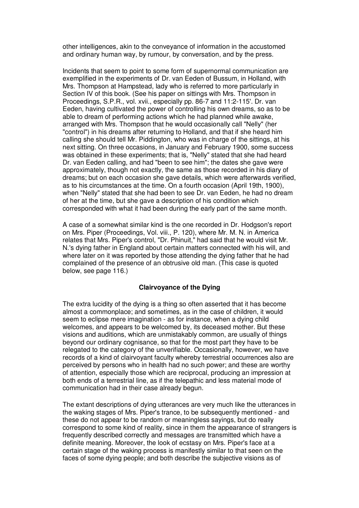other intelligences, akin to the conveyance of information in the accustomed and ordinary human way, by rumour, by conversation, and by the press.

Incidents that seem to point to some form of supernormal communication are exemplified in the experiments of Dr. van Eeden of Bussum, in Holland, with Mrs. Thompson at Hampstead, lady who is referred to more particularly in Section IV of this book. (See his paper on sittings with Mrs. Thompson in Proceedings, S.P.R., vol. xvii., especially pp. 86-7 and 11:2-115'. Dr. van Eeden, having cultivated the power of controlling his own dreams, so as to be able to dream of performing actions which he had planned while awake, arranged with Mrs. Thompson that he would occasionally call "Nelly" (her "control") in his dreams after returning to Holland, and that if she heard him calling she should tell Mr. Piddington, who was in charge of the sittings, at his next sitting. On three occasions, in January and February 1900, some success was obtained in these experiments; that is, "Nelly" stated that she had heard Dr. van Eeden calling, and had "been to see him"; the dates she gave were approximately, though not exactly, the same as those recorded in his diary of dreams; but on each occasion she gave details, which were afterwards verified, as to his circumstances at the time. On a fourth occasion (April 19th, 1900), when "Nelly" stated that she had been to see Dr. van Eeden, he had no dream of her at the time, but she gave a description of his condition which corresponded with what it had been during the early part of the same month.

A case of a somewhat similar kind is the one recorded in Dr. Hodgson's report on Mrs. Piper (Proceedings, Vol. viii., P. 120), where Mr. M. N. in America relates that Mrs. Piper's control, "Dr. Phinuit," had said that he would visit Mr. N.'s dying father in England about certain matters connected with his will, and where later on it was reported by those attending the dying father that he had complained of the presence of an obtrusive old man. (This case is quoted below, see page 116.)

# **Clairvoyance of the Dying**

The extra lucidity of the dying is a thing so often asserted that it has become almost a commonplace; and sometimes, as in the case of children, it would seem to eclipse mere imagination - as for instance, when a dying child welcomes, and appears to be welcomed by, its deceased mother. But these visions and auditions, which are unmistakably common, are usually of things beyond our ordinary cognisance, so that for the most part they have to be relegated to the category of the unverifiable. Occasionally, however, we have records of a kind of clairvoyant faculty whereby terrestrial occurrences also are perceived by persons who in health had no such power; and these are worthy of attention, especially those which are reciprocal, producing an impression at both ends of a terrestrial line, as if the telepathic and less material mode of communication had in their case already begun.

The extant descriptions of dying utterances are very much like the utterances in the waking stages of Mrs. Piper's trance, to be subsequently mentioned - and these do not appear to be random or meaningless sayings, but do really correspond to some kind of reality, since in them the appearance of strangers is frequently described correctly and messages are transmitted which have a definite meaning. Moreover, the look of ecstasy on Mrs. Piper's face at a certain stage of the waking process is manifestly similar to that seen on the faces of some dying people; and both describe the subjective visions as of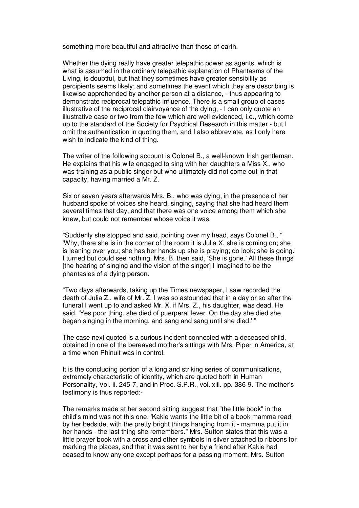something more beautiful and attractive than those of earth.

Whether the dying really have greater telepathic power as agents, which is what is assumed in the ordinary telepathic explanation of Phantasms of the Living, is doubtful, but that they sometimes have greater sensibility as percipients seems likely; and sometimes the event which they are describing is likewise apprehended by another person at a distance, - thus appearing to demonstrate reciprocal telepathic influence. There is a small group of cases illustrative of the reciprocal clairvoyance of the dying, - I can only quote an illustrative case or two from the few which are well evidenced, i.e., which come up to the standard of the Society for Psychical Research in this matter - but I omit the authentication in quoting them, and I also abbreviate, as I only here wish to indicate the kind of thing.

The writer of the following account is Colonel B., a well-known Irish gentleman. He explains that his wife engaged to sing with her daughters a Miss X., who was training as a public singer but who ultimately did not come out in that capacity, having married a Mr. Z.

Six or seven years afterwards Mrs. B., who was dying, in the presence of her husband spoke of voices she heard, singing, saying that she had heard them several times that day, and that there was one voice among them which she knew, but could not remember whose voice it was.

"Suddenly she stopped and said, pointing over my head, says Colonel B., " 'Why, there she is in the corner of the room it is Julia X. she is coming on; she is leaning over you; she has her hands up she is praying; do look; she is going.' I turned but could see nothing. Mrs. B. then said, 'She is gone.' All these things [the hearing of singing and the vision of the singer] I imagined to be the phantasies of a dying person.

"Two days afterwards, taking up the Times newspaper, I saw recorded the death of Julia Z., wife of Mr. Z. I was so astounded that in a day or so after the funeral I went up to and asked Mr. X. if Mrs. Z., his daughter, was dead. He said, 'Yes poor thing, she died of puerperal fever. On the day she died she began singing in the morning, and sang and sang until she died.' "

The case next quoted is a curious incident connected with a deceased child, obtained in one of the bereaved mother's sittings with Mrs. Piper in America, at a time when Phinuit was in control.

It is the concluding portion of a long and striking series of communications, extremely characteristic of identity, which are quoted both in Human Personality, Vol. ii. 245-7, and in Proc. S.P.R., vol. xiii. pp. 386-9. The mother's testimony is thus reported:-

The remarks made at her second sitting suggest that "the little book" in the child's mind was not this one. 'Kakie wants the little bit of a book mamma read by her bedside, with the pretty bright things hanging from it - mamma put it in her hands - the last thing she remembers." Mrs. Sutton states that this was a little prayer book with a cross and other symbols in silver attached to ribbons for marking the places, and that it was sent to her by a friend after Kakie had ceased to know any one except perhaps for a passing moment. Mrs. Sutton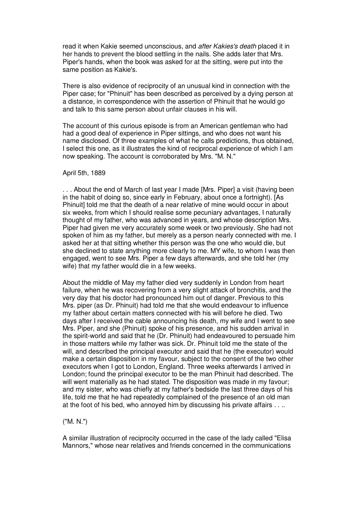read it when Kakie seemed unconscious, and *after Kakies's death* placed it in her hands to prevent the blood settling in the nails. She adds later that Mrs. Piper's hands, when the book was asked for at the sitting, were put into the same position as Kakie's.

There is also evidence of reciprocity of an unusual kind in connection with the Piper case; for "Phinuit" has been described as perceived by a dying person at a distance, in correspondence with the assertion of Phinuit that he would go and talk to this same person about unfair clauses in his will.

The account of this curious episode is from an American gentleman who had had a good deal of experience in Piper sittings, and who does not want his name disclosed. Of three examples of what he calls predictions, thus obtained, I select this one, as it illustrates the kind of reciprocal experience of which I am now speaking. The account is corroborated by Mrs. "M. N."

#### April 5th, 1889

. . . About the end of March of last year I made [Mrs. Piper] a visit (having been in the habit of doing so, since early in February, about once a fortnight). [As Phinuit] told me that the death of a near relative of mine would occur in about six weeks, from which I should realise some pecuniary advantages, I naturally thought of my father, who was advanced in years, and whose description Mrs. Piper had given me very accurately some week or two previously. She had not spoken of him as my father, but merely as a person nearly connected with me. I asked her at that sitting whether this person was the one who would die, but she declined to state anything more clearly to me. MY wife, to whom I was then engaged, went to see Mrs. Piper a few days afterwards, and she told her (my wife) that my father would die in a few weeks.

About the middle of May my father died very suddenly in London from heart failure, when he was recovering from a very slight attack of bronchitis, and the very day that his doctor had pronounced him out of danger. Previous to this Mrs. piper (as Dr. Phinuit) had told me that she would endeavour to influence my father about certain matters connected with his will before he died. Two days after I received the cable announcing his death, my wife and I went to see Mrs. Piper, and she (Phinuit) spoke of his presence, and his sudden arrival in the spirit-world and said that he (Dr. Phinuit) had endeavoured to persuade him in those matters while my father was sick. Dr. Phinuit told me the state of the will, and described the principal executor and said that he (the executor) would make a certain disposition in my favour, subject to the consent of the two other executors when I got to London, England. Three weeks afterwards I arrived in London; found the principal executor to be the man Phinuit had described. The will went materially as he had stated. The disposition was made in my favour; and my sister, who was chiefly at my father's bedside the last three days of his life, told me that he had repeatedly complained of the presence of an old man at the foot of his bed, who annoyed him by discussing his private affairs . . ..

## ("M. N.")

A similar illustration of reciprocity occurred in the case of the lady called "Elisa Mannors," whose near relatives and friends concerned in the communications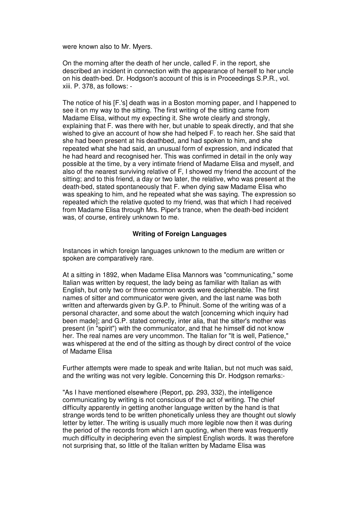were known also to Mr. Myers.

On the morning after the death of her uncle, called F. in the report, she described an incident in connection with the appearance of herself to her uncle on his death-bed. Dr. Hodgson's account of this is in Proceedings S.P.R., vol. xiii. P. 378, as follows: -

The notice of his [F.'s] death was in a Boston morning paper, and I happened to see it on my way to the sitting. The first writing of the sitting came from Madame Elisa, without my expecting it. She wrote clearly and strongly, explaining that F. was there with her, but unable to speak directly, and that she wished to give an account of how she had helped F. to reach her. She said that she had been present at his deathbed, and had spoken to him, and she repeated what she had said, an unusual form of expression, and indicated that he had heard and recognised her. This was confirmed in detail in the only way possible at the time, by a very intimate friend of Madame Elisa and myself, and also of the nearest surviving relative of F, I showed my friend the account of the sitting; and to this friend, a day or two later, the relative, who was present at the death-bed, stated spontaneously that F. when dying saw Madame Elisa who was speaking to him, and he repeated what she was saying. The expression so repeated which the relative quoted to my friend, was that which I had received from Madame Elisa through Mrs. Piper's trance, when the death-bed incident was, of course, entirely unknown to me.

## **Writing of Foreign Languages**

Instances in which foreign languages unknown to the medium are written or spoken are comparatively rare.

At a sitting in 1892, when Madame Elisa Mannors was "communicating," some Italian was written by request, the lady being as familiar with Italian as with English, but only two or three common words were decipherable. The first names of sitter and communicator were given, and the last name was both written and afterwards given by G.P. to Phinuit. Some of the writing was of a personal character, and some about the watch [concerning which inquiry had been made]; and G.P. stated correctly, inter alia, that the sitter's mother was present (in "spirit") with the communicator, and that he himself did not know her. The real names are very uncommon. The Italian for "It is well, Patience," was whispered at the end of the sitting as though by direct control of the voice of Madame Elisa

Further attempts were made to speak and write Italian, but not much was said, and the writing was not very legible. Concerning this Dr. Hodgson remarks:-

"As I have mentioned elsewhere (Report, pp. 293, 332), the intelligence communicating by writing is not conscious of the act of writing. The chief difficulty apparently in getting another language written by the hand is that strange words tend to be written phonetically unless they are thought out slowly letter by letter. The writing is usually much more legible now then it was during the period of the records from which I am quoting, when there was frequently much difficulty in deciphering even the simplest English words. It was therefore not surprising that, so little of the Italian written by Madame Elisa was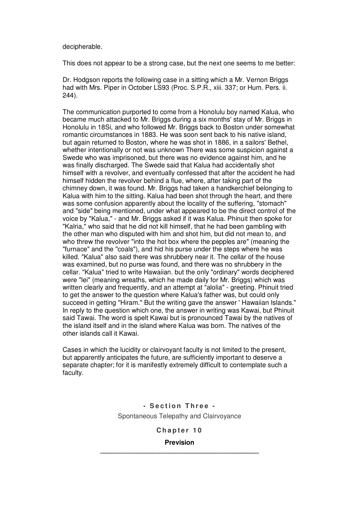#### decipherable.

This does not appear to be a strong case, but the next one seems to me better:

Dr. Hodgson reports the following case in a sitting which a Mr. Vernon Briggs had with Mrs. Piper in October LS93 (Proc. S.P.R., xiii. 337; or Hum. Pers. ii. 244).

The communication purported to come from a Honolulu boy named Kalua, who became much attacked to Mr. Briggs during a six months' stay of Mr. Briggs in Honolulu in 18Si, and who followed Mr. Briggs back to Boston under somewhat romantic circumstances in 1883. He was soon sent back to his native island, but again returned to Boston, where he was shot in 1886, in a sailors' Bethel, whether intentionally or not was unknown There was some suspicion against a Swede who was imprisoned, but there was no evidence against him, and he was finally discharged. The Swede said that Kalua had accidentally shot himself with a revolver, and eventually confessed that after the accident he had himself hidden the revolver behind a flue, where, after taking part of the chimney down, it was found. Mr. Briggs had taken a handkerchief belonging to Kalua with him to the sitting. Kalua had been shot through the heart, and there was some confusion apparently about the locality of the suffering, "stomach" and "side" being mentioned, under what appeared to be the direct control of the voice by "Kalua," - and Mr. Briggs asked if it was Kalua. Phinuit then spoke for "Kalria," who said that he did not kill himself, that he had been gambling with the other man who disputed with him and shot him, but did not mean to, and who threw the revolver "into the hot box where the pepples are" (meaning the "furnace" and the "coals"), and hid his purse under the steps where he was killed. "Kalua" also said there was shrubbery near it. The cellar of the house was examined, but no purse was found, and there was no shrubbery in the cellar. "Kalua" tried to write Hawaiian. but the only "ordinary" words deciphered were "lei" (meaning wreaths, which he made daily for Mr. Briggs) which was written clearly and frequently, and an attempt at "alolia" - greeting. Phinuit tried to get the answer to the question where Kalua's father was, but could only succeed in getting "Hiram." But the writing gave the answer ' Hawaiian Islands." In reply to the question which one, the answer in writing was Kawai, but Phinuit said Tawai. The word is spelt Kawai but is pronounced Tawai by the natives of the island itself and in the island where Kalua was born. The natives of the other islands call it Kawai.

Cases in which the lucidity or clairvoyant faculty is not limited to the present, but apparently anticipates the future, are sufficiently important to deserve a separate chapter; for it is manifestly extremely difficult to contemplate such a faculty.

> **- S e c t i o n T h r e e -** Spontaneous Telepathy and Clairvoyance

> > **C h a p t e r 1 0**

**Prevision \_\_\_\_\_\_\_\_\_\_\_\_\_\_\_\_\_\_\_\_\_\_\_\_\_\_\_\_\_\_\_\_\_\_\_\_\_\_\_\_\_\_\_**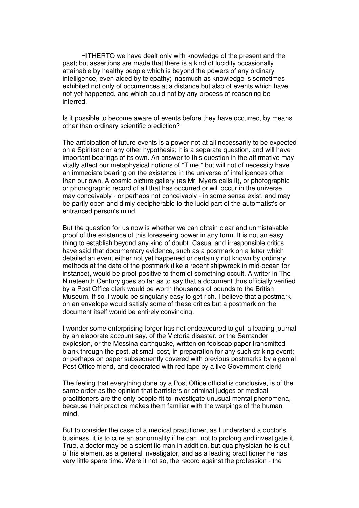HITHERTO we have dealt only with knowledge of the present and the past; but assertions are made that there is a kind of lucidity occasionally attainable by healthy people which is beyond the powers of any ordinary intelligence, even aided by telepathy; inasmuch as knowledge is sometimes exhibited not only of occurrences at a distance but also of events which have not yet happened, and which could not by any process of reasoning be inferred.

Is it possible to become aware of events before they have occurred, by means other than ordinary scientific prediction?

The anticipation of future events is a power not at all necessarily to be expected on a Spiritistic or any other hypothesis; it is a separate question, and will have important bearings of its own. An answer to this question in the affirmative may vitally affect our metaphysical notions of "Time," but will not of necessity have an immediate bearing on the existence in the universe of intelligences other than our own. A cosmic picture gallery (as Mr. Myers calls it), or photographic or phonographic record of all that has occurred or will occur in the universe, may conceivably - or perhaps not conceivably - in some sense exist, and may be partly open and dimly decipherable to the lucid part of the automatist's or entranced person's mind.

But the question for us now is whether we can obtain clear and unmistakable proof of the existence of this foreseeing power in any form. It is not an easy thing to establish beyond any kind of doubt. Casual and irresponsible critics have said that documentary evidence, such as a postmark on a letter which detailed an event either not yet happened or certainly not known by ordinary methods at the date of the postmark (like a recent shipwreck in mid-ocean for instance), would be proof positive to them of something occult. A writer in The Nineteenth Century goes so far as to say that a document thus officially verified by a Post Office clerk would be worth thousands of pounds to the British Museum. If so it would be singularly easy to get rich. I believe that a postmark on an envelope would satisfy some of these critics but a postmark on the document itself would be entirely convincing.

I wonder some enterprising forger has not endeavoured to gull a leading journal by an elaborate account say, of the Victoria disaster, or the Santander explosion, or the Messina earthquake, written on foolscap paper transmitted blank through the post, at small cost, in preparation for any such striking event; or perhaps on paper subsequently covered with previous postmarks by a genial Post Office friend, and decorated with red tape by a live Government clerk!

The feeling that everything done by a Post Office official is conclusive, is of the same order as the opinion that barristers or criminal judges or medical practitioners are the only people fit to investigate unusual mental phenomena, because their practice makes them familiar with the warpings of the human mind.

But to consider the case of a medical practitioner, as I understand a doctor's business, it is to cure an abnormality if he can, not to prolong and investigate it. True, a doctor may be a scientific man in addition, but qua physician he is out of his element as a general investigator, and as a leading practitioner he has very little spare time. Were it not so, the record against the profession - the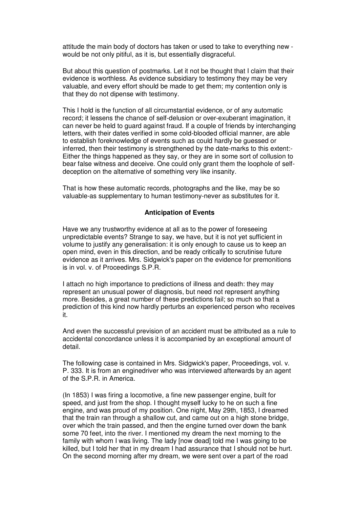attitude the main body of doctors has taken or used to take to everything new would be not only pitiful, as it is, but essentially disgraceful.

But about this question of postmarks. Let it not be thought that I claim that their evidence is worthless. As evidence subsidiary to testimony they may be very valuable, and every effort should be made to get them; my contention only is that they do not dipense with testimony.

This I hold is the function of all circumstantial evidence, or of any automatic record; it lessens the chance of self-delusion or over-exuberant imagination, it can never be held to guard against fraud. If a couple of friends by interchanging letters, with their dates verified in some cold-blooded official manner, are able to establish foreknowledge of events such as could hardly be guessed or inferred, then their testimony is strengthened by the date-marks to this extent:- Either the things happened as they say, or they are in some sort of collusion to bear false witness and deceive. One could only grant them the loophole of selfdeception on the alternative of something very like insanity.

That is how these automatic records, photographs and the like, may be so valuable-as supplementary to human testimony-never as substitutes for it.

## **Anticipation of Events**

Have we any trustworthy evidence at all as to the power of foreseeing unpredictable events? Strange to say, we have, but it is not yet sufficient in volume to justify any generalisation: it is only enough to cause us to keep an open mind, even in this direction, and be ready critically to scrutinise future evidence as it arrives. Mrs. Sidgwick's paper on the evidence for premonitions is in vol. v. of Proceedings S.P.R.

I attach no high importance to predictions of illness and death: they may represent an unusual power of diagnosis, but need not represent anything more. Besides, a great number of these predictions fail; so much so that a prediction of this kind now hardly perturbs an experienced person who receives it.

And even the successful prevision of an accident must be attributed as a rule to accidental concordance unless it is accompanied by an exceptional amount of detail.

The following case is contained in Mrs. Sidgwick's paper, Proceedings, vol. v. P. 333. It is from an enginedriver who was interviewed afterwards by an agent of the S.P.R. in America.

(In 1853) I was firing a locomotive, a fine new passenger engine, built for speed, and just from the shop. I thought myself lucky to he on such a fine engine, and was proud of my position. One night, May 29th, 1853, I dreamed that the train ran through a shallow cut, and came out on a high stone bridge, over which the train passed, and then the engine turned over down the bank some 70 feet, into the river. I mentioned my dream the next morning to the family with whom I was living. The lady [now dead] told me I was going to be killed, but I told her that in my dream I had assurance that I should not be hurt. On the second morning after my dream, we were sent over a part of the road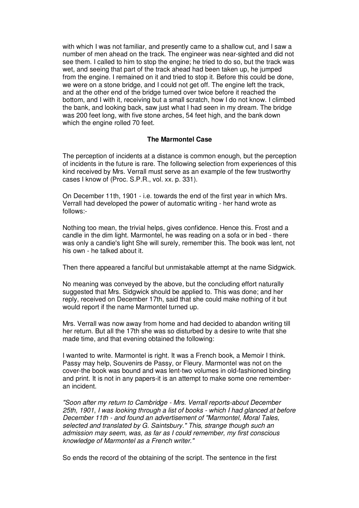with which I was not familiar, and presently came to a shallow cut, and I saw a number of men ahead on the track. The engineer was near-sighted and did not see them. I called to him to stop the engine; he tried to do so, but the track was wet, and seeing that part of the track ahead had been taken up, he jumped from the engine. I remained on it and tried to stop it. Before this could be done, we were on a stone bridge, and I could not get off. The engine left the track, and at the other end of the bridge turned over twice before it reached the bottom, and I with it, receiving but a small scratch, how I do not know. I climbed the bank, and looking back, saw just what I had seen in my dream. The bridge was 200 feet long, with five stone arches, 54 feet high, and the bank down which the engine rolled 70 feet.

## **The Marmontel Case**

The perception of incidents at a distance is common enough, but the perception of incidents in the future is rare. The following selection from experiences of this kind received by Mrs. Verrall must serve as an example of the few trustworthy cases I know of (Proc. S.P.R., vol. xx. p. 331).

On December 11th, 1901 - i.e. towards the end of the first year in which Mrs. Verrall had developed the power of automatic writing - her hand wrote as follows:-

Nothing too mean, the trivial helps, gives confidence. Hence this. Frost and a candle in the dim light. Marmontel, he was reading on a sofa or in bed - there was only a candie's light She will surely, remember this. The book was lent, not his own - he talked about it.

Then there appeared a fanciful but unmistakable attempt at the name Sidgwick.

No meaning was conveyed by the above, but the concluding effort naturally suggested that Mrs. Sidgwick should be applied to. This was done; and her reply, received on December 17th, said that she could make nothing of it but would report if the name Marmontel turned up.

Mrs. Verrall was now away from home and had decided to abandon writing till her return. But all the 17th she was so disturbed by a desire to write that she made time, and that evening obtained the following:

I wanted to write. Marmontel is right. It was a French book, a Memoir I think. Passy may help, Souvenirs de Passy, or Fleury. Marmontel was not on the cover-the book was bound and was lent-two volumes in old-fashioned binding and print. It is not in any papers-it is an attempt to make some one rememberan incident.

*"Soon after my return to Cambridge - Mrs. Verrall reports-about December 25th, 1901, I was looking through a list of books - which I had glanced at before December 11th - and found an advertisement of "Marmontel, Moral Tales, selected and translated by G. Saintsbury." This, strange though such an admission may seem, was, as far as I could remember, my first conscious knowledge of Marmontel as a French writer."*

So ends the record of the obtaining of the script. The sentence in the first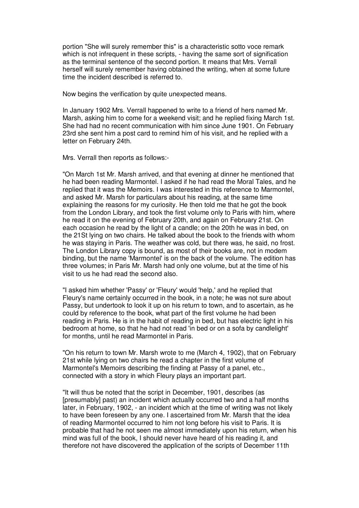portion "She will surely remember this" is a characteristic sotto voce remark which is not infrequent in these scripts,  $-$  having the same sort of signification as the terminal sentence of the second portion. It means that Mrs. Verrall herself will surely remember having obtained the writing, when at some future time the incident described is referred to.

Now begins the verification by quite unexpected means.

In January 1902 Mrs. Verrall happened to write to a friend of hers named Mr. Marsh, asking him to come for a weekend visit; and he replied fixing March 1st. She had had no recent communication with him since June 1901. On February 23rd she sent him a post card to remind him of his visit, and he replied with a letter on February 24th.

Mrs. Verrall then reports as follows:-

"On March 1st Mr. Marsh arrived, and that evening at dinner he mentioned that he had been reading Marmontel. I asked if he had read the Moral Tales, and he replied that it was the Memoirs. I was interested in this reference to Marmontel, and asked Mr. Marsh for particulars about his reading, at the same time explaining the reasons for my curiosity. He then told me that he got the book from the London Library, and took the first volume only to Paris with him, where he read it on the evening of February 20th, and again on February 21st. On each occasion he read by the light of a candle; on the 20th he was in bed, on the 21St lying on two chairs. He talked about the book to the friends with whom he was staying in Paris. The weather was cold, but there was, he said, no frost. The London Library copy is bound, as most of their books are, not in modem binding, but the name 'Marmontel' is on the back of the volume. The edition has three volumes; in Paris Mr. Marsh had only one volume, but at the time of his visit to us he had read the second also.

"I asked him whether 'Passy' or 'Fleury' would 'help,' and he replied that Fleury's name certainly occurred in the book, in a note; he was not sure about Passy, but undertook to look it up on his return to town, and to ascertain, as he could by reference to the book, what part of the first volume he had been reading in Paris. He is in the habit of reading in bed, but has electric light in his bedroom at home, so that he had not read 'in bed or on a sofa by candlelight' for months, until he read Marmontel in Paris.

"On his return to town Mr. Marsh wrote to me (March 4, 1902), that on February 21st while lying on two chairs he read a chapter in the first volume of Marmontel's Memoirs describing the finding at Passy of a panel, etc., connected with a story in which Fleury plays an important part.

"It will thus be noted that the script in December, 1901, describes (as [presumably] past) an incident which actually occurred two and a half months later, in February, 1902, - an incident which at the time of writing was not likely to have been foreseen by any one. I ascertained from Mr. Marsh that the idea of reading Marmontel occurred to him not long before his visit to Paris. It is probable that had he not seen me almost immediately upon his return, when his mind was full of the book, I should never have heard of his reading it, and therefore not have discovered the application of the scripts of December 11th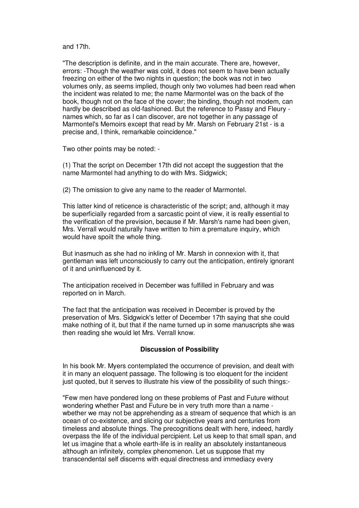and 17th.

"The description is definite, and in the main accurate. There are, however, errors: -Though the weather was cold, it does not seem to have been actually freezing on either of the two nights in question; the book was not in two volumes only, as seems implied, though only two volumes had been read when the incident was related to me; the name Marmontel was on the back of the book, though not on the face of the cover; the binding, though not modem, can hardly be described as old-fashioned. But the reference to Passy and Fleury names which, so far as I can discover, are not together in any passage of Marmontel's Memoirs except that read by Mr. Marsh on February 21st - is a precise and, I think, remarkable coincidence."

Two other points may be noted: -

(1) That the script on December 17th did not accept the suggestion that the name Marmontel had anything to do with Mrs. Sidgwick;

(2) The omission to give any name to the reader of Marmontel.

This latter kind of reticence is characteristic of the script; and, although it may be superficially regarded from a sarcastic point of view, it is really essential to the verification of the prevision, because if Mr. Marsh's name had been given, Mrs. Verrall would naturally have written to him a premature inquiry, which would have spoilt the whole thing.

But inasmuch as she had no inkling of Mr. Marsh in connexion with it, that gentleman was left unconsciously to carry out the anticipation, entirely ignorant of it and uninfluenced by it.

The anticipation received in December was fulfilled in February and was reported on in March.

The fact that the anticipation was received in December is proved by the preservation of Mrs. Sidgwick's letter of December 17th saying that she could make nothing of it, but that if the name turned up in some manuscripts she was then reading she would let Mrs. Verrall know.

#### **Discussion of Possibility**

In his book Mr. Myers contemplated the occurrence of prevision, and dealt with it in many an eloquent passage. The following is too eloquent for the incident just quoted, but it serves to illustrate his view of the possibility of such things:-

"Few men have pondered long on these problems of Past and Future without wondering whether Past and Future be in very truth more than a name whether we may not be apprehending as a stream of sequence that which is an ocean of co-existence, and slicing our subjective years and centuries from timeless and absolute things. The precognitions dealt with here, indeed, hardly overpass the life of the individual percipient. Let us keep to that small span, and let us imagine that a whole earth-life is in reality an absolutely instantaneous although an infinitely, complex phenomenon. Let us suppose that my transcendental self discerns with equal directness and immediacy every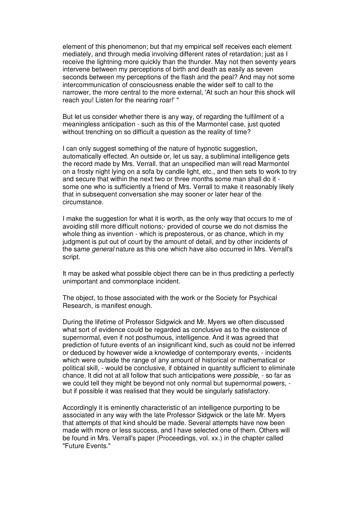element of this phenomenon; but that my empirical self receives each element mediately, and through media involving different rates of retardation; just as I receive the lightning more quickly than the thunder. May not then seventy years intervene between my perceptions of birth and death as easily as seven seconds between my perceptions of the flash and the peal? And may not some intercommunication of consciousness enable the wider self to call to the narrower, the more central to the more external, 'At such an hour this shock will reach you! Listen for the nearing roar!' "

But let us consider whether there is any way, of regarding the fulfilment of a meaningless anticipation - such as this of the Marmontel case, just quoted without trenching on so difficult a question as the reality of time?

I can only suggest something of the nature of hypnotic suggestion, automatically effected. An outside or, let us say, a subliminal intelligence gets the record made by Mrs. Verrall. that an unspecified man will read Marmontel on a frosty night lying on a sofa by candle light, etc., and then sets to work to try and secure that within the next two or three months some man shall do it some one who is sufficiently a friend of Mrs. Verrall to make it reasonably likely that in subsequent conversation she may sooner or later hear of the circumstance.

I make the suggestion for what it is worth, as the only way that occurs to me of avoiding still more difficult notions;- provided of course we do not dismiss the whole thing as invention - which is preposterous, or as chance, which in my judgment is put out of court by the amount of detail, and by other incidents of the same *general* nature as this one which have also occurred in Mrs. Verrall's script.

It may be asked what possible object there can be in thus predicting a perfectly unimportant and commonplace incident.

The object, to those associated with the work or the Society for Psychical Research, is manifest enough.

During the lifetime of Professor Sidgwick and Mr. Myers we often discussed what sort of evidence could be regarded as conclusive as to the existence of supernormal, even if not posthumous, intelligence. And it was agreed that prediction of future events of an insignificant kind, such as could not be inferred or deduced by however wide a knowledge of contemporary events, - incidents which were outside the range of any amount of historical or mathematical or political skill, - would be conclusive, if obtained in quantity sufficient to eliminate chance. It did not at all follow that such anticipations were *possible*, - so far as we could tell they might be beyond not only normal but supernormal powers, but if possible it was realised that they would be singularly satisfactory.

Accordingly it is eminently characteristic of an intelligence purporting to be associated in any way with the late Professor Sidgwick or the late Mr. Myers that attempts of that kind should be made. Several attempts have now been made with more or less success, and I have selected one of them. Others will be found in Mrs. Verrall's paper (Proceedings, vol. xx.) in the chapter called "Future Events."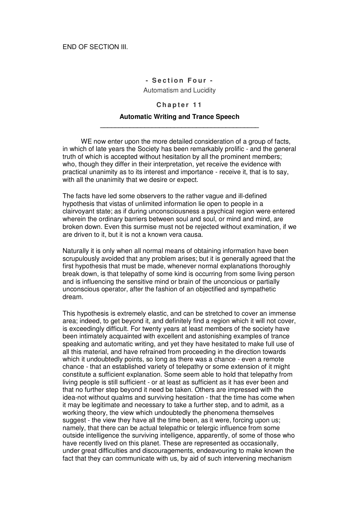# **- S e c t i o n F o u r -**

Automatism and Lucidity

#### **C h a p t e r 1 1**

# **Automatic Writing and Trance Speech \_\_\_\_\_\_\_\_\_\_\_\_\_\_\_\_\_\_\_\_\_\_\_\_\_\_\_\_\_\_\_\_\_\_\_\_\_\_\_\_\_\_\_**

WE now enter upon the more detailed consideration of a group of facts, in which of late years the Society has been remarkably prolific - and the general truth of which is accepted without hesitation by all the prominent members; who, though they differ in their interpretation, yet receive the evidence with practical unanimity as to its interest and importance - receive it, that is to say, with all the unanimity that we desire or expect.

The facts have led some observers to the rather vague and ill-defined hypothesis that vistas of unlimited information lie open to people in a clairvoyant state; as if during unconsciousness a psychical region were entered wherein the ordinary barriers between soul and soul, or mind and mind, are broken down. Even this surmise must not be rejected without examination, if we are driven to it, but it is not a known vera causa.

Naturally it is only when all normal means of obtaining information have been scrupulously avoided that any problem arises; but it is generally agreed that the first hypothesis that must be made, whenever normal explanations thoroughly break down, is that telepathy of some kind is occurring from some living person and is influencing the sensitive mind or brain of the unconcious or partially unconscious operator, after the fashion of an objectified and sympathetic dream.

This hypothesis is extremely elastic, and can be stretched to cover an immense area; indeed, to get beyond it, and definitely find a region which it will not cover, is exceedingly difficult. For twenty years at least members of the society have been intimately acquainted with excellent and astonishing examples of trance speaking and automatic writing, and yet they have hesitated to make full use of all this material, and have refrained from proceeding in the direction towards which it undoubtedly points, so long as there was a chance - even a remote chance - that an established variety of telepathy or some extension of it might constitute a sufficient explanation. Some seem able to hold that telepathy from living people is still sufficient - or at least as sufficient as it has ever been and that no further step beyond it need be taken. Others are impressed with the idea-not without qualms and surviving hesitation - that the time has come when it may be legitimate and necessary to take a further step, and to admit, as a working theory, the view which undoubtedly the phenomena themselves suggest - the view they have all the time been, as it were, forcing upon us; namely, that there can be actual telepathic or telergic influence from some outside intelligence the surviving intelligence, apparently, of some of those who have recently lived on this planet. These are represented as occasionally, under great difficulties and discouragements, endeavouring to make known the fact that they can communicate with us, by aid of such intervening mechanism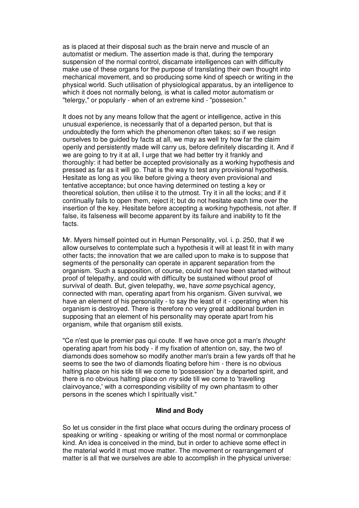as is placed at their disposal such as the brain nerve and muscle of an automatist or medium. The assertion made is that, during the temporary suspension of the normal control, discarnate intelligences can with difficulty make use of these organs for the purpose of translating their own thought into mechanical movement, and so producing some kind of speech or writing in the physical world. Such utilisation of physiological apparatus, by an intelligence to which it does not normally belong, is what is called motor automatism or "telergy," or popularly - when of an extreme kind - "possesion."

It does not by any means follow that the agent or intelligence, active in this unusual experience, is necessarily that of a departed person, but that is undoubtedly the form which the phenomenon often takes; so if we resign ourselves to be guided by facts at all, we may as well try how far the claim openly and persistently made will carry us, before definitely discarding it. And if we are going to try it at all, I urge that we had better try it frankly and thoroughly: it had better be accepted provisionally as a working hypothesis and pressed as far as it will go. That is the way to test any provisional hypothesis. Hesitate as long as you like before giving a theory even provisional and tentative acceptance; but once having determined on testing a key or theoretical solution, then utilise it to the utmost. Try it in all the locks; and if it continually fails to open them, reject it; but do not hesitate each time over the insertion of the key. Hesitate before accepting a working hypothesis, not after. If false, its falseness will become apparent by its failure and inability to fit the facts.

Mr. Myers himself pointed out in Human Personality, vol. i. p. 250, that if we allow ourselves to contemplate such a hypothesis it will at least fit in with many other facts; the innovation that we are called upon to make is to suppose that segments of the personality can operate in apparent separation from the organism. 'Such a supposition, of course, could not have been started without proof of telepathy, and could with difficulty be sustained without proof of survival of death. But, given telepathy, we, have *some* psychical agency, connected with man, operating apart from his organism. Given survival, we have an element of his personality - to say the least of it - operating when his organism is destroyed. There is therefore no very great additional burden in supposing that an element of his personality may operate apart from his organism, while that organism still exists.

"Ce n'est que le premier pas qui coute. If we have once got a man's *thought* operating apart from his body - if my fixation of attention on, say, the two of diamonds does somehow so modify another man's brain a few yards off that he seems to see the two of diamonds floating before him - there is no obvious halting place on his side till we come to 'possession' by a departed spirit, and there is no obvious halting place on *my* side till we come to 'travelling clairvoyance,' with a corresponding visibility of my own phantasm to other persons in the scenes which I spiritually visit."

#### **Mind and Body**

So let us consider in the first place what occurs during the ordinary process of speaking or writing - speaking or writing of the most normal or commonplace kind. An idea is conceived in the mind, but in order to achieve some effect in the material world it must move matter. The movement or rearrangement of matter is all that we ourselves are able to accomplish in the physical universe: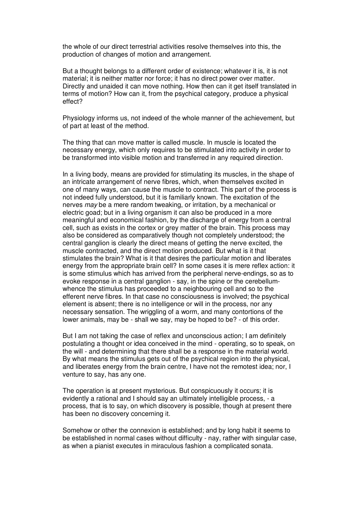the whole of our direct terrestrial activities resolve themselves into this, the production of changes of motion and arrangement.

But a thought belongs to a different order of existence; whatever it is, it is not material; it is neither matter nor force; it has no direct power over matter. Directly and unaided it can move nothing. How then can it get itself translated in terms of motion? How can it, from the psychical category, produce a physical effect?

Physiology informs us, not indeed of the whole manner of the achievement, but of part at least of the method.

The thing that can move matter is called muscle. In muscle is located the necessary energy, which only requires to be stimulated into activity in order to be transformed into visible motion and transferred in any required direction.

In a living body, means are provided for stimulating its muscles, in the shape of an intricate arrangement of nerve fibres, which, when themselves excited in one of many ways, can cause the muscle to contract. This part of the process is not indeed fully understood, but it is familiarly known. The excitation of the nerves *may* be a mere random tweaking, or irritation, by a mechanical or electric goad; but in a living organism it can also be produced in a more meaningful and economical fashion, by the discharge of energy from a central cell, such as exists in the cortex or grey matter of the brain. This process may also be considered as comparatively though not completely understood; the central ganglion is clearly the direct means of getting the nerve excited, the muscle contracted, and the direct motion produced. But what is it that stimulates the brain? What is it that desires the particular motion and liberates energy from the appropriate brain cell? In some cases it is mere reflex action: it is some stimulus which has arrived from the peripheral nerve-endings, so as to evoke response in a central ganglion - say, in the spine or the cerebellumwhence the stimulus has proceeded to a neighbouring cell and so to the efferent nerve fibres. In that case no consciousness is involved; the psychical element is absent; there is no intelligence or will in the process, nor any necessary sensation. The wriggling of a worm, and many contortions of the lower animals, may be - shall we say, may be hoped to be? - of this order.

But I am not taking the case of reflex and unconscious action; I am definitely postulating a thought or idea conceived in the mind - operating, so to speak, on the will - and determining that there shall be a response in the material world. By what means the stimulus gets out of the psychical region into the physical, and liberates energy from the brain centre, I have not the remotest idea; nor, I venture to say, has any one.

The operation is at present mysterious. But conspicuously it occurs; it is evidently a rational and I should say an ultimately intelligible process, - a process, that is to say, on which discovery is possible, though at present there has been no discovery concerning it.

Somehow or other the connexion is established; and by long habit it seems to be established in normal cases without difficulty - nay, rather with singular case, as when a pianist executes in miraculous fashion a complicated sonata.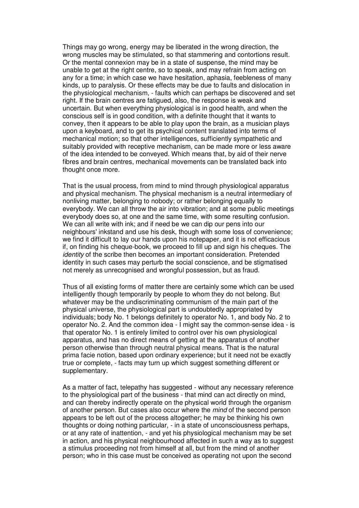Things may go wrong, energy may be liberated in the wrong direction, the wrong muscles may be stimulated, so that stammering and contortions result. Or the mental connexion may be in a state of suspense, the mind may be unable to get at the right centre, so to speak, and may refrain from acting on any for a time; in which case we have hesitation, aphasia, feebleness of many kinds, up to paralysis. Or these effects may be due to faults and dislocation in the physiological mechanism, - faults which can perhaps be discovered and set right. If the brain centres are fatigued, also, the response is weak and uncertain. But when everything physiological is in good health, and when the conscious self is in good condition, with a definite thought that it wants to convey, then it appears to be able to play upon the brain, as a musician plays upon a keyboard, and to get its psychical content translated into terms of mechanical motion; so that other intelligences, sufficiently sympathetic and suitably provided with receptive mechanism, can be made more or less aware of the idea intended to be conveyed. Which means that, by aid of their nerve fibres and brain centres, mechanical movements can be translated back into thought once more.

That is the usual process, from mind to mind through physiological apparatus and physical mechanism. The physical mechanism is a neutral intermediary of nonliving matter, belonging to nobody; or rather belonging equally to everybody. We can all throw the air into vibration; and at some public meetings everybody does so, at one and the same time, with some resulting confusion. We can all write with ink; and if need be we can dip our pens into our neighbours' inkstand and use his desk, though with some loss of convenience; we find it difficult to lay our hands upon his notepaper, and it is not efficacious if, on finding his cheque-book, we proceed to fill up and sign his cheques. The *identity* of the scribe then becomes an important consideration. Pretended identity in such cases may perturb the social conscience, and be stigmatised not merely as unrecognised and wrongful possession, but as fraud.

Thus of all existing forms of matter there are certainly some which can be used intelligently though temporarily by people to whom they do not belong. But whatever may be the undiscriminating communism of the main part of the physical universe, the physiological part is undoubtedly appropriated by individuals; body No. 1 belongs definitely to operator No. 1, and body No. 2 to operator No. 2. And the common idea - I might say the common-sense idea - is that operator No. 1 is entirely limited to control over his own physiological apparatus, and has no direct means of getting at the apparatus of another person otherwise than through neutral physical means. That is the natural prima facie notion, based upon ordinary experience; but it need not be exactly true or complete, - facts may turn up which suggest something different or supplementary.

As a matter of fact, telepathy has suggested - without any necessary reference to the physiological part of the business - that mind can act directly on mind, and can thereby indirectly operate on the physical world through the organism of another person. But cases also occur where the *mind* of the second person appears to be left out of the process altogether; he may be thinking his own thoughts or doing nothing particular, - in a state of unconsciousness perhaps, or at any rate of inattention, - and yet his physiological mechanism may be set in action, and his physical neighbourhood affected in such a way as to suggest a stimulus proceeding not from himself at all, but from the mind of another person; who in this case must be conceived as operating not upon the second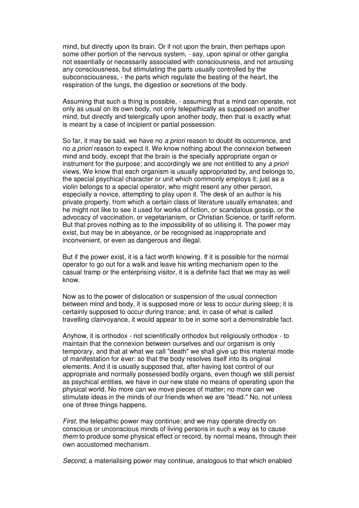mind, but directly upon its brain. Or if not upon the brain, then perhaps upon some other portion of the nervous system, - say, upon spinal or other ganglia not essentially or necessarily associated with consciousness, and not arousing any consciousness, but stimulating the parts usually controlled by the subconsciousness, - the parts which regulate the beating of the heart, the respiration of the lungs, the digestion or secretions of the body.

Assuming that such a thing is possible, - assuming that a mind can operate, not only as usual on its own body, not only telepathically as supposed on another mind, but directly and telergically upon another body, then that is exactly what is meant by a case of incipient or partial possession.

So far, it may be said, we have no *a priori* reason to doubt its occurrence, and no *a priori* reason to expect it. We know nothing about the connexion between mind and body, except that the brain is the specially appropriate organ or instrument for the purpose; and accordingly we are not entitled to any *a priori* views. We know that each organism is usually appropriated by, and belongs to, the special psychical character or unit which commonly employs it; just as a violin belongs to a special operator, who might resent any other person, especially a novice, attempting to play upon it. The desk of an author is his private property, from which a certain class of literature usually emanates; and he might not like to see it used for works of fiction, or scandalous gossip, or the advocacy of vaccination, or vegetarianism, or Christian Science, or tariff reform. But that proves nothing as to the impossibility of so utilising it. The power may exist, but may be in abeyance, or be recognised as inappropriate and inconvenient, or even as dangerous and illegal.

But if the power exist, it is a fact worth knowing. If it is possible for the normal operator to go out for a walk and leave his writing mechanism open to the casual tramp or the enterprising visitor, it is a definite fact that we may as well know.

Now as to the power of dislocation or suspension of the usual connection between mind and body, it is supposed more or less to occur during sleep; it is certainly supposed to occur during trance; and, in case of what is called travelling clairvoyance, it would appear to be in some sort a demonstrable fact.

Anyhow, it is orthodox - not scientifically orthodox but religiously orthodox - to maintain that the connexion between ourselves and our organism is only temporary, and that at what we call "death" we shall give up this material mode of manifestation for ever: so that the body resolves itself into its original elements. And it is usually supposed that, after having lost control of our appropriate and normally possessed bodily organs, even though we still persist as psychical entities, we have in our new state no means of operating upon the physical world. No more can we move pieces of matter; no more can we stimulate ideas in the minds of our friends when we are "dead." No, not unless one of three things happens.

*First*, the telepathic power may continue; and we may operate directly on conscious or unconscious minds of living persons in such a way as to cause *them* to produce some physical effect or record, by normal means, through their own accustomed mechanism.

*Second*, a materialising power may continue, analogous to that which enabled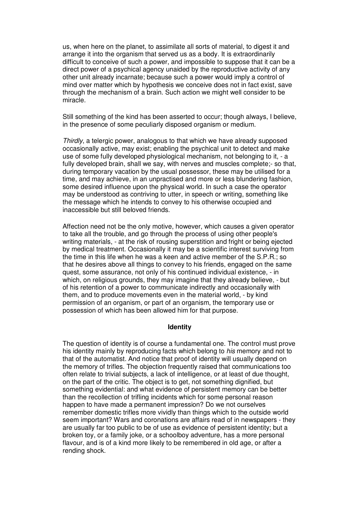us, when here on the planet, to assimilate all sorts of material, to digest it and arrange it into the organism that served us as a body. It is extraordinarily difficult to conceive of such a power, and impossible to suppose that it can be a direct power of a psychical agency unaided by the reproductive activity of any other unit already incarnate; because such a power would imply a control of mind over matter which by hypothesis we conceive does not in fact exist, save through the mechanism of a brain. Such action we might well consider to be miracle.

Still something of the kind has been asserted to occur; though always, I believe, in the presence of some peculiarly disposed organism or medium.

*Thirdly*, a telergic power, analogous to that which we have already supposed occasionally active, may exist; enabling the psychical unit to detect and make use of some fully developed physiological mechanism, not belonging to it, - a fully developed brain, shall we say, with nerves and muscles complete;- so that, during temporary vacation by the usual possessor, these may be utilised for a time, and may achieve, in an unpractised and more or less blundering fashion, some desired influence upon the physical world. In such a case the operator may be understood as contriving to utter, in speech or writing, something like the message which he intends to convey to his otherwise occupied and inaccessible but still beloved friends.

Affection need not be the only motive, however, which causes a given operator to take all the trouble, and go through the process of using other people's writing materials, - at the risk of rousing superstition and fright or being ejected by medical treatment. Occasionally it may be a scientific interest surviving from the time in this life when he was a keen and active member of the S.P.R.; so that he desires above all things to convey to his friends, engaged on the same quest, some assurance, not only of his continued individual existence, - in which, on religious grounds, they may imagine that they already believe, - but of his retention of a power to communicate indirectly and occasionally with them, and to produce movements even in the material world, - by kind permission of an organism, or part of an organism, the temporary use or possession of which has been allowed him for that purpose.

## **Identity**

The question of identity is of course a fundamental one. The control must prove his identity mainly by reproducing facts which belong to *his* memory and not to that of the automatist. And notice that proof of identity will usually depend on the memory of trifles. The objection frequently raised that communications too often relate to trivial subjects, a lack of intelligence, or at least of due thought, on the part of the critic. The object is to get, not something dignified, but something evidential: and what evidence of persistent memory can be better than the recollection of trifling incidents which for some personal reason happen to have made a permanent impression? Do we not ourselves remember domestic trifles more vividly than things which to the outside world seem important? Wars and coronations are affairs read of in newspapers - they are usually far too public to be of use as evidence of persistent identity; but a broken toy, or a family joke, or a schoolboy adventure, has a more personal flavour, and is of a kind more likely to be remembered in old age, or after a rending shock.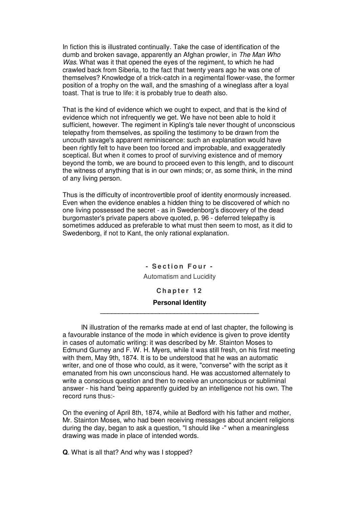In fiction this is illustrated continually. Take the case of identification of the dumb and broken savage, apparently an Afghan prowler, in *The Man Who Was*. What was it that opened the eyes of the regiment, to which he had crawled back from Siberia, to the fact that twenty years ago he was one of themselves? Knowledge of a trick-catch in a regimental flower-vase, the former position of a trophy on the wall, and the smashing of a wineglass after a loyal toast. That is true to life: it is probably true to death also.

That is the kind of evidence which we ought to expect, and that is the kind of evidence which not infrequently we get. We have not been able to hold it sufficient, however. The regiment in Kipling's tale never thought of unconscious telepathy from themselves, as spoiling the testimony to be drawn from the uncouth savage's apparent reminiscence: such an explanation would have been rightly felt to have been too forced and improbable, and exaggeratedly sceptical. But when it comes to proof of surviving existence and of memory beyond the tomb, we are bound to proceed even to this length, and to discount the witness of anything that is in our own minds; or, as some think, in the mind of any living person.

Thus is the difficulty of incontrovertible proof of identity enormously increased. Even when the evidence enables a hidden thing to be discovered of which no one living possessed the secret - as in Swedenborg's discovery of the dead burgomaster's private papers above quoted, p. 96 - deferred telepathy is sometimes adduced as preferable to what must then seem to most, as it did to Swedenborg, if not to Kant, the only rational explanation.

> **- S e c t i o n F o u r -** Automatism and Lucidity

> > **C h a p t e r 1 2**

## **Personal Identity \_\_\_\_\_\_\_\_\_\_\_\_\_\_\_\_\_\_\_\_\_\_\_\_\_\_\_\_\_\_\_\_\_\_\_\_\_\_\_\_\_\_\_**

IN illustration of the remarks made at end of last chapter, the following is a favourable instance of the mode in which evidence is given to prove identity in cases of automatic writing: it was described by Mr. Stainton Moses to Edmund Gurney and F. W. H. Myers, while it was still fresh, on his first meeting with them, May 9th, 1874. It is to be understood that he was an automatic writer, and one of those who could, as it were, "converse" with the script as it emanated from his own unconscious hand. He was accustomed alternately to write a conscious question and then to receive an unconscious or subliminal answer - his hand 'being apparently guided by an intelligence not his own. The record runs thus:-

On the evening of April 8th, 1874, while at Bedford with his father and mother, Mr. Stainton Moses, who had been receiving messages about ancient religions during the day, began to ask a question, "I should like -" when a meaningless drawing was made in place of intended words.

**Q**. What is all that? And why was I stopped?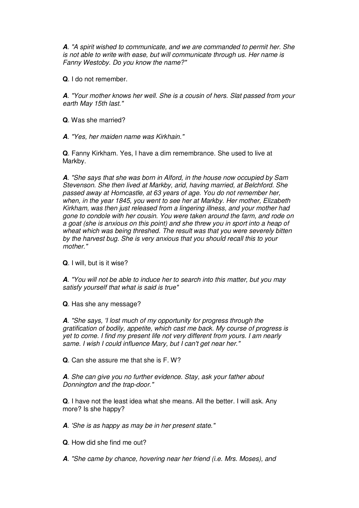*A. "A spirit wished to communicate, and we are commanded to permit her. She is not able to write with ease, but will communicate through us. Her name is Fanny Westoby. Do you know the name?"*

**Q**. I do not remember.

*A. "Your mother knows her well. She is a cousin of hers. Slat passed from your earth May 15th last."*

**Q**. Was she married?

*A. "Yes, her maiden name was Kirkhain."*

**Q**. Fanny Kirkham. Yes, I have a dim remembrance. She used to live at Markby.

*A. "She says that she was born in Alford, in the house now occupied by Sam Stevenson. She then lived at Markby, arid, having married, at Belchford. She passed away at Horncastle, at 63 years of age. You do not remember her, when, in the year 1845, you went to see her at Markby. Her mother, Elizabeth Kirkham, was then just released from a lingering illness, and your mother had gone to condole with her cousin. You were taken around the farm, and rode on a goat (she is anxious on this point) and she threw you in sport into a heap of wheat which was being threshed. The result was that you were severely bitten by the harvest bug. She is very anxious that you should recall this to your mother."*

**Q**. I will, but is it wise?

*A. "You will not be able to induce her to search into this matter, but you may satisfy yourself that what is said is true"*

**Q**. Has she any message?

*A. "She says, 'I lost much of my opportunity for progress through the gratification of bodily, appetite, which cast me back. My course of progress is yet to come. I find my present life not very different from yours. I am nearly same. I wish I could influence Mary, but I can't get near her."*

**Q**. Can she assure me that she is F. W?

*A. She can give you no further evidence. Stay, ask your father about Donnington and the trap-door."*

**Q**. I have not the least idea what she means. All the better. I will ask. Any more? Is she happy?

*A. 'She is as happy as may be in her present state."*

**Q**. How did she find me out?

*A. "She came by chance, hovering near her friend (i.e. Mrs. Moses), and*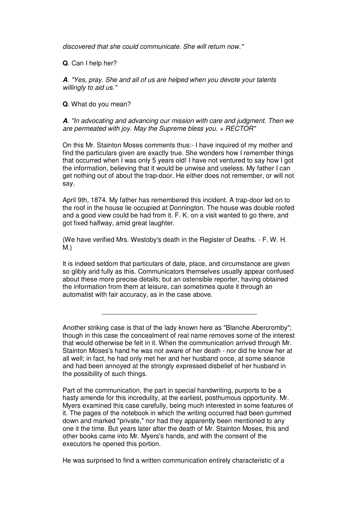*discovered that she could communicate. She will return now."*

**Q**. Can I help her?

*A. "Yes, pray. She and all of us are helped when you devote your talents willingly to aid us."*

**Q**. What do you mean?

*A. "In advocating and advancing our mission with care and judgment. Then we are permeated with joy. May the Supreme bless you. + RECTOR"*

On this Mr. Stainton Moses comments thus:- I have inquired of my mother and find the particulars given are exactly true. She wonders how I remember things that occurred when I was only 5 years old! I have not ventured to say how I got the information, believing that it would be unwise and useless. My father I can get nothing out of about the trap-door. He either does not remember, or will not say.

April 9th, 1874. My father has remembered this incident. A trap-door led on to the roof in the house lie occupied at Donnington. The house was double roofed and a good view could be had from it. F. K. on a visit wanted to go there, and got fixed halfway, amid great laughter.

(We have verified Mrs. Westoby's death in the Register of Deaths. - F. W. H. M.)

It is indeed seldom that particulars of date, place, and circumstance are given so glibly arid fully as this. Communicators themselves usually appear confused about these more precise details; but an ostensible reporter, having obtained the information from them at leisure, can sometimes quote it through an automatist with fair accuracy, as in the case above.

\_\_\_\_\_\_\_\_\_\_\_\_\_\_\_\_\_\_\_\_\_\_\_\_\_\_\_\_\_\_\_\_\_\_\_\_\_\_\_\_\_\_

Another striking case is that of the lady known here as "Blanche Abercromby"; though in this case the concealment of real name removes some of the interest that would otherwise be felt in it. When the communication arrived through Mr. Stainton Moses's hand he was not aware of her death - nor did he know her at all well; in fact, he had only met her and her husband once, at some séance and had been annoyed at the strongly expressed disbelief of her husband in the possibility of such things.

Part of the communication, the part in special handwriting, purports to be a hasty amende for this incredulity, at the earliest, posthumous opportunity. Mr. Myers examined this case carefully, being much interested in some features of it. The pages of the notebook in which the writing occurred had been gummed down and marked "private," nor had they apparently been mentioned to any one it the time. But years later after the death of Mr. Stainton Moses, this and other books came into Mr. Myers's hands, and with the consent of the executors he opened this portion.

He was surprised to find a written communication entirely characteristic of a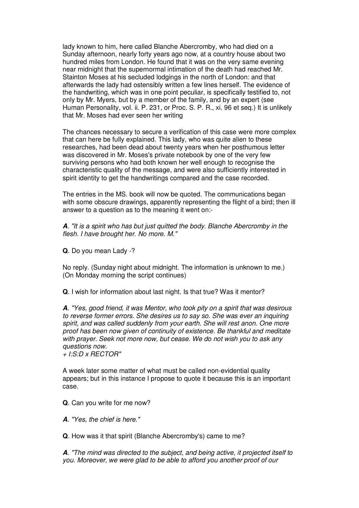lady known to him, here called Blanche Abercromby, who had died on a Sunday afternoon, nearly forty years ago now, at a country house about two hundred miles from London. He found that it was on the very same evening near midnight that the supernormal intimation of the death had reached Mr. Stainton Moses at his secluded lodgings in the north of London: and that afterwards the lady had ostensibly written a few lines herself. The evidence of the handwriting, which was in one point peculiar, is specifically testified to, not only by Mr. Myers, but by a member of the family, and by an expert (see Human Personality, vol. ii. P. 231, or Proc. S. P. R., xi. 96 et seq.) It is unlikely that Mr. Moses had ever seen her writing

The chances necessary to secure a verification of this case were more complex that can here be fully explained. This lady, who was quite alien to these researches, had been dead about twenty years when her posthumous letter was discovered in Mr. Moses's private notebook by one of the very few surviving persons who had both known her well enough to recognise the characteristic quality of the message, and were also sufficiently interested in spirit identity to get the handwritings compared and the case recorded.

The entries in the MS. book will now be quoted. The communications began with some obscure drawings, apparently representing the flight of a bird; then ill answer to a question as to the meaning it went on:-

*A. "It is a spirit who has but just quitted the body. Blanche Abercromby in the flesh. I have brought her. No more. M."*

**Q**. Do you mean Lady -?

No reply. (Sunday night about midnight. The information is unknown to me.) (On Monday morning the script continues)

**Q**. I wish for information about last night. Is that true? Was it mentor?

*A. "Yes, good friend, it was Mentor, who took pity on a spirit that was desirous to reverse former errors. She desires us to say so. She was ever an inquiring spirit, and was called suddenly from your earth. She will rest anon. One more proof has been now given of continuity of existence. Be thankful and meditate with prayer. Seek not more now, but cease. We do not wish you to ask any questions now.*

*+ I:S:D x RECTOR"*

A week later some matter of what must be called non-evidential quality appears; but in this instance I propose to quote it because this is an important case.

**Q**. Can you write for me now?

*A. "Yes, the chief is here."*

**Q**. How was it that spirit (Blanche Abercromby's) came to me?

*A. "The mind was directed to the subject, and being active, it projected itself to you. Moreover, we were glad to be able to afford you another proof of our*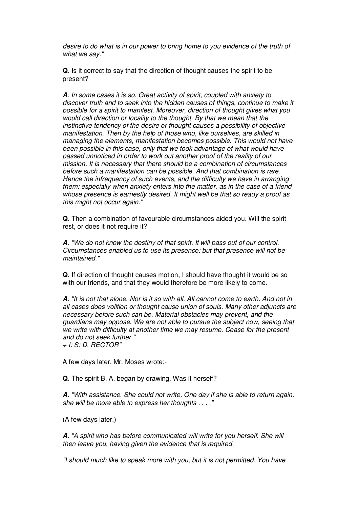*desire to do what is in our power to bring home to you evidence of the truth of what we say."*

**Q**. Is it correct to say that the direction of thought causes the spirit to be present?

*A. In some cases it is so. Great activity of spirit, coupled with anxiety to discover truth and to seek into the hidden causes of things, continue to make it possible for a spirit to manifest. Moreover, direction of thought gives what you would call direction or locality to the thought. By that we mean that the instinctive tendency of the desire or thought causes a possibility of objective manifestation. Then by the help of those who, like ourselves, are skilled in managing the elements, manifestation becomes possible. This would not have been possible in this case, only that we took advantage of what would have passed unnoticed in order to work out another proof of the reality of our mission. It is necessary that there should be a combination of circumstances before such a manifestation can be possible. And that combination is rare. Hence the infrequency of such events, and the difficulty we have in arranging them: especially when anxiety enters into the matter, as in the case of a friend whose presence is earnestly desired. It might well be that so ready a proof as this might not occur again."*

**Q**. Then a combination of favourable circumstances aided you. Will the spirit rest, or does it not require it?

*A. "We do not know the destiny of that spirit. It will pass out of our control. Circumstances enabled us to use its presence: but that presence will not be maintained."*

**Q**. If direction of thought causes motion, I should have thought it would be so with our friends, and that they would therefore be more likely to come.

A. "It is not that alone. Nor is it so with all. All cannot come to earth. And not in *all cases does volition or thought cause union of souls. Many other adjuncts are necessary before such can be. Material obstacles may prevent, and the guardians may oppose. We are not able to pursue the subject now, seeing that we write with difficulty at another time we may resume. Cease for the present and do not seek further." + I: S: D. RECTOR"*

A few days later, Mr. Moses wrote:-

**Q**. The spirit B. A. began by drawing. Was it herself?

*A. "With assistance. She could not write. One day if she is able to return again, she will be more able to express her thoughts . . . ."*

(A few days later.)

*A. "A spirit who has before communicated will write for you herself. She will then leave you, having given the evidence that is required.*

*"I should much like to speak more with you, but it is not permitted. You have*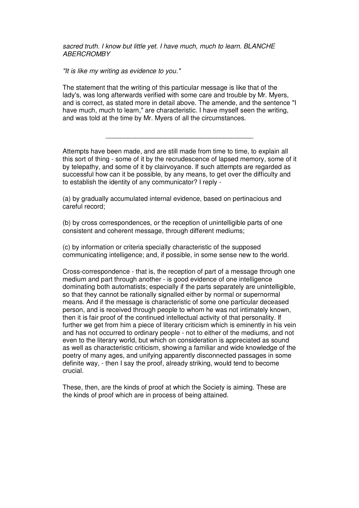*sacred truth. I know but little yet. I have much, much to learn. BLANCHE ABERCROMBY*

*"It is like my writing as evidence to you."*

The statement that the writing of this particular message is like that of the lady's, was long afterwards verified with some care and trouble by Mr. Myers, and is correct, as stated more in detail above. The amende, and the sentence "I have much, much to learn," are characteristic. I have myself seen the writing, and was told at the time by Mr. Myers of all the circumstances.

\_\_\_\_\_\_\_\_\_\_\_\_\_\_\_\_\_\_\_\_\_\_\_\_\_\_\_\_\_\_\_\_\_\_\_\_\_\_\_\_

Attempts have been made, and are still made from time to time, to explain all this sort of thing - some of it by the recrudescence of lapsed memory, some of it by telepathy, and some of it by clairvoyance. If such attempts are regarded as successful how can it be possible, by any means, to get over the difficulty and to establish the identity of any communicator? I reply -

(a) by gradually accumulated internal evidence, based on pertinacious and careful record;

(b) by cross correspondences, or the reception of unintelligible parts of one consistent and coherent message, through different mediums;

(c) by information or criteria specially characteristic of the supposed communicating intelligence; and, if possible, in some sense new to the world.

Cross-correspondence - that is, the reception of part of a message through one medium and part through another - is good evidence of one intelligence dominating both automatists; especially if the parts separately are unintelligible, so that they cannot be rationally signalled either by normal or supernormal means. And if the message is characteristic of some one particular deceased person, and is received through people to whom he was not intimately known, then it is fair proof of the continued intellectual activity of that personality. If further we get from him a piece of literary criticism which is eminently in his vein and has not occurred to ordinary people - not to either of the mediums, and not even to the literary world, but which on consideration is appreciated as sound as well as characteristic criticism, showing a familiar and wide knowledge of the poetry of many ages, and unifying apparently disconnected passages in some definite way, - then I say the proof, already striking, would tend to become crucial.

These, then, are the kinds of proof at which the Society is aiming. These are the kinds of proof which are in process of being attained.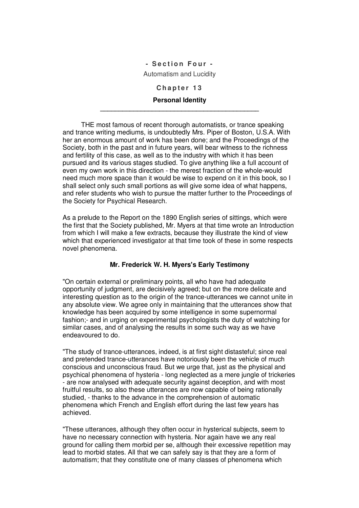# **- S e c t i o n F o u r -**

Automatism and Lucidity

#### **C h a p t e r 1 3**

## **Personal Identity \_\_\_\_\_\_\_\_\_\_\_\_\_\_\_\_\_\_\_\_\_\_\_\_\_\_\_\_\_\_\_\_\_\_\_\_\_\_\_\_\_\_\_**

THE most famous of recent thorough automatists, or trance speaking and trance writing mediums, is undoubtedly Mrs. Piper of Boston, U.S.A. With her an enormous amount of work has been done; and the Proceedings of the Society, both in the past and in future years, will bear witness to the richness and fertility of this case, as well as to the industry with which it has been pursued and its various stages studied. To give anything like a full account of even my own work in this direction - the merest fraction of the whole-would need much more space than it would be wise to expend on it in this book, so I shall select only such small portions as will give some idea of what happens, and refer students who wish to pursue the matter further to the Proceedings of the Society for Psychical Research.

As a prelude to the Report on the 1890 English series of sittings, which were the first that the Society published, Mr. Myers at that time wrote an Introduction from which I will make a few extracts, because they illustrate the kind of view which that experienced investigator at that time took of these in some respects novel phenomena.

# **Mr. Frederick W. H. Myers's Early Testimony**

"On certain external or preliminary points, all who have had adequate opportunity of judgment, are decisively agreed; but on the more delicate and interesting question as to the origin of the trance-utterances we cannot unite in any absolute view. We agree only in maintaining that the utterances show that knowledge has been acquired by some intelligence in some supernormal fashion;- and in urging on experimental psychologists the duty of watching for similar cases, and of analysing the results in some such way as we have endeavoured to do.

"The study of trance-utterances, indeed, is at first sight distasteful; since real and pretended trance-utterances have notoriously been the vehicle of much conscious and unconscious fraud. But we urge that, just as the physical and psychical phenomena of hysteria - long neglected as a mere jungle of trickeries - are now analysed with adequate security against deception, and with most fruitful results, so also these utterances are now capable of being rationally studied, - thanks to the advance in the comprehension of automatic phenomena which French and English effort during the last few years has achieved.

"These utterances, although they often occur in hysterical subjects, seem to have no necessary connection with hysteria. Nor again have we any real ground for calling them morbid per se, although their excessive repetition may lead to morbid states. All that we can safely say is that they are a form of automatism; that they constitute one of many classes of phenomena which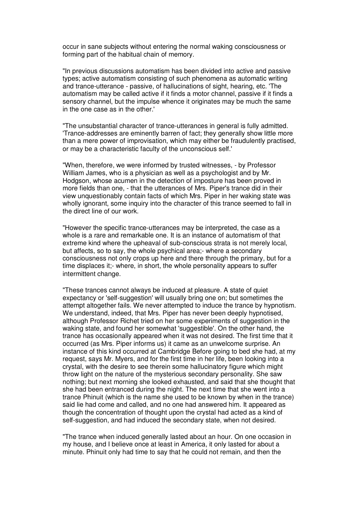occur in sane subjects without entering the normal waking consciousness or forming part of the habitual chain of memory.

"In previous discussions automatism has been divided into active and passive types; active automatism consisting of such phenomena as automatic writing and trance-utterance - passive, of hallucinations of sight, hearing, etc. 'The automatism may be called active if it finds a motor channel, passive if it finds a sensory channel, but the impulse whence it originates may be much the same in the one case as in the other.'

"The unsubstantial character of trance-utterances in general is fully admitted. 'Trance-addresses are eminently barren of fact; they generally show little more than a mere power of improvisation, which may either be fraudulently practised, or may be a characteristic faculty of the unconscious self.'

"When, therefore, we were informed by trusted witnesses, - by Professor William James, who is a physician as well as a psychologist and by Mr. Hodgson, whose acumen in the detection of imposture has been proved in more fields than one, - that the utterances of Mrs. Piper's trance did in their view unquestionably contain facts of which Mrs. Piper in her waking state was wholly ignorant, some inquiry into the character of this trance seemed to fall in the direct line of our work.

"However the specific trance-utterances may be interpreted, the case as a whole is a rare and remarkable one. It is an instance of automatism of that extreme kind where the upheaval of sub-conscious strata is not merely local, but affects, so to say, the whole psychical area;- where a secondary consciousness not only crops up here and there through the primary, but for a time displaces it;- where, in short, the whole personality appears to suffer intermittent change.

"These trances cannot always be induced at pleasure. A state of quiet expectancy or 'self-suggestion' will usually bring one on; but sometimes the attempt altogether fails. We never attempted to induce the trance by hypnotism. We understand, indeed, that Mrs. Piper has never been deeply hypnotised, although Professor Richet tried on her some experiments of suggestion in the waking state, and found her somewhat 'suggestible'. On the other hand, the trance has occasionally appeared when it was not desired. The first time that it occurred (as Mrs. Piper informs us) it came as an unwelcome surprise. An instance of this kind occurred at Cambridge Before going to bed she had, at my request, says Mr. Myers, and for the first time in her life, been looking into a crystal, with the desire to see therein some hallucinatory figure which might throw light on the nature of the mysterious secondary personality. She saw nothing; but next morning she looked exhausted, and said that she thought that she had been entranced during the night. The next time that she went into a trance Phinuit (which is the name she used to be known by when in the trance) said lie had come and called, and no one had answered him. It appeared as though the concentration of thought upon the crystal had acted as a kind of self-suggestion, and had induced the secondary state, when not desired.

"The trance when induced generally lasted about an hour. On one occasion in my house, and I believe once at least in America, it only lasted for about a minute. Phinuit only had time to say that he could not remain, and then the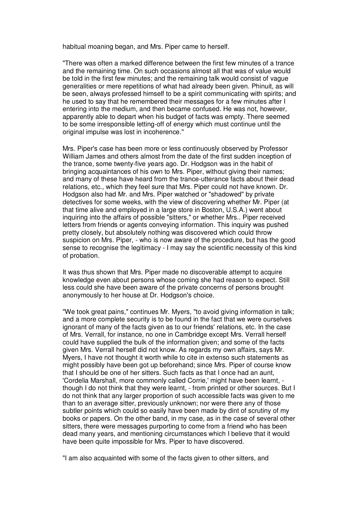habitual moaning began, and Mrs. Piper came to herself.

"There was often a marked difference between the first few minutes of a trance and the remaining time. On such occasions almost all that was of value would be told in the first few minutes; and the remaining talk would consist of vague generalities or mere repetitions of what had already been given. Phinuit, as will be seen, always professed himself to be a spirit communicating with spirits; and he used to say that he remembered their messages for a few minutes after I entering into the medium, and then became confused. He was not, however, apparently able to depart when his budget of facts was empty. There seemed to be some irresponsible letting-off of energy which must continue until the original impulse was lost in incoherence."

Mrs. Piper's case has been more or less continuously observed by Professor William James and others almost from the date of the first sudden inception of the trance, some twenty-five years ago. Dr. Hodgson was in the habit of bringing acquaintances of his own to Mrs. Piper, without giving their names; and many of these have heard from the trance-utterance facts about their dead relations, etc., which they feel sure that Mrs. Piper could not have known. Dr. Hodgson also had Mr. and Mrs. Piper watched or "shadowed" by private detectives for some weeks, with the view of discovering whether Mr. Piper (at that time alive and employed in a large store in Boston, U.S.A.) went about inquiring into the affairs of possible "sitters," or whether Mrs.. Piper received letters from friends or agents conveying information. This inquiry was pushed pretty closely, but absolutely nothing was discovered which could throw suspicion on Mrs. Piper, - who is now aware of the procedure, but has the good sense to recognise the legitimacy - I may say the scientific necessity of this kind of probation.

It was thus shown that Mrs. Piper made no discoverable attempt to acquire knowledge even about persons whose coming she had reason to expect. Still less could she have been aware of the private concerns of persons brought anonymously to her house at Dr. Hodgson's choice.

"We took great pains," continues Mr. Myers, "to avoid giving information in talk; and a more complete security is to be found in the fact that we were ourselves ignorant of many of the facts given as to our friends' relations, etc. In the case of Mrs. Verrall, for instance, no one in Cambridge except Mrs. Verrall herself could have supplied the bulk of the information given; and some of the facts given Mrs. Verrall herself did not know. As regards my own affairs, says Mr. Myers, I have not thought it worth while to cite in extenso such statements as might possibly have been got up beforehand; since Mrs. Piper of course know that I should be one of her sitters. Such facts as that I once had an aunt, 'Cordelia Marshall, more commonly called Corrie,' might have been learnt, though I do not think that they were learnt, - from printed or other sources. But I do not think that any larger proportion of such accessible facts was given to me than to an average sitter, previously unknown; nor were there any of those subtler points which could so easily have been made by dint of scrutiny of my books or papers. On the other band, in my case, as in the case of several other sitters, there were messages purporting to come from a friend who has been dead many years, and mentioning circumstances which I believe that it would have been quite impossible for Mrs. Piper to have discovered.

"I am also acquainted with some of the facts given to other sitters, and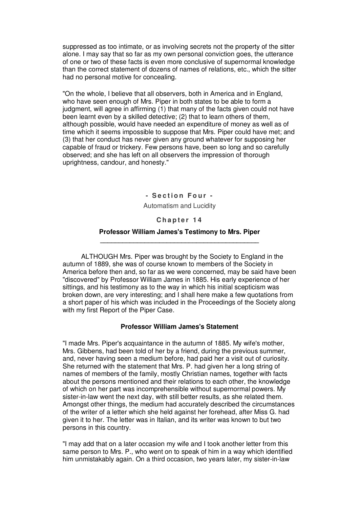suppressed as too intimate, or as involving secrets not the property of the sitter alone. I may say that so far as my own personal conviction goes, the utterance of one or two of these facts is even more conclusive of supernormal knowledge than the correct statement of dozens of names of relations, etc., which the sitter had no personal motive for concealing.

"On the whole, I believe that all observers, both in America and in England, who have seen enough of Mrs. Piper in both states to be able to form a judgment, will agree in affirming  $(1)$  that many of the facts given could not have been learnt even by a skilled detective; (2) that to learn others of them, although possible, would have needed an expenditure of money as well as of time which it seems impossible to suppose that Mrs. Piper could have met; and (3) that her conduct has never given any ground whatever for supposing her capable of fraud or trickery. Few persons have, been so long and so carefully observed; and she has left on all observers the impression of thorough uprightness, candour, and honesty."

> **- S e c t i o n F o u r -** Automatism and Lucidity

## **C h a p t e r 1 4**

## **Professor William James's Testimony to Mrs. Piper \_\_\_\_\_\_\_\_\_\_\_\_\_\_\_\_\_\_\_\_\_\_\_\_\_\_\_\_\_\_\_\_\_\_\_\_\_\_\_\_\_\_\_**

ALTHOUGH Mrs. Piper was brought by the Society to England in the autumn of 1889, she was of course known to members of the Society in America before then and, so far as we were concerned, may be said have been "discovered" by Professor William James in 1885. His early experience of her sittings, and his testimony as to the way in which his initial scepticism was broken down, are very interesting; and I shall here make a few quotations from a short paper of his which was included in the Proceedings of the Society along with my first Report of the Piper Case.

#### **Professor William James's Statement**

"I made Mrs. Piper's acquaintance in the autumn of 1885. My wife's mother, Mrs. Gibbens, had been told of her by a friend, during the previous summer, and, never having seen a medium before, had paid her a visit out of curiosity. She returned with the statement that Mrs. P. had given her a long string of names of members of the family, mostly Christian names, together with facts about the persons mentioned and their relations to each other, the knowledge of which on her part was incomprehensible without supernormal powers. My sister-in-law went the next day, with still better results, as she related them. Amongst other things, the medium had accurately described the circumstances of the writer of a letter which she held against her forehead, after Miss G. had given it to her. The letter was in Italian, and its writer was known to but two persons in this country.

"I may add that on a later occasion my wife and I took another letter from this same person to Mrs. P., who went on to speak of him in a way which identified him unmistakably again. On a third occasion, two years later, my sister-in-law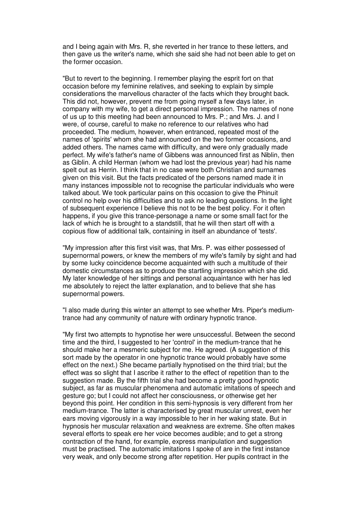and I being again with Mrs. R, she reverted in her trance to these letters, and then gave us the writer's name, which she said she had not been able to get on the former occasion.

"But to revert to the beginning. I remember playing the esprit fort on that occasion before my feminine relatives, and seeking to explain by simple considerations the marvellous character of the facts which they brought back. This did not, however, prevent me from going myself a few days later, in company with my wife, to get a direct personal impression. The names of none of us up to this meeting had been announced to Mrs. P.; and Mrs. J. and I were, of course, careful to make no reference to our relatives who had proceeded. The medium, however, when entranced, repeated most of the names of 'spirits' whom she had announced on the two former occasions, and added others. The names came with difficulty, and were only gradually made perfect. My wife's father's name of Gibbens was announced first as Niblin, then as Giblin. A child Herman (whom we had lost the previous year) had his name spelt out as Herrin. I think that in no case were both Christian and surnames given on this visit. But the facts predicated of the persons named made it in many instances impossible not to recognise the particular individuals who were talked about. We took particular pains on this occasion to give the Phinuit control no help over his difficulties and to ask no leading questions. In the light of subsequent experience I believe this not to be the best policy. For it often happens, if you give this trance-personage a name or some small fact for the lack of which he is brought to a standstill, that he will then start off with a copious flow of additional talk, containing in itself an abundance of 'tests'.

"My impression after this first visit was, that Mrs. P. was either possessed of supernormal powers, or knew the members of my wife's family by sight and had by some lucky coincidence become acquainted with such a multitude of their domestic circumstances as to produce the startling impression which she did. My later knowledge of her sittings and personal acquaintance with her has led me absolutely to reject the latter explanation, and to believe that she has supernormal powers.

"I also made during this winter an attempt to see whether Mrs. Piper's mediumtrance had any community of nature with ordinary hypnotic trance.

"My first two attempts to hypnotise her were unsuccessful. Between the second time and the third, I suggested to her 'control' in the medium-trance that he should make her a mesmeric subject for me. He agreed. (A suggestion of this sort made by the operator in one hypnotic trance would probably have some effect on the next.) She became partially hypnotised on the third trial; but the effect was so slight that I ascribe it rather to the effect of repetition than to the suggestion made. By the fifth trial she had become a pretty good hypnotic subject, as far as muscular phenomena and automatic imitations of speech and gesture go; but I could not affect her consciousness, or otherwise get her beyond this point. Her condition in this semi-hypnosis is very different from her medium-trance. The latter is characterised by great muscular unrest, even her ears moving vigorously in a way impossible to her in her waking state. But in hypnosis her muscular relaxation and weakness are extreme. She often makes several efforts to speak ere her voice becomes audible; and to get a strong contraction of the hand, for example, express manipulation and suggestion must be practised. The automatic imitations I spoke of are in the first instance very weak, and only become strong after repetition. Her pupils contract in the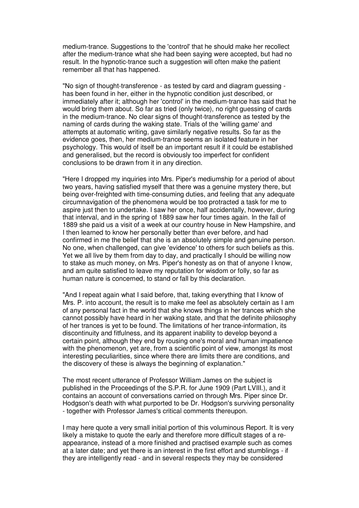medium-trance. Suggestions to the 'control' that he should make her recollect after the medium-trance what she had been saying were accepted, but had no result. In the hypnotic-trance such a suggestion will often make the patient remember all that has happened.

"No sign of thought-transference - as tested by card and diagram guessing has been found in her, either in the hypnotic condition just described, or immediately after it; although her 'control' in the medium-trance has said that he would bring them about. So far as tried (only twice), no right guessing of cards in the medium-trance. No clear signs of thought-transference as tested by the naming of cards during the waking state. Trials of the 'willing game' and attempts at automatic writing, gave similarly negative results. So far as the evidence goes, then, her medium-trance seems an isolated feature in her psychology. This would of itself be an important result if it could be established and generalised, but the record is obviously too imperfect for confident conclusions to be drawn from it in any direction.

"Here I dropped my inquiries into Mrs. Piper's mediumship for a period of about two years, having satisfied myself that there was a genuine mystery there, but being over-freighted with time-consuming duties, and feeling that any adequate circumnavigation of the phenomena would be too protracted a task for me to aspire just then to undertake. I saw her once, half accidentally, however, during that interval, and in the spring of 1889 saw her four times again. In the fall of 1889 she paid us a visit of a week at our country house in New Hampshire, and I then learned to know her personally better than ever before, and had confirmed in me the belief that she is an absolutely simple and genuine person. No one, when challenged, can give 'evidence' to others for such beliefs as this. Yet we all live by them from day to day, and practically I should be willing now to stake as much money, on Mrs. Piper's honesty as on that of anyone I know, and am quite satisfied to leave my reputation for wisdom or folly, so far as human nature is concerned, to stand or fall by this declaration.

"And I repeat again what I said before, that, taking everything that I know of Mrs. P. into account, the result is to make me feel as absolutely certain as I am of any personal fact in the world that she knows things in her trances which she cannot possibly have heard in her waking state, and that the definite philosophy of her trances is yet to be found. The limitations of her trance-information, its discontinuity and fitfulness, and its apparent inability to develop beyond a certain point, although they end by rousing one's moral and human impatience with the phenomenon, yet are, from a scientific point of view, amongst its most interesting peculiarities, since where there are limits there are conditions, and the discovery of these is always the beginning of explanation."

The most recent utterance of Professor William James on the subject is published in the Proceedings of the S.P.R. for June 1909 (Part LVIII.), and it contains an account of conversations carried on through Mrs. Piper since Dr. Hodgson's death with what purported to be Dr. Hodgson's surviving personality - together with Professor James's critical comments thereupon.

I may here quote a very small initial portion of this voluminous Report. It is very likely a mistake to quote the early and therefore more difficult stages of a reappearance, instead of a more finished and practised example such as comes at a later date; and yet there is an interest in the first effort and stumblings - if they are intelligently read - and in several respects they may be considered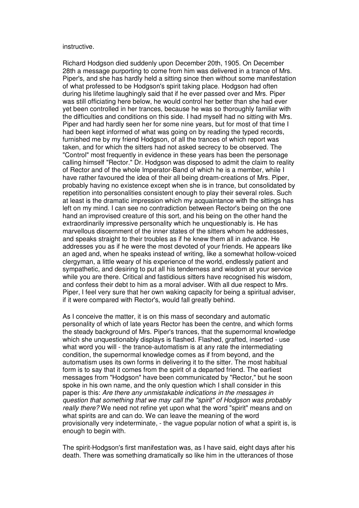#### instructive.

Richard Hodgson died suddenly upon December 20th, 1905. On December 28th a message purporting to come from him was delivered in a trance of Mrs. Piper's, and she has hardly held a sitting since then without some manifestation of what professed to be Hodgson's spirit taking place. Hodgson had often during his lifetime laughingly said that if he ever passed over and Mrs. Piper was still officiating here below, he would control her better than she had ever yet been controlled in her trances, because he was so thoroughly familiar with the difficulties and conditions on this side. I had myself had no sitting with Mrs. Piper and had hardly seen her for some nine years, but for most of that time I had been kept informed of what was going on by reading the typed records, furnished me by my friend Hodgson, of all the trances of which report was taken, and for which the sitters had not asked secrecy to be observed. The "Control" most frequently in evidence in these years has been the personage calling himself "Rector." Dr. Hodgson was disposed to admit the claim to reality of Rector and of the whole Imperator-Band of which he is a member, while I have rather favoured the idea of their all being dream-creations of Mrs. Piper, probably having no existence except when she is in trance, but consolidated by repetition into personalities consistent enough to play their several roles. Such at least is the dramatic impression which my acquaintance with the sittings has left on my mind. I can see no contradiction between Rector's being on the one hand an improvised creature of this sort, and his being on the other hand the extraordinarily impressive personality which he unquestionably is. He has marvellous discernment of the inner states of the sitters whom he addresses, and speaks straight to their troubles as if he knew them all in advance. He addresses you as if he were the most devoted of your friends. He appears like an aged and, when he speaks instead of writing, like a somewhat hollow-voiced clergyman, a little weary of his experience of the world, endlessly patient and sympathetic, and desiring to put all his tenderness and wisdom at your service while you are there. Critical and fastidious sitters have recognised his wisdom, and confess their debt to him as a moral adviser. With all due respect to Mrs. Piper, I feel very sure that her own waking capacity for being a spiritual adviser, if it were compared with Rector's, would fall greatly behind.

As I conceive the matter, it is on this mass of secondary and automatic personality of which of late years Rector has been the centre, and which forms the steady background of Mrs. Piper's trances, that the supernormal knowledge which she unquestionably displays is flashed. Flashed, grafted, inserted - use what word you will - the trance-automatism is at any rate the intermediating condition, the supernormal knowledge comes as if from beyond, and the automatism uses its own forms in delivering it to the sitter. The most habitual form is to say that it comes from the spirit of a departed friend. The earliest messages from "Hodgson" have been communicated by "Rector," but he soon spoke in his own name, and the only question which I shall consider in this paper is this: *Are there any unmistakable indications in the messages in question that something that we may call the "spirit" of Hodgson was probably really there?* We need not refine yet upon what the word "spirit" means and on what spirits are and can do. We can leave the meaning of the word provisionally very indeterminate, - the vague popular notion of what a spirit is, is enough to begin with.

The spirit-Hodgson's first manifestation was, as I have said, eight days after his death. There was something dramatically so like him in the utterances of those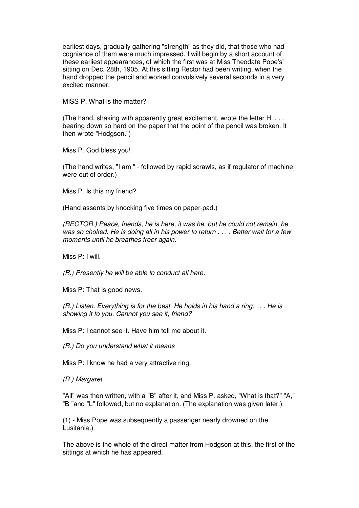earliest days, gradually gathering "strength" as they did, that those who had cogniance of them were much impressed. I will begin by a short account of these earliest appearances, of which the first was at Miss Theodate Pope's' sitting on Dec. 28th, 1905. At this sitting Rector had been writing, when the hand dropped the pencil and worked convulsively several seconds in a very excited manner.

MISS P. What is the matter?

(The hand, shaking with apparently great excitement, wrote the letter H. . . . bearing down so hard on the paper that the point of the pencil was broken. It then wrote "Hodgson.")

Miss P. God bless you!

(The hand writes, "I am " - followed by rapid scrawls, as if regulator of machine were out of order.)

Miss P. Is this my friend?

(Hand assents by knocking five times on paper-pad.)

*(RECTOR.) Peace, friends, he is here, it was he, but he could not remain, he* was so choked. He is doing all in his power to return . . . . Better wait for a few *moments until he breathes freer again.*

Miss P: I will.

*(R.) Presently he will be able to conduct all here.*

Miss P: That is good news.

*(R.) Listen. Everything is for the best. He holds in his hand a ring. . . . He is showing it to you. Cannot you see it, friend?*

Miss P: I cannot see it. Have him tell me about it.

*(R.) Do you understand what it means*

Miss P: I know he had a very attractive ring.

*(R.) Margaret.*

"All" was then written, with a "B" after it, and Miss P. asked, "What is that?" "A," "B "and "L" followed, but no explanation. (The explanation was given later.)

(1) - Miss Pope was subsequently a passenger nearly drowned on the Lusitania.)

The above is the whole of the direct matter from Hodgson at this, the first of the sittings at which he has appeared.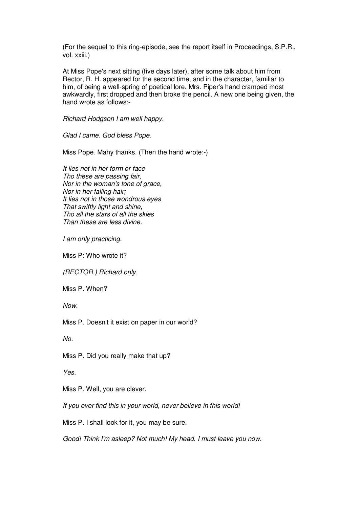(For the sequel to this ring-episode, see the report itself in Proceedings, S.P.R., vol. xxiii.)

At Miss Pope's next sitting (five days later), after some talk about him from Rector, R. H. appeared for the second time, and in the character, familiar to him, of being a well-spring of poetical lore. Mrs. Piper's hand cramped most awkwardly, first dropped and then broke the pencil. A new one being given, the hand wrote as follows:-

*Richard Hodgson I am well happy.*

*Glad I came. God bless Pope.*

Miss Pope. Many thanks. (Then the hand wrote:-)

*It lies not in her form or face Tho these are passing fair, Nor in the woman's tone of grace, Nor in her falling hair; It lies not in those wondrous eyes That swiftly light and shine, Tho all the stars of all the skies Than these are less divine.*

*I am only practicing.*

Miss P: Who wrote it?

*(RECTOR.) Richard only.*

Miss P. When?

*Now.*

Miss P. Doesn't it exist on paper in our world?

*No.*

Miss P. Did you really make that up?

*Yes.*

Miss P. Well, you are clever.

*If you ever find this in your world, never believe in this world!*

Miss P. I shall look for it, you may be sure.

*Good! Think I'm asleep? Not much! My head. I must leave you now.*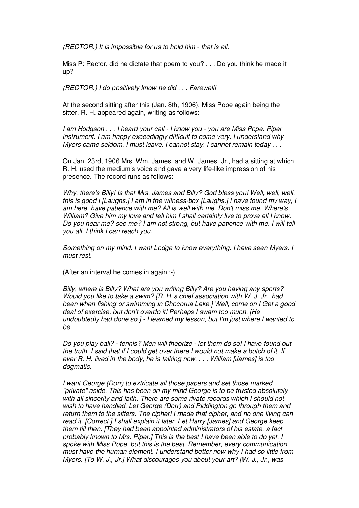*(RECTOR.) It is impossible for us to hold him - that is all.*

Miss P: Rector, did he dictate that poem to you? . . . Do you think he made it up?

*(RECTOR.) I do positively know he did . . . Farewell!*

At the second sitting after this (Jan. 8th, 1906), Miss Pope again being the sitter, R. H. appeared again, writing as follows:

*I am Hodgson . . . I heard your call - I know you - you are Miss Pope. Piper instrument. I am happy exceedingly difficult to come very. I understand why Myers came seldom. I must leave. I cannot stay. I cannot remain today . . .*

On Jan. 23rd, 1906 Mrs. Wm. James, and W. James, Jr., had a sitting at which R. H. used the medium's voice and gave a very life-like impression of his presence. The record runs as follows:

*Why, there's Billy! Is that Mrs. James and Billy? God bless you! Well, well, well, this is good I [Laughs.] I am in the witness-box [Laughs.] I have found my way, I am here, have patience with me? All is well with me. Don't miss me. Where's William? Give him my love and tell him I shall certainly live to prove all I know. Do you hear me? see me? I am not strong, but have patience with me. I will tell you all. I think I can reach you.*

*Something on my mind. I want Lodge to know everything. I have seen Myers. I must rest.*

(After an interval he comes in again :-)

*Billy, where is Billy? What are you writing Billy? Are you having any sports? Would you like to take a swim? [R. H.'s chief association with W. J. Jr., had been when fishing or swimming in Chocorua Lake.] Well, come on I Get a good deal of exercise, but don't overdo it! Perhaps I swam too much. [He undoubtedly had done so.] - I learned my lesson, but I'm just where I wanted to be.*

*Do you play ball? - tennis? Men will theorize - let them do so! I have found out the truth. I said that if I could get over there I would not make a botch of it. If ever R. H. lived in the body, he is talking now. . . . William [James] is too dogmatic.*

*I want George (Dorr) to extricate all those papers and set those marked "private" aside. This has been on my mind George is to be trusted absolutely with all sincerity and faith. There are some rivate records which I should not wish to have handled. Let George (Dorr) and Piddington go through them and return them to the sitters. The cipher! I made that cipher, and no one living can read it. [Correct.] I shall explain it later. Let Harry [James] and George keep them till then. [They had been appointed administrators of his estate, a fact probably known to Mrs. Piper.] This is the best I have been able to do yet. I spoke with Miss Pope, but this is the best. Remember, every communication must have the human element. I understand better now why I had so little from Myers. [To W. J., Jr.] What discourages you about your art? [W. J., Jr., was*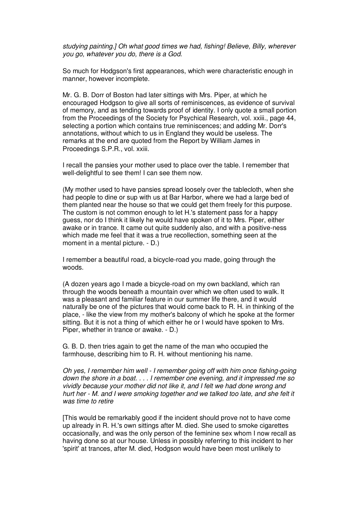*studying painting.] Oh what good times we had, fishing! Believe, Billy, wherever you go, whatever you do, there is a God.*

So much for Hodgson's first appearances, which were characteristic enough in manner, however incomplete.

Mr. G. B. Dorr of Boston had later sittings with Mrs. Piper, at which he encouraged Hodgson to give all sorts of reminiscences, as evidence of survival of memory, and as tending towards proof of identity. I only quote a small portion from the Proceedings of the Society for Psychical Research, vol. xxiii., page 44, selecting a portion which contains true reminiscences; and adding Mr. Dorr's annotations, without which to us in England they would be useless. The remarks at the end are quoted from the Report by William James in Proceedings S.P.R., vol. xxiii.

I recall the pansies your mother used to place over the table. I remember that well-delightful to see them! I can see them now.

(My mother used to have pansies spread loosely over the tablecloth, when she had people to dine or sup with us at Bar Harbor, where we had a large bed of them planted near the house so that we could get them freely for this purpose. The custom is not common enough to let H.'s statement pass for a happy guess, nor do I think it likely he would have spoken of it to Mrs. Piper, either awake or in trance. It came out quite suddenly also, and with a positive-ness which made me feel that it was a true recollection, something seen at the moment in a mental picture. - D.)

I remember a beautiful road, a bicycle-road you made, going through the woods.

(A dozen years ago I made a bicycle-road on my own backland, which ran through the woods beneath a mountain over which we often used to walk. It was a pleasant and familiar feature in our summer life there, and it would naturally be one of the pictures that would come back to R. H. in thinking of the place, - like the view from my mother's balcony of which he spoke at the former sitting. But it is not a thing of which either he or I would have spoken to Mrs. Piper, whether in trance or awake. - D.)

G. B. D. then tries again to get the name of the man who occupied the farmhouse, describing him to R. H. without mentioning his name.

*Oh yes, I remember him well - I remember going off with him once fishing-going down the shore in a boat. . . . I remember one evening, and it impressed me so vividly because your mother did not like it, and I felt we had done wrong and hurt her - M. and I were smoking together and we talked too late, and she felt it was time to retire*

[This would be remarkably good if the incident should prove not to have come up already in R. H.'s own sittings after M. died. She used to smoke cigarettes occasionally, and was the only person of the feminine sex whom I now recall as having done so at our house. Unless in possibly referring to this incident to her 'spirit' at trances, after M. died, Hodgson would have been most unlikely to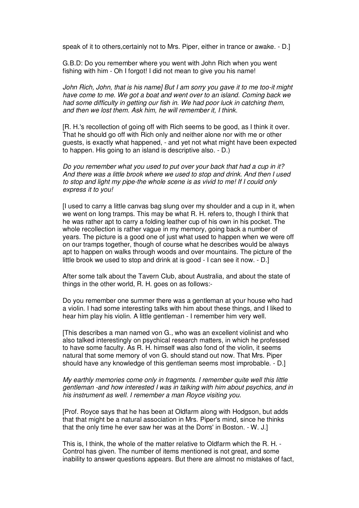speak of it to others,certainly not to Mrs. Piper, either in trance or awake. - D.]

G.B.D: Do you remember where you went with John Rich when you went fishing with him - Oh I forgot! I did not mean to give you his name!

*John Rich, John, that is his name] But I am sorry you gave it to me too-it might have come to me. We got a boat and went over to an island. Coming back we had some difficulty in getting our fish in. We had poor luck in catching them, and then we lost them. Ask him, he will remember it, I think.*

[R. H.'s recollection of going off with Rich seems to be good, as I think it over. That he should go off with Rich only and neither alone nor with me or other guests, is exactly what happened, - and yet not what might have been expected to happen. His going to an island is descriptive also. - D.)

*Do you remember what you used to put over your back that had a cup in it? And there was a little brook where we used to stop and drink. And then I used to stop and light my pipe-the whole scene is as vivid to me! If I could only express it to you!*

[I used to carry a little canvas bag slung over my shoulder and a cup in it, when we went on Iong tramps. This may be what R. H. refers to, though I think that he was rather apt to carry a folding leather cup of his own in his pocket. The whole recollection is rather vague in my memory, going back a number of years. The picture is a good one of just what used to happen when we were off on our tramps together, though of course what he describes would be always apt to happen on walks through woods and over mountains. The picture of the little brook we used to stop and drink at is good - I can see it now. - D.]

After some talk about the Tavern Club, about Australia, and about the state of things in the other world, R. H. goes on as follows:-

Do you remember one summer there was a gentleman at your house who had a violin. I had some interesting talks with him about these things, and I liked to hear him play his violin. A little gentleman - I remember him very well.

[This describes a man named von G., who was an excellent violinist and who also talked interestingly on psychical research matters, in which he professed to have some faculty. As R. H. himself was also fond of the violin, it seems natural that some memory of von G. should stand out now. That Mrs. Piper should have any knowledge of this gentleman seems most improbable. - D.]

*My earthly memories come only in fragments. I remember quite well this little gentleman -and how interested I was in talking with him about psychics, and in his instrument as well. I remember a man Royce visiting you.*

[Prof. Royce says that he has been at Oldfarm along with Hodgson, but adds that that might be a natural association in Mrs. Piper's mind, since he thinks that the only time he ever saw her was at the Dorrs' in Boston. - W. J.]

This is, I think, the whole of the matter relative to Oldfarm which the R. H. - Control has given. The number of items mentioned is not great, and some inability to answer questions appears. But there are almost no mistakes of fact,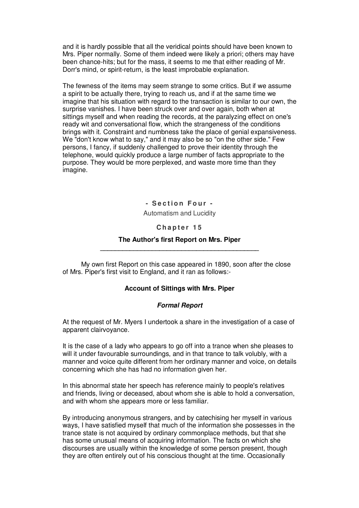and it is hardly possible that all the veridical points should have been known to Mrs. Piper normally. Some of them indeed were likely a priori; others may have been chance-hits; but for the mass, it seems to me that either reading of Mr. Dorr's mind, or spirit-return, is the least improbable explanation.

The fewness of the items may seem strange to some critics. But if we assume a spirit to be actually there, trying to reach us, and if at the same time we imagine that his situation with regard to the transaction is similar to our own, the surprise vanishes. I have been struck over and over again, both when at sittings myself and when reading the records, at the paralyzing effect on one's ready wit and conversational flow, which the strangeness of the conditions brings with it. Constraint and numbness take the place of genial expansiveness. We "don't know what to say," and it may also be so "on the other side." Few persons, I fancy, if suddenly challenged to prove their identity through the telephone, would quickly produce a large number of facts appropriate to the purpose. They would be more perplexed, and waste more time than they imagine.

**- S e c t i o n F o u r -**

Automatism and Lucidity

# **C h a p t e r 1 5**

# **The Author's first Report on Mrs. Piper \_\_\_\_\_\_\_\_\_\_\_\_\_\_\_\_\_\_\_\_\_\_\_\_\_\_\_\_\_\_\_\_\_\_\_\_\_\_\_\_\_\_\_**

My own first Report on this case appeared in 1890, soon after the close of Mrs. Piper's first visit to England, and it ran as follows:-

# **Account of Sittings with Mrs. Piper**

# *Formal Report*

At the request of Mr. Myers I undertook a share in the investigation of a case of apparent clairvoyance.

It is the case of a lady who appears to go off into a trance when she pleases to will it under favourable surroundings, and in that trance to talk volubly, with a manner and voice quite different from her ordinary manner and voice, on details concerning which she has had no information given her.

In this abnormal state her speech has reference mainly to people's relatives and friends, living or deceased, about whom she is able to hold a conversation, and with whom she appears more or less familiar.

By introducing anonymous strangers, and by catechising her myself in various ways, I have satisfied myself that much of the information she possesses in the trance state is not acquired by ordinary commonplace methods, but that she has some unusual means of acquiring information. The facts on which she discourses are usually within the knowledge of some person present, though they are often entirely out of his conscious thought at the time. Occasionally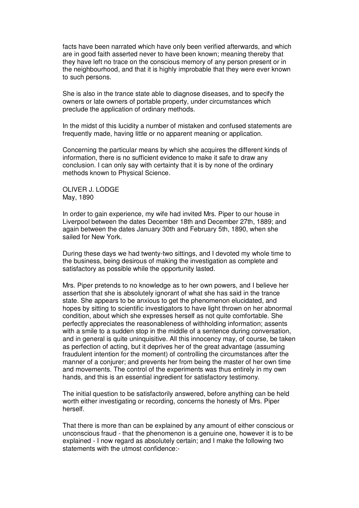facts have been narrated which have only been verified afterwards, and which are in good faith asserted never to have been known; meaning thereby that they have left no trace on the conscious memory of any person present or in the neighbourhood, and that it is highly improbable that they were ever known to such persons.

She is also in the trance state able to diagnose diseases, and to specify the owners or late owners of portable property, under circumstances which preclude the application of ordinary methods.

In the midst of this lucidity a number of mistaken and confused statements are frequently made, having little or no apparent meaning or application.

Concerning the particular means by which she acquires the different kinds of information, there is no sufficient evidence to make it safe to draw any conclusion. I can only say with certainty that it is by none of the ordinary methods known to Physical Science.

OLIVER J. LODGE May, 1890

In order to gain experience, my wife had invited Mrs. Piper to our house in Liverpool between the dates December 18th and December 27th, 1889; and again between the dates January 30th and February 5th, 1890, when she sailed for New York.

During these days we had twenty-two sittings, and I devoted my whole time to the business, being desirous of making the investigation as complete and satisfactory as possible while the opportunity lasted.

Mrs. Piper pretends to no knowledge as to her own powers, and I believe her assertion that she is absolutely ignorant of what she has said in the trance state. She appears to be anxious to get the phenomenon elucidated, and hopes by sitting to scientific investigators to have light thrown on her abnormal condition, about which she expresses herself as not quite comfortable. She perfectly appreciates the reasonableness of withholding information; assents with a smile to a sudden stop in the middle of a sentence during conversation, and in general is quite uninquisitive. All this innocency may, of course, be taken as perfection of acting, but it deprives her of the great advantage (assuming fraudulent intention for the moment) of controlling the circumstances after the manner of a conjurer; and prevents her from being the master of her own time and movements. The control of the experiments was thus entirely in my own hands, and this is an essential ingredient for satisfactory testimony.

The initial question to be satisfactorily answered, before anything can be held worth either investigating or recording, concerns the honesty of Mrs. Piper herself.

That there is more than can be explained by any amount of either conscious or unconscious fraud - that the phenomenon is a genuine one, however it is to be explained - I now regard as absolutely certain; and I make the following two statements with the utmost confidence:-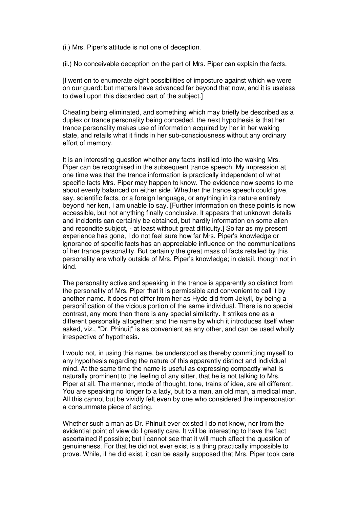(i.) Mrs. Piper's attitude is not one of deception.

(ii.) No conceivable deception on the part of Mrs. Piper can explain the facts.

[I went on to enumerate eight possibilities of imposture against which we were on our guard: but matters have advanced far beyond that now, and it is useless to dwell upon this discarded part of the subject.]

Cheating being eliminated, and something which may briefly be described as a duplex or trance personality being conceded, the next hypothesis is that her trance personality makes use of information acquired by her in her waking state, and retails what it finds in her sub-consciousness without any ordinary effort of memory.

It is an interesting question whether any facts instilled into the waking Mrs. Piper can be recognised in the subsequent trance speech. My impression at one time was that the trance information is practically independent of what specific facts Mrs. Piper may happen to know. The evidence now seems to me about evenly balanced on either side. Whether the trance speech could give, say, scientific facts, or a foreign language, or anything in its nature entirely beyond her ken, I am unable to say. [Further information on these points is now accessible, but not anything finally conclusive. It appears that unknown details and incidents can certainly be obtained, but hardly information on some alien and recondite subject, - at least without great difficulty.] So far as my present experience has gone, I do not feel sure how far Mrs. Piper's knowledge or ignorance of specific facts has an appreciable influence on the communications of her trance personality. But certainly the great mass of facts retailed by this personality are wholly outside of Mrs. Piper's knowledge; in detail, though not in kind.

The personality active and speaking in the trance is apparently so distinct from the personality of Mrs. Piper that it is permissible and convenient to call it by another name. It does not differ from her as Hyde did from Jekyll, by being a personification of the vicious portion of the same individual. There is no special contrast, any more than there is any special similarity. It strikes one as a different personality altogether; and the name by which it introduces itself when asked, viz., "Dr. Phinuit" is as convenient as any other, and can be used wholly irrespective of hypothesis.

I would not, in using this name, be understood as thereby committing myself to any hypothesis regarding the nature of this apparently distinct and individual mind. At the same time the name is useful as expressing compactly what is naturally prominent to the feeling of any sitter, that he is not talking to Mrs. Piper at all. The manner, mode of thought, tone, trains of idea, are all different. You are speaking no longer to a lady, but to a man, an old man, a medical man. All this cannot but be vividly felt even by one who considered the impersonation a consummate piece of acting.

Whether such a man as Dr. Phinuit ever existed I do not know, nor from the evidential point of view do I greatly care. It will be interesting to have the fact ascertained if possible; but I cannot see that it will much affect the question of genuineness. For that he did not ever exist is a thing practically impossible to prove. While, if he did exist, it can be easily supposed that Mrs. Piper took care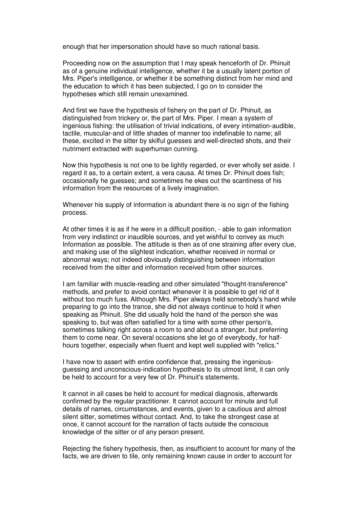enough that her impersonation should have so much rational basis.

Proceeding now on the assumption that I may speak henceforth of Dr. Phinuit as of a genuine individual intelligence, whether it be a usually latent portion of Mrs. Piper's intelligence, or whether it be something distinct from her mind and the education to which it has been subjected, I go on to consider the hypotheses which still remain unexamined.

And first we have the hypothesis of fishery on the part of Dr. Phinuit, as distinguished from trickery or, the part of Mrs. Piper. I mean a system of ingenious fishing: the utilisation of trivial indications, of every intimation-audible, tactile, muscular-and of little shades of manner too indefinable to name; all these, excited in the sitter by skilful guesses and well-directed shots, and their nutriment extracted with superhuman cunning.

Now this hypothesis is not one to be lightly regarded, or ever wholly set aside. I regard it as, to a certain extent, a vera causa. At times Dr. Phinuit does fish; occasionally he guesses; and sometimes he ekes out the scantiness of his information from the resources of a lively imagination.

Whenever his supply of information is abundant there is no sign of the fishing process.

At other times it is as if he were in a difficult position, - able to gain information from very indistinct or inaudible sources, and yet wishful to convey as much Information as possible. The attitude is then as of one straining after every clue, and making use of the slightest indication, whether received in normal or abnormal ways; not indeed obviously distinguishing between information received from the sitter and information received from other sources.

I am familiar with muscle-reading and other simulated "thought-transference" methods, and prefer to avoid contact whenever it is possible to get rid of it without too much fuss. Although Mrs. Piper always held somebody's hand while preparing to go into the trance, she did not always continue to hold it when speaking as Phinuit. She did usually hold the hand of the person she was speaking to, but was often satisfied for a time with some other person's, sometimes talking right across a room to and about a stranger, but preferring them to come near. On several occasions she let go of everybody, for halfhours together, especially when fluent and kept well supplied with "relics."

I have now to assert with entire confidence that, pressing the ingeniousguessing and unconscious-indication hypothesis to its utmost limit, it can only be held to account for a very few of Dr. Phinuit's statements.

It cannot in all cases be held to account for medical diagnosis, afterwards confirmed by the regular practitioner. It cannot account for minute and full details of names, circumstances, and events, given to a cautious and almost silent sitter, sometimes without contact. And, to take the strongest case at once, it cannot account for the narration of facts outside the conscious knowledge of the sitter or of any person present.

Rejecting the fishery hypothesis, then, as insufficient to account for many of the facts, we are driven to tile, only remaining known cause in order to account for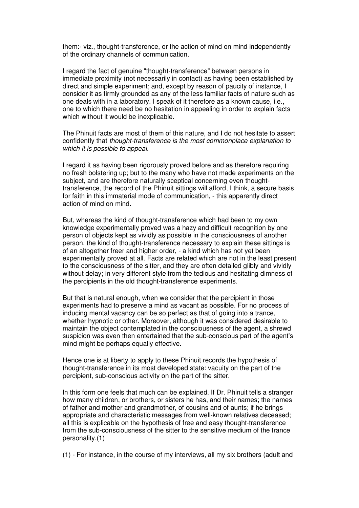them:- viz., thought-transference, or the action of mind on mind independently of the ordinary channels of communication.

I regard the fact of genuine "thought-transference" between persons in immediate proximity (not necessarily in contact) as having been established by direct and simple experiment; and, except by reason of paucity of instance, I consider it as firmly grounded as any of the less familiar facts of nature such as one deals with in a laboratory. I speak of it therefore as a known cause, i.e., one to which there need be no hesitation in appealing in order to explain facts which without it would be inexplicable.

The Phinuit facts are most of them of this nature, and I do not hesitate to assert confidently that *thought-transference is the most commonplace explanation to which it is possible to appeal.*

I regard it as having been rigorously proved before and as therefore requiring no fresh bolstering up; but to the many who have not made experiments on the subject, and are therefore naturally sceptical concerning even thoughttransference, the record of the Phinuit sittings will afford, I think, a secure basis for faith in this immaterial mode of communication, - this apparently direct action of mind on mind.

But, whereas the kind of thought-transference which had been to my own knowledge experimentally proved was a hazy and difficult recognition by one person of objects kept as vividly as possible in the consciousness of another person, the kind of thought-transference necessary to explain these sittings is of an altogether freer and higher order, - a kind which has not yet been experimentally proved at all. Facts are related which are not in the least present to the consciousness of the sitter, and they are often detailed glibly and vividly without delay; in very different style from the tedious and hesitating dimness of the percipients in the old thought-transference experiments.

But that is natural enough, when we consider that the percipient in those experiments had to preserve a mind as vacant as possible. For no process of inducing mental vacancy can be so perfect as that of going into a trance, whether hypnotic or other. Moreover, although it was considered desirable to maintain the object contemplated in the consciousness of the agent, a shrewd suspicion was even then entertained that the sub-conscious part of the agent's mind might be perhaps equally effective.

Hence one is at liberty to apply to these Phinuit records the hypothesis of thought-transference in its most developed state: vacuity on the part of the percipient, sub-conscious activity on the part of the sitter.

In this form one feels that much can be explained. If Dr. Phinuit tells a stranger how many children, or brothers, or sisters he has, and their names; the names of father and mother and grandmother, of cousins and of aunts; if he brings appropriate and characteristic messages from well-known relatives deceased; all this is explicable on the hypothesis of free and easy thought-transference from the sub-consciousness of the sitter to the sensitive medium of the trance personality.(1)

(1) - For instance, in the course of my interviews, all my six brothers (adult and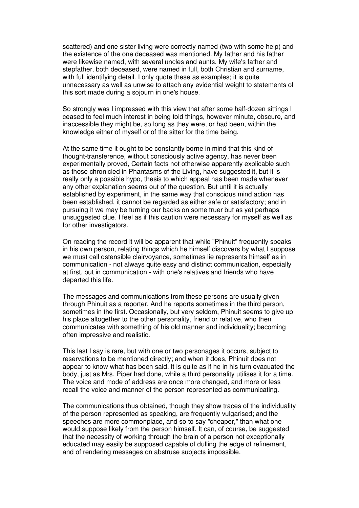scattered) and one sister living were correctly named (two with some help) and the existence of the one deceased was mentioned. My father and his father were likewise named, with several uncles and aunts. My wife's father and stepfather, both deceased, were named in full, both Christian and surname, with full identifying detail. I only quote these as examples; it is quite unnecessary as well as unwise to attach any evidential weight to statements of this sort made during a sojourn in one's house.

So strongly was I impressed with this view that after some half-dozen sittings I ceased to feel much interest in being told things, however minute, obscure, and inaccessible they might be, so long as they were, or had been, within the knowledge either of myself or of the sitter for the time being.

At the same time it ought to be constantly borne in mind that this kind of thought-transference, without consciously active agency, has never been experimentally proved, Certain facts not otherwise apparently explicable such as those chronicled in Phantasms of the Living, have suggested it, but it is really only a possible hypo, thesis to which appeal has been made whenever any other explanation seems out of the question. But until it is actually established by experiment, in the same way that conscious mind action has been established, it cannot be regarded as either safe or satisfactory; and in pursuing it we may be turning our backs on some truer but as yet perhaps unsuggested clue. I feel as if this caution were necessary for myself as well as for other investigators.

On reading the record it will be apparent that while "Phinuit" frequently speaks in his own person, relating things which he himself discovers by what I suppose we must call ostensible clairvoyance, sometimes lie represents himself as in communication - not always quite easy and distinct communication, especially at first, but in communication - with one's relatives and friends who have departed this life.

The messages and communications from these persons are usually given through Phinuit as a reporter. And he reports sometimes in the third person, sometimes in the first. Occasionally, but very seldom, Phinuit seems to give up his place altogether to the other personality, friend or relative, who then communicates with something of his old manner and individuality; becoming often impressive and realistic.

This last I say is rare, but with one or two personages it occurs, subject to reservations to be mentioned directly; and when it does, Phinuit does not appear to know what has been said. It is quite as if he in his turn evacuated the body, just as Mrs. Piper had done, while a third personality utilises it for a time. The voice and mode of address are once more changed, and more or less recall the voice and manner of the person represented as communicating.

The communications thus obtained, though they show traces of the individuality of the person represented as speaking, are frequently vulgarised; and the speeches are more commonplace, and so to say "cheaper," than what one would suppose likely from the person himself. It can, of course, be suggested that the necessity of working through the brain of a person not exceptionally educated may easily be supposed capable of dulling the edge of refinement, and of rendering messages on abstruse subjects impossible.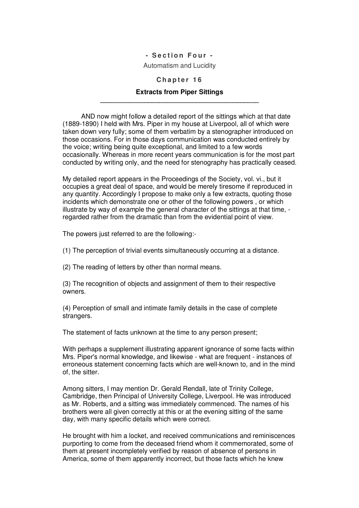## **- S e c t i o n F o u r -**

Automatism and Lucidity

#### **C h a p t e r 1 6**

## **Extracts from Piper Sittings \_\_\_\_\_\_\_\_\_\_\_\_\_\_\_\_\_\_\_\_\_\_\_\_\_\_\_\_\_\_\_\_\_\_\_\_\_\_\_\_\_\_\_**

AND now might follow a detailed report of the sittings which at that date (1889-1890) I held with Mrs. Piper in my house at Liverpool, all of which were taken down very fully; some of them verbatim by a stenographer introduced on those occasions. For in those days communication was conducted entirely by the voice; writing being quite exceptional, and limited to a few words occasionally. Whereas in more recent years communication is for the most part conducted by writing only, and the need for stenography has practically ceased.

My detailed report appears in the Proceedings of the Society, vol. vi., but it occupies a great deal of space, and would be merely tiresome if reproduced in any quantity. Accordingly I propose to make only a few extracts, quoting those incidents which demonstrate one or other of the following powers , or which illustrate by way of example the general character of the sittings at that time, regarded rather from the dramatic than from the evidential point of view.

The powers just referred to are the following:-

(1) The perception of trivial events simultaneously occurring at a distance.

(2) The reading of letters by other than normal means.

(3) The recognition of objects and assignment of them to their respective owners.

(4) Perception of small and intimate family details in the case of complete strangers.

The statement of facts unknown at the time to any person present;

With perhaps a supplement illustrating apparent ignorance of some facts within Mrs. Piper's normal knowledge, and likewise - what are frequent - instances of erroneous statement concerning facts which are well-known to, and in the mind of, the sitter.

Among sitters, I may mention Dr. Gerald Rendall, late of Trinity College, Cambridge, then Principal of University College, Liverpool. He was introduced as Mr. Roberts, and a sitting was immediately commenced. The names of his brothers were all given correctly at this or at the evening sitting of the same day, with many specific details which were correct.

He brought with him a locket, and received communications and reminiscences purporting to come from the deceased friend whom it commemorated, some of them at present incompletely verified by reason of absence of persons in America, some of them apparently incorrect, but those facts which he knew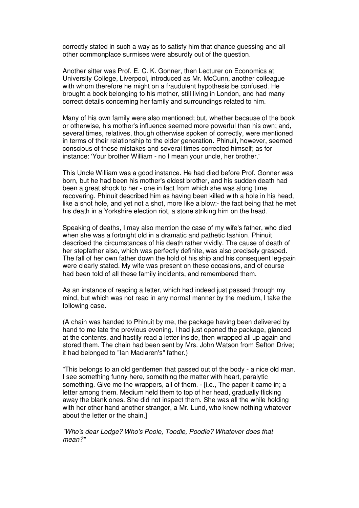correctly stated in such a way as to satisfy him that chance guessing and all other commonplace surmises were absurdly out of the question.

Another sitter was Prof. E. C. K. Gonner, then Lecturer on Economics at University College, Liverpool, introduced as Mr. McCunn, another colleague with whom therefore he might on a fraudulent hypothesis be confused. He brought a book belonging to his mother, still living in London, and had many correct details concerning her family and surroundings related to him.

Many of his own family were also mentioned; but, whether because of the book or otherwise, his mother's influence seemed more powerful than his own; and, several times, relatives, though otherwise spoken of correctly, were mentioned in terms of their relationship to the elder generation. Phinuit, however, seemed conscious of these mistakes and several times corrected himself; as for instance: 'Your brother William - no I mean your uncle, her brother.'

This Uncle William was a good instance. He had died before Prof. Gonner was born, but he had been his mother's eldest brother, and his sudden death had been a great shock to her - one in fact from which she was along time recovering. Phinuit described him as having been killed with a hole in his head, like a shot hole, and yet not a shot, more like a blow:- the fact being that he met his death in a Yorkshire election riot, a stone striking him on the head.

Speaking of deaths, I may also mention the case of my wife's father, who died when she was a fortnight old in a dramatic and pathetic fashion. Phinuit described the circumstances of his death rather vividly. The cause of death of her stepfather also, which was perfectly definite, was also precisely grasped. The fall of her own father down the hold of his ship and his consequent leg-pain were clearly stated. My wife was present on these occasions, and of course had been told of all these family incidents, and remembered them.

As an instance of reading a letter, which had indeed just passed through my mind, but which was not read in any normal manner by the medium, I take the following case.

(A chain was handed to Phinuit by me, the package having been delivered by hand to me late the previous evening. I had just opened the package, glanced at the contents, and hastily read a letter inside, then wrapped all up again and stored them. The chain had been sent by Mrs. John Watson from Sefton Drive; it had belonged to "Ian Maclaren's" father.)

"This belongs to an old gentlemen that passed out of the body - a nice old man. I see something funny here, something the matter with heart, paralytic something. Give me the wrappers, all of them. - [i.e., The paper it came in; a letter among them. Medium held them to top of her head, gradually flicking away the blank ones. She did not inspect them. She was all the while holding with her other hand another stranger, a Mr. Lund, who knew nothing whatever about the letter or the chain.]

*"Who's dear Lodge? Who's Poole, Toodle, Poodle? Whatever does that mean?"*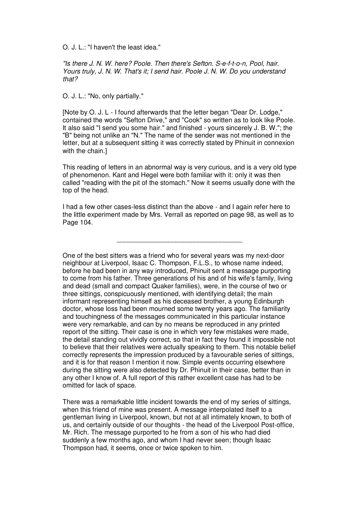O. J. L.: "I haven't the least idea."

*"Is there J. N. W. here? Poole. Then there's Sefton. S-e-f-t-o-n, Pool, hair. Yours truly, J. N. W. That's it; I send hair. Poole J. N. W. Do you understand that?*

O. J. L.: "No, only partially."

[Note by O. J. L - I found afterwards that the letter began "Dear Dr. Lodge," contained the words "Sefton Drive," and "Cook" so written as to look like Poole. It also said "I send you some hair." and finished - yours sincerely J. B. W."; the "B" being not unlike an "N." The name of the sender was not mentioned in the letter, but at a subsequent sitting it was correctly stated by Phinuit in connexion with the chain.

This reading of letters in an abnormal way is very curious, and is a very old type of phenomenon. Kant and Hegel were both familiar with it: only it was then called "reading with the pit of the stomach." Now it seems usually done with the top of the head.

I had a few other cases-less distinct than the above - and I again refer here to the little experiment made by Mrs. Verrall as reported on page 98, as well as to Page 104.

\_\_\_\_\_\_\_\_\_\_\_\_\_\_\_\_\_\_\_\_\_\_\_\_\_\_\_\_\_\_\_\_\_\_

One of the best sitters was a friend who for several years was my next-door neighbour at Liverpool, Isaac C. Thompson, F.L.S., to whose name indeed, before he bad been in any way introduced, Phinuit sent a message purporting to come from his father. Three generations of his and of his wife's family, living and dead (small and compact Quaker families), were, in the course of two or three sittings, conspicuously mentioned, with identifying detail; the main informant representing himself as his deceased brother, a young Edinburgh doctor, whose loss had been mourned some twenty years ago. The familiarity and touchingness of the messages communicated in this particular instance were very remarkable, and can by no means be reproduced in any printed report of the sitting. Their case is one in which very few mistakes were made, the detail standing out vividly correct, so that in fact they found it impossible not to believe that their relatives were actually speaking to them. This notable belief correctly represents the impression produced by a favourable series of sittings, and it is for that reason I mention it now. Simple events occurring elsewhere during the sitting were also detected by Dr. Phinuit in their case, better than in any other I know of. A full report of this rather excellent case has had to be omitted for lack of space.

There was a remarkable little incident towards the end of my series of sittings, when this friend of mine was present. A message interpolated itself to a gentleman living in Liverpool, known, but not at all intimately known, to both of us, and certainly outside of our thoughts - the head of the Liverpool Post-office, Mr. Rich. The message purported to he from a son of his who had died suddenly a few months ago, and whom I had never seen; though Isaac Thompson had, it seems, once or twice spoken to him.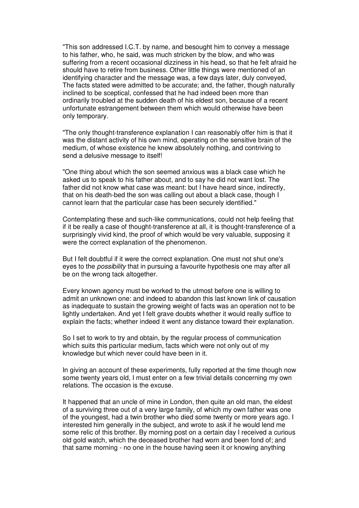"This son addressed I.C.T. by name, and besought him to convey a message to his father, who, he said, was much stricken by the blow, and who was suffering from a recent occasional dizziness in his head, so that he felt afraid he should have to retire from business. Other little things were mentioned of an identifying character and the message was, a few days later, duly conveyed, The facts stated were admitted to be accurate; and, the father, though naturally inclined to be sceptical, confessed that he had indeed been more than ordinarily troubled at the sudden death of his eldest son, because of a recent unfortunate estrangement between them which would otherwise have been only temporary.

"The only thought-transference explanation I can reasonably offer him is that it was the distant activity of his own mind, operating on the sensitive brain of the medium, of whose existence he knew absolutely nothing, and contriving to send a delusive message to itself!

"One thing about which the son seemed anxious was a black case which he asked us to speak to his father about, and to say he did not want lost. The father did not know what case was meant: but I have heard since, indirectly, that on his death-bed the son was calling out about a black case, though I cannot learn that the particular case has been securely identified."

Contemplating these and such-like communications, could not help feeling that if it be really a case of thought-transference at all, it is thought-transference of a surprisingly vivid kind, the proof of which would be very valuable, supposing it were the correct explanation of the phenomenon.

But I felt doubtful if it were the correct explanation. One must not shut one's eyes to the *possibility* that in pursuing a favourite hypothesis one may after all be on the wrong tack altogether.

Every known agency must be worked to the utmost before one is willing to admit an unknown one: and indeed to abandon this last known link of causation as inadequate to sustain the growing weight of facts was an operation not to be lightly undertaken. And yet I felt grave doubts whether it would really suffice to explain the facts; whether indeed it went any distance toward their explanation.

So I set to work to try and obtain, by the regular process of communication which suits this particular medium, facts which were not only out of my knowledge but which never could have been in it.

In giving an account of these experiments, fully reported at the time though now some twenty years old, I must enter on a few trivial details concerning my own relations. The occasion is the excuse.

It happened that an uncle of mine in London, then quite an old man, the eldest of a surviving three out of a very large family, of which my own father was one of the youngest, had a twin brother who died some twenty or more years ago. I interested him generally in the subject, and wrote to ask if he would lend me some relic of this brother. By morning post on a certain day I received a curious old gold watch, which the deceased brother had worn and been fond of; and that same morning - no one in the house having seen it or knowing anything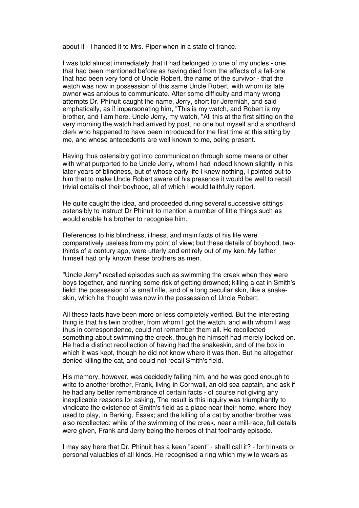about it - I handed it to Mrs. Piper when in a state of trance.

I was told almost immediately that it had belonged to one of my uncles - one that had been mentioned before as having died from the effects of a fall-one that had been very fond of Uncle Robert, the name of the survivor - that the watch was now in possession of this same Uncle Robert, with whom its late owner was anxious to communicate. After some difficulty and many wrong attempts Dr. Phinuit caught the name, Jerry, short for Jeremiah, and said emphatically, as if impersonating him, "This is my watch, and Robert is my brother, and I am here. Uncle Jerry, my watch, "All this at the first sitting on the very morning the watch had arrived by post, no one but myself and a shorthand clerk who happened to have been introduced for the first time at this sitting by me, and whose antecedents are well known to me, being present.

Having thus ostensibly got into communication through some means or other with what purported to be Uncle Jerry, whom I had indeed known slightly in his later years of blindness, but of whose early life I knew nothing, I pointed out to him that to make Uncle Robert aware of his presence it would be well to recall trivial details of their boyhood, all of which I would faithfully report.

He quite caught the idea, and proceeded during several successive sittings ostensibly to instruct Dr Phinuit to mention a number of little things such as would enable his brother to recognise him.

References to his blindness, illness, and main facts of his life were comparatively useless from my point of view; but these details of boyhood, twothirds of a century ago, were utterly and entirely out of my ken. My father himself had only known these brothers as men.

"Uncle Jerry" recalled episodes such as swimming the creek when they were boys together, and running some risk of getting drowned; killing a cat in Smith's field; the possession of a small rifle, and of a long peculiar skin, like a snakeskin, which he thought was now in the possession of Uncle Robert.

All these facts have been more or less completely verified. But the interesting thing is that his twin brother, from whom I got the watch, and with whom I was thus in correspondence, could not remember them all. He recollected something about swimming the creek, though he himself had merely looked on. He had a distinct recollection of having had the snakeskin, and of the box in which it was kept, though he did not know where it was then. But he altogether denied killing the cat, and could not recall Smith's field.

His memory, however, was decidedly failing him, and he was good enough to write to another brother, Frank, living in Cornwall, an old sea captain, and ask if he had any better remembrance of certain facts - of course not giving any inexplicable reasons for asking, The result is this inquiry was triumphantly to vindicate the existence of Smith's field as a place near their home, where they used to play, in Barking, Essex; and the killing of a cat by another brother was also recollected; while of the swimming of the creek, near a mill-race, full details were given, Frank and Jerry being the heroes of that foolhardy episode.

I may say here that Dr. Phinuit has a keen "scent" - shallI call it? - for trinkets or personal valuables of all kinds. He recognised a ring which my wife wears as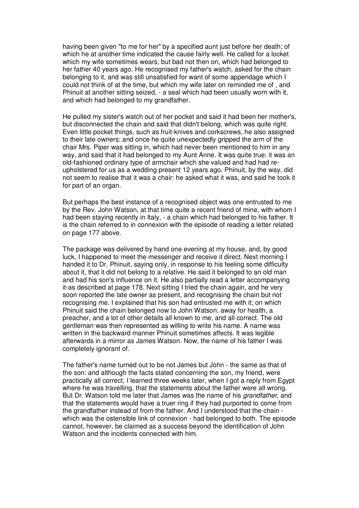having been given "to me for her" by a specified aunt just before her death; of which he at another time indicated the cause fairly well. He called for a locket which my wife sometimes wears, but bad not then on, which had belonged to her father 40 years ago. He recognised my father's watch, asked for the chain belonging to it, and was still unsatisfied for want of some appendage which I could not think of at the time, but which my wife later on reminded me of , and Phinuit at another sitting seized, - a seal which had been usually worn with it, and which had belonged to my grandfather.

He pulled my sister's watch out of her pocket and said it had been her mother's, but disconnected the chain and said that didn't belong, which was quite right. Even little pocket things, such as fruit-knives and corkscrews, he also assigned to their late owners; and once he quite unexpectedly gripped the arm of the chair Mrs. Piper was sitting in, which had never been mentioned to him in any way, and said that it had belonged to my Aunt Anne. It was quite true: it was an old-fashioned ordinary type of armchair which she valued and had had reupholstered for us as a wedding present 12 years ago. Phinuit, by the way, did not seem to realise that it was a chair: he asked what it was, and said he took it for part of an organ.

But perhaps the best instance of a recognised object was one entrusted to me by the Rev. John Watson, at that time quite a recent friend of mine, with whom I had been staying recently in Italy, - a chain which had belonged to his father. It is the chain referred to in connexion with the episode of reading a letter related on page 177 above.

The package was delivered by hand one evening at my house, and, by good luck, I happened to meet the messenger and receive it direct. Next morning I handed it to Dr. Phinuit, saying only, in response to his feeling some difficulty about it, that it did not belong to a relative. He said it belonged to an old man and had his son's influence on it. He also partially read a letter accompanying it-as described at page 178. Next sitting I tried the chain again, and he very soon reported the late owner as present, and recognising the chain but not recognising me. I explained that his son had entrusted me with it; on which Phinuit said the chain belonged now to John Watson, away for health, a preacher, and a lot of other details all known to me, and all correct. The old gentleman was then represented as willing to write his name. A name was written in the backward manner Phinuit sometimes affects. It was legible afterwards in a mirror as James Watson. Now, the name of his father I was completely ignorant of.

The father's name turned out to be not James but John - the same as that of the son: and although the facts stated concerning the son, my friend, were practically all correct, I learned three weeks later, when I got a reply from Egypt where he was travelling, that the statements about the father were all wrong. But Dr. Watson told me later that James was the name of his *grandfather*, and that the statements would have a truer ring if they had purported to come from the grandfather instead of from the father. And I understood that the chain which was the ostensible link of connexion - had belonged to both. The episode cannot, however, be claimed as a success beyond the identification of John Watson and the incidents connected with him.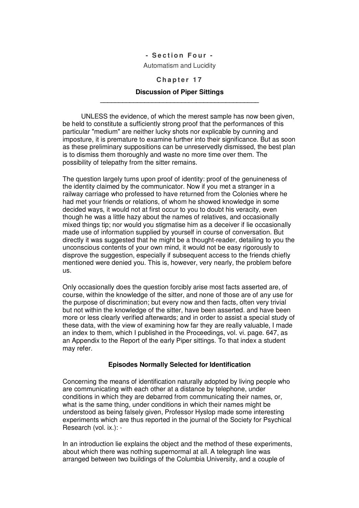## **- S e c t i o n F o u r -**

Automatism and Lucidity

# **C h a p t e r 1 7**

## **Discussion of Piper Sittings \_\_\_\_\_\_\_\_\_\_\_\_\_\_\_\_\_\_\_\_\_\_\_\_\_\_\_\_\_\_\_\_\_\_\_\_\_\_\_\_\_\_\_**

UNLESS the evidence, of which the merest sample has now been given, be held to constitute a sufficiently strong proof that the performances of this particular "medium" are neither lucky shots nor explicable by cunning and imposture, it is premature to examine further into their significance. But as soon as these preliminary suppositions can be unreservedly dismissed, the best plan is to dismiss them thoroughly and waste no more time over them. The possibility of telepathy from the sitter remains.

The question largely turns upon proof of identity: proof of the genuineness of the identity claimed by the communicator. Now if you met a stranger in a railway carriage who professed to have returned from the Colonies where he had met your friends or relations, of whom he showed knowledge in some decided ways, it would not at first occur to you to doubt his veracity, even though he was a little hazy about the names of relatives, and occasionally mixed things tip; nor would you stigmatise him as a deceiver if lie occasionally made use of information supplied by yourself in course of conversation. But directly it was suggested that he might be a thought-reader, detailing to you the unconscious contents of your own mind, it would not be easy rigorously to disprove the suggestion, especially if subsequent access to the friends chiefly mentioned were denied you. This is, however, very nearly, the problem before us.

Only occasionally does the question forcibly arise most facts asserted are, of course, within the knowledge of the sitter, and none of those are of any use for the purpose of discrimination; but every now and then facts, often very trivial but not within the knowledge of the sitter, have been asserted. and have been more or less clearly verified afterwards; and in order to assist a special study of these data, with the view of examining how far they are really valuable, I made an index to them, which I published in the Proceedings, vol. vi. page. 647, as an Appendix to the Report of the early Piper sittings. To that index a student may refer.

# **Episodes Normally Selected for Identification**

Concerning the means of identification naturally adopted by living people who are communicating with each other at a distance by telephone, under conditions in which they are debarred from communicating their names, or, what is the same thing, under conditions in which their names might be understood as being falsely given, Professor Hyslop made some interesting experiments which are thus reported in the journal of the Society for Psychical Research (vol. ix.): -

In an introduction lie explains the object and the method of these experiments, about which there was nothing supernormal at all. A telegraph line was arranged between two buildings of the Columbia University, and a couple of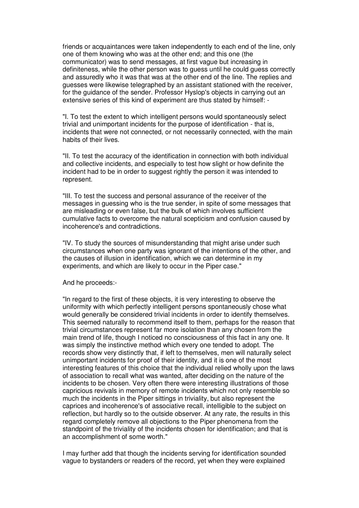friends or acquaintances were taken independently to each end of the line, only one of them knowing who was at the other end; and this one (the communicator) was to send messages, at first vague but increasing in definiteness, while the other person was to guess until he could guess correctly and assuredly who it was that was at the other end of the line. The replies and guesses were likewise telegraphed by an assistant stationed with the receiver, for the guidance of the sender. Professor Hyslop's objects in carrying out an extensive series of this kind of experiment are thus stated by himself: -

"I. To test the extent to which intelligent persons would spontaneously select trivial and unimportant incidents for the purpose of identification - that is, incidents that were not connected, or not necessarily connected, with the main habits of their lives.

"II. To test the accuracy of the identification in connection with both individual and collective incidents, and especially to test how slight or how definite the incident had to be in order to suggest rightly the person it was intended to represent.

"III. To test the success and personal assurance of the receiver of the messages in guessing who is the true sender, in spite of some messages that are misleading or even false, but the bulk of which involves sufficient cumulative facts to overcome the natural scepticism and confusion caused by incoherence's and contradictions.

"IV. To study the sources of misunderstanding that might arise under such circumstances when one party was ignorant of the intentions of the other, and the causes of illusion in identification, which we can determine in my experiments, and which are likely to occur in the Piper case."

#### And he proceeds:-

"In regard to the first of these objects, it is very interesting to observe the uniformity with which perfectly intelligent persons spontaneously chose what would generally be considered trivial incidents in order to identify themselves. This seemed naturally to recommend itself to them, perhaps for the reason that trivial circumstances represent far more isolation than any chosen from the main trend of life, though I noticed no consciousness of this fact in any one. It was simply the instinctive method which every one tended to adopt. The records show very distinctly that, if left to themselves, men will naturally select unimportant incidents for proof of their identity, and it is one of the most interesting features of this choice that the individual relied wholly upon the laws of association to recall what was wanted, after deciding on the nature of the incidents to be chosen. Very often there were interesting illustrations of those capricious revivals in memory of remote incidents which not only resemble so much the incidents in the Piper sittings in triviality, but also represent the caprices and incoherence's of associative recall, intelligible to the subject on reflection, but hardly so to the outside observer. At any rate, the results in this regard completely remove all objections to the Piper phenomena from the standpoint of the triviality of the incidents chosen for identification; and that is an accomplishment of some worth."

I may further add that though the incidents serving for identification sounded vague to bystanders or readers of the record, yet when they were explained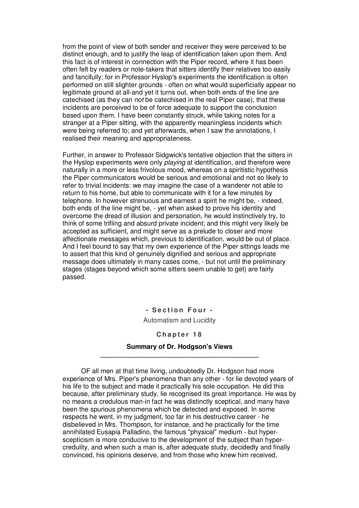from the point of view of both sender and receiver they were perceived to be distinct enough, and to justify the leap of identification taken upon them. And this fact is of interest in connection with the Piper record, where it has been often felt by readers or note-takers that sitters identify their relatives too easily and fancifully; for in Professor Hyslop's experiments the identification is often performed on still slighter grounds - often on what would superficially appear no legitimate ground at all-and yet it turns out, when both ends of the line are catechised (as they can *not* be catechised in the real Piper case), that these incidents are perceived to be of force adequate to support the conclusion based upon them. I have been constantly struck, while taking notes for a stranger at a Piper sitting, with the apparently meaningless incidents which were being referred to; and yet afterwards, when I saw the annotations, I realised their meaning and appropriateness.

Further, in answer to Professor Sidgwick's tentative objection that the sitters in the Hyslop experiments were only *playing* at identification, and therefore were naturally in a more or less frivolous mood, whereas on a spiritistic hypothesis the Piper communicators would be serious and emotional and not so likely to refer to trivial incidents: we may imagine the case of a wanderer not able to return to his home, but able to communicate with it for a few minutes by telephone. In however strenuous and earnest a spirit he might be, - indeed, both ends of the line might be, - yet when asked to prove his identity and overcome the dread of illusion and personation, he would instinctively try, to think of some trifling and absurd private incident; and this might very likely be accepted as sufficient, and might serve as a prelude to closer and more affectionate messages which, previous to identification, would be out of place. And I feel bound to say that my own experience of the Piper sittings leads me to assert that this kind of genuinely dignified and serious and appropriate message does ultimately in many cases come, - but not until the preliminary stages (stages beyond which some sitters seem unable to get) are fairly passed.

> **- S e c t i o n F o u r -** Automatism and Lucidity

> > **C h a p t e r 1 8**

# **Summary of Dr. Hodgson's Views \_\_\_\_\_\_\_\_\_\_\_\_\_\_\_\_\_\_\_\_\_\_\_\_\_\_\_\_\_\_\_\_\_\_\_\_\_\_\_\_\_\_\_**

OF all men at that time living, undoubtedly Dr. Hodgson had more experience of Mrs. Piper's phenomena than any other - for lie devoted years of his life to the subject and made it practically his sole occupation. He did this because, after preliminary study, lie recognised its great importance. He was by no means a credulous man-in fact he was distinctly sceptical, and many have been the spurious phenomena which be detected and exposed. In some respects he went, in my judgment, too far in his destructive career - he disbelieved in Mrs. Thompson, for instance, and he practically for the time annihilated Eusapia Palladino, the famous "physical" medium - but hyperscepticism is more conducive to the development of the subject than hypercredulity, and when such a man is, after adequate study, decidedly and finally convinced, his opinions deserve, and from those who knew him received,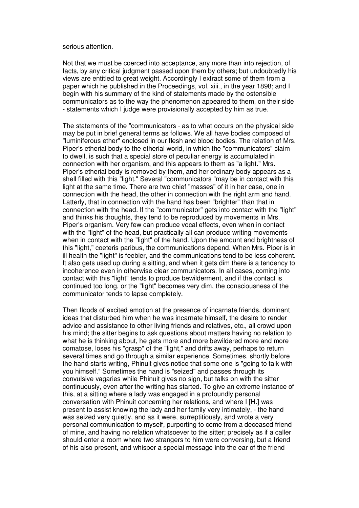#### serious attention.

Not that we must be coerced into acceptance, any more than into rejection, of facts, by any critical judgment passed upon them by others; but undoubtedly his views are entitled to great weight. Accordingly I extract some of them from a paper which he published in the Proceedings, vol. xiii., in the year 1898; and I begin with his summary of the kind of statements made by the ostensible communicators as to the way the phenomenon appeared to them, on their side - statements which I judge were provisionally accepted by him as true.

The statements of the "communicators - as to what occurs on the physical side may be put in brief general terms as follows. We all have bodies composed of "luminiferous ether" enclosed in our flesh and blood bodies. The relation of Mrs. Piper's etherial body to the etherial world, in which the "communicators" claim to dwell, is such that a special store of peculiar energy is accumulated in connection with her organism, and this appears to them as "a light." Mrs. Piper's etherial body is removed by them, and her ordinary body appears as a shell filled with this "light." Several "communicators "may be in contact with this light at the same time. There are two chief "masses" of it in her case, one in connection with the head, the other in connection with the right arm and hand. Latterly, that in connection with the hand has been "brighter" than that in connection with the head. If the "communicator" gets into contact with the "light" and thinks his thoughts, they tend to be reproduced by movements in Mrs. Piper's organism. Very few can produce vocal effects, even when in contact with the "light" of the head, but practically all can produce writing movements when in contact with the "light" of the hand. Upon the amount and brightness of this "light," coeteris paribus, the communications depend. When Mrs. Piper is in ill health the "light" is feebler, and the communications tend to be less coherent. It also gets used up during a sitting, and when it gets dim there is a tendency to incoherence even in otherwise clear communicators. In all cases, coming into contact with this "light" tends to produce bewilderment, and if the contact is continued too long, or the "light" becomes very dim, the consciousness of the communicator tends to lapse completely.

Then floods of excited emotion at the presence of incarnate friends, dominant ideas that disturbed him when he was incarnate himself, the desire to render advice and assistance to other living friends and relatives, etc., all crowd upon his mind; the sitter begins to ask questions about matters having no relation to what he is thinking about, he gets more and more bewildered more and more comatose, loses his "grasp" of the "light," and drifts away, perhaps to return several times and go through a similar experience. Sometimes, shortly before the hand starts writing, Phinuit gives notice that some one is "going to talk with you himself." Sometimes the hand is "seized" and passes through its convulsive vagaries while Phinuit gives no sign, but talks on with the sitter continuously, even after the writing has started. To give an extreme instance of this, at a sitting where a lady was engaged in a profoundly personal conversation with Phinuit concerning her relations, and where I [H.] was present to assist knowing the lady and her family very intimately, - the hand was seized very quietly, and as it were, surreptitiously, and wrote a very personal communication to myself, purporting to come from a deceased friend of mine, and having no relation whatsoever to the sitter; precisely as if a caller should enter a room where two strangers to him were conversing, but a friend of his also present, and whisper a special message into the ear of the friend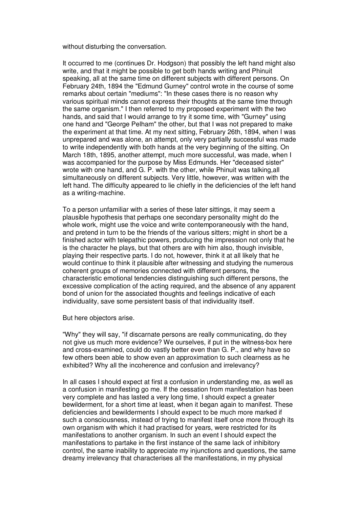without disturbing the conversation.

It occurred to me (continues Dr. Hodgson) that possibly the left hand might also write, and that it might be possible to get both hands writing and Phinuit speaking, all at the same time on different subjects with different persons. On February 24th, 1894 the "Edmund Gurney" control wrote in the course of some remarks about certain "mediums": "In these cases there is no reason why various spiritual minds cannot express their thoughts at the same time through the same organism." I then referred to my proposed experiment with the two hands, and said that I would arrange to try it some time, with "Gurney" using one hand and "George Pelham" the other, but that I was not prepared to make the experiment at that time. At my next sitting, February 26th, 1894, when I was unprepared and was alone, an attempt, only very partially successful was made to write independently with both hands at the very beginning of the sitting. On March 18th, 1895, another attempt, much more successful, was made, when I was accompanied for the purpose by Miss Edmunds. Her "deceased sister" wrote with one hand, and G. P. with the other, while Phinuit was talking,all simultaneously on different subjects. Very little, however, was written with the left hand. The difficulty appeared to lie chiefly in the deficiencies of the left hand as a writing-machine.

To a person unfamiliar with a series of these later sittings, it may seem a plausible hypothesis that perhaps one secondary personality might do the whole work, might use the voice and write contemporaneously with the hand, and pretend in turn to be the friends of the various sitters; might in short be a finished actor with telepathic powers, producing the impression not only that he is the character he plays, but that others are with him also, though invisible, playing their respective parts. I do not, however, think it at all likely that he would continue to think it plausible after witnessing and studying the numerous coherent groups of memories connected with different persons, the characteristic emotional tendencies distinguishing such different persons, the excessive complication of the acting required, and the absence of any apparent bond of union for the associated thoughts and feelings indicative of each individuality, save some persistent basis of that individuality itself.

But here objectors arise.

"Why" they will say, "if discarnate persons are really communicating, do they not give us much more evidence? We ourselves, if put in the witness-box here and cross-examined, could do vastly better even than G. P., and why have so few others been able to show even an approximation to such clearness as he exhibited? Why all the incoherence and confusion and irrelevancy?

In all cases I should expect at first a confusion in understanding me, as well as a confusion in manifesting go me. If the cessation from manifestation has been very complete and has lasted a very long time, I should expect a greater bewilderment, for a short time at least, when it began again to manifest. These deficiencies and bewilderments I should expect to be much more marked if such a consciousness, instead of trying to manifest itself once more through its own organism with which it had practised for years, were restricted for its manifestations to another organism. In such an event I should expect the manifestations to partake in the first instance of the same lack of inhibitory control, the same inability to appreciate my injunctions and questions, the same dreamy irrelevancy that characterises all the manifestations, in my physical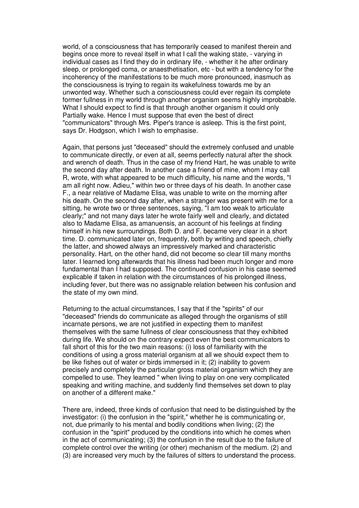world, of a consciousness that has temporarily ceased to manifest therein and begins once more to reveal itself in what I call the waking state, - varying in individual cases as I find they do in ordinary life, - whether it he after ordinary sleep, or prolonged coma, or anaesthetisation, etc - but with a tendency for the incoherency of the manifestations to be much more pronounced, inasmuch as the consciousness is trying to regain its wakefulness towards me by an unwonted way. Whether such a consciousness could ever regain its complete former fullness in my world through another organism seems highly improbable. What I should expect to find is that through another organism it could only Partially wake. Hence I must suppose that even the best of direct "communicators" through Mrs. Piper's trance is asleep. This is the first point, says Dr. Hodgson, which I wish to emphasise.

Again, that persons just "deceased" should the extremely confused and unable to communicate directly, or even at all, seems perfectly natural after the shock and wrench of death. Thus in the case of my friend Hart, he was unable to write the second day after death. In another case a friend of mine, whom I may call R, wrote, with what appeared to be much difficulty, his name and the words, "I am all right now. Adieu," within two or three days of his death. In another case F., a near relative of Madame Elisa, was unable to write on the morning after his death. On the second day after, when a stranger was present with me for a sitting, he wrote two or three sentences, saying, "I am too weak to articulate clearly;" and not many days later he wrote fairly well and clearly, and dictated also to Madame Elisa, as amanuensis, an account of his feelings at finding himself in his new surroundings. Both D. and F. became very clear in a short time. D. communicated later on, frequently, both by writing and speech, chiefly the latter, and showed always an impressively marked and characteristic personality. Hart, on the other hand, did not become so clear till many months later. I learned long afterwards that his illness had been much longer and more fundamental than I had supposed. The continued confusion in his case seemed explicable if taken in relation with the circumstances of his prolonged illness, including fever, but there was no assignable relation between his confusion and the state of my own mind.

Returning to the actual circumstances, I say that if the "spirits" of our "deceased" friends do communicate as alleged through the organisms of still incarnate persons, we are not justified in expecting them to manifest themselves with the same fullness of clear consciousness that they exhibited during life. We should on the contrary expect even the best communicators to fall short of this for the two main reasons: (i) loss of familiarity with the conditions of using a gross material organism at all we should expect them to be like fishes out of water or birds immersed in it; (2) inability to govern precisely and completely the particular gross material organism which they are compelled to use. They learned " when living to play on one very complicated speaking and writing machine, and suddenly find themselves set down to play on another of a different make."

There are, indeed, three kinds of confusion that need to be distinguished by the investigator: (i) the confusion in the "spirit," whether he is communicating or, not, due primarily to his mental and bodily conditions when living; (2) the confusion in the "spirit" produced by the conditions into which he comes when in the act of communicating; (3) the confusion in the result due to the failure of complete control over the writing (or other) mechanism of the medium. (2) and (3) are increased very much by the failures of sitters to understand the process.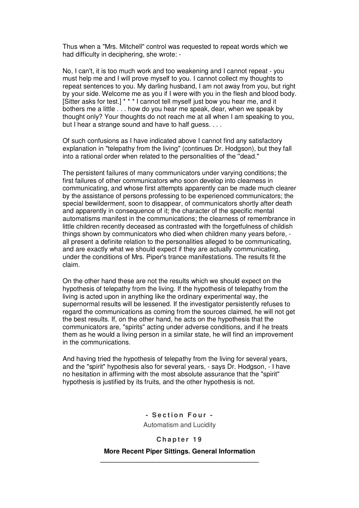Thus when a "Mrs. Mitchell" control was requested to repeat words which we had difficulty in deciphering, she wrote: -

No, I can't, it is too much work and too weakening and I cannot repeat - you must help me and I will prove myself to you. I cannot collect my thoughts to repeat sentences to you. My darling husband, I am not away from you, but right by your side. Welcome me as you if I were with you in the flesh and blood body. [Sitter asks for test.] \* \* \* I cannot tell myself just bow you hear me, and it bothers me a little . . . how do you hear me speak, dear, when we speak by thought only? Your thoughts do not reach me at all when I am speaking to you, but I hear a strange sound and have to half guess. . . .

Of such confusions as I have indicated above I cannot find any satisfactory explanation in "telepathy from the living" (continues Dr. Hodgson), but they fall into a rational order when related to the personalities of the ''dead."

The persistent failures of many communicators under varying conditions; the first failures of other communicators who soon develop into clearness in communicating, and whose first attempts apparently can be made much clearer by the assistance of persons professing to be experienced communicators; the special bewilderment, soon to disappear, of communicators shortly after death and apparently in consequence of it; the character of the specific mental automatisms manifest in the communications; the clearness of remembrance in little children recently deceased as contrasted with the forgetfulness of childish things shown by communicators who died when children many years before, all present a definite relation to the personalities alleged to be communicating, and are exactly what we should expect if they are actually communicating, under the conditions of Mrs. Piper's trance manifestations. The results fit the claim.

On the other hand these are not the results which we should expect on the hypothesis of telepathy from the living. If the hypothesis of telepathy from the living is acted upon in anything like the ordinary experimental way, the supernormal results will be lessened. If the investigator persistently refuses to regard the communications as coming from the sources claimed, he will not get the best results. If, on the other hand, he acts on the hypothesis that the communicators are, "spirits" acting under adverse conditions, and if he treats them as he would a living person in a similar state, he will find an improvement in the communications.

And having tried the hypothesis of telepathy from the living for several years, and the "spirit" hypothesis also for several years, - says Dr. Hodgson, - I have no hesitation in affirming with the most absolute assurance that the "spirit" hypothesis is justified by its fruits, and the other hypothesis is not.

> **- S e c t i o n F o u r -** Automatism and Lucidity

> > **C h a p t e r 1 9**

# **More Recent Piper Sittings. General Information \_\_\_\_\_\_\_\_\_\_\_\_\_\_\_\_\_\_\_\_\_\_\_\_\_\_\_\_\_\_\_\_\_\_\_\_\_\_\_\_\_\_\_**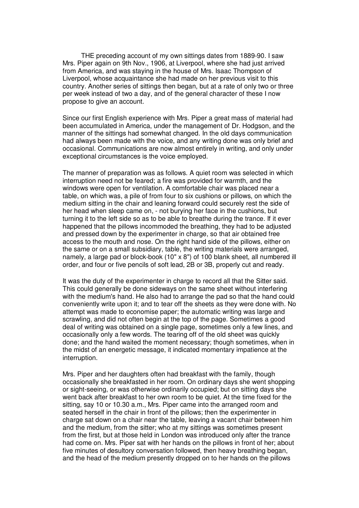THE preceding account of my own sittings dates from 1889-90. I saw Mrs. Piper again on 9th Nov., 1906, at Liverpool, where she had just arrived from America, and was staying in the house of Mrs. Isaac Thompson of Liverpool, whose acquaintance she had made on her previous visit to this country. Another series of sittings then began, but at a rate of only two or three per week instead of two a day, and of the general character of these I now propose to give an account.

Since our first English experience with Mrs. Piper a great mass of material had been accumulated in America, under the management of Dr. Hodgson, and the manner of the sittings had somewhat changed. In the old days communication had always been made with the voice, and any writing done was only brief and occasional. Communications are now almost entirely in writing, and only under exceptional circumstances is the voice employed.

The manner of preparation was as follows. A quiet room was selected in which interruption need not be feared; a fire was provided for warmth, and the windows were open for ventilation. A comfortable chair was placed near a table, on which was, a pile of from four to six cushions or pillows, on which the medium sitting in the chair and leaning forward could securely rest the side of her head when sleep came on, - not burying her face in the cushions, but turning it to the left side so as to be able to breathe during the trance. If it ever happened that the pillows incommoded the breathing, they had to be adjusted and pressed down by the experimenter in charge, so that air obtained free access to the mouth and nose. On the right hand side of the pillows, either on the same or on a small subsidiary, table, the writing materials were arranged, namely, a large pad or block-book (10" x 8") of 100 blank sheet, all numbered ill order, and four or five pencils of soft lead, 2B or 3B, properly cut and ready.

It was the duty of the experimenter in charge to record all that the Sitter said. This could generally be done sideways on the same sheet without interfering with the medium's hand. He also had to arrange the pad so that the hand could conveniently write upon it; and to tear off the sheets as they were done with. No attempt was made to economise paper; the automatic writing was large and scrawling, and did not often begin at the top of the page. Sometimes a good deal of writing was obtained on a single page, sometimes only a few lines, and occasionally only a few words. The tearing off of the old sheet was quickly done; and the hand waited the moment necessary; though sometimes, when in the midst of an energetic message, it indicated momentary impatience at the interruption.

Mrs. Piper and her daughters often had breakfast with the family, though occasionally she breakfasted in her room. On ordinary days she went shopping or sight-seeing, or was otherwise ordinarily occupied; but on sitting days she went back after breakfast to her own room to be quiet. At the time fixed for the sitting, say 10 or 10.30 a.m., Mrs. Piper came into the arranged room and seated herself in the chair in front of the pillows; then the experimenter in charge sat down on a chair near the table, leaving a vacant chair between him and the medium, from the sitter; who at my sittings was sometimes present from the first, but at those held in London was introduced only after the trance had come on. Mrs. Piper sat with her hands on the pillows in front of her; about five minutes of desultory conversation followed, then heavy breathing began, and the head of the medium presently dropped on to her hands on the pillows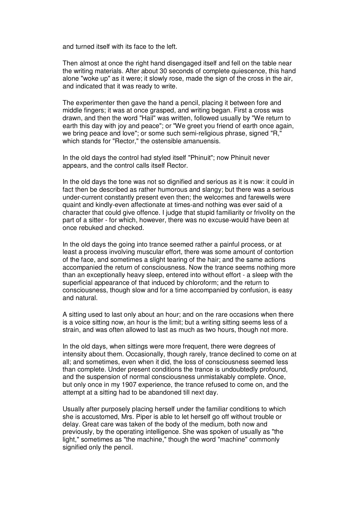and turned itself with its face to the left.

Then almost at once the right hand disengaged itself and fell on the table near the writing materials. After about 30 seconds of complete quiescence, this hand alone "woke up" as it were; it slowly rose, made the sign of the cross in the air, and indicated that it was ready to write.

The experimenter then gave the hand a pencil, placing it between fore and middle fingers; it was at once grasped, and writing began. First a cross was drawn, and then the word "Hail" was written, followed usually by "We return to earth this day with joy and peace"; or "We greet you friend of earth once again, we bring peace and love"; or some such semi-religious phrase, signed "R," which stands for "Rector," the ostensible amanuensis.

In the old days the control had styled itself "Phinuit"; now Phinuit never appears, and the control calls itself Rector.

In the old days the tone was not so dignified and serious as it is now: it could in fact then be described as rather humorous and slangy; but there was a serious under-current constantly present even then; the welcomes and farewells were quaint and kindly-even affectionate at times-and nothing was ever said of a character that could give offence. I judge that stupid familiarity or frivolity on the part of a sitter - for which, however, there was no excuse-would have been at once rebuked and checked.

In the old days the going into trance seemed rather a painful process, or at least a process involving muscular effort, there was some amount of contortion of the face, and sometimes a slight tearing of the hair; and the same actions accompanied the return of consciousness. Now the trance seems nothing more than an exceptionally heavy sleep, entered into without effort - a sleep with the superficial appearance of that induced by chloroform; and the return to consciousness, though slow and for a time accompanied by confusion, is easy and natural.

A sitting used to last only about an hour; and on the rare occasions when there is a voice sitting now, an hour is the limit; but a writing sitting seems less of a strain, and was often allowed to last as much as two hours, though not more.

In the old days, when sittings were more frequent, there were degrees of intensity about them. Occasionally, though rarely, trance declined to come on at all; and sometimes, even when it did, the loss of consciousness seemed less than complete. Under present conditions the trance is undoubtedly profound, and the suspension of normal consciousness unmistakably complete. Once, but only once in my 1907 experience, the trance refused to come on, and the attempt at a sitting had to be abandoned till next day.

Usually after purposely placing herself under the familiar conditions to which she is accustomed, Mrs. Piper is able to let herself go off without trouble or delay. Great care was taken of the body of the medium, both now and previously, by the operating intelligence. She was spoken of usually as "the light," sometimes as "the machine," though the word "machine" commonly signified only the pencil.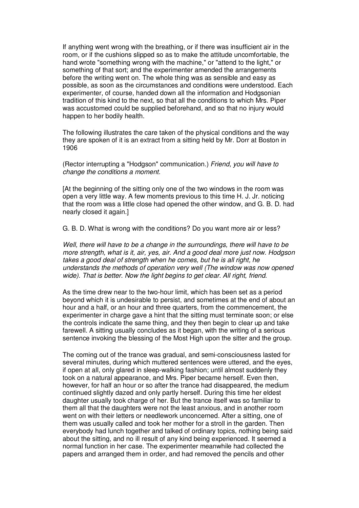If anything went wrong with the breathing, or if there was insufficient air in the room, or if the cushions slipped so as to make the attitude uncomfortable, the hand wrote "something wrong with the machine," or "attend to the light," or something of that sort; and the experimenter amended the arrangements before the writing went on. The whole thing was as sensible and easy as possible, as soon as the circumstances and conditions were understood. Each experimenter, of course, handed down all the information and Hodgsonian tradition of this kind to the next, so that all the conditions to which Mrs. Piper was accustomed could be supplied beforehand, and so that no injury would happen to her bodily health.

The following illustrates the care taken of the physical conditions and the way they are spoken of it is an extract from a sitting held by Mr. Dorr at Boston in 1906

(Rector interrupting a "Hodgson" communication.) *Friend, you will have to change the conditions a moment.*

[At the beginning of the sitting only one of the two windows in the room was open a very little way. A few moments previous to this time H. J. Jr. noticing that the room was a little close had opened the other window, and G. B. D. had nearly closed it again.]

G. B. D. What is wrong with the conditions? Do you want more air or less?

*Well, there will have to be a change in the surroundings, there will have to be more strength, what is it, air, yes, air. And a good deal more just now. Hodgson takes a good deal of strength when he comes, but he is all right, he understands the methods of operation very well (The window was now opened wide). That is better. Now the light begins to get clear. All right, friend.*

As the time drew near to the two-hour limit, which has been set as a period beyond which it is undesirable to persist, and sometimes at the end of about an hour and a half, or an hour and three quarters, from the commencement, the experimenter in charge gave a hint that the sitting must terminate soon; or else the controls indicate the same thing, and they then begin to clear up and take farewell. A sitting usually concludes as it began, with the writing of a serious sentence invoking the blessing of the Most High upon the sitter and the group.

The coming out of the trance was gradual, and semi-consciousness lasted for several minutes, during which muttered sentences were uttered, and the eyes, if open at all, only glared in sleep-walking fashion; until almost suddenly they took on a natural appearance, and Mrs. Piper became herself. Even then, however, for half an hour or so after the trance had disappeared, the medium continued slightly dazed and only partly herself. During this time her eldest daughter usually took charge of her. But the trance itself was so familiar to them all that the daughters were not the least anxious, and in another room went on with their letters or needlework unconcerned. After a sitting, one of them was usually called and took her mother for a stroll in the garden. Then everybody had lunch together and talked of ordinary topics, nothing being said about the sitting, and no ill result of any kind being experienced. It seemed a normal function in her case. The experimenter meanwhile had collected the papers and arranged them in order, and had removed the pencils and other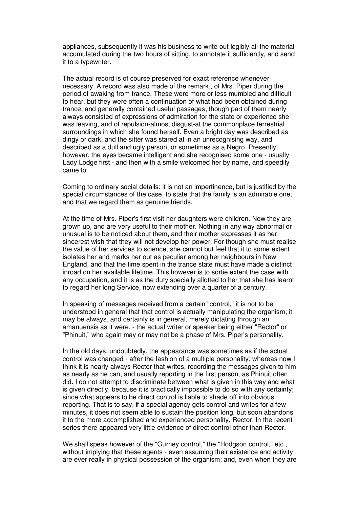appliances, subsequently it was his business to write out legibly all the material accumulated during the two hours of sitting, to annotate it sufficiently, and send it to a typewriter.

The actual record is of course preserved for exact reference whenever necessary. A record was also made of the remark., of Mrs. Piper during the period of awaking from trance. These were more or less mumbled and difficult to hear, but they were often a continuation of what had been obtained during trance, and generally contained useful passages; though part of them nearly always consisted of expressions of admiration for the state or experience she was leaving, and of repulsion-almost disgust-at the commonplace terrestrial surroundings in which she found herself. Even a bright day was described as dingy or dark, and the sitter was stared at in an unrecognising way, and described as a dull and ugly person, or sometimes as a Negro. Presently, however, the eyes became intelligent and she recognised some one - usually Lady Lodge first - and then with a smile welcomed her by name, and speedily came to.

Coming to ordinary social details: it is not an impertinence, but is justified by the special circumstances of the case, to state that the family is an admirable one, and that we regard them as genuine friends.

At the time of Mrs. Piper's first visit her daughters were children. Now they are grown up, and are very useful to their mother. Nothing in any way abnormal or unusual is to be noticed about them, and their mother expresses it as her sincerest wish that they will not develop her power. For though she must realise the value of her services to science, she cannot but feel that it to some extent isolates her and marks her out as peculiar among her neighbours in New England, and that the time spent in the trance state must have made a distinct inroad on her available lifetime. This however is to sortie extent the case with any occupation, and it is as the duty specially allotted to her that she has learnt to regard her long Service, now extending over a quarter of a century.

In speaking of messages received from a certain "control," it is not to be understood in general that that control is actually manipulating the organism; it may be always, and certainly is in general, merely dictating through an amanuensis as it were, - the actual writer or speaker being either "Rector" or "Phinuit," who again may or may not be a phase of Mrs. Piper's personality.

In the old days, undoubtedly, the appearance was sometimes as if the actual control was changed - after the fashion of a multiple personality; whereas now I think it is nearly always Rector that writes, recording the messages given to him as nearly as he can, and usually reporting in the first person, as Phinuit often did. I do not attempt to discriminate between what is given in this way and what is given directly, because it is practically impossible to do so with any certainty; since what appears to be direct control is liable to shade off into obvious reporting. That is to say, if a special agency gets control and writes for a few minutes, it does not seem able to sustain the position long, but soon abandons it to the more accomplished and experienced personality, Rector. In the recent series there appeared very little evidence of direct control other than Rector.

We shall speak however of the "Gurney control," the "Hodgson control," etc., without implying that these agents - even assuming their existence and activity are ever really in physical possession of the organism; and, even when they are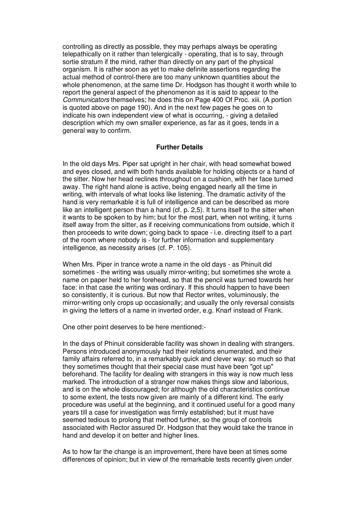controlling as directly as possible, they may perhaps always be operating telepathically on it rather than telergically - operating, that is to say, through sortie stratum if the mind, rather than directly on any part of the physical organism. It is rather soon as yet to make definite assertions regarding the actual method of control-there are too many unknown quantities about the whole phenomenon, at the same time Dr. Hodgson has thought it worth while to report the general aspect of the phenomenon as it is said to appear to the *Communicators* themselves; he does this on Page 400 Of Proc. xiii. (A portion is quoted above on page 190). And in the next few pages he goes on to indicate his own independent view of what is occurring, - giving a detailed description which my own smaller experience, as far as it goes, tends in a general way to confirm.

#### **Further Details**

In the old days Mrs. Piper sat upright in her chair, with head somewhat bowed and eyes closed, and with both hands available for holding objects or a hand of the sitter. Now her head reclines throughout on a cushion, with her face turned away. The right hand alone is active, being engaged nearly all the time in writing, with intervals of what looks like listening. The dramatic activity of the hand is very remarkable it is full of intelligence and can be described as more like an intelligent person than a hand (cf. p. 2,5). It turns itself to the sitter when it wants to be spoken to by him; but for the most part, when not writing, it turns itself away from the sitter, as if receiving communications from outside, which it then proceeds to write down; going back to space - i.e. directing itself to a part of the room where nobody is - for further information and supplementary intelligence, as necessity arises (cf. P. 105).

When Mrs. Piper in trance wrote a name in the old days - as Phinuit did sometimes - the writing was usually mirror-writing; but sometimes she wrote a name on paper held to her forehead, so that the pencil was turned towards her face: in that case the writing was ordinary. If this should happen to have been so consistently, it is curious. But now that Rector writes, voluminously, the mirror-writing only crops up occasionally; and usually the only reversal consists in giving the letters of a name in inverted order, e.g. Knarf instead of Frank.

One other point deserves to be here mentioned:-

In the days of Phinuit considerable facility was shown in dealing with strangers. Persons introduced anonymously had their relations enumerated, and their family affairs referred to, in a remarkably quick and clever way: so much so that they sometimes thought that their special case must have been "got up" beforehand. The facility for dealing with strangers in this way is now much less marked. The introduction of a stranger now makes things slow and laborious, and is on the whole discouraged; for although the old characteristics continue to some extent, the tests now given are mainly of a different kind. The early procedure was useful at the beginning, and it continued useful for a good many years till a case for investigation was firmly established; but it must have seemed tedious to prolong that method further, so the group of controls associated with Rector assured Dr. Hodgson that they would take the trance in hand and develop it on better and higher lines.

As to how far the change is an improvement, there have been at times some differences of opinion; but in view of the remarkable tests recently given under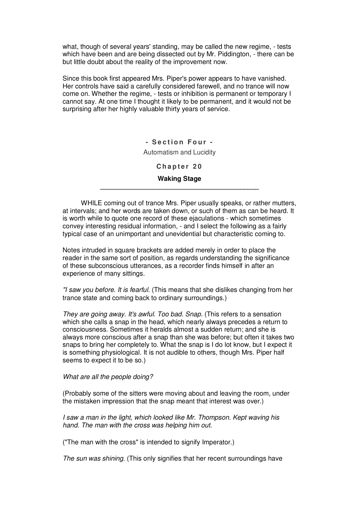what, though of several years' standing, may be called the new regime, - tests which have been and are being dissected out by Mr. Piddington, - there can be but little doubt about the reality of the improvement now.

Since this book first appeared Mrs. Piper's power appears to have vanished. Her controls have said a carefully considered farewell, and no trance will now come on. Whether the regime, - tests or inhibition is permanent or temporary I cannot say. At one time I thought it likely to be permanent, and it would not be surprising after her highly valuable thirty years of service.

> **- S e c t i o n F o u r -** Automatism and Lucidity

> > **C h a p t e r 2 0**

## **Waking Stage \_\_\_\_\_\_\_\_\_\_\_\_\_\_\_\_\_\_\_\_\_\_\_\_\_\_\_\_\_\_\_\_\_\_\_\_\_\_\_\_\_\_\_**

WHILE coming out of trance Mrs. Piper usually speaks, or rather mutters, at intervals; and her words are taken down, or such of them as can be heard. It is worth while to quote one record of these ejaculations - which sometimes convey interesting residual information, - and I select the following as a fairly typical case of an unimportant and unevidential but characteristic coming to.

Notes intruded in square brackets are added merely in order to place the reader in the same sort of position, as regards understanding the significance of these subconscious utterances, as a recorder finds himself in after an experience of many sittings.

*"I saw you before. It is fearful.* (This means that she dislikes changing from her trance state and coming back to ordinary surroundings.)

*They are going away. It's awful. Too bad. Snap.* (This refers to a sensation which she calls a snap in the head, which nearly always precedes a return to consciousness. Sometimes it heralds almost a sudden return; and she is always more conscious after a snap than she was before; but often it takes two snaps to bring her completely to. What the snap is I do lot know, but I expect it is something physiological. It is not audible to others, though Mrs. Piper half seems to expect it to be so.)

#### *What are all the people doing?*

(Probably some of the sitters were moving about and leaving the room, under the mistaken impression that the snap meant that interest was over.)

*I saw a man in the light, which looked like Mr. Thompson. Kept waving his hand. The man with the cross was helping him out.*

("The man with the cross" is intended to signify Imperator.)

*The sun was shining.* (This only signifies that her recent surroundings have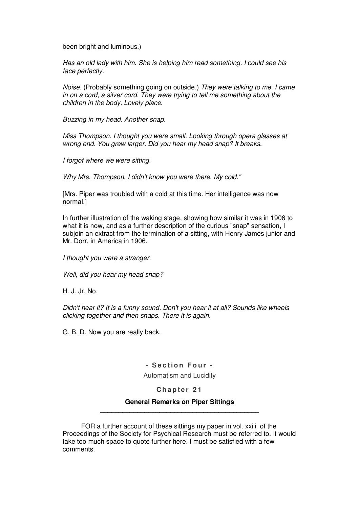been bright and luminous.)

*Has an old lady with him. She is helping him read something. I could see his face perfectly.*

*Noise.* (Probably something going on outside.) *They were talking to me. I came in on a cord, a silver cord. They were trying to tell me something about the children in the body. Lovely place.*

*Buzzing in my head. Another snap.*

*Miss Thompson. I thought you were small. Looking through opera glasses at wrong end. You grew larger. Did you hear my head snap? It breaks.*

*I forgot where we were sitting.*

*Why Mrs. Thompson, I didn't know you were there. My cold."*

[Mrs. Piper was troubled with a cold at this time. Her intelligence was now normal.]

In further illustration of the waking stage, showing how similar it was in 1906 to what it is now, and as a further description of the curious "snap" sensation, I subjoin an extract from the termination of a sitting, with Henry James junior and Mr. Dorr, in America in 1906.

*I thought you were a stranger.*

*Well, did you hear my head snap?*

H. J. Jr. No.

*Didn't hear it? It is a funny sound. Don't you hear it at all? Sounds like wheels clicking together and then snaps. There it is again.*

G. B. D. Now you are really back.

# **- S e c t i o n F o u r -**

Automatism and Lucidity

#### **C h a p t e r 2 1**

# **General Remarks on Piper Sittings \_\_\_\_\_\_\_\_\_\_\_\_\_\_\_\_\_\_\_\_\_\_\_\_\_\_\_\_\_\_\_\_\_\_\_\_\_\_\_\_\_\_\_**

FOR a further account of these sittings my paper in vol. xxiii. of the Proceedings of the Society for Psychical Research must be referred to. It would take too much space to quote further here. I must be satisfied with a few comments.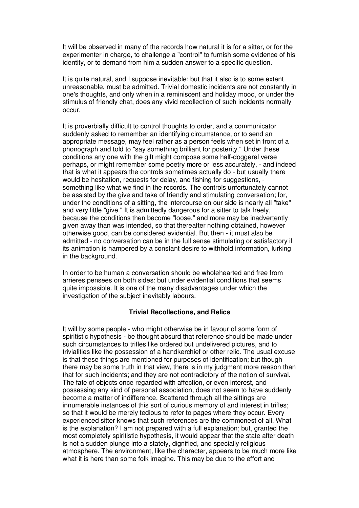It will be observed in many of the records how natural it is for a sitter, or for the experimenter in charge, to challenge a "control" to furnish some evidence of his identity, or to demand from him a sudden answer to a specific question.

It is quite natural, and I suppose inevitable: but that it also is to some extent unreasonable, must be admitted. Trivial domestic incidents are not constantly in one's thoughts, and only when in a reminiscent and holiday mood, or under the stimulus of friendly chat, does any vivid recollection of such incidents normally occur.

It is proverbially difficult to control thoughts to order, and a communicator suddenly asked to remember an identifying circumstance, or to send an appropriate message, may feel rather as a person feels when set in front of a phonograph and told to "say something brilliant for posterity." Under these conditions any one with the gift might compose some half-doggerel verse perhaps, or might remember some poetry more or less accurately, - and indeed that is what it appears the controls sometimes actually do - but usually there would be hesitation, requests for delay, and fishing for suggestions, something like what we find in the records. The controls unfortunately cannot be assisted by the give and take of friendly and stimulating conversation; for, under the conditions of a sitting, the intercourse on our side is nearly all "take" and very little "give." It is admittedly dangerous for a sitter to talk freely, because the conditions then become "loose," and more may be inadvertently given away than was intended, so that thereafter nothing obtained, however otherwise good, can be considered evidential. But then - it must also be admitted - no conversation can be in the full sense stimulating or satisfactory if its animation is hampered by a constant desire to withhold information, lurking in the background.

In order to be human a conversation should be wholehearted and free from arrieres pensees on both sides: but under evidential conditions that seems quite impossible. It is one of the many disadvantages under which the investigation of the subject inevitably labours.

#### **Trivial Recollections, and Relics**

It will by some people - who might otherwise be in favour of some form of spiritistic hypothesis - be thought absurd that reference should be made under such circumstances to trifles like ordered but undelivered pictures, and to trivialities like the possession of a handkerchief or other relic. The usual excuse is that these things are mentioned for purposes of identification; but though there may be some truth in that view, there is in my judgment more reason than that for such incidents; and they are not contradictory of the notion of survival. The fate of objects once regarded with affection, or even interest, and possessing any kind of personal association, does not seem to have suddenly become a matter of indifference. Scattered through all the sittings are innumerable instances of this sort of curious memory of and interest in trifles; so that it would be merely tedious to refer to pages where they occur. Every experienced sitter knows that such references are the commonest of all. What is the explanation? I am not prepared with a full explanation; but, granted the most completely spiritistic hypothesis, it would appear that the state after death is not a sudden plunge into a stately, dignified, and specially religious atmosphere. The environment, like the character, appears to be much more like what it is here than some folk imagine. This may be due to the effort and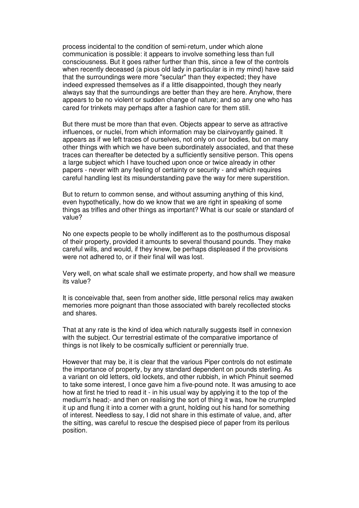process incidental to the condition of semi-return, under which alone communication is possible: it appears to involve something less than full consciousness. But it goes rather further than this, since a few of the controls when recently deceased (a pious old lady in particular is in my mind) have said that the surroundings were more "secular" than they expected; they have indeed expressed themselves as if a little disappointed, though they nearly always say that the surroundings are better than they are here. Anyhow, there appears to be no violent or sudden change of nature; and so any one who has cared for trinkets may perhaps after a fashion care for them still.

But there must be more than that even. Objects appear to serve as attractive influences, or nuclei, from which information may be clairvoyantly gained. It appears as if we left traces of ourselves, not only on our bodies, but on many other things with which we have been subordinately associated, and that these traces can thereafter be detected by a sufficiently sensitive person. This opens a large subject which I have touched upon once or twice already in other papers - never with any feeling of certainty or security - and which requires careful handling lest its misunderstanding pave the way for mere superstition.

But to return to common sense, and without assuming anything of this kind, even hypothetically, how do we know that we are right in speaking of some things as trifles and other things as important? What is our scale or standard of value?

No one expects people to be wholly indifferent as to the posthumous disposal of their property, provided it amounts to several thousand pounds. They make careful wills, and would, if they knew, be perhaps displeased if the provisions were not adhered to, or if their final will was lost.

Very well, on what scale shall we estimate property, and how shall we measure its value?

It is conceivable that, seen from another side, little personal relics may awaken memories more poignant than those associated with barely recollected stocks and shares.

That at any rate is the kind of idea which naturally suggests itself in connexion with the subject. Our terrestrial estimate of the comparative importance of things is not likely to be cosmically sufficient or perennially true.

However that may be, it is clear that the various Piper controls do not estimate the importance of property, by any standard dependent on pounds sterling. As a variant on old letters, old lockets, and other rubbish, in which Phinuit seemed to take some interest, I once gave him a five-pound note. It was amusing to ace how at first he tried to read it - in his usual way by applying it to the top of the medium's head;- and then on realising the sort of thing it was, how he crumpled it up and flung it into a corner with a grunt, holding out his hand for something of interest. Needless to say, I did not share in this estimate of value, and, after the sitting, was careful to rescue the despised piece of paper from its perilous position.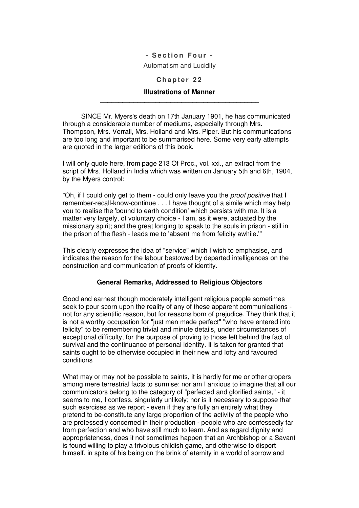## **- S e c t i o n F o u r -**

Automatism and Lucidity

#### **C h a p t e r 2 2**

## **Illustrations of Manner \_\_\_\_\_\_\_\_\_\_\_\_\_\_\_\_\_\_\_\_\_\_\_\_\_\_\_\_\_\_\_\_\_\_\_\_\_\_\_\_\_\_\_**

SINCE Mr. Myers's death on 17th January 1901, he has communicated through a considerable number of mediums, especially through Mrs. Thompson, Mrs. Verrall, Mrs. Holland and Mrs. Piper. But his communications are too long and important to be summarised here. Some very early attempts are quoted in the larger editions of this book.

I will only quote here, from page 213 Of Proc., vol. xxi., an extract from the script of Mrs. Holland in India which was written on January 5th and 6th, 1904, by the Myers control:

"Oh, if I could only get to them - could only leave you the *proof positive* that I remember-recall-know-continue . . . I have thought of a simile which may help you to realise the 'bound to earth condition' which persists with me. It is a matter very largely, of voluntary choice - I am, as it were, actuated by the missionary spirit; and the great longing to speak to the souls in prison - still in the prison of the flesh - leads me to 'absent me from felicity awhile.'"

This clearly expresses the idea of "service" which I wish to emphasise, and indicates the reason for the labour bestowed by departed intelligences on the construction and communication of proofs of identity.

#### **General Remarks, Addressed to Religious Objectors**

Good and earnest though moderately intelligent religious people sometimes seek to pour scorn upon the reality of any of these apparent communications not for any scientific reason, but for reasons born of prejudice. They think that it is not a worthy occupation for "just men made perfect" "who have entered into felicity" to be remembering trivial and minute details, under circumstances of exceptional difficulty, for the purpose of proving to those left behind the fact of survival and the continuance of personal identity. It is taken for granted that saints ought to be otherwise occupied in their new and lofty and favoured conditions

What may or may not be possible to saints, it is hardly for me or other gropers among mere terrestrial facts to surmise: nor am I anxious to imagine that all our communicators belong to the category of "perfected and glorified saints," - it seems to me, I confess, singularly unlikely; nor is it necessary to suppose that such exercises as we report - even if they are fully an entirely what they pretend to be-constitute any large proportion of the activity of the people who are professedly concerned in their production - people who are confessedly far from perfection and who have still much to learn. And as regard dignity and appropriateness, does it not sometimes happen that an Archbishop or a Savant is found willing to play a frivolous childish game, and otherwise to disport himself, in spite of his being on the brink of eternity in a world of sorrow and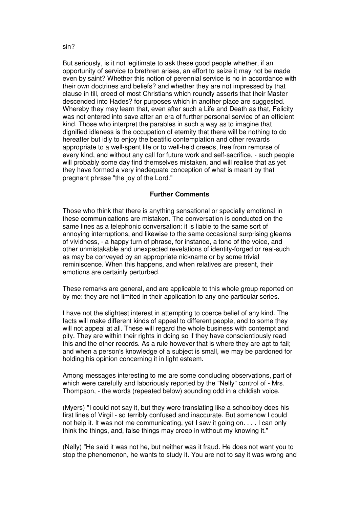sin?

But seriously, is it not legitimate to ask these good people whether, if an opportunity of service to brethren arises, an effort to seize it may not be made even by saint? Whether this notion of perennial service is no in accordance with their own doctrines and beliefs? and whether they are not impressed by that clause in till, creed of most Christians which roundly asserts that their Master descended into Hades? for purposes which in another place are suggested. Whereby they may learn that, even after such a Life and Death as that, Felicity was not entered into save after an era of further personal service of an efficient kind. Those who interpret the parables in such a way as to imagine that dignified idleness is the occupation of eternity that there will be nothing to do hereafter but idly to enjoy the beatific contemplation and other rewards appropriate to a well-spent life or to well-held creeds, free from remorse of every kind, and without any call for future work and self-sacrifice, - such people will probably some day find themselves mistaken, and will realise that as yet they have formed a very inadequate conception of what is meant by that pregnant phrase "the joy of the Lord."

### **Further Comments**

Those who think that there is anything sensational or specially emotional in these communications are mistaken. The conversation is conducted on the same lines as a telephonic conversation: it is liable to the same sort of annoying interruptions, and likewise to the same occasional surprising gleams of vividness, - a happy turn of phrase, for instance, a tone of the voice, and other unmistakable and unexpected revelations of identity-forged or real-such as may be conveyed by an appropriate nickname or by some trivial reminiscence. When this happens, and when relatives are present, their emotions are certainly perturbed.

These remarks are general, and are applicable to this whole group reported on by me: they are not limited in their application to any one particular series.

I have not the slightest interest in attempting to coerce belief of any kind. The facts will make different kinds of appeal to different people, and to some they will not appeal at all. These will regard the whole business with contempt and pity. They are within their rights in doing so if they have conscientiously read this and the other records. As a rule however that is where they are apt to fail; and when a person's knowledge of a subject is small, we may be pardoned for holding his opinion concerning it in light esteem.

Among messages interesting to me are some concluding observations, part of which were carefully and laboriously reported by the "Nelly" control of - Mrs. Thompson, - the words (repeated below) sounding odd in a childish voice.

(Myers) "I could not say it, but they were translating like a schoolboy does his first lines of Virgil - so terribly confused and inaccurate. But somehow I could not help it. It was not me communicating, yet I saw it going on. . . . I can only think the things, and, false things may creep in without my knowing it."

(Nelly) "He said it was not he, but neither was it fraud. He does not want you to stop the phenomenon, he wants to study it. You are not to say it was wrong and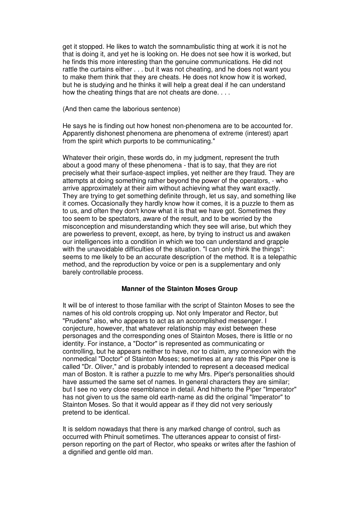get it stopped. He likes to watch the somnambulistic thing at work it is not he that is doing it, and yet he is looking on. He does not see how it is worked, but he finds this more interesting than the genuine communications. He did not rattle the curtains either . . . but it was not cheating, and he does not want you to make them think that they are cheats. He does not know how it is worked, but he is studying and he thinks it will help a great deal if he can understand how the cheating things that are not cheats are done. . . .

(And then came the laborious sentence)

He says he is finding out how honest non-phenomena are to be accounted for. Apparently dishonest phenomena are phenomena of extreme (interest) apart from the spirit which purports to be communicating."

Whatever their origin, these words do, in my judgment, represent the truth about a good many of these phenomena - that is to say, that they are riot precisely what their surface-aspect implies, yet neither are they fraud. They are attempts at doing something rather beyond the power of the operators, - who arrive approximately at their aim without achieving what they want exactly. They are trying to get something definite through, let us say, and something like it comes. Occasionally they hardly know how it comes, it is a puzzle to them as to us, and often they don't know what it is that we have got. Sometimes they too seem to be spectators, aware of the result, and to be worried by the misconception and misunderstanding which they see will arise, but which they are powerless to prevent, except, as here, by trying to instruct us and awaken our intelligences into a condition in which we too can understand and grapple with the unavoidable difficulties of the situation. "I can only think the things": seems to me likely to be an accurate description of the method. It is a telepathic method, and the reproduction by voice or pen is a supplementary and only barely controllable process.

### **Manner of the Stainton Moses Group**

It will be of interest to those familiar with the script of Stainton Moses to see the names of his old controls cropping up. Not only Imperator and Rector, but "Prudens" also, who appears to act as an accomplished messenger. I conjecture, however, that whatever relationship may exist between these personages and the corresponding ones of Stainton Moses, there is little or no identity. For instance, a "Doctor" is represented as communicating or controlling, but he appears neither to have, nor to claim, any connexion with the nonmedical "Doctor" of Stainton Moses; sometimes at any rate this Piper one is called "Dr. Oliver," and is probably intended to represent a deceased medical man of Boston. It is rather a puzzle to me why Mrs. Piper's personalities should have assumed the same set of names. In general characters they are similar; but I see no very close resemblance in detail. And hitherto the Piper "Imperator" has not given to us the same old earth-name as did the original "Imperator" to Stainton Moses. So that it would appear as if they did not very seriously pretend to be identical.

It is seldom nowadays that there is any marked change of control, such as occurred with Phinuit sometimes. The utterances appear to consist of firstperson reporting on the part of Rector, who speaks or writes after the fashion of a dignified and gentle old man.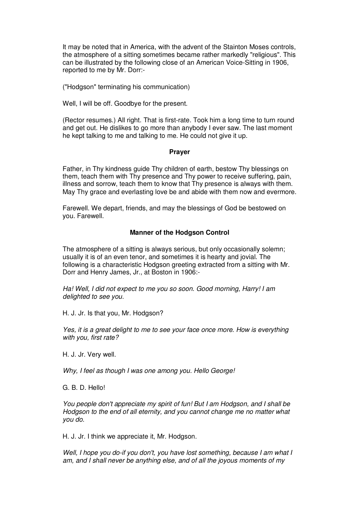It may be noted that in America, with the advent of the Stainton Moses controls, the atmosphere of a sitting sometimes became rather markedly "religious". This can be illustrated by the following close of an American Voice-Sitting in 1906, reported to me by Mr. Dorr:-

("Hodgson" terminating his communication)

Well, I will be off. Goodbye for the present.

(Rector resumes.) All right. That is first-rate. Took him a long time to turn round and get out. He dislikes to go more than anybody I ever saw. The last moment he kept talking to me and talking to me. He could not give it up.

### **Prayer**

Father, in Thy kindness guide Thy children of earth, bestow Thy blessings on them, teach them with Thy presence and Thy power to receive suffering, pain, illness and sorrow, teach them to know that Thy presence is always with them. May Thy grace and everlasting love be and abide with them now and evermore.

Farewell. We depart, friends, and may the blessings of God be bestowed on you. Farewell.

# **Manner of the Hodgson Control**

The atmosphere of a sitting is always serious, but only occasionally solemn; usually it is of an even tenor, and sometimes it is hearty and jovial. The following is a characteristic Hodgson greeting extracted from a sitting with Mr. Dorr and Henry James, Jr., at Boston in 1906:-

*Ha! Well, I did not expect to me you so soon. Good morning, Harry! I am delighted to see you.*

H. J. Jr. Is that you, Mr. Hodgson?

*Yes, it is a great delight to me to see your face once more. How is everything with you, first rate?*

H. J. Jr. Very well.

*Why, I feel as though I was one among you. Hello George!*

G. B. D. Hello!

*You people don't appreciate my spirit of fun! But I am Hodgson, and I shall be Hodgson to the end of all eternity, and you cannot change me no matter what you do.*

H. J. Jr. I think we appreciate it, Mr. Hodgson.

*Well, I hope you do-if you don't, you have lost something, because I am what I am, and I shall never be anything else, and of all the joyous moments of my*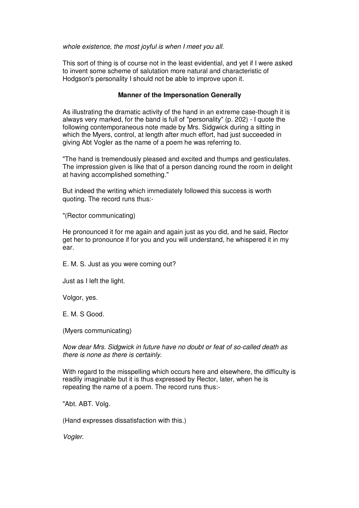## *whole existence, the most joyful is when I meet you all.*

This sort of thing is of course not in the least evidential, and yet if I were asked to invent some scheme of salutation more natural and characteristic of Hodgson's personality I should not be able to improve upon it.

## **Manner of the Impersonation Generally**

As illustrating the dramatic activity of the hand in an extreme case-though it is always very marked, for the band is full of "personality" (p. 202) - I quote the following contemporaneous note made by Mrs. Sidgwick during a sitting in which the Myers, control, at length after much effort, had just succeeded in giving Abt Vogler as the name of a poem he was referring to.

"The hand is tremendously pleased and excited and thumps and gesticulates. The impression given is like that of a person dancing round the room in delight at having accomplished something."

But indeed the writing which immediately followed this success is worth quoting. The record runs thus:-

"(Rector communicating)

He pronounced it for me again and again just as you did, and he said, Rector get her to pronounce if for you and you will understand, he whispered it in my ear.

E. M. S. Just as you were coming out?

Just as I left the light.

Volgor, yes.

E. M. S Good.

(Myers communicating)

*Now dear Mrs. Sidgwick in future have no doubt or feat of so-called death as there is none as there is certainly.*

With regard to the misspelling which occurs here and elsewhere, the difficulty is readily imaginable but it is thus expressed by Rector, later, when he is repeating the name of a poem. The record runs thus:-

"Abt. ABT. Volg.

(Hand expresses dissatisfaction with this.)

*Vogler.*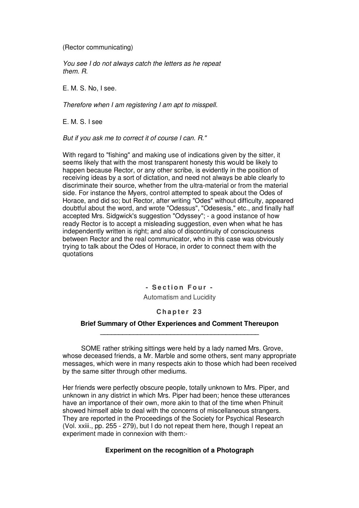(Rector communicating)

*You see I do not always catch the letters as he repeat them. R.*

E. M. S. No, I see.

*Therefore when I am registering I am apt to misspell.*

E. M. S. I see

*But if you ask me to correct it of course I can. R."*

With regard to "fishing" and making use of indications given by the sitter, it seems likely that with the most transparent honesty this would be likely to happen because Rector, or any other scribe, is evidently in the position of receiving ideas by a sort of dictation, and need not always be able clearly to discriminate their source, whether from the ultra-material or from the material side. For instance the Myers, control attempted to speak about the Odes of Horace, and did so; but Rector, after writing "Odes" without difficulty, appeared doubtful about the word, and wrote "Odessus", "Odesesis," etc., and finally half accepted Mrs. Sidgwick's suggestion "Odyssey"; - a good instance of how ready Rector is to accept a misleading suggestion, even when what he has independently written is right; and also of discontinuity of consciousness between Rector and the real communicator, who in this case was obviously trying to talk about the Odes of Horace, in order to connect them with the quotations

> **- S e c t i o n F o u r -** Automatism and Lucidity

# **C h a p t e r 2 3**

### **Brief Summary of Other Experiences and Comment Thereupon \_\_\_\_\_\_\_\_\_\_\_\_\_\_\_\_\_\_\_\_\_\_\_\_\_\_\_\_\_\_\_\_\_\_\_\_\_\_\_\_\_\_\_**

SOME rather striking sittings were held by a lady named Mrs. Grove, whose deceased friends, a Mr. Marble and some others, sent many appropriate messages, which were in many respects akin to those which had been received by the same sitter through other mediums.

Her friends were perfectly obscure people, totally unknown to Mrs. Piper, and unknown in any district in which Mrs. Piper had been; hence these utterances have an importance of their own, more akin to that of the time when Phinuit showed himself able to deal with the concerns of miscellaneous strangers. They are reported in the Proceedings of the Society for Psychical Research (Vol. xxiii., pp. 255 - 279), but I do not repeat them here, though I repeat an experiment made in connexion with them:-

# **Experiment on the recognition of a Photograph**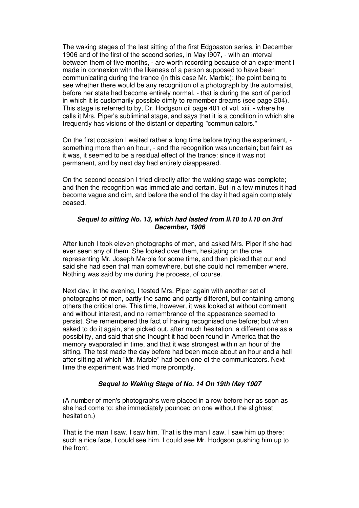The waking stages of the last sitting of the first Edgbaston series, in December 1906 and of the first of the second series, in May I907, - with an interval between them of five months, - are worth recording because of an experiment I made in connexion with the likeness of a person supposed to have been communicating during the trance (in this case Mr. Marble): the point being to see whether there would be any recognition of a photograph by the automatist, before her state had become entirely normal, - that is during the sort of period in which it is customarily possible dimly to remember dreams (see page 204). This stage is referred to by, Dr. Hodgson oil page 401 of vol. xiii. - where he calls it Mrs. Piper's subliminal stage, and says that it is a condition in which she frequently has visions of the distant or departing "communicators."

On the first occasion I waited rather a long time before trying the experiment, something more than an hour, - and the recognition was uncertain; but faint as it was, it seemed to be a residual effect of the trance: since it was not permanent, and by next day had entirely disappeared.

On the second occasion I tried directly after the waking stage was complete; and then the recognition was immediate and certain. But in a few minutes it had become vague and dim, and before the end of the day it had again completely ceased.

# *Sequel to sitting No. 13, which had lasted from II.10 to I.10 on 3rd December, 1906*

After lunch I took eleven photographs of men, and asked Mrs. Piper if she had ever seen any of them. She looked over them, hesitating on the one representing Mr. Joseph Marble for some time, and then picked that out and said she had seen that man somewhere, but she could not remember where. Nothing was said by me during the process, of course.

Next day, in the evening, I tested Mrs. Piper again with another set of photographs of men, partly the same and partly different, but containing among others the critical one. This time, however, it was looked at without comment and without interest, and no remembrance of the appearance seemed to persist. She remembered the fact of having recognised one before; but when asked to do it again, she picked out, after much hesitation, a different one as a possibility, and said that she thought it had been found in America that the memory evaporated in time, and that it was strongest within an hour of the sitting. The test made the day before had been made about an hour and a hall after sitting at which "Mr. Marble" had been one of the communicators. Next time the experiment was tried more promptly.

### *Sequel to Waking Stage of No. 14 On 19th May 1907*

(A number of men's photographs were placed in a row before her as soon as she had come to: she immediately pounced on one without the slightest hesitation.)

That is the man I saw. I saw him. That is the man I saw. I saw him up there: such a nice face, I could see him. I could see Mr. Hodgson pushing him up to the front.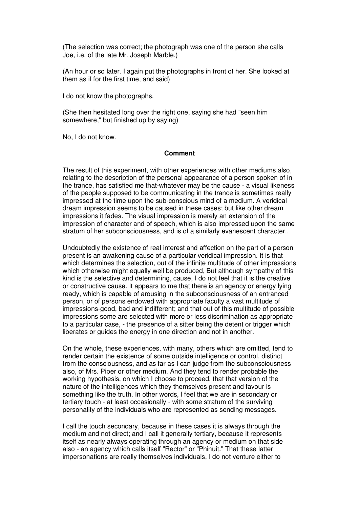(The selection was correct; the photograph was one of the person she calls Joe, i.e. of the late Mr. Joseph Marble.)

(An hour or so later. I again put the photographs in front of her. She looked at them as if for the first time, and said)

I do not know the photographs.

(She then hesitated long over the right one, saying she had "seen him somewhere," but finished up by saying)

No, I do not know.

#### **Comment**

The result of this experiment, with other experiences with other mediums also, relating to the description of the personal appearance of a person spoken of in the trance, has satisfied me that-whatever may be the cause - a visual likeness of the people supposed to be communicating in the trance is sometimes really impressed at the time upon the sub-conscious mind of a medium. A veridical dream impression seems to be caused in these cases; but like other dream impressions it fades. The visual impression is merely an extension of the impression of character and of speech, which is also impressed upon the same stratum of her subconsciousness, and is of a similarly evanescent character..

Undoubtedly the existence of real interest and affection on the part of a person present is an awakening cause of a particular veridical impression. It is that which determines the selection, out of the infinite multitude of other impressions which otherwise might equally well be produced. But although sympathy of this kind is the selective and determining, cause, I do not feel that it is the creative or constructive cause. It appears to me that there is an agency or energy lying ready, which is capable of arousing in the subconsciousness of an entranced person, or of persons endowed with appropriate faculty a vast multitude of impressions-good, bad and indifferent; and that out of this multitude of possible impressions some are selected with more or less discrimination as appropriate to a particular case, - the presence of a sitter being the detent or trigger which liberates or guides the energy in one direction and not in another.

On the whole, these experiences, with many, others which are omitted, tend to render certain the existence of some outside intelligence or control, distinct from the consciousness, and as far as I can judge from the subconsciousness also, of Mrs. Piper or other medium. And they tend to render probable the working hypothesis, on which I choose to proceed, that that version of the nature of the intelligences which they themselves present and favour is something like the truth. In other words, I feel that we are in secondary or tertiary touch - at least occasionally - with some stratum of the surviving personality of the individuals who are represented as sending messages.

I call the touch secondary, because in these cases it is always through the medium and not direct; and I call it generally tertiary, because it represents itself as nearly always operating through an agency or medium on that side also - an agency which calls itself "Rector" or "Phinuit." That these latter impersonations are really themselves individuals, I do not venture either to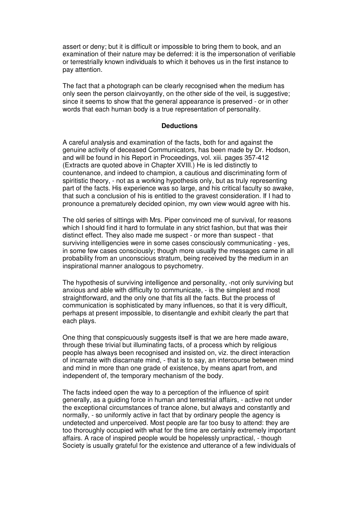assert or deny; but it is difficult or impossible to bring them to book, and an examination of their nature may be deferred: it is the impersonation of verifiable or terrestrially known individuals to which it behoves us in the first instance to pay attention.

The fact that a photograph can be clearly recognised when the medium has only seen the person clairvoyantly, on the other side of the veil, is suggestive; since it seems to show that the general appearance is preserved - or in other words that each human body is a true representation of personality.

### **Deductions**

A careful analysis and examination of the facts, both for and against the genuine activity of deceased Communicators, has been made by Dr. Hodson, and will be found in his Report in Proceedings, vol. xiii. pages 357-412 (Extracts are quoted above in Chapter XVIII.) He is led distinctly to countenance, and indeed to champion, a cautious and discriminating form of spiritistic theory, - not as a working hypothesis only, but as truly representing part of the facts. His experience was so large, and his critical faculty so awake, that such a conclusion of his is entitled to the gravest consideration. If I had to pronounce a prematurely decided opinion, my own view would agree with his.

The old series of sittings with Mrs. Piper convinced me of survival, for reasons which I should find it hard to formulate in any strict fashion, but that was their distinct effect. They also made me suspect - or more than suspect - that surviving intelligencies were in some cases consciously communicating - yes, in some few cases consciously; though more usually the messages came in all probability from an unconscious stratum, being received by the medium in an inspirational manner analogous to psychometry.

The hypothesis of surviving intelligence and personality, -not only surviving but anxious and able with difficulty to communicate, - is the simplest and most straightforward, and the only one that fits all the facts. But the process of communication is sophisticated by many influences, so that it is very difficult, perhaps at present impossible, to disentangle and exhibit clearly the part that each plays.

One thing that conspicuously suggests itself is that we are here made aware, through these trivial but illuminating facts, of a process which by religious people has always been recognised and insisted on, viz. the direct interaction of incarnate with discarnate mind, - that is to say, an intercourse between mind and mind in more than one grade of existence, by means apart from, and independent of, the temporary mechanism of the body.

The facts indeed open the way to a perception of the influence of spirit generally, as a guiding force in human and terrestrial affairs, - active not under the exceptional circumstances of trance alone, but always and constantly and normally, - so uniformly active in fact that by ordinary people the agency is undetected and unperceived. Most people are far too busy to attend: they are too thoroughly occupied with what for the time are certainly extremely important affairs. A race of inspired people would be hopelessly unpractical, - though Society is usually grateful for the existence and utterance of a few individuals of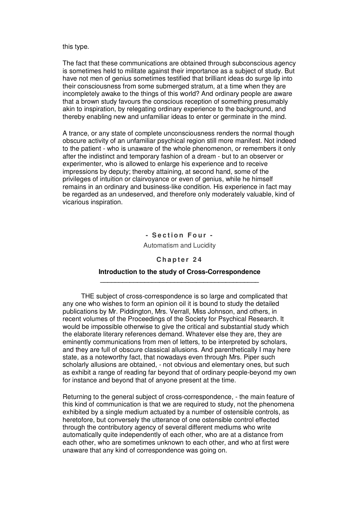this type.

The fact that these communications are obtained through subconscious agency is sometimes held to militate against their importance as a subject of study. But have not men of genius sometimes testified that brilliant ideas do surge lip into their consciousness from some submerged stratum, at a time when they are incompletely awake to the things of this world? And ordinary people are aware that a brown study favours the conscious reception of something presumably akin to inspiration, by relegating ordinary experience to the background, and thereby enabling new and unfamiliar ideas to enter or germinate in the mind.

A trance, or any state of complete unconsciousness renders the normal though obscure activity of an unfamiliar psychical region still more manifest. Not indeed to the patient - who is unaware of the whole phenomenon, or remembers it only after the indistinct and temporary fashion of a dream - but to an observer or experimenter, who is allowed to enlarge his experience and to receive impressions by deputy; thereby attaining, at second hand, some of the privileges of intuition or clairvoyance or even of genius, while he himself remains in an ordinary and business-like condition. His experience in fact may be regarded as an undeserved, and therefore only moderately valuable, kind of vicarious inspiration.

> **- S e c t i o n F o u r -** Automatism and Lucidity

## **C h a p t e r 2 4**

### **Introduction to the study of Cross-Correspondence \_\_\_\_\_\_\_\_\_\_\_\_\_\_\_\_\_\_\_\_\_\_\_\_\_\_\_\_\_\_\_\_\_\_\_\_\_\_\_\_\_\_\_**

THE subject of cross-correspondence is so large and complicated that any one who wishes to form an opinion oil it is bound to study the detailed publications by Mr. Piddington, Mrs. Verrall, Miss Johnson, and others, in recent volumes of the Proceedings of the Society for Psychical Research. It would be impossible otherwise to give the critical and substantial study which the elaborate literary references demand. Whatever else they are, they are eminently communications from men of letters, to be interpreted by scholars, and they are full of obscure classical allusions. And parenthetically I may here state, as a noteworthy fact, that nowadays even through Mrs. Piper such scholarly allusions are obtained, - not obvious and elementary ones, but such as exhibit a range of reading far beyond that of ordinary people-beyond my own for instance and beyond that of anyone present at the time.

Returning to the general subject of cross-correspondence, - the main feature of this kind of communication is that we are required to study, not the phenomena exhibited by a single medium actuated by a number of ostensible controls, as heretofore, but conversely the utterance of one ostensible control effected through the contributory agency of several different mediums who write automatically quite independently of each other, who are at a distance from each other, who are sometimes unknown to each other, and who at first were unaware that any kind of correspondence was going on.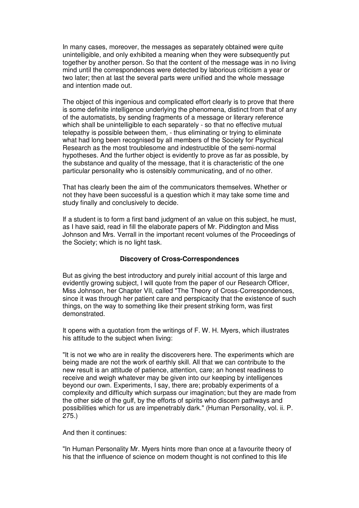In many cases, moreover, the messages as separately obtained were quite unintelligible, and only exhibited a meaning when they were subsequently put together by another person. So that the content of the message was in no living mind until the correspondences were detected by laborious criticism a year or two later; then at last the several parts were unified and the whole message and intention made out.

The object of this ingenious and complicated effort clearly is to prove that there is some definite intelligence underlying the phenomena, distinct from that of any of the automatists, by sending fragments of a message or literary reference which shall be unintelligible to each separately - so that no effective mutual telepathy is possible between them, - thus eliminating or trying to eliminate what had long been recognised by all members of the Society for Psychical Research as the most troublesome and indestructible of the semi-normal hypotheses. And the further object is evidently to prove as far as possible, by the substance and quality of the message, that it is characteristic of the one particular personality who is ostensibly communicating, and of no other.

That has clearly been the aim of the communicators themselves. Whether or not they have been successful is a question which it may take some time and study finally and conclusively to decide.

If a student is to form a first band judgment of an value on this subject, he must, as I have said, read in fill the elaborate papers of Mr. Piddington and Miss Johnson and Mrs. Verrall in the important recent volumes of the Proceedings of the Society; which is no light task.

# **Discovery of Cross-Correspondences**

But as giving the best introductory and purely initial account of this large and evidently growing subject, I will quote from the paper of our Research Officer, Miss Johnson, her Chapter VII, called "The Theory of Cross-Correspondences, since it was through her patient care and perspicacity that the existence of such things, on the way to something like their present striking form, was first demonstrated.

It opens with a quotation from the writings of F. W. H. Myers, which illustrates his attitude to the subject when living:

"It is not we who are in reality the discoverers here. The experiments which are being made are not the work of earthly skill. All that we can contribute to the new result is an attitude of patience, attention, care; an honest readiness to receive and weigh whatever may be given into our keeping by intelligences beyond our own. Experiments, I say, there are; probably experiments of a complexity and difficulty which surpass our imagination; but they are made from the other side of the gulf, by the efforts of spirits who discern pathways and possibilities which for us are impenetrably dark." (Human Personality, vol. ii. P. 275.)

And then it continues:

"In Human Personality Mr. Myers hints more than once at a favourite theory of his that the influence of science on modem thought is not confined to this life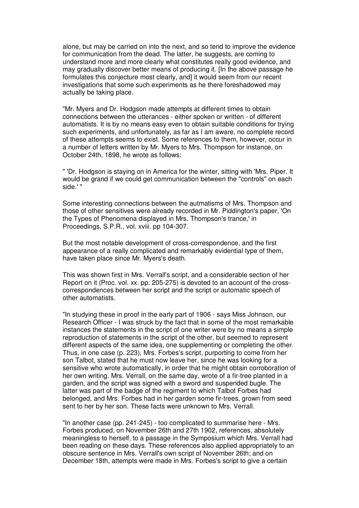alone, but may be carried on into the next, and so tend to improve the evidence for communication from the dead. The latter, he suggests, are coming to understand more and more clearly what constitutes really good evidence, and may gradually discover better means of producing it. [In the above passage he formulates this conjecture most clearly, and] it would seem from our recent investigations that some such experiments as he there foreshadowed may actually be taking place.

"Mr. Myers and Dr. Hodgson made attempts at different times to obtain connections between the utterances - either spoken or written - of different automatists. It is by no means easy even to obtain suitable conditions for trying such experiments, and unfortunately, as far as I am aware, no complete record of these attempts seems to exist. Some references to them, however, occur in a number of letters written by Mr. Myers to Mrs. Thompson for instance, on October 24th, 1898, he wrote as follows:

" 'Dr. Hodgson is staying on in America for the winter, sitting with 'Mrs. Piper. It would be grand if we could get communication between the "controls" on each side.' "

Some interesting connections between the autmatisms of Mrs. Thompson and those of other sensitives were already recorded in Mr. Piddington's paper, 'On the Types of Phenomena displayed in Mrs. Thompson's trance,' in Proceedings, S.P.R., vol. xviii. pp 104-307.

But the most notable development of cross-correspondence, and the first appearance of a really complicated and remarkably evidential type of them, have taken place since Mr. Myers's death.

This was shown first in Mrs. Verrall's script, and a considerable section of her Report on it (Proc. vol. xx. pp. 205-275) is devoted to an account of the crosscorrespondences between her script and the script or automatic speech of other automatists.

"In studying these in proof in the early part of 1906 - says Miss Johnson, our Research Officer - I was struck by the fact that in some of the most remarkable instances the statements in the script of one writer were by no means a simple reproduction of statements in the script of the other, but seemed to represent different aspects of the same idea, one supplementing or completing the other. Thus, in one case (p. 223), Mrs. Forbes's script, purporting to come from her son Talbot, stated that he must now leave her, since he was looking for a sensitive who wrote automatically, in order that he might obtain corroboration of her own writing. Mrs. Verrall, on the same day, wrote of a fir-tree planted in a garden, and the script was signed with a sword and suspended bugle. The latter was part of the badge of the regiment to which Talbot Forbes had belonged, and Mrs. Forbes had in her garden some fir-trees, grown from seed sent to her by her son. These facts were unknown to Mrs. Verrall.

"In another case (pp. 241-245) - too complicated to summarise here - Mrs. Forbes produced, on November 26th and 27th 1902, references, absolutely meaningless to herself, to a passage in the Symposium which Mrs. Verrall had been reading on these days. These references also applied appropriately to an obscure sentence in Mrs. Verrall's own script of November 26th; and on December 18th, attempts were made in Mrs. Forbes's script to give a certain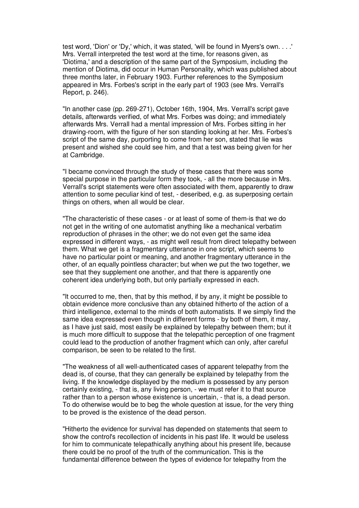test word, 'Dion' or 'Dy,' which, it was stated, 'will be found in Myers's own. . . .' Mrs. Verrall interpreted the test word at the time, for reasons given, as 'Diotima,' and a description of the same part of the Symposium, including the mention of Diotima, did occur in Human Personality, which was published about three months later, in February 1903. Further references to the Symposium appeared in Mrs. Forbes's script in the early part of 1903 (see Mrs. Verrall's Report, p. 246).

"In another case (pp. 269-271), October 16th, 1904, Mrs. Verrall's script gave details, afterwards verified, of what Mrs. Forbes was doing; and immediately afterwards Mrs. Verrall had a mental impression of Mrs. Forbes sitting in her drawing-room, with the figure of her son standing looking at her. Mrs. Forbes's script of the same day, purporting to come from her son, stated that lie was present and wished she could see him, and that a test was being given for her at Cambridge.

"I became convinced through the study of these cases that there was some special purpose in the particular form they took, - all the more because in Mrs. Verrall's script statements were often associated with them, apparently to draw attention to some peculiar kind of test, - deseribed, e.g. as superposing certain things on others, when all would be clear.

"The characteristic of these cases - or at least of some of them-is that we do not get in the writing of one automatist anything like a mechanical verbatim reproduction of phrases in the other; we do not even get the same idea expressed in different ways, - as might well result from direct telepathy between them. What we get is a fragmentary utterance in one script, which seems to have no particular point or meaning, and another fragmentary utterance in the other, of an equally pointless character; but when we put the two together, we see that they supplement one another, and that there is apparently one coherent idea underlying both, but only partially expressed in each.

"It occurred to me, then, that by this method, if by any, it might be possible to obtain evidence more conclusive than any obtained hitherto of the action of a third intelligence, external to the minds of both automatists. If we simply find the same idea expressed even though in different forms - by both of them, it may, as I have just said, most easily be explained by telepathy between them; but it is much more difficult to suppose that the telepathic perception of one fragment could lead to the production of another fragment which can only, after careful comparison, be seen to be related to the first.

"The weakness of all well-authenticated cases of apparent telepathy from the dead is, of course, that they can generally be explained by telepathy from the living. If the knowledge displayed by the medium is possessed by any person certainly existing, - that is, any living person, - we must refer it to that source rather than to a person whose existence is uncertain, - that is, a dead person. To do otherwise would be to beg the whole question at issue, for the very thing to be proved is the existence of the dead person.

"Hitherto the evidence for survival has depended on statements that seem to show the control's recollection of incidents in his past life. It would be useless for him to communicate telepathically anything about his present life, because there could be no proof of the truth of the communication. This is the fundamental difference between the types of evidence for telepathy from the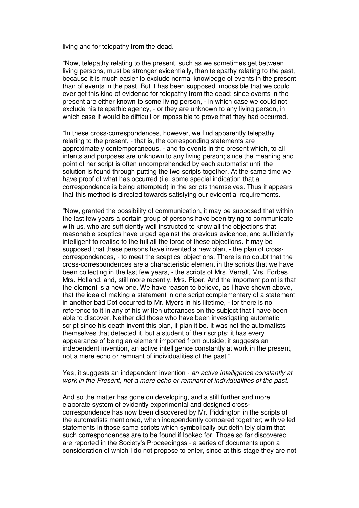living and for telepathy from the dead.

"Now, telepathy relating to the present, such as we sometimes get between living persons, must be stronger evidentially, than telepathy relating to the past, because it is much easier to exclude normal knowledge of events in the present than of events in the past. But it has been supposed impossible that we could ever get this kind of evidence for telepathy from the dead; since events in the present are either known to some living person, - in which case we could not exclude his telepathic agency, - or they are unknown to any living person, in which case it would be difficult or impossible to prove that they had occurred.

"In these cross-correspondences, however, we find apparently telepathy relating to the present, - that is, the corresponding statements are approximately contemporaneous, - and to events in the present which, to all intents and purposes are unknown to any living person; since the meaning and point of her script is often uncomprehended by each automatist until the solution is found through putting the two scripts together. At the same time we have proof of what has occurred (i.e. some special indication that a correspondence is being attempted) in the scripts themselves. Thus it appears that this method is directed towards satisfying our evidential requirements.

"Now, granted the possibility of communication, it may be supposed that within the last few years a certain group of persons have been trying to communicate with us, who are sufficiently well instructed to know all the objections that reasonable sceptics have urged against the previous evidence, and sufficiently intelligent to realise to the full all the force of these objections. It may be supposed that these persons have invented a new plan, - the plan of crosscorrespondences, - to meet the sceptics' objections. There is no doubt that the cross-correspondences are a characteristic element in the scripts that we have been collecting in the last few years, - the scripts of Mrs. Verrall, Mrs. Forbes, Mrs. Holland, and, still more recently, Mrs. Piper. And the important point is that the element is a new one. We have reason to believe, as I have shown above, that the idea of making a statement in one script complementary of a statement in another bad Dot occurred to Mr. Myers in his lifetime, - for there is no reference to it in any of his written utterances on the subject that I have been able to discover. Neither did those who have been investigating automatic script since his death invent this plan, if plan it be. It was not the automatists themselves that detected it, but a student of their scripts; it has every appearance of being an element imported from outside; it suggests an independent invention, an active intelligence constantly at work in the present, not a mere echo or remnant of individualities of the past."

# Yes, it suggests an independent invention - *an active intelligence constantly at work in the Present, not a mere echo or remnant of individualities of the past.*

And so the matter has gone on developing, and a still further and more elaborate system of evidently experimental and designed crosscorrespondence has now been discovered by Mr. Piddington in the scripts of the automatists mentioned, when independently compared together; with veiled statements in those same scripts which symbolically but definitely claim that such correspondences are to be found if looked for. Those so far discovered are reported in the Society's Proceedingss - a series of documents upon a consideration of which I do not propose to enter, since at this stage they are not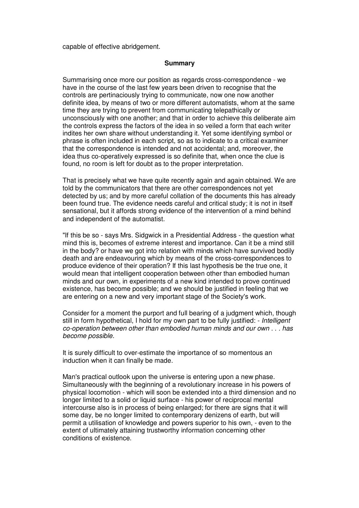capable of effective abridgement.

#### **Summary**

Summarising once more our position as regards cross-correspondence - we have in the course of the last few years been driven to recognise that the controls are pertinaciously trying to communicate, now one now another definite idea, by means of two or more different automatists, whom at the same time they are trying to prevent from communicating telepathically or unconsciousIy with one another; and that in order to achieve this deliberate aim the controls express the factors of the idea in so veiled a form that each writer indites her own share without understanding it. Yet some identifying symbol or phrase is often included in each script, so as to indicate to a critical examiner that the correspondence is intended and not accidental; and, moreover, the idea thus co-operatively expressed is so definite that, when once the clue is found, no room is left for doubt as to the proper interpretation.

That is precisely what we have quite recently again and again obtained. We are told by the communicators that there are other correspondences not yet detected by us; and by more careful collation of the documents this has already been found true. The evidence needs careful and critical study; it is not in itself sensational, but it affords strong evidence of the intervention of a mind behind and independent of the automatist.

"If this be so - says Mrs. Sidgwick in a Presidential Address - the question what mind this is, becomes of extreme interest and importance. Can it be a mind still in the body? or have we got into relation with minds which have survived bodily death and are endeavouring which by means of the cross-correspondences to produce evidence of their operation? If this last hypothesis be the true one, it would mean that intelligent cooperation between other than embodied human minds and our own, in experiments of a new kind intended to prove continued existence, has become possible; and we should be justified in feeling that we are entering on a new and very important stage of the Society's work.

Consider for a moment the purport and full bearing of a judgment which, though still in form hypothetical, I hold for my own part to be fully justified: - *Intelligent co-operation between other than embodied human minds and our own . . . has become possible.*

It is surely difficult to over-estimate the importance of so momentous an induction when it can finally be made.

Man's practical outlook upon the universe is entering upon a new phase. Simultaneously with the beginning of a revolutionary increase in his powers of physical locomotion - which will soon be extended into a third dimension and no longer limited to a solid or liquid surface - his power of reciprocal mental intercourse also is in process of being enlarged; for there are signs that it will some day, be no longer limited to contemporary denizens of earth, but will permit a utilisation of knowledge and powers superior to his own, - even to the extent of ultimately attaining trustworthy information concerning other conditions of existence.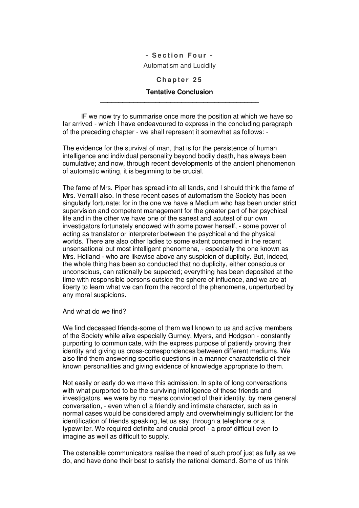## **- S e c t i o n F o u r -**

Automatism and Lucidity

**C h a p t e r 2 5**

## **Tentative Conclusion \_\_\_\_\_\_\_\_\_\_\_\_\_\_\_\_\_\_\_\_\_\_\_\_\_\_\_\_\_\_\_\_\_\_\_\_\_\_\_\_\_\_\_**

IF we now try to summarise once more the position at which we have so far arrived - which I have endeavoured to express in the concluding paragraph of the preceding chapter - we shall represent it somewhat as follows: -

The evidence for the survival of man, that is for the persistence of human intelligence and individual personality beyond bodily death, has always been cumulative; and now, through recent developments of the ancient phenomenon of automatic writing, it is beginning to be crucial.

The fame of Mrs. Piper has spread into all lands, and I should think the fame of Mrs. Verralll also. In these recent cases of automatism the Society has been singularly fortunate; for in the one we have a Medium who has been under strict supervision and competent management for the greater part of her psychical life and in the other we have one of the sanest and acutest of our own investigators fortunately endowed with some power herself, - some power of acting as translator or interpreter between the psychical and the physical worlds. There are also other ladies to some extent concerned in the recent unsensational but most intelligent phenomena, - especially the one known as Mrs. Holland - who are likewise above any suspicion of duplicity. But, indeed, the whole thing has been so conducted that no duplicity, either conscious or unconscious, can rationally be supected; everything has been deposited at the time with responsible persons outside the sphere of influence, and we are at liberty to learn what we can from the record of the phenomena, unperturbed by any moral suspicions.

And what do we find?

We find deceased friends-some of them well known to us and active members of the Society while alive especially Gurney, Myers, and Hodgson - constantly purporting to communicate, with the express purpose of patiently proving their identity and giving us cross-correspondences between different mediums. We also find them answering specific questions in a manner characteristic of their known personalities and giving evidence of knowledge appropriate to them.

Not easily or early do we make this admission. In spite of long conversations with what purported to be the surviving intelligence of these friends and investigators, we were by no means convinced of their identity, by mere general conversation, - even when of a friendly and intimate character, such as in normal cases would be considered amply and overwhelmingly sufficient for the identification of friends speaking, let us say, through a telephone or a typewriter. We required definite and crucial proof - a proof difficult even to imagine as well as difficult to supply.

The ostensible communicators realise the need of such proof just as fully as we do, and have done their best to satisfy the rational demand. Some of us think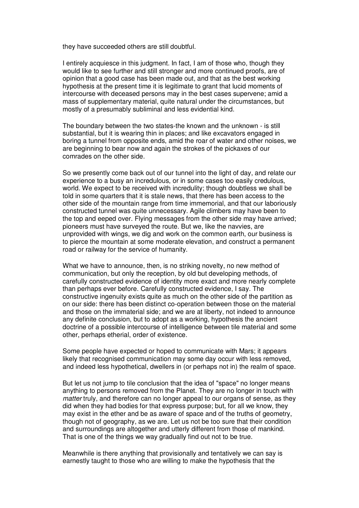they have succeeded others are still doubtful.

I entirely acquiesce in this judgment. In fact, I am of those who, though they would like to see further and still stronger and more continued proofs, are of opinion that a good case has been made out, and that as the best working hypothesis at the present time it is legitimate to grant that lucid moments of intercourse with deceased persons may in the best cases supervene; amid a mass of supplementary material, quite natural under the circumstances, but mostly of a presumably subliminal and less evidential kind.

The boundary between the two states-the known and the unknown - is still substantial, but it is wearing thin in places; and like excavators engaged in boring a tunnel from opposite ends, amid the roar of water and other noises, we are beginning to bear now and again the strokes of the pickaxes of our comrades on the other side.

So we presently come back out of our tunnel into the light of day, and relate our experience to a busy an incredulous, or in some cases too easily credulous, world. We expect to be received with incredulity; though doubtless we shall be told in some quarters that it is stale news, that there has been access to the other side of the mountain range from time immemorial, and that our laboriously constructed tunnel was quite unnecessary. Agile climbers may have been to the top and eeped over. Flying messages from the other side may have arrived; pioneers must have surveyed the route. But we, like the navvies, are unprovided with wings, we dig and work on the common earth, our business is to pierce the mountain at some moderate elevation, and construct a permanent road or railway for the service of humanity.

What we have to announce, then, is no striking novelty, no new method of communication, but only the reception, by old but developing methods, of carefully constructed evidence of identity more exact and more nearly complete than perhaps ever before. Carefully constructed evidence, I say. The constructive ingenuity exists quite as much on the other side of the partition as on our side: there has been distinct co-operation between those on the material and those on the immaterial side; and we are at liberty, not indeed to announce any definite conclusion, but to adopt as a working, hypothesis the ancient doctrine of a possible intercourse of intelligence between tile material and some other, perhaps etherial, order of existence.

Some people have expected or hoped to communicate with Mars; it appears likely that recognised communication may some day occur with less removed, and indeed less hypothetical, dwellers in (or perhaps not in) the realm of space.

But let us not jump to tile conclusion that the idea of "space" no longer means anything to persons removed from the Planet. They are no longer in touch with *matter* truly, and therefore can no longer appeal to our organs of sense, as they did when they had bodies for that express purpose; but, for all we know, they may exist in the ether and be as aware of space and of the truths of geometry, though not of geography, as we are. Let us not be too sure that their condition and surroundings are altogether and utterly different from those of mankind. That is one of the things we way gradually find out not to be true.

Meanwhile is there anything that provisionally and tentatively we can say is earnestly taught to those who are willing to make the hypothesis that the